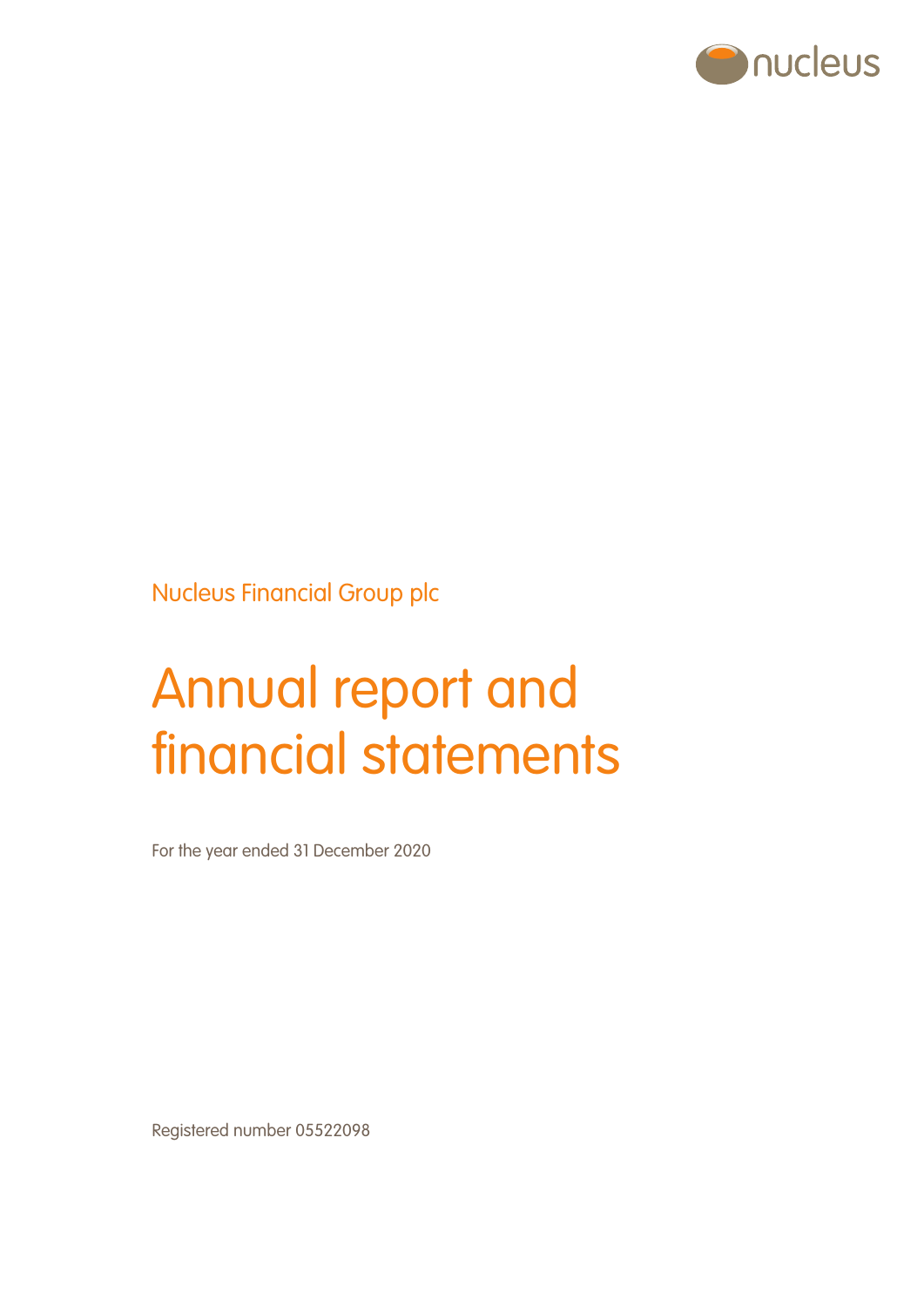

Nucleus Financial Group plc

# Annual report and financial statements

For the year ended 31 December 2020

Registered number 05522098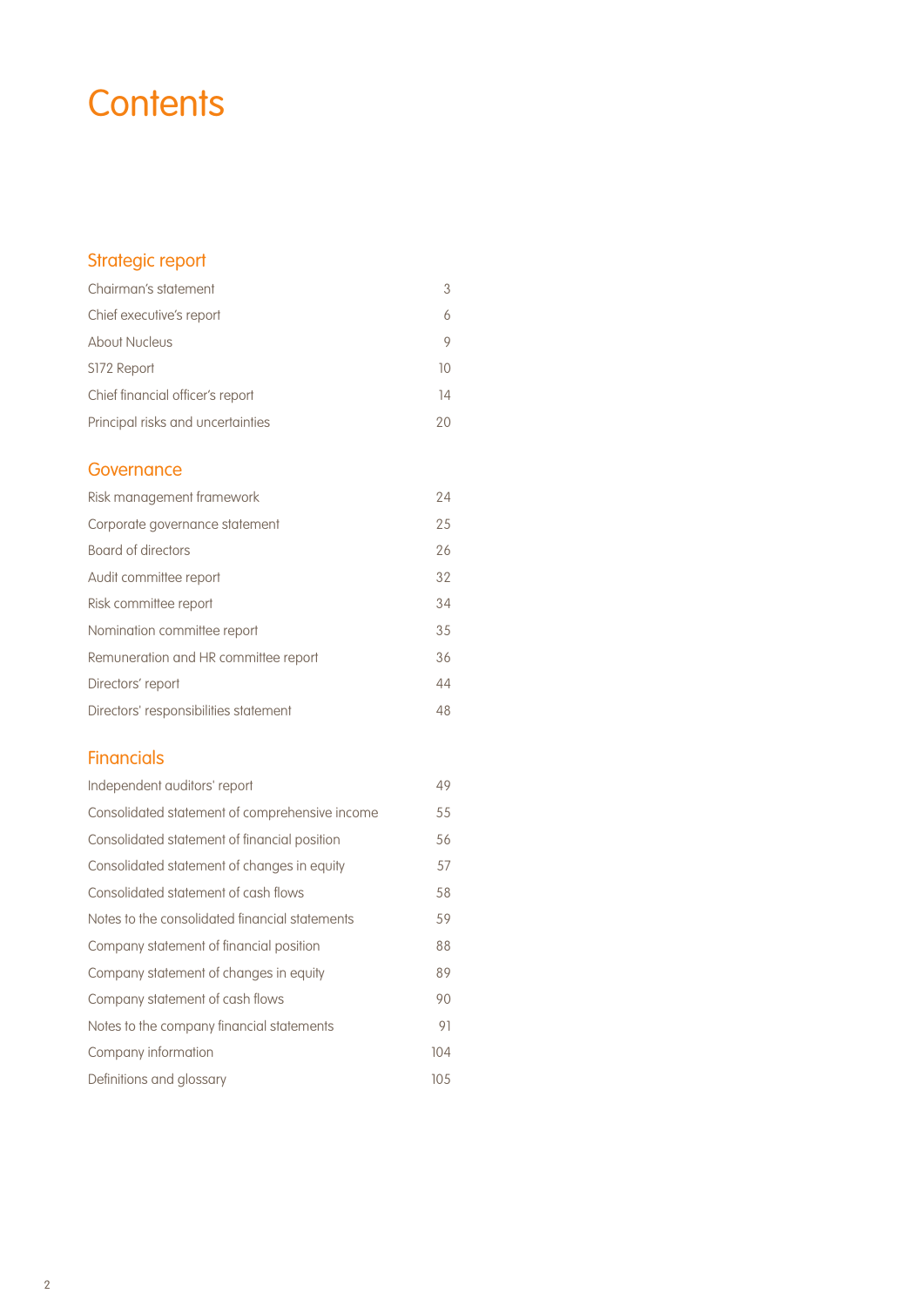# **Contents**

## Strategic report

| Chairman's statement              | 3  |
|-----------------------------------|----|
| Chief executive's report          | 6  |
| <b>About Nucleus</b>              | 9  |
| S172 Report                       | 10 |
| Chief financial officer's report  | 14 |
| Principal risks and uncertainties | 20 |

## **Governance**

| Risk management framework             | 24 |
|---------------------------------------|----|
| Corporate governance statement        | 25 |
| Board of directors                    | 26 |
| Audit committee report                | 32 |
| Risk committee report                 | 34 |
| Nomination committee report           | 35 |
| Remuneration and HR committee report  | 36 |
| Directors' report                     | 44 |
| Directors' responsibilities statement | 48 |

## **Financials**

| Independent auditors' report                   | 49  |
|------------------------------------------------|-----|
| Consolidated statement of comprehensive income | 55  |
| Consolidated statement of financial position   | 56  |
| Consolidated statement of changes in equity    | 57  |
| Consolidated statement of cash flows           | 58  |
| Notes to the consolidated financial statements | 59  |
| Company statement of financial position        | 88  |
| Company statement of changes in equity         | 89  |
| Company statement of cash flows                | 90  |
| Notes to the company financial statements      | 91  |
| Company information                            | 104 |
| Definitions and glossary                       | 105 |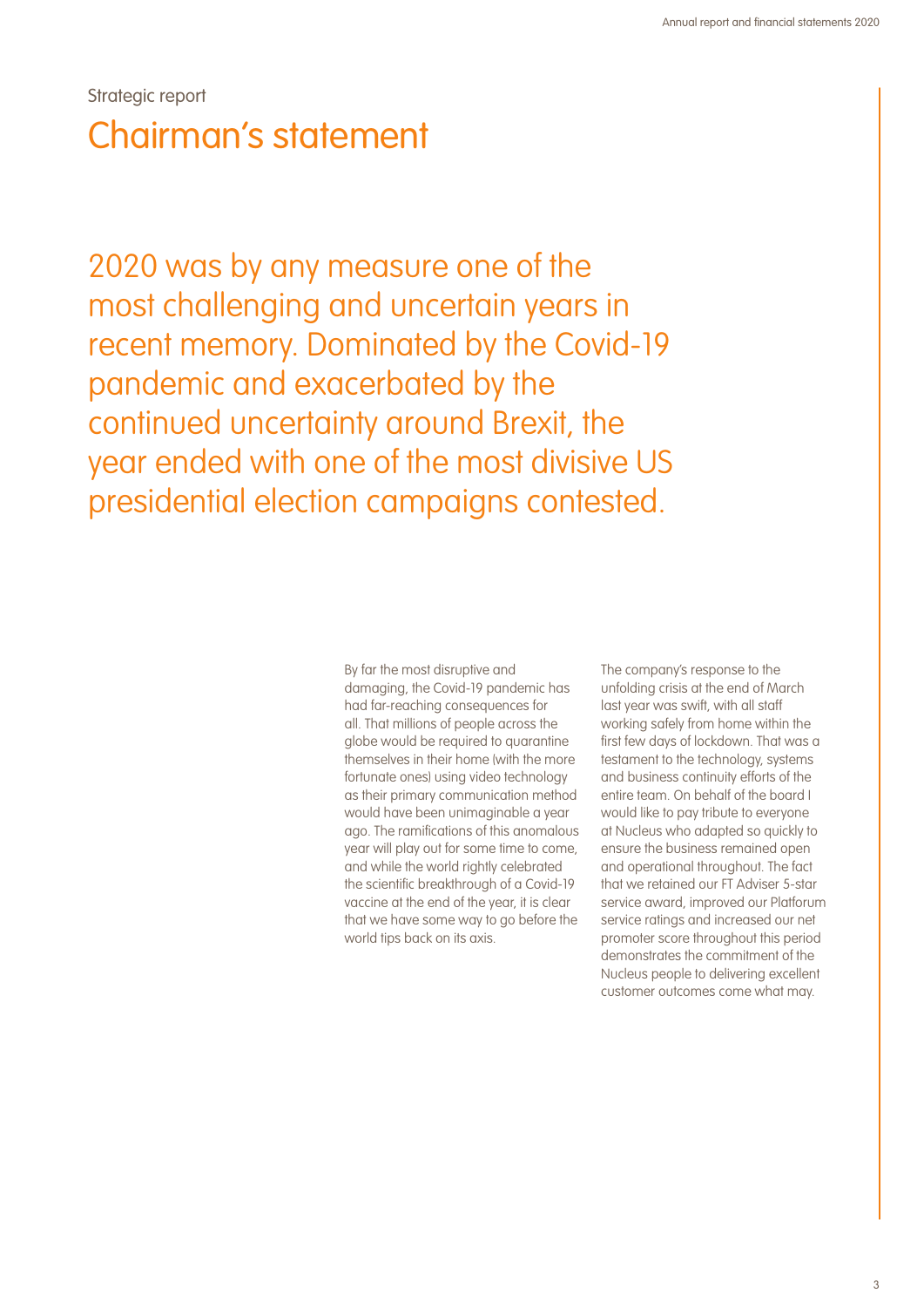## Strategic report Chairman's statement

2020 was by any measure one of the most challenging and uncertain years in recent memory. Dominated by the Covid-19 pandemic and exacerbated by the continued uncertainty around Brexit, the year ended with one of the most divisive US presidential election campaigns contested.

> By far the most disruptive and damaging, the Covid-19 pandemic has had far-reaching consequences for all. That millions of people across the globe would be required to quarantine themselves in their home (with the more fortunate ones) using video technology as their primary communication method would have been unimaginable a year ago. The ramifications of this anomalous year will play out for some time to come, and while the world rightly celebrated the scientific breakthrough of a Covid-19 vaccine at the end of the year, it is clear that we have some way to go before the world tips back on its axis.

The company's response to the unfolding crisis at the end of March last year was swift, with all staff working safely from home within the first few days of lockdown. That was a testament to the technology, systems and business continuity efforts of the entire team. On behalf of the board I would like to pay tribute to everyone at Nucleus who adapted so quickly to ensure the business remained open and operational throughout. The fact that we retained our FT Adviser 5-star service award, improved our Platforum service ratings and increased our net promoter score throughout this period demonstrates the commitment of the Nucleus people to delivering excellent customer outcomes come what may.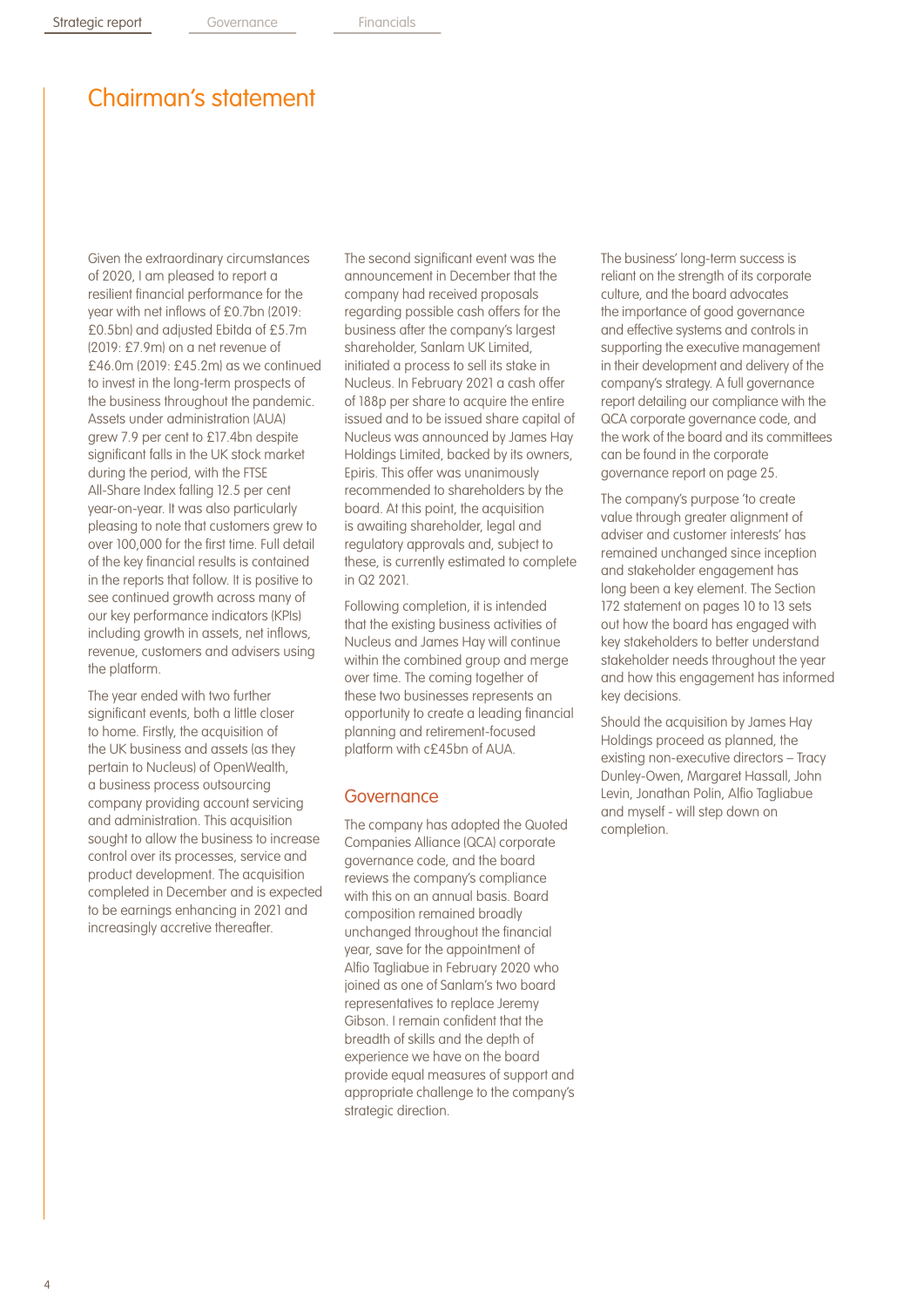## Chairman's statement

Given the extraordinary circumstances of 2020, I am pleased to report a resilient financial performance for the year with net inflows of £0.7bn (2019: £0.5bn) and adjusted Ebitda of £5.7m (2019: £7.9m) on a net revenue of £46.0m (2019: £45.2m) as we continued to invest in the long-term prospects of the business throughout the pandemic. Assets under administration (AUA) grew 7.9 per cent to £17.4bn despite significant falls in the UK stock market during the period, with the FTSE All-Share Index falling 12.5 per cent year-on-year. It was also particularly pleasing to note that customers grew to over 100,000 for the first time. Full detail of the key financial results is contained in the reports that follow. It is positive to see continued growth across many of our key performance indicators (KPIs) including growth in assets, net inflows, revenue, customers and advisers using the platform.

The year ended with two further significant events, both a little closer to home. Firstly, the acquisition of the UK business and assets (as they pertain to Nucleus) of OpenWealth, a business process outsourcing company providing account servicing and administration. This acquisition sought to allow the business to increase control over its processes, service and product development. The acquisition completed in December and is expected to be earnings enhancing in 2021 and increasingly accretive thereafter.

The second significant event was the announcement in December that the company had received proposals regarding possible cash offers for the business after the company's largest shareholder, Sanlam UK Limited, initiated a process to sell its stake in Nucleus. In February 2021 a cash offer of 188p per share to acquire the entire issued and to be issued share capital of Nucleus was announced by James Hay Holdings Limited, backed by its owners, Epiris. This offer was unanimously recommended to shareholders by the board. At this point, the acquisition is awaiting shareholder, legal and regulatory approvals and, subject to these, is currently estimated to complete in Q2 2021.

Following completion, it is intended that the existing business activities of Nucleus and James Hay will continue within the combined group and merge over time. The coming together of these two businesses represents an opportunity to create a leading financial planning and retirement-focused platform with c£45bn of AUA.

#### **Governance**

The company has adopted the Quoted Companies Alliance (QCA) corporate governance code, and the board reviews the company's compliance with this on an annual basis. Board composition remained broadly unchanged throughout the financial year, save for the appointment of Alfio Tagliabue in February 2020 who joined as one of Sanlam's two board representatives to replace Jeremy Gibson. I remain confident that the breadth of skills and the depth of experience we have on the board provide equal measures of support and appropriate challenge to the company's strategic direction.

The business' long-term success is reliant on the strength of its corporate culture, and the board advocates the importance of good governance and effective systems and controls in supporting the executive management in their development and delivery of the company's strategy. A full governance report detailing our compliance with the QCA corporate governance code, and the work of the board and its committees can be found in the corporate governance report on page 25.

The company's purpose 'to create value through greater alignment of adviser and customer interests' has remained unchanged since inception and stakeholder engagement has long been a key element. The Section 172 statement on pages 10 to 13 sets out how the board has engaged with key stakeholders to better understand stakeholder needs throughout the year and how this engagement has informed key decisions.

Should the acquisition by James Hay Holdings proceed as planned, the existing non-executive directors – Tracy Dunley-Owen, Margaret Hassall, John Levin, Jonathan Polin, Alfio Tagliabue and myself - will step down on completion.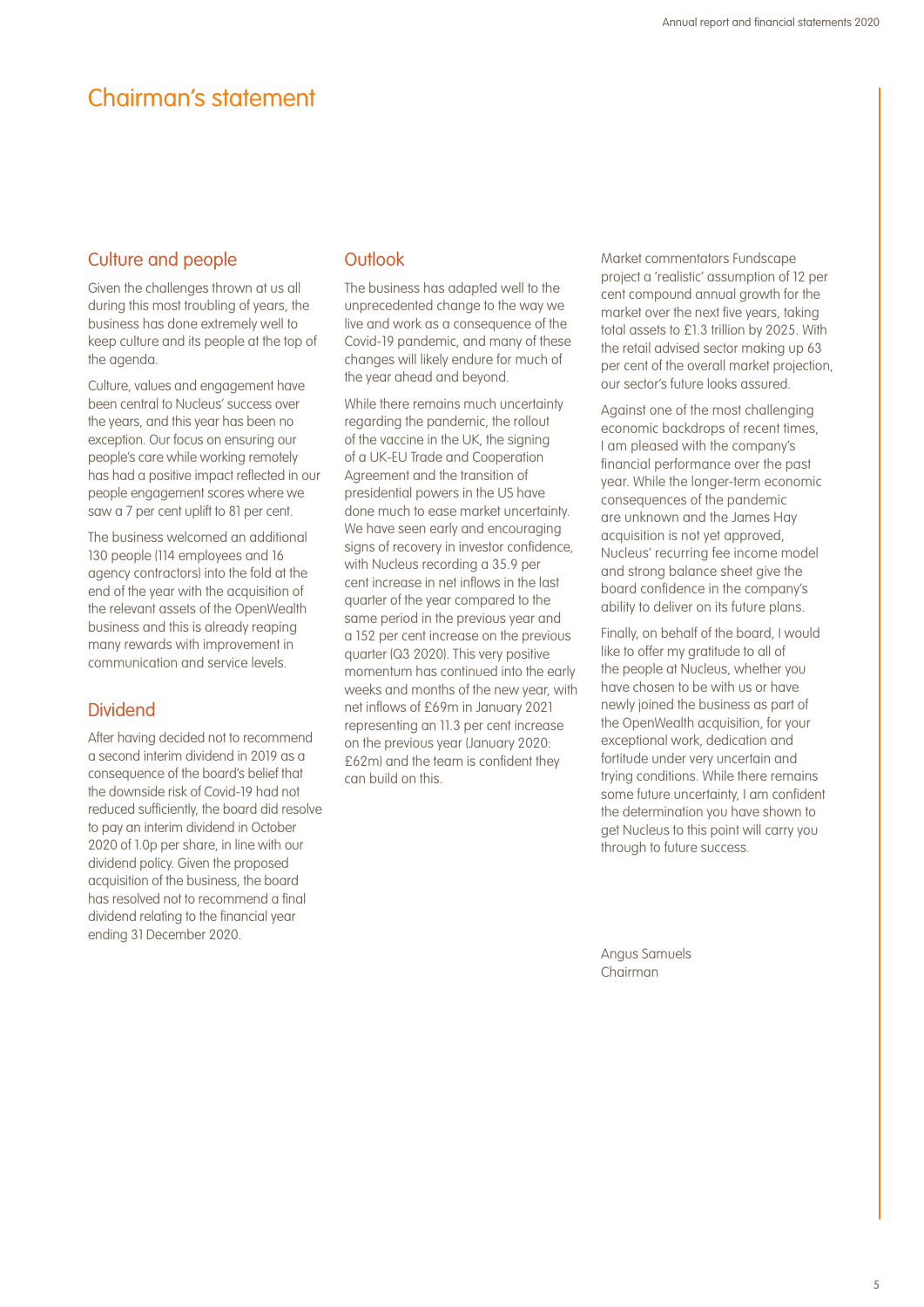## Chairman's statement

### Culture and people

Given the challenges thrown at us all during this most troubling of years, the business has done extremely well to keep culture and its people at the top of the agenda.

Culture, values and engagement have been central to Nucleus' success over the years, and this year has been no exception. Our focus on ensuring our people's care while working remotely has had a positive impact reflected in our people engagement scores where we saw a 7 per cent uplift to 81 per cent.

The business welcomed an additional 130 people (114 employees and 16 agency contractors) into the fold at the end of the year with the acquisition of the relevant assets of the OpenWealth business and this is already reaping many rewards with improvement in communication and service levels.

### Dividend

After having decided not to recommend a second interim dividend in 2019 as a consequence of the board's belief that the downside risk of Covid-19 had not reduced sufficiently, the board did resolve to pay an interim dividend in October 2020 of 1.0p per share, in line with our dividend policy. Given the proposed acquisition of the business, the board has resolved not to recommend a final dividend relating to the financial year ending 31 December 2020.

### **Outlook**

The business has adapted well to the unprecedented change to the way we live and work as a consequence of the Covid-19 pandemic, and many of these changes will likely endure for much of the year ahead and beyond.

While there remains much uncertainty regarding the pandemic, the rollout of the vaccine in the UK, the signing of a UK-EU Trade and Cooperation Agreement and the transition of presidential powers in the US have done much to ease market uncertainty. We have seen early and encouraging signs of recovery in investor confidence, with Nucleus recording a 35.9 per cent increase in net inflows in the last quarter of the year compared to the same period in the previous year and a 152 per cent increase on the previous quarter (Q3 2020). This very positive momentum has continued into the early weeks and months of the new year, with net inflows of £69m in January 2021 representing an 11.3 per cent increase on the previous year (January 2020: £62m) and the team is confident they can build on this.

Market commentators Fundscape project a 'realistic' assumption of 12 per cent compound annual growth for the market over the next five years, taking total assets to £1.3 trillion by 2025. With the retail advised sector making up 63 per cent of the overall market projection, our sector's future looks assured.

Against one of the most challenging economic backdrops of recent times, I am pleased with the company's financial performance over the past year. While the longer-term economic consequences of the pandemic are unknown and the James Hay acquisition is not yet approved, Nucleus' recurring fee income model and strong balance sheet give the board confidence in the company's ability to deliver on its future plans.

Finally, on behalf of the board, I would like to offer my gratitude to all of the people at Nucleus, whether you have chosen to be with us or have newly joined the business as part of the OpenWealth acquisition, for your exceptional work, dedication and fortitude under very uncertain and trying conditions. While there remains some future uncertainty, I am confident the determination you have shown to get Nucleus to this point will carry you through to future success.

Angus Samuels Chairman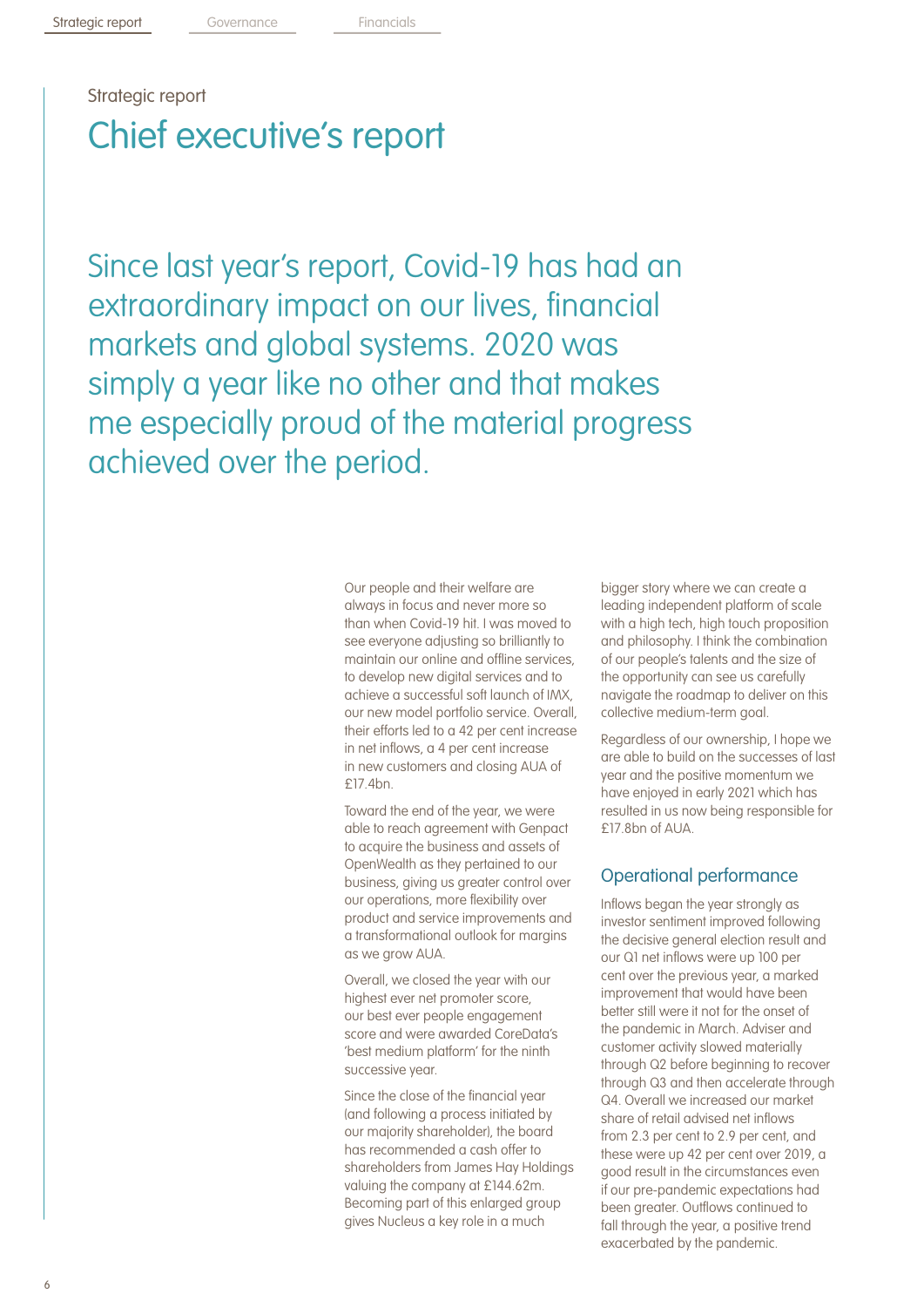# Strategic report Chief executive's report

Since last year's report, Covid-19 has had an extraordinary impact on our lives, financial markets and global systems. 2020 was simply a year like no other and that makes me especially proud of the material progress achieved over the period.

> Our people and their welfare are always in focus and never more so than when Covid-19 hit. I was moved to see everyone adjusting so brilliantly to maintain our online and offline services, to develop new digital services and to achieve a successful soft launch of IMX, our new model portfolio service. Overall, their efforts led to a 42 per cent increase in net inflows, a 4 per cent increase in new customers and closing AUA of £17.4bn.

Toward the end of the year, we were able to reach agreement with Genpact to acquire the business and assets of OpenWealth as they pertained to our business, giving us greater control over our operations, more flexibility over product and service improvements and a transformational outlook for margins as we grow AUA.

Overall, we closed the year with our highest ever net promoter score, our best ever people engagement score and were awarded CoreData's 'best medium platform' for the ninth successive year.

Since the close of the financial year (and following a process initiated by our majority shareholder), the board has recommended a cash offer to shareholders from James Hay Holdings valuing the company at £144.62m. Becoming part of this enlarged group gives Nucleus a key role in a much

bigger story where we can create a leading independent platform of scale with a high tech, high touch proposition and philosophy. I think the combination of our people's talents and the size of the opportunity can see us carefully navigate the roadmap to deliver on this collective medium-term goal.

Regardless of our ownership, I hope we are able to build on the successes of last year and the positive momentum we have enjoyed in early 2021 which has resulted in us now being responsible for  $f17.8$ hn of AUA

## Operational performance

Inflows began the year strongly as investor sentiment improved following the decisive general election result and our Q1 net inflows were up 100 per cent over the previous year, a marked improvement that would have been better still were it not for the onset of the pandemic in March. Adviser and customer activity slowed materially through Q2 before beginning to recover through Q3 and then accelerate through Q4. Overall we increased our market share of retail advised net inflows from 2.3 per cent to 2.9 per cent, and these were up 42 per cent over 2019, a good result in the circumstances even if our pre-pandemic expectations had been greater. Outflows continued to fall through the year, a positive trend exacerbated by the pandemic.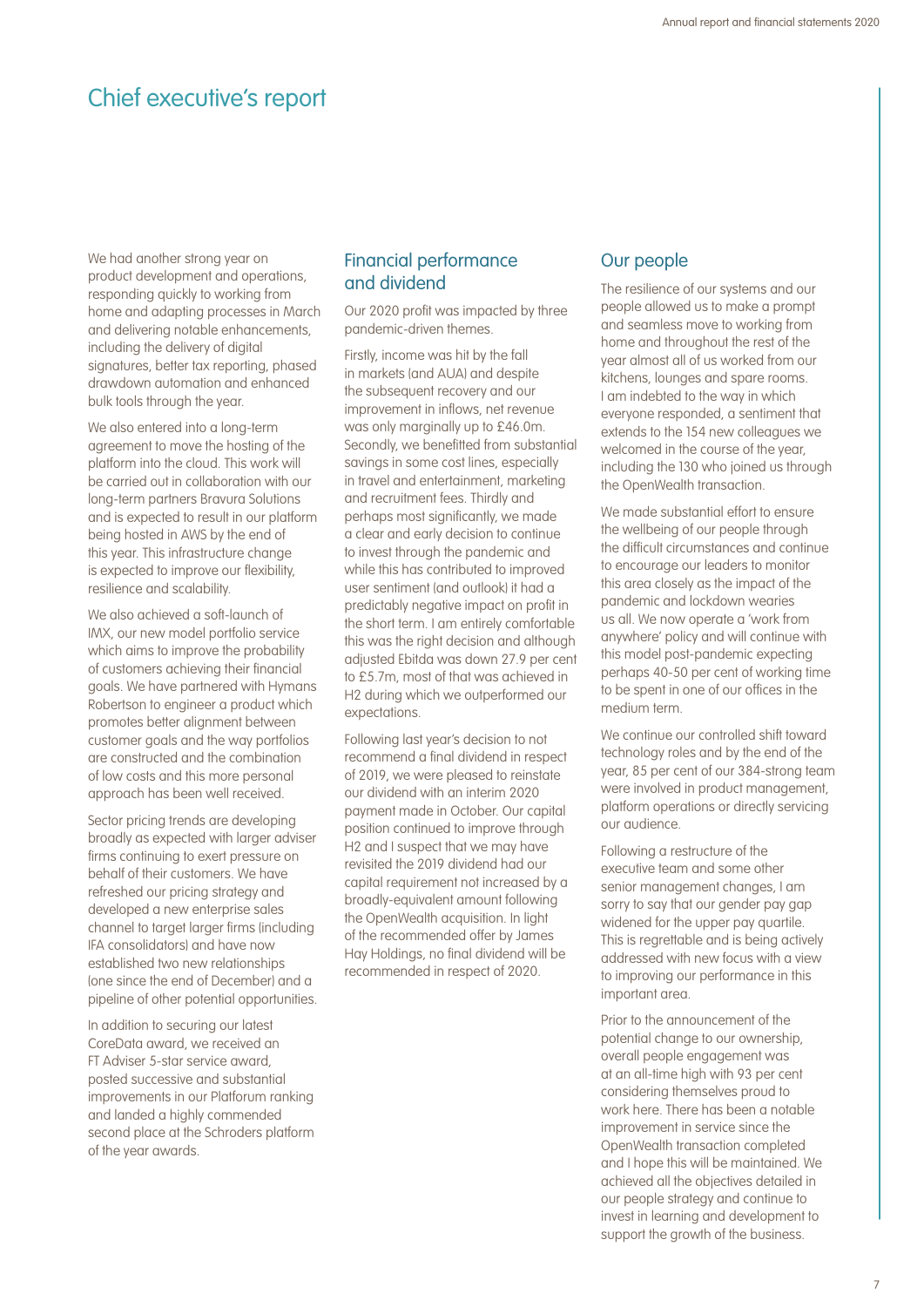## Chief executive's report

We had another strong year on product development and operations, responding quickly to working from home and adapting processes in March and delivering notable enhancements, including the delivery of digital signatures, better tax reporting, phased drawdown automation and enhanced bulk tools through the year.

We also entered into a long-term agreement to move the hosting of the platform into the cloud. This work will be carried out in collaboration with our long-term partners Bravura Solutions and is expected to result in our platform being hosted in AWS by the end of this year. This infrastructure change is expected to improve our flexibility, resilience and scalability.

We also achieved a soft-launch of IMX, our new model portfolio service which aims to improve the probability of customers achieving their financial goals. We have partnered with Hymans Robertson to engineer a product which promotes better alignment between customer goals and the way portfolios are constructed and the combination of low costs and this more personal approach has been well received.

Sector pricing trends are developing broadly as expected with larger adviser firms continuing to exert pressure on behalf of their customers. We have refreshed our pricing strategy and developed a new enterprise sales channel to target larger firms (including IFA consolidators) and have now established two new relationships (one since the end of December) and a pipeline of other potential opportunities.

In addition to securing our latest CoreData award, we received an FT Adviser 5-star service award, posted successive and substantial improvements in our Platforum ranking and landed a highly commended second place at the Schroders platform of the year awards.

### Financial performance and dividend

Our 2020 profit was impacted by three pandemic-driven themes.

Firstly, income was hit by the fall in markets (and AUA) and despite the subsequent recovery and our improvement in inflows, net revenue was only marginally up to £46.0m. Secondly, we benefitted from substantial savings in some cost lines, especially in travel and entertainment, marketing and recruitment fees. Thirdly and perhaps most significantly, we made a clear and early decision to continue to invest through the pandemic and while this has contributed to improved user sentiment (and outlook) it had a predictably negative impact on profit in the short term. I am entirely comfortable this was the right decision and although adjusted Ebitda was down 27.9 per cent to £5.7m, most of that was achieved in H2 during which we outperformed our expectations.

Following last year's decision to not recommend a final dividend in respect of 2019, we were pleased to reinstate our dividend with an interim 2020 payment made in October. Our capital position continued to improve through H2 and I suspect that we may have revisited the 2019 dividend had our capital requirement not increased by a broadly-equivalent amount following the OpenWealth acquisition. In light of the recommended offer by James Hay Holdings, no final dividend will be recommended in respect of 2020.

### Our people

The resilience of our systems and our people allowed us to make a prompt and seamless move to working from home and throughout the rest of the year almost all of us worked from our kitchens, lounges and spare rooms. I am indebted to the way in which everyone responded, a sentiment that extends to the 154 new colleagues we welcomed in the course of the year, including the 130 who joined us through the OpenWealth transaction.

We made substantial effort to ensure the wellbeing of our people through the difficult circumstances and continue to encourage our leaders to monitor this area closely as the impact of the pandemic and lockdown wearies us all. We now operate a 'work from anywhere' policy and will continue with this model post-pandemic expecting perhaps 40-50 per cent of working time to be spent in one of our offices in the medium term.

We continue our controlled shift toward technology roles and by the end of the year, 85 per cent of our 384-strong team were involved in product management, platform operations or directly servicing our audience.

Following a restructure of the executive team and some other senior management changes, I am sorry to say that our gender pay gap widened for the upper pay quartile. This is regrettable and is being actively addressed with new focus with a view to improving our performance in this important area.

Prior to the announcement of the potential change to our ownership, overall people engagement was at an all-time high with 93 per cent considering themselves proud to work here. There has been a notable improvement in service since the OpenWealth transaction completed and I hope this will be maintained. We achieved all the objectives detailed in our people strategy and continue to invest in learning and development to support the growth of the business.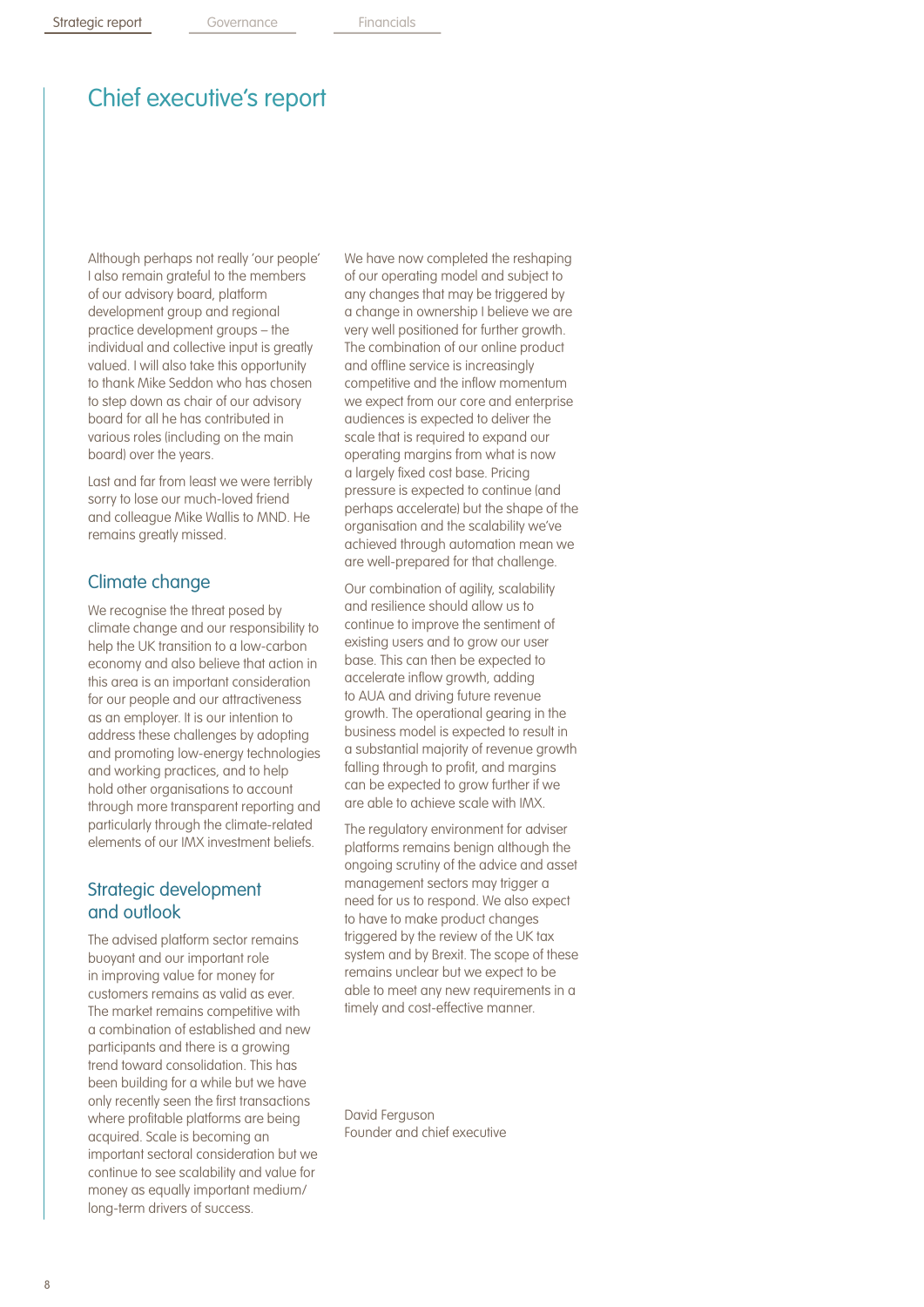## Chief executive's report

Although perhaps not really 'our people' I also remain grateful to the members of our advisory board, platform development group and regional practice development groups – the individual and collective input is greatly valued. I will also take this opportunity to thank Mike Seddon who has chosen to step down as chair of our advisory board for all he has contributed in various roles (including on the main board) over the years.

Last and far from least we were terribly sorry to lose our much-loved friend and colleague Mike Wallis to MND. He remains greatly missed.

### Climate change

We recognise the threat posed by climate change and our responsibility to help the UK transition to a low-carbon economy and also believe that action in this area is an important consideration for our people and our attractiveness as an employer. It is our intention to address these challenges by adopting and promoting low-energy technologies and working practices, and to help hold other organisations to account through more transparent reporting and particularly through the climate-related elements of our IMX investment beliefs.

### Strategic development and outlook

The advised platform sector remains buoyant and our important role in improving value for money for customers remains as valid as ever. The market remains competitive with a combination of established and new participants and there is a growing trend toward consolidation. This has been building for a while but we have only recently seen the first transactions where profitable platforms are being acquired. Scale is becoming an important sectoral consideration but we continue to see scalability and value for money as equally important medium/ long-term drivers of success.

We have now completed the reshaping of our operating model and subject to any changes that may be triggered by a change in ownership I believe we are very well positioned for further growth. The combination of our online product and offline service is increasingly competitive and the inflow momentum we expect from our core and enterprise audiences is expected to deliver the scale that is required to expand our operating margins from what is now a largely fixed cost base. Pricing pressure is expected to continue (and perhaps accelerate) but the shape of the organisation and the scalability we've achieved through automation mean we are well-prepared for that challenge.

Our combination of agility, scalability and resilience should allow us to continue to improve the sentiment of existing users and to grow our user base. This can then be expected to accelerate inflow growth, adding to AUA and driving future revenue growth. The operational gearing in the business model is expected to result in a substantial majority of revenue growth falling through to profit, and margins can be expected to grow further if we are able to achieve scale with IMX.

The regulatory environment for adviser platforms remains benign although the ongoing scrutiny of the advice and asset management sectors may trigger a need for us to respond. We also expect to have to make product changes triggered by the review of the UK tax system and by Brexit. The scope of these remains unclear but we expect to be able to meet any new requirements in a timely and cost-effective manner.

David Ferguson Founder and chief executive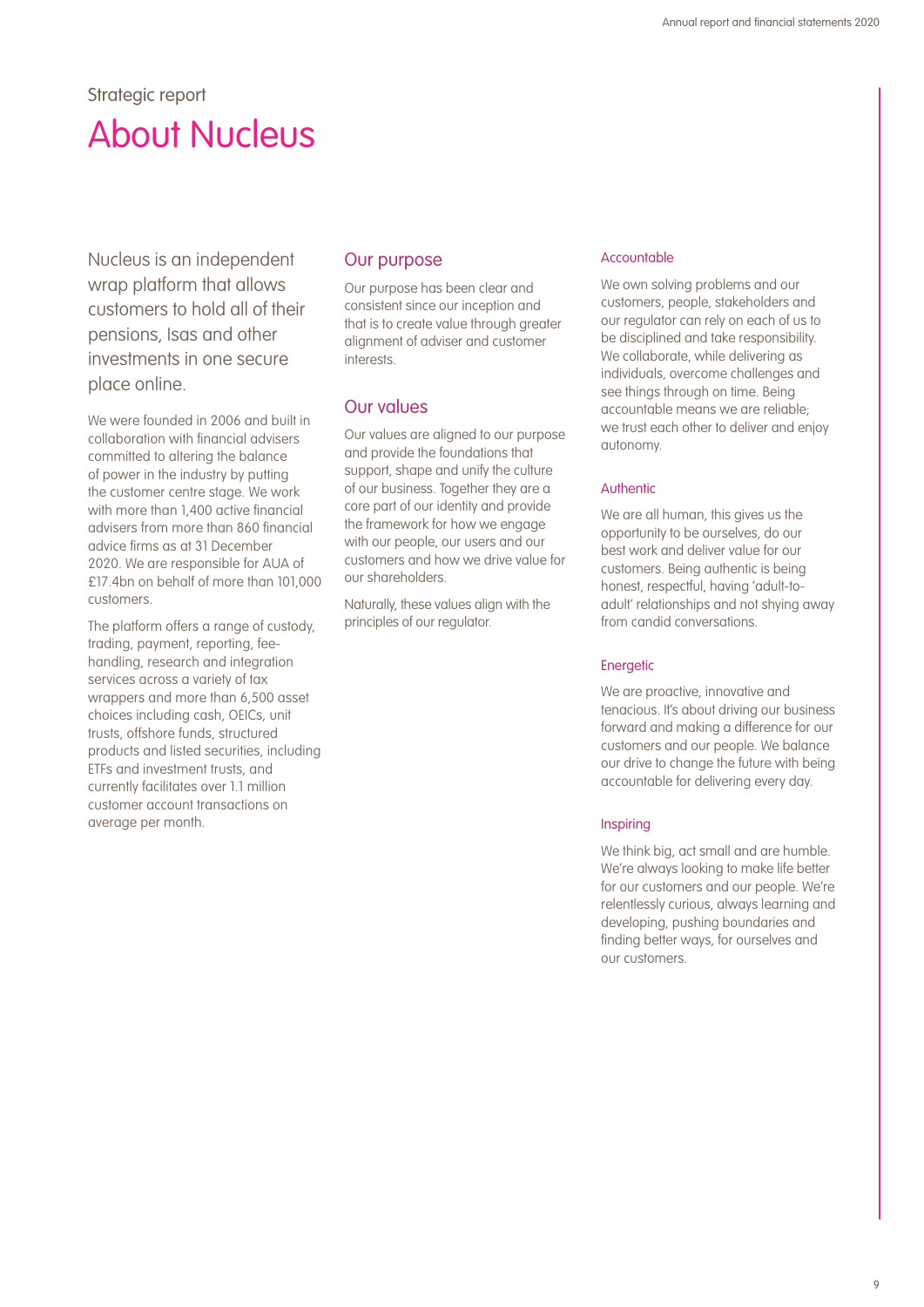## Strategic report About Nucleus

Nucleus is an independent wrap platform that allows customers to hold all of their pensions, Isas and other investments in one secure place online.

We were founded in 2006 and built in collaboration with financial advisers committed to altering the balance of power in the industry by putting the customer centre stage. We work with more than 1,400 active financial advisers from more than 860 financial advice firms as at 31 December 2020. We are responsible for AUA of £17.4bn on behalf of more than 101,000 customers.

The platform offers a range of custody, trading, payment, reporting, feehandling, research and integration services across a variety of tax wrappers and more than 6,500 asset choices including cash, OEICs, unit trusts, offshore funds, structured products and listed securities, including ETFs and investment trusts, and currently facilitates over 1.1 million customer account transactions on average per month.

#### Our purpose

Our purpose has been clear and consistent since our inception and that is to create value through greater alignment of adviser and customer interests.

### Our values

Our values are aligned to our purpose and provide the foundations that support, shape and unify the culture of our business. Together they are a core part of our identity and provide the framework for how we engage with our people, our users and our customers and how we drive value for our shareholders.

Naturally, these values align with the principles of our regulator.

#### Accountable

We own solving problems and our customers, people, stakeholders and our regulator can rely on each of us to be disciplined and take responsibility. We collaborate, while delivering as individuals, overcome challenges and see things through on time. Being accountable means we are reliable; we trust each other to deliver and enjoy autonomy.

#### Authentic

We are all human, this gives us the opportunity to be ourselves, do our best work and deliver value for our customers. Being authentic is being honest, respectful, having 'adult-toadult' relationships and not shying away from candid conversations.

#### **Energetic**

We are proactive, innovative and tenacious. It's about driving our business forward and making a difference for our customers and our people. We balance our drive to change the future with being accountable for delivering every day.

#### Inspiring

We think big, act small and are humble. We're always looking to make life better for our customers and our people. We're relentlessly curious, always learning and developing, pushing boundaries and finding better ways, for ourselves and our customers.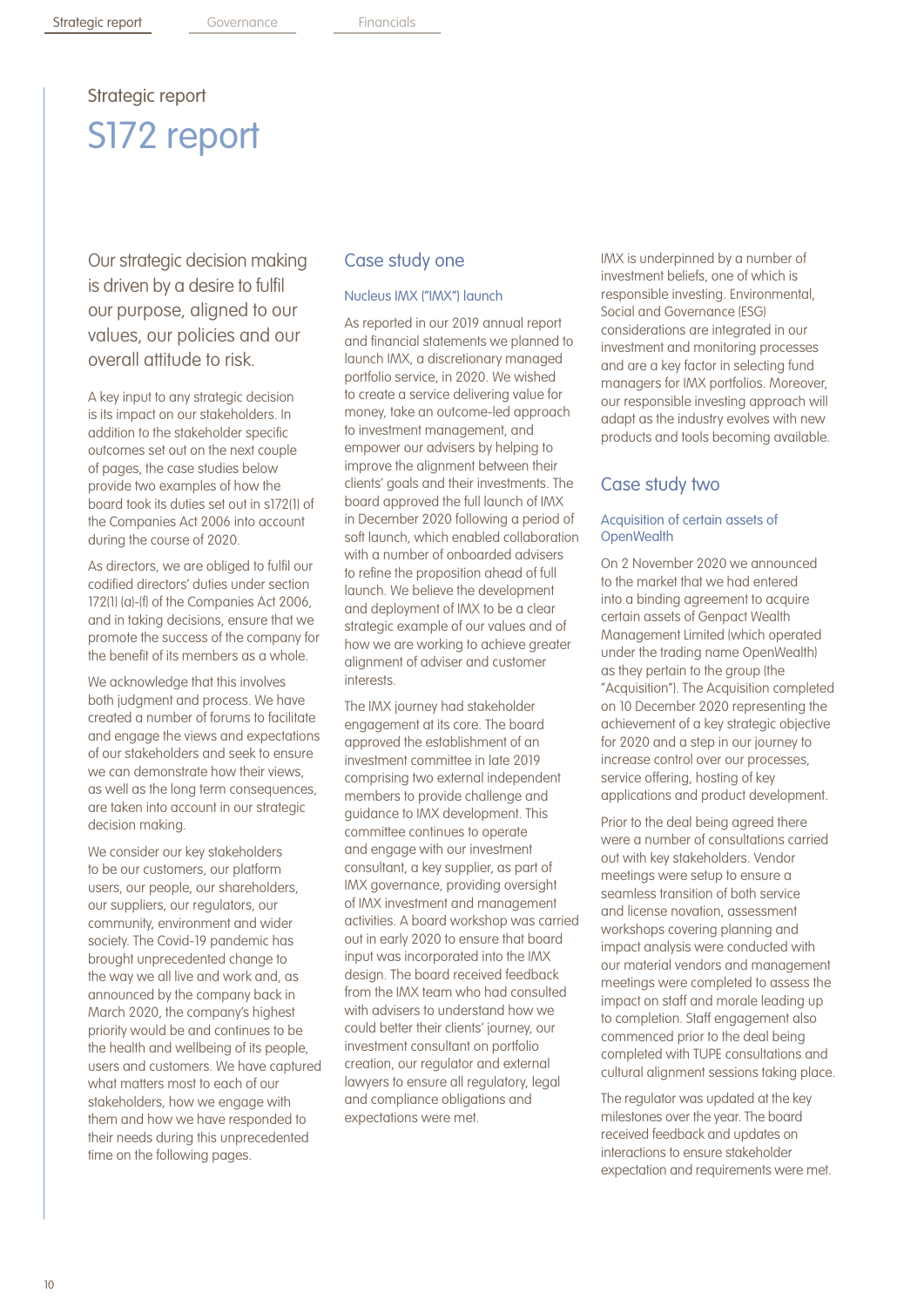## Strategic report S172 report

Our strategic decision making is driven by a desire to fulfil our purpose, aligned to our values, our policies and our overall attitude to risk.

A key input to any strategic decision is its impact on our stakeholders. In addition to the stakeholder specific outcomes set out on the next couple of pages, the case studies below provide two examples of how the board took its duties set out in s172(1) of the Companies Act 2006 into account during the course of 2020.

As directors, we are obliged to fulfil our codified directors' duties under section 172(1) (a)-(f) of the Companies Act 2006, and in taking decisions, ensure that we promote the success of the company for the benefit of its members as a whole.

We acknowledge that this involves both judgment and process. We have created a number of forums to facilitate and engage the views and expectations of our stakeholders and seek to ensure we can demonstrate how their views, as well as the long term consequences, are taken into account in our strategic decision making.

We consider our key stakeholders to be our customers, our platform users, our people, our shareholders, our suppliers, our regulators, our community, environment and wider society. The Covid-19 pandemic has brought unprecedented change to the way we all live and work and, as announced by the company back in March 2020, the company's highest priority would be and continues to be the health and wellbeing of its people, users and customers. We have captured what matters most to each of our stakeholders, how we engage with them and how we have responded to their needs during this unprecedented time on the following pages.

### Case study one

#### Nucleus IMX ("IMX") launch

As reported in our 2019 annual report and financial statements we planned to launch IMX, a discretionary managed portfolio service, in 2020. We wished to create a service delivering value for money, take an outcome-led approach to investment management, and empower our advisers by helping to improve the alignment between their clients' goals and their investments. The board approved the full launch of IMX in December 2020 following a period of soft launch, which enabled collaboration with a number of onboarded advisers to refine the proposition ahead of full launch. We believe the development and deployment of IMX to be a clear strategic example of our values and of how we are working to achieve greater alignment of adviser and customer interests.

The IMX journey had stakeholder engagement at its core. The board approved the establishment of an investment committee in late 2019 comprising two external independent members to provide challenge and guidance to IMX development. This committee continues to operate and engage with our investment consultant, a key supplier, as part of IMX governance, providing oversight of IMX investment and management activities. A board workshop was carried out in early 2020 to ensure that board input was incorporated into the IMX design. The board received feedback from the IMX team who had consulted with advisers to understand how we could better their clients' journey, our investment consultant on portfolio creation, our regulator and external lawyers to ensure all regulatory, legal and compliance obligations and expectations were met.

IMX is underpinned by a number of investment beliefs, one of which is responsible investing. Environmental, Social and Governance (ESG) considerations are integrated in our investment and monitoring processes and are a key factor in selecting fund managers for IMX portfolios. Moreover, our responsible investing approach will adapt as the industry evolves with new products and tools becoming available.

#### Case study two

#### Acquisition of certain assets of **OpenWealth**

On 2 November 2020 we announced to the market that we had entered into a binding agreement to acquire certain assets of Genpact Wealth Management Limited (which operated under the trading name OpenWealth) as they pertain to the group (the "Acquisition"). The Acquisition completed on 10 December 2020 representing the achievement of a key strategic objective for 2020 and a step in our journey to increase control over our processes, service offering, hosting of key applications and product development.

Prior to the deal being agreed there were a number of consultations carried out with key stakeholders. Vendor meetings were setup to ensure a seamless transition of both service and license novation, assessment workshops covering planning and impact analysis were conducted with our material vendors and management meetings were completed to assess the impact on staff and morale leading up to completion. Staff engagement also commenced prior to the deal being completed with TUPE consultations and cultural alignment sessions taking place.

The regulator was updated at the key milestones over the year. The board received feedback and updates on interactions to ensure stakeholder expectation and requirements were met.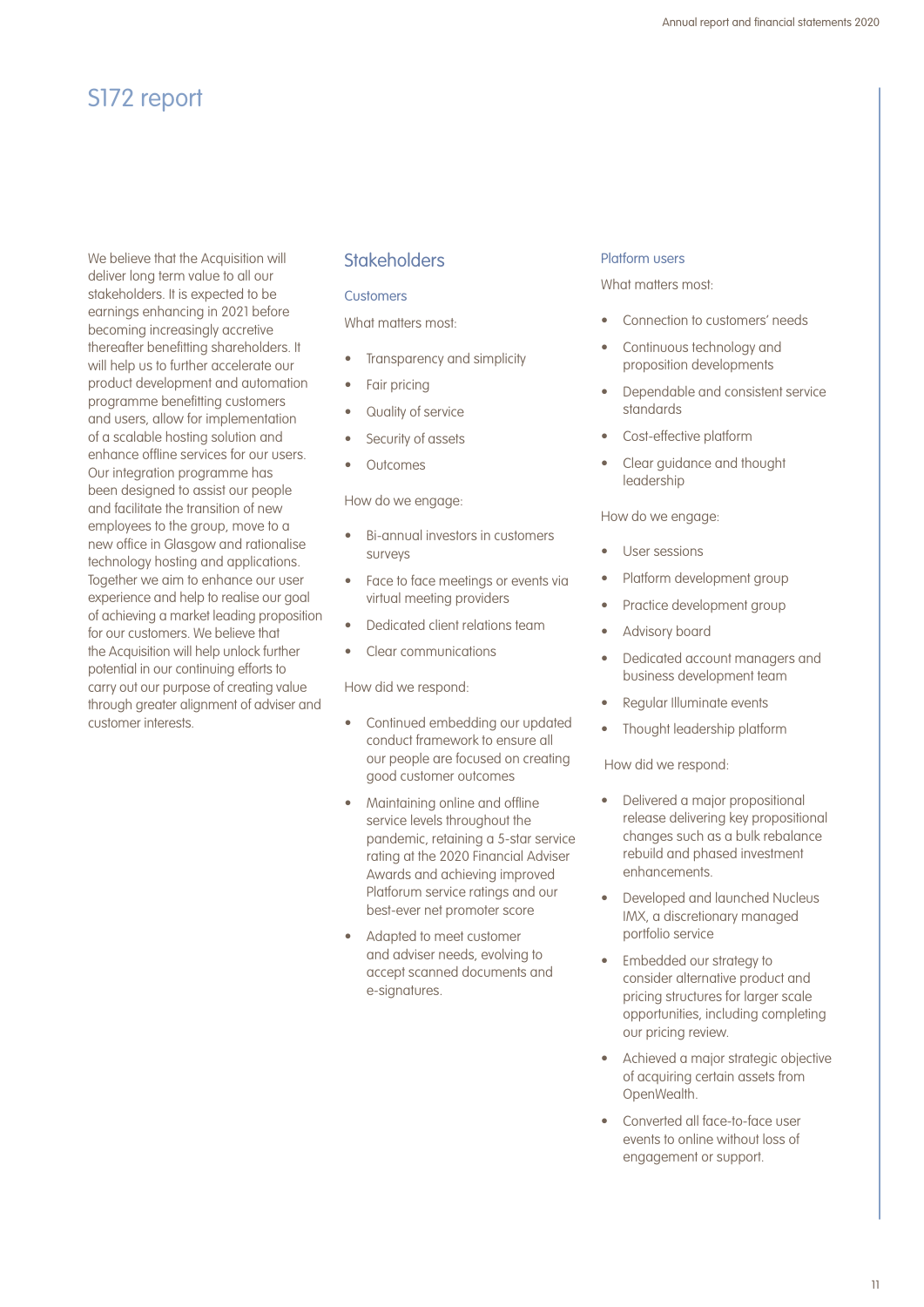## S172 report

We believe that the Acquisition will deliver long term value to all our stakeholders. It is expected to be earnings enhancing in 2021 before becoming increasingly accretive thereafter benefitting shareholders. It will help us to further accelerate our product development and automation programme benefitting customers and users, allow for implementation of a scalable hosting solution and enhance offline services for our users. Our integration programme has been designed to assist our people and facilitate the transition of new employees to the group, move to a new office in Glasgow and rationalise technology hosting and applications. Together we aim to enhance our user experience and help to realise our goal of achieving a market leading proposition for our customers. We believe that the Acquisition will help unlock further potential in our continuing efforts to carry out our purpose of creating value through greater alignment of adviser and customer interests.

### **Stakeholders**

#### **Customers**

What matters most:

- Transparency and simplicity
- Fair pricing
- Quality of service
- Security of assets
- **Outcomes**

How do we engage:

- Bi-annual investors in customers surveys
- Face to face meetings or events via virtual meeting providers
- Dedicated client relations team
- Clear communications

How did we respond:

- Continued embedding our updated conduct framework to ensure all our people are focused on creating good customer outcomes
- Maintaining online and offline service levels throughout the pandemic, retaining a 5-star service rating at the 2020 Financial Adviser Awards and achieving improved Platforum service ratings and our best-ever net promoter score
- Adapted to meet customer and adviser needs, evolving to accept scanned documents and e-signatures.

#### Platform users

What matters most-

- Connection to customers' needs
- Continuous technology and proposition developments
- Dependable and consistent service standards
- Cost-effective platform
- Clear guidance and thought leadership

How do we engage:

- User sessions
- Platform development group
- Practice development group
- Advisory board
- Dedicated account managers and business development team
- Regular Illuminate events
- Thought leadership platform

How did we respond:

- Delivered a major propositional release delivering key propositional changes such as a bulk rebalance rebuild and phased investment enhancements.
- Developed and launched Nucleus IMX, a discretionary managed portfolio service
- Embedded our strategy to consider alternative product and pricing structures for larger scale opportunities, including completing our pricing review.
- Achieved a major strategic objective of acquiring certain assets from OpenWealth.
- Converted all face-to-face user events to online without loss of engagement or support.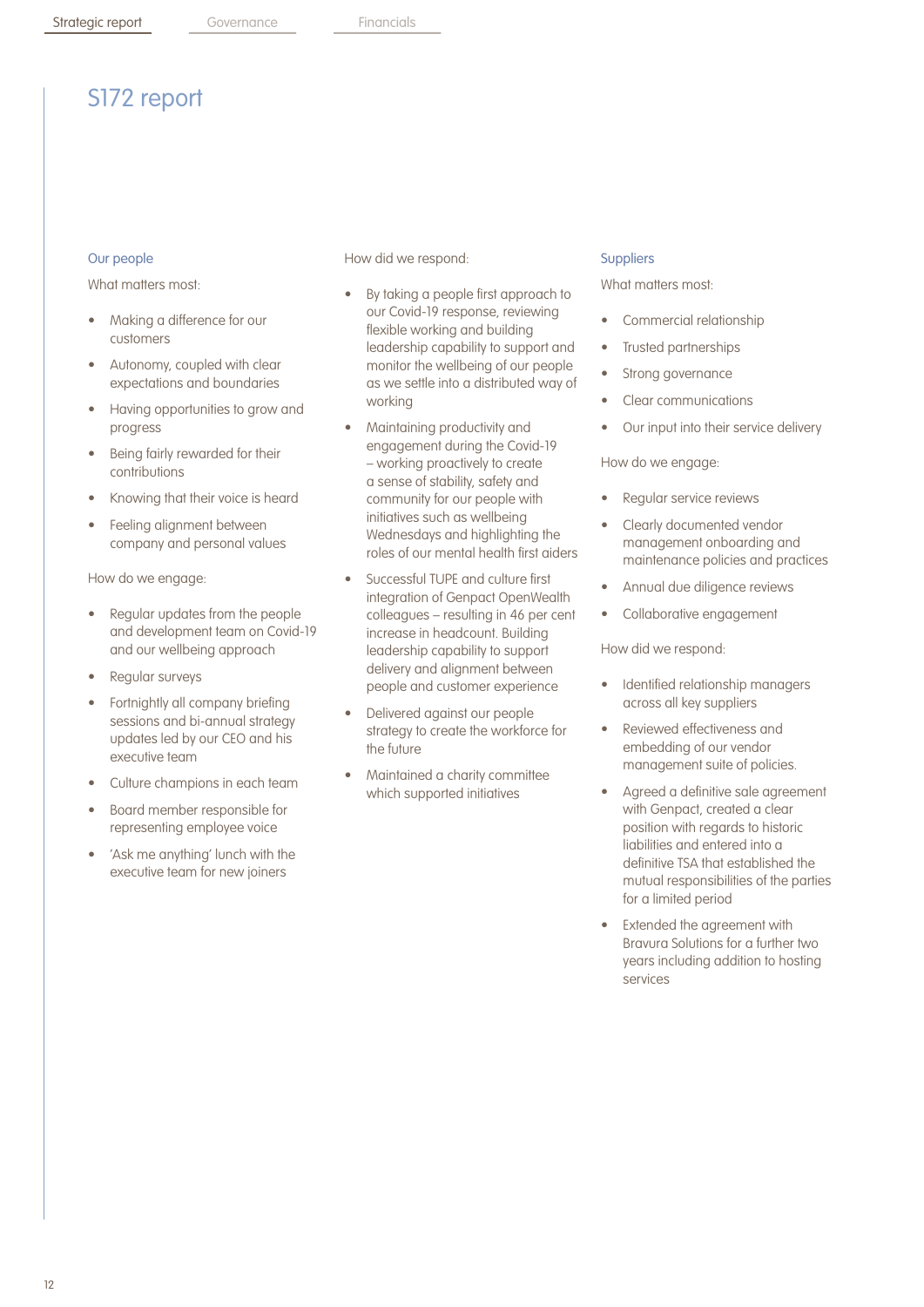## S172 report

#### Our people

What matters most-

- Making a difference for our customers
- Autonomy, coupled with clear expectations and boundaries
- Having opportunities to grow and progress
- Being fairly rewarded for their contributions
- Knowing that their voice is heard
- Feeling alignment between company and personal values

How do we engage:

- Regular updates from the people and development team on Covid-19 and our wellbeing approach
- Regular surveys
- Fortnightly all company briefing sessions and bi-annual strategy updates led by our CEO and his executive team
- Culture champions in each team
- Board member responsible for representing employee voice
- 'Ask me anything' lunch with the executive team for new joiners

How did we respond:

- By taking a people first approach to our Covid-19 response, reviewing flexible working and building leadership capability to support and monitor the wellbeing of our people as we settle into a distributed way of working
- Maintaining productivity and engagement during the Covid-19 – working proactively to create a sense of stability, safety and community for our people with initiatives such as wellbeing Wednesdays and highlighting the roles of our mental health first aiders
- Successful TUPE and culture first integration of Genpact OpenWealth colleagues – resulting in 46 per cent increase in headcount. Building leadership capability to support delivery and alignment between people and customer experience
- Delivered against our people strategy to create the workforce for the future
- Maintained a charity committee which supported initiatives

#### **Suppliers**

What matters most-

- Commercial relationship
- Trusted partnerships
- Strong governance
- Clear communications
- Our input into their service delivery

#### How do we engage:

- Regular service reviews
- Clearly documented vendor management onboarding and maintenance policies and practices
- Annual due diligence reviews
- Collaborative engagement

How did we respond:

- Identified relationship managers across all key suppliers
- Reviewed effectiveness and embedding of our vendor management suite of policies.
- Agreed a definitive sale agreement with Genpact, created a clear position with regards to historic liabilities and entered into a definitive TSA that established the mutual responsibilities of the parties for a limited period
- Extended the agreement with Bravura Solutions for a further two years including addition to hosting services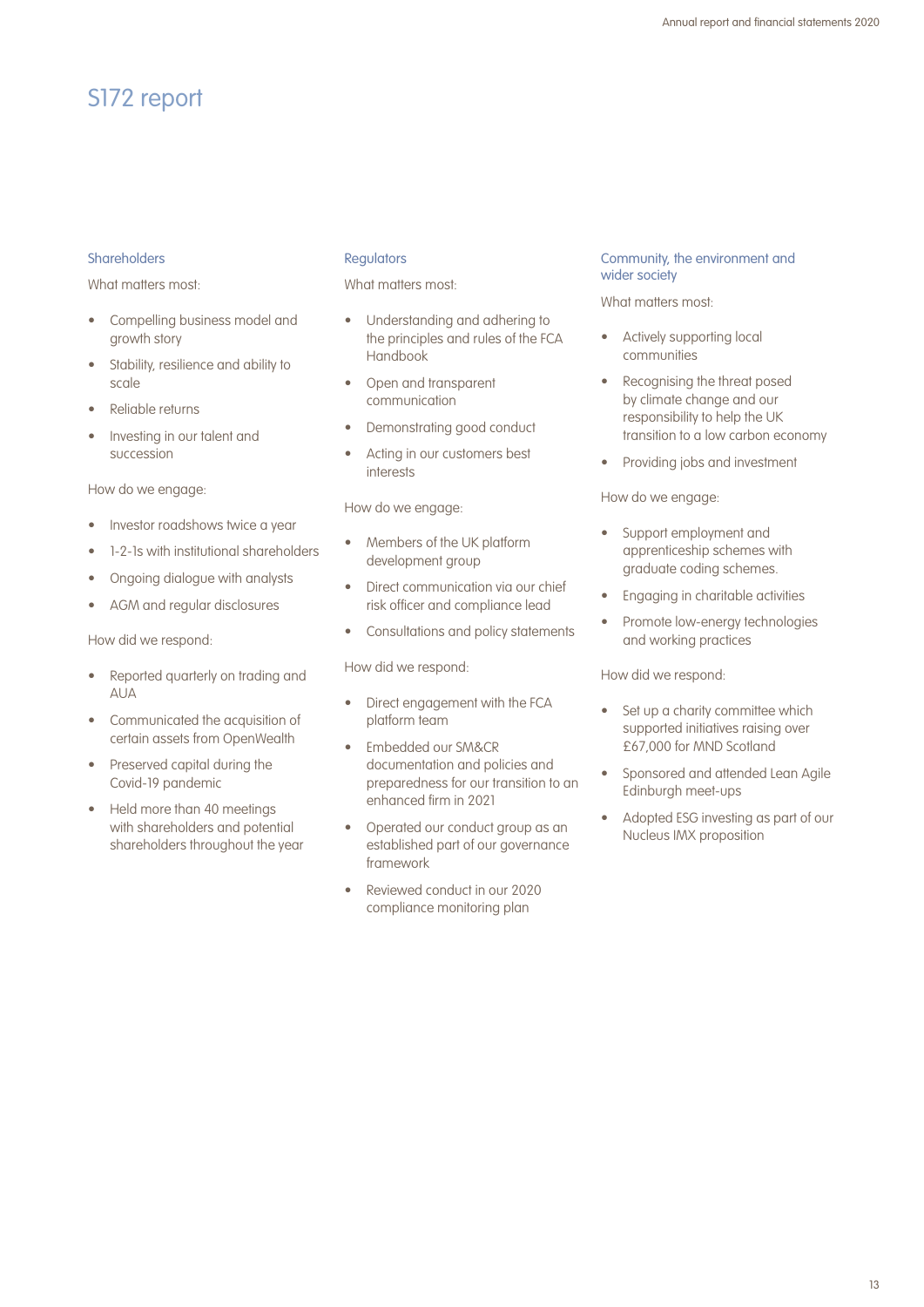## S172 report

#### Shareholders

What matters most-

- Compelling business model and growth story
- Stability, resilience and ability to scale
- Reliable returns
- Investing in our talent and succession

How do we engage:

- Investor roadshows twice a year
- 1-2-1s with institutional shareholders
- Ongoing dialogue with analysts
- AGM and regular disclosures

How did we respond:

- Reported quarterly on trading and AUA
- Communicated the acquisition of certain assets from OpenWealth
- Preserved capital during the Covid-19 pandemic
- Held more than 40 meetings with shareholders and potential shareholders throughout the year

#### **Regulators**

What matters most-

- Understanding and adhering to the principles and rules of the FCA Handbook
- Open and transparent communication
- Demonstrating good conduct
- Acting in our customers best interests

How do we engage:

- Members of the UK platform development group
- Direct communication via our chief risk officer and compliance lead
- Consultations and policy statements

How did we respond:

- Direct engagement with the FCA platform team
- Embedded our SM&CR documentation and policies and preparedness for our transition to an enhanced firm in 2021
- Operated our conduct group as an established part of our governance framework
- Reviewed conduct in our 2020 compliance monitoring plan

#### Community, the environment and wider society

What matters most:

- Actively supporting local communities
- Recognising the threat posed by climate change and our responsibility to help the UK transition to a low carbon economy
- Providing jobs and investment

How do we engage:

- Support employment and apprenticeship schemes with graduate coding schemes.
- Engaging in charitable activities
- Promote low-energy technologies and working practices

How did we respond:

- Set up a charity committee which supported initiatives raising over £67,000 for MND Scotland
- Sponsored and attended Lean Agile Edinburgh meet-ups
- Adopted ESG investing as part of our Nucleus IMX proposition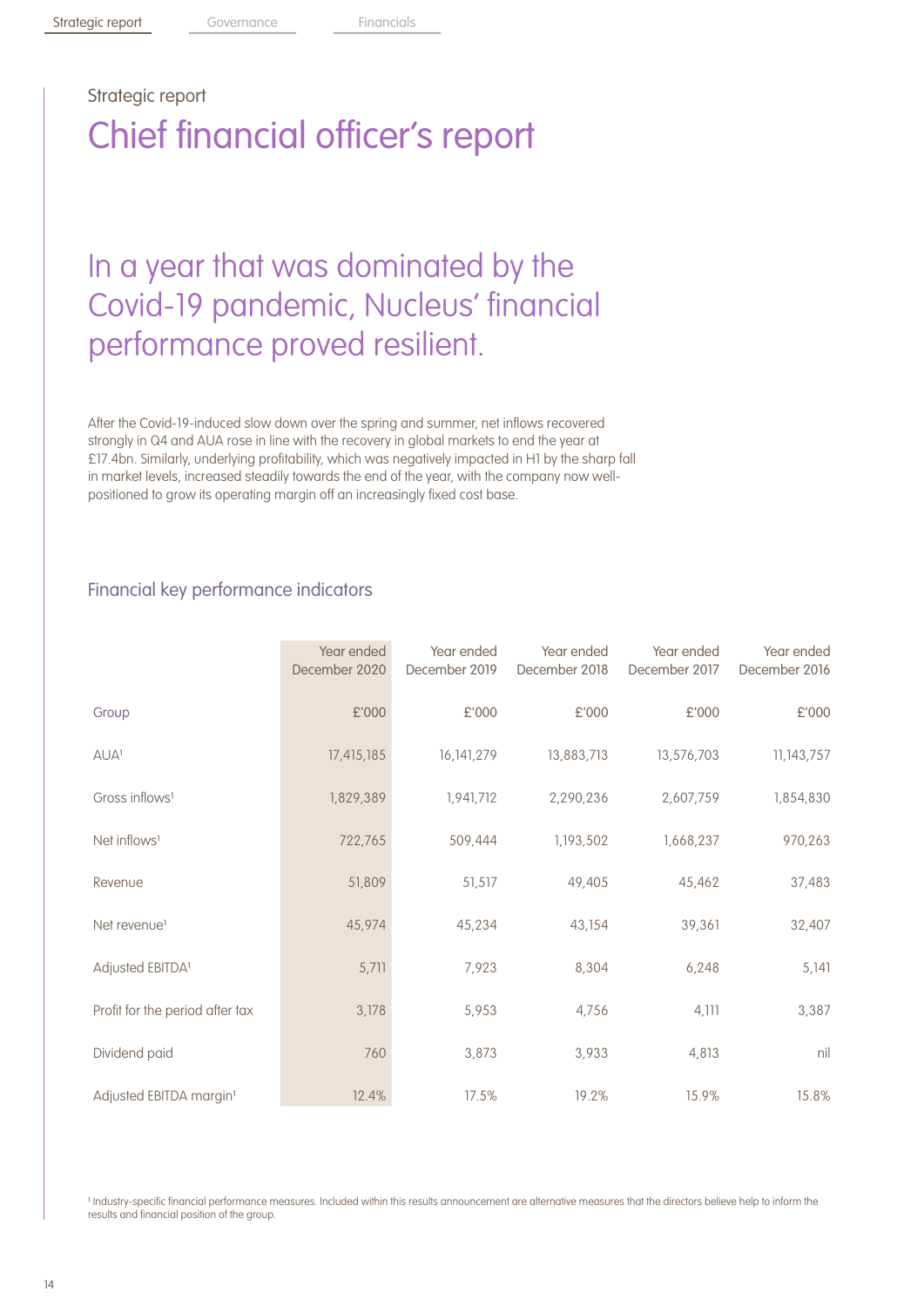# Strategic report Chief financial officer's report

# In a year that was dominated by the Covid-19 pandemic, Nucleus' financial performance proved resilient.

After the Covid-19-induced slow down over the spring and summer, net inflows recovered strongly in Q4 and AUA rose in line with the recovery in global markets to end the year at £17.4bn. Similarly, underlying profitability, which was negatively impacted in H1 by the sharp fall in market levels, increased steadily towards the end of the year, with the company now wellpositioned to grow its operating margin off an increasingly fixed cost base.

## Financial key performance indicators

|                                     | Year ended<br>December 2020 | Year ended<br>December 2019 | Year ended<br>December 2018 | Year ended<br>December 2017 | Year ended<br>December 2016 |
|-------------------------------------|-----------------------------|-----------------------------|-----------------------------|-----------------------------|-----------------------------|
| Group                               | £'000                       | £'000                       | £'000                       | £'000                       | £'000                       |
| <b>AUA</b> <sup>1</sup>             | 17,415,185                  | 16, 141, 279                | 13,883,713                  | 13,576,703                  | 11,143,757                  |
| Gross inflows <sup>1</sup>          | 1,829,389                   | 1,941,712                   | 2,290,236                   | 2,607,759                   | 1,854,830                   |
| Net inflows <sup>1</sup>            | 722,765                     | 509,444                     | 1,193,502                   | 1,668,237                   | 970,263                     |
| Revenue                             | 51,809                      | 51,517                      | 49,405                      | 45,462                      | 37,483                      |
| Net revenue <sup>1</sup>            | 45,974                      | 45,234                      | 43,154                      | 39,361                      | 32,407                      |
| Adjusted EBITDA <sup>1</sup>        | 5,711                       | 7,923                       | 8,304                       | 6,248                       | 5,141                       |
| Profit for the period after tax     | 3,178                       | 5,953                       | 4,756                       | 4,111                       | 3,387                       |
| Dividend paid                       | 760                         | 3,873                       | 3,933                       | 4,813                       | nil                         |
| Adjusted EBITDA margin <sup>1</sup> | 12.4%                       | 17.5%                       | 19.2%                       | 15.9%                       | 15.8%                       |

Industry-specific financial performance measures. Included within this results announcement are alternative measures that the directors believe help to inform the results and financial position of the group.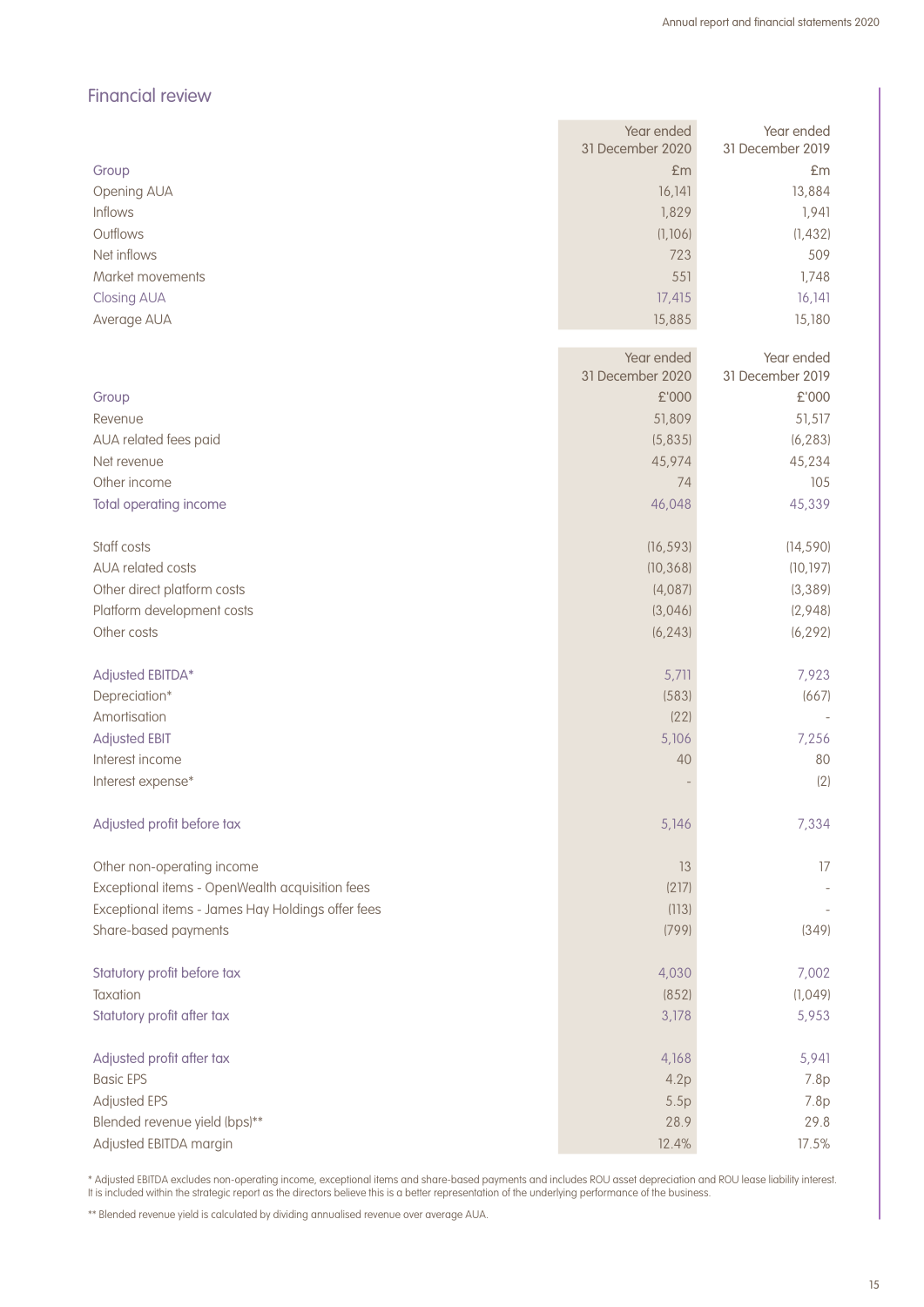## Financial review

|                                                   | Year ended       | Year ended       |
|---------------------------------------------------|------------------|------------------|
|                                                   | 31 December 2020 | 31 December 2019 |
| Group                                             | £m               | £m               |
| Opening AUA<br>Inflows                            | 16,141           | 13,884           |
| Outflows                                          | 1,829            | 1,941            |
|                                                   | (1, 106)         | (1, 432)         |
| Net inflows                                       | 723              | 509              |
| Market movements                                  | 551              | 1,748            |
| Closing AUA                                       | 17,415           | 16, 141          |
| Average AUA                                       | 15,885           | 15,180           |
|                                                   | Year ended       | Year ended       |
|                                                   | 31 December 2020 | 31 December 2019 |
| Group                                             | £'000            | £'000            |
| Revenue                                           | 51,809           | 51,517           |
| AUA related fees paid                             | (5,835)          | (6, 283)         |
| Net revenue                                       | 45,974           | 45,234           |
| Other income                                      | 74               | 105              |
| Total operating income                            | 46,048           | 45,339           |
| Staff costs                                       | (16, 593)        | (14, 590)        |
| <b>AUA related costs</b>                          | (10, 368)        | (10, 197)        |
| Other direct platform costs                       | (4,087)          | (3, 389)         |
| Platform development costs                        | (3,046)          | (2,948)          |
| Other costs                                       | (6, 243)         | (6, 292)         |
|                                                   |                  |                  |
| Adjusted EBITDA*                                  | 5,711            | 7,923            |
| Depreciation*                                     | (583)            | (667)            |
| Amortisation                                      | (22)             |                  |
| <b>Adjusted EBIT</b>                              | 5,106            | 7,256            |
| Interest income                                   | 40               | 80               |
| Interest expense*                                 |                  | (2)              |
| Adjusted profit before tax                        | 5,146            | 7,334            |
|                                                   |                  |                  |
| Other non-operating income                        | 13               | 17               |
| Exceptional items - OpenWealth acquisition fees   | (217)            |                  |
| Exceptional items - James Hay Holdings offer fees | (113)            |                  |
| Share-based payments                              | (799)            | (349)            |
| Statutory profit before tax                       | 4,030            | 7,002            |
| Taxation                                          | (852)            | (1,049)          |
| Statutory profit after tax                        | 3,178            | 5,953            |
|                                                   |                  |                  |
| Adjusted profit after tax                         | 4,168            | 5,941            |
| <b>Basic EPS</b>                                  | 4.2p             | 7.8p             |
| Adjusted EPS                                      | 5.5p             | 7.8p             |
| Blended revenue yield (bps)**                     | 28.9             | 29.8             |
| Adjusted EBITDA margin                            | 12.4%            | 17.5%            |

\* Adjusted EBITDA excludes non-operating income, exceptional items and share-based payments and includes ROU asset depreciation and ROU lease liability interest. It is included within the strategic report as the directors believe this is a better representation of the underlying performance of the business.

\*\* Blended revenue yield is calculated by dividing annualised revenue over average AUA.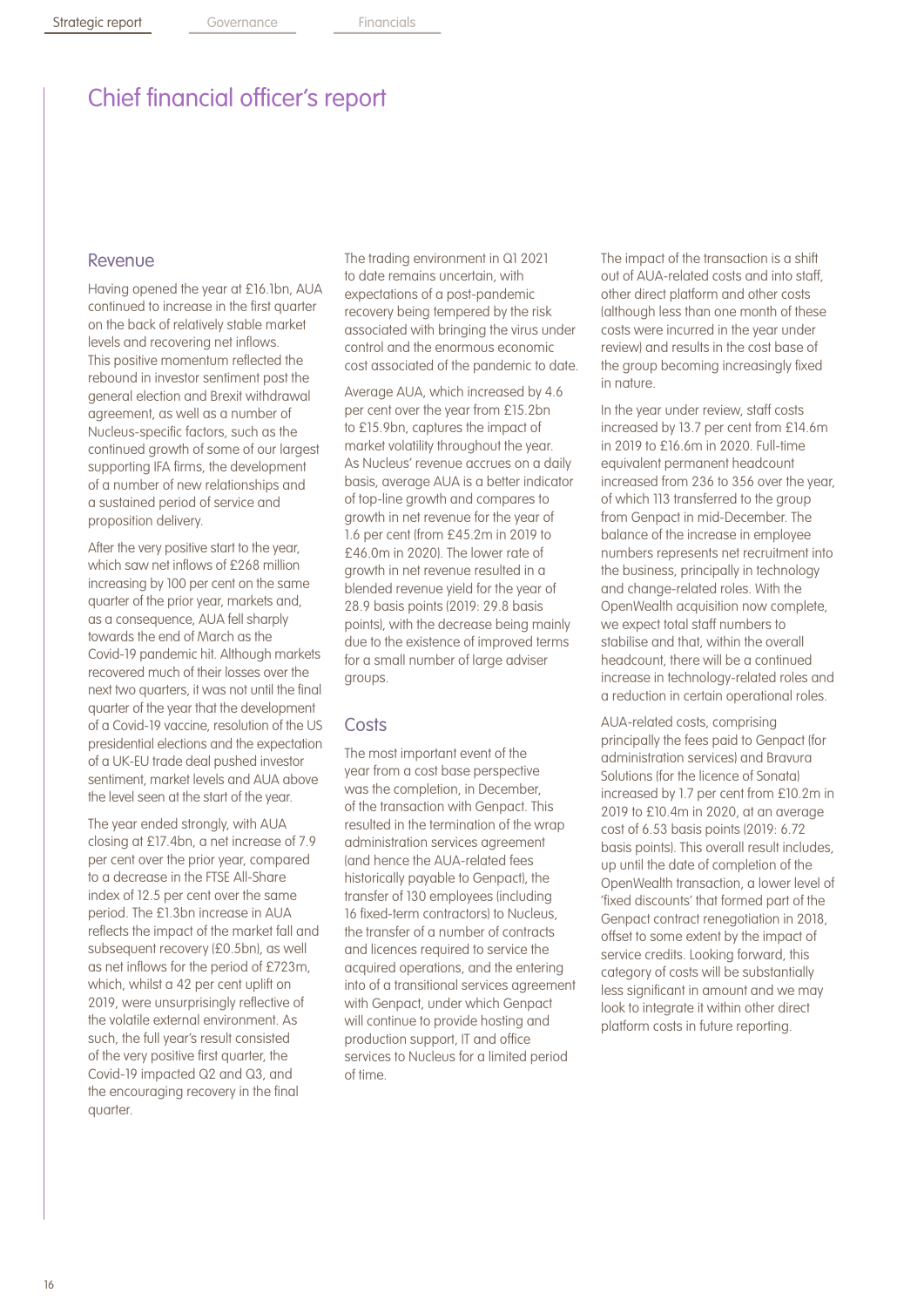#### Revenue

Having opened the year at £16.1bn, AUA continued to increase in the first quarter on the back of relatively stable market levels and recovering net inflows. This positive momentum reflected the rebound in investor sentiment post the general election and Brexit withdrawal agreement, as well as a number of Nucleus-specific factors, such as the continued growth of some of our largest supporting IFA firms, the development of a number of new relationships and a sustained period of service and proposition delivery.

After the very positive start to the year, which saw net inflows of £268 million increasing by 100 per cent on the same quarter of the prior year, markets and, as a consequence, AUA fell sharply towards the end of March as the Covid-19 pandemic hit. Although markets recovered much of their losses over the next two quarters, it was not until the final quarter of the year that the development of a Covid-19 vaccine, resolution of the US presidential elections and the expectation of a UK-EU trade deal pushed investor sentiment, market levels and AUA above the level seen at the start of the year.

The year ended strongly, with AUA closing at £17.4bn, a net increase of 7.9 per cent over the prior year, compared to a decrease in the FTSE All-Share index of 12.5 per cent over the same period. The £1.3bn increase in AUA reflects the impact of the market fall and subsequent recovery (£0.5bn), as well as net inflows for the period of £723m, which, whilst a 42 per cent uplift on 2019, were unsurprisingly reflective of the volatile external environment. As such, the full year's result consisted of the very positive first quarter, the Covid-19 impacted Q2 and Q3, and the encouraging recovery in the final quarter.

The trading environment in Q1 2021 to date remains uncertain, with expectations of a post-pandemic recovery being tempered by the risk associated with bringing the virus under control and the enormous economic cost associated of the pandemic to date.

Average AUA, which increased by 4.6 per cent over the year from £15.2bn to £15.9bn, captures the impact of market volatility throughout the year. As Nucleus' revenue accrues on a daily basis, average AUA is a better indicator of top-line growth and compares to growth in net revenue for the year of 1.6 per cent (from £45.2m in 2019 to £46.0m in 2020). The lower rate of growth in net revenue resulted in a blended revenue yield for the year of 28.9 basis points (2019: 29.8 basis points), with the decrease being mainly due to the existence of improved terms for a small number of large adviser groups.

#### **Costs**

The most important event of the year from a cost base perspective was the completion, in December, of the transaction with Genpact. This resulted in the termination of the wrap administration services agreement (and hence the AUA-related fees historically payable to Genpact), the transfer of 130 employees (including 16 fixed-term contractors) to Nucleus, the transfer of a number of contracts and licences required to service the acquired operations, and the entering into of a transitional services agreement with Genpact, under which Genpact will continue to provide hosting and production support, IT and office services to Nucleus for a limited period of time.

The impact of the transaction is a shift out of AUA-related costs and into staff, other direct platform and other costs (although less than one month of these costs were incurred in the year under review) and results in the cost base of the group becoming increasingly fixed in nature.

In the year under review, staff costs increased by 13.7 per cent from £14.6m in 2019 to £16.6m in 2020. Full-time equivalent permanent headcount increased from 236 to 356 over the year, of which 113 transferred to the group from Genpact in mid-December. The balance of the increase in employee numbers represents net recruitment into the business, principally in technology and change-related roles. With the OpenWealth acquisition now complete, we expect total staff numbers to stabilise and that, within the overall headcount, there will be a continued increase in technology-related roles and a reduction in certain operational roles.

AUA-related costs, comprising principally the fees paid to Genpact (for administration services) and Bravura Solutions (for the licence of Sonata) increased by 1.7 per cent from £10.2m in 2019 to £10.4m in 2020, at an average cost of 6.53 basis points (2019: 6.72 basis points). This overall result includes, up until the date of completion of the OpenWealth transaction, a lower level of 'fixed discounts' that formed part of the Genpact contract renegotiation in 2018, offset to some extent by the impact of service credits. Looking forward, this category of costs will be substantially less significant in amount and we may look to integrate it within other direct platform costs in future reporting.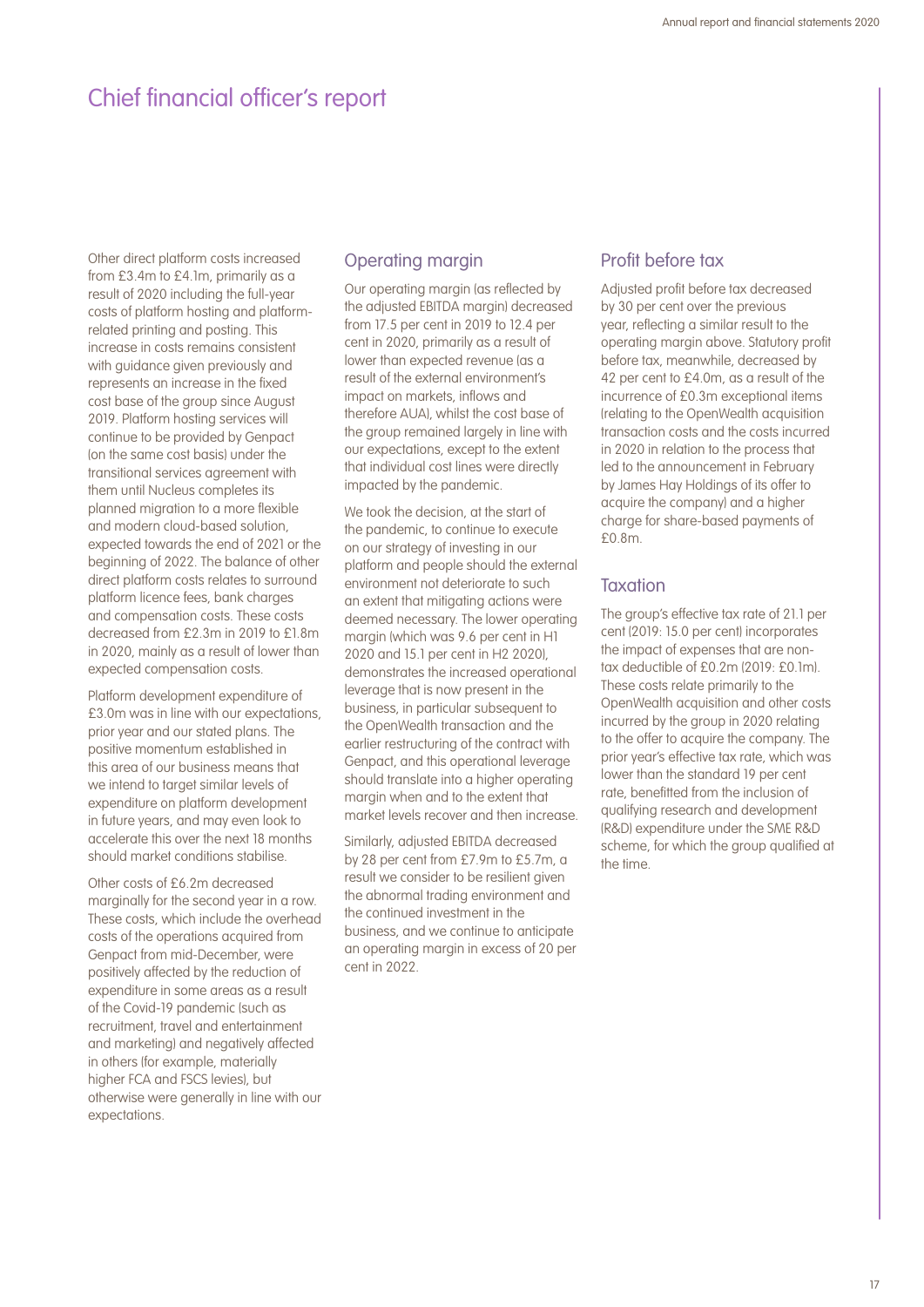Other direct platform costs increased from £3.4m to £4.1m, primarily as a result of 2020 including the full-year costs of platform hosting and platformrelated printing and posting. This increase in costs remains consistent with guidance given previously and represents an increase in the fixed cost base of the group since August 2019. Platform hosting services will continue to be provided by Genpact (on the same cost basis) under the transitional services agreement with them until Nucleus completes its planned migration to a more flexible and modern cloud-based solution, expected towards the end of 2021 or the beginning of 2022. The balance of other direct platform costs relates to surround platform licence fees, bank charges and compensation costs. These costs decreased from £2.3m in 2019 to £1.8m in 2020, mainly as a result of lower than expected compensation costs.

Platform development expenditure of £3.0m was in line with our expectations, prior year and our stated plans. The positive momentum established in this area of our business means that we intend to target similar levels of expenditure on platform development in future years, and may even look to accelerate this over the next 18 months should market conditions stabilise.

Other costs of £6.2m decreased marginally for the second year in a row. These costs, which include the overhead costs of the operations acquired from Genpact from mid-December, were positively affected by the reduction of expenditure in some areas as a result of the Covid-19 pandemic (such as recruitment, travel and entertainment and marketing) and negatively affected in others (for example, materially higher FCA and FSCS levies), but otherwise were generally in line with our expectations.

### Operating margin

Our operating margin (as reflected by the adjusted EBITDA margin) decreased from 17.5 per cent in 2019 to 12.4 per cent in 2020, primarily as a result of lower than expected revenue (as a result of the external environment's impact on markets, inflows and therefore AUA), whilst the cost base of the group remained largely in line with our expectations, except to the extent that individual cost lines were directly impacted by the pandemic.

We took the decision, at the start of the pandemic, to continue to execute on our strategy of investing in our platform and people should the external environment not deteriorate to such an extent that mitigating actions were deemed necessary. The lower operating margin (which was 9.6 per cent in H1 2020 and 15.1 per cent in H2 2020), demonstrates the increased operational leverage that is now present in the business, in particular subsequent to the OpenWealth transaction and the earlier restructuring of the contract with Genpact, and this operational leverage should translate into a higher operating margin when and to the extent that market levels recover and then increase.

Similarly, adjusted EBITDA decreased by 28 per cent from £7.9m to £5.7m, a result we consider to be resilient given the abnormal trading environment and the continued investment in the business, and we continue to anticipate an operating margin in excess of 20 per cent in 2022.

#### Profit before tax

Adjusted profit before tax decreased by 30 per cent over the previous year, reflecting a similar result to the operating margin above. Statutory profit before tax, meanwhile, decreased by 42 per cent to £4.0m, as a result of the incurrence of £0.3m exceptional items (relating to the OpenWealth acquisition transaction costs and the costs incurred in 2020 in relation to the process that led to the announcement in February by James Hay Holdings of its offer to acquire the company) and a higher charge for share-based payments of £0.8m.

### **Taxation**

The group's effective tax rate of 21.1 per cent (2019: 15.0 per cent) incorporates the impact of expenses that are nontax deductible of £0.2m (2019: £0.1m). These costs relate primarily to the OpenWealth acquisition and other costs incurred by the group in 2020 relating to the offer to acquire the company. The prior year's effective tax rate, which was lower than the standard 19 per cent rate, benefitted from the inclusion of qualifying research and development (R&D) expenditure under the SME R&D scheme, for which the group qualified at the time.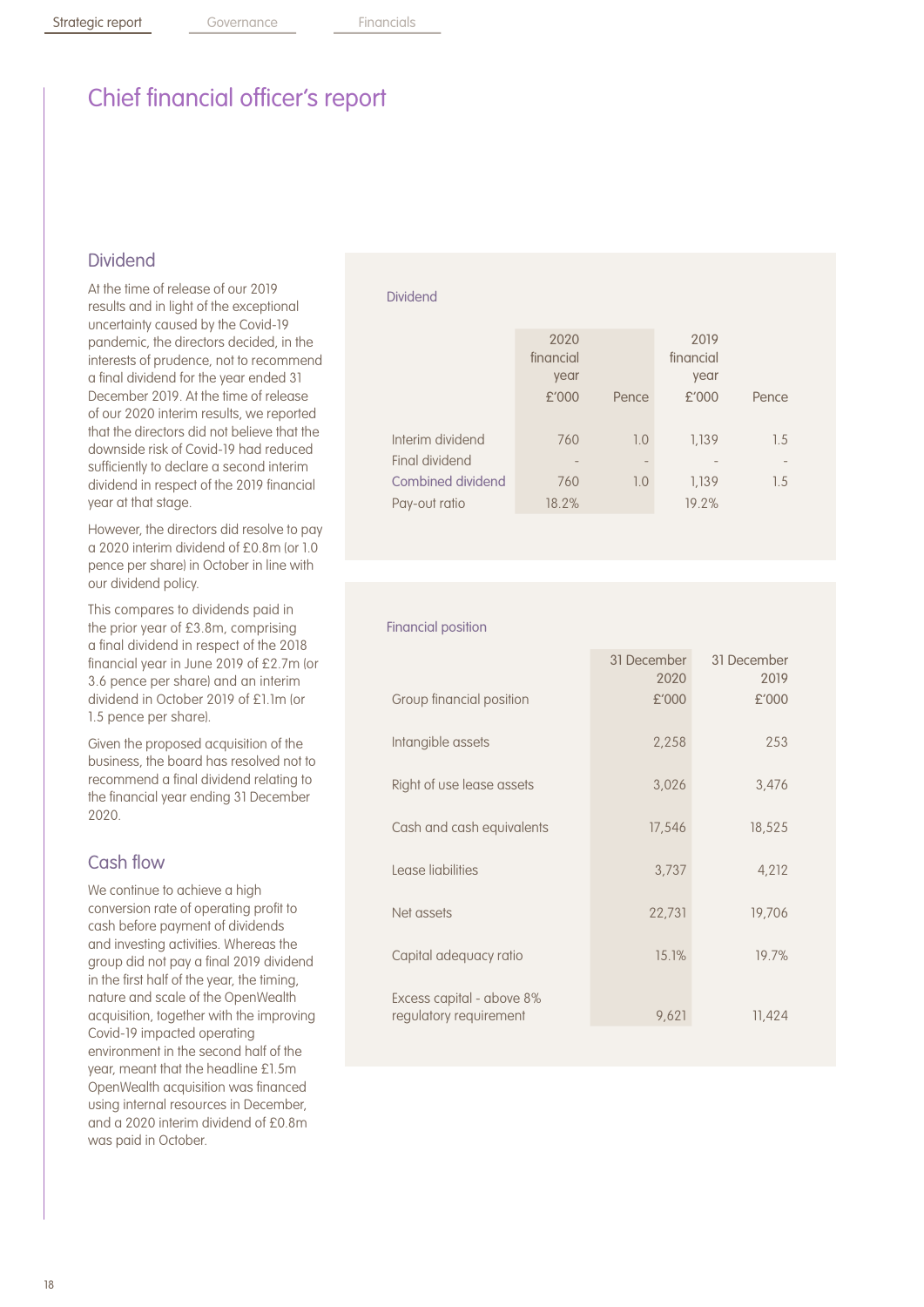### Dividend

At the time of release of our 2019 results and in light of the exceptional uncertainty caused by the Covid-19 pandemic, the directors decided, in the interests of prudence, not to recommend a final dividend for the year ended 31 December 2019. At the time of release of our 2020 interim results, we reported that the directors did not believe that the downside risk of Covid-19 had reduced sufficiently to declare a second interim dividend in respect of the 2019 financial year at that stage.

However, the directors did resolve to pay a 2020 interim dividend of £0.8m (or 1.0 pence per share) in October in line with our dividend policy.

This compares to dividends paid in the prior year of £3.8m, comprising a final dividend in respect of the 2018 financial year in June 2019 of £2.7m (or 3.6 pence per share) and an interim dividend in October 2019 of £1.1m (or 1.5 pence per share).

Given the proposed acquisition of the business, the board has resolved not to recommend a final dividend relating to the financial year ending 31 December 2020.

### Cash flow

We continue to achieve a high conversion rate of operating profit to cash before payment of dividends and investing activities. Whereas the group did not pay a final 2019 dividend in the first half of the year, the timing, nature and scale of the OpenWealth acquisition, together with the improving Covid-19 impacted operating environment in the second half of the year, meant that the headline £1.5m OpenWealth acquisition was financed using internal resources in December, and a 2020 interim dividend of £0.8m was paid in October.

#### Dividend

|                                                         | 2020<br>financial<br>year<br>£'000 | Pence      | 2019<br>financial<br>year<br>£'000 | Pence      |
|---------------------------------------------------------|------------------------------------|------------|------------------------------------|------------|
| Interim dividend<br>Final dividend<br>Combined dividend | 760<br>760                         | 1.0<br>1.0 | 1.139<br>1,139                     | 1.5<br>1.5 |
| Pay-out ratio                                           | 18.2%                              |            | 19.2%                              |            |

#### Financial position

|                                                     | 31 December<br>2020 | 31 December<br>2019 |
|-----------------------------------------------------|---------------------|---------------------|
| Group financial position                            | £'000               | £'000               |
| Intangible assets                                   | 2,258               | 253                 |
| Right of use lease assets                           | 3,026               | 3,476               |
| Cash and cash equivalents                           | 17,546              | 18,525              |
| Lease liabilities                                   | 3,737               | 4,212               |
| Net assets                                          | 22,731              | 19,706              |
| Capital adequacy ratio                              | 15.1%               | 19.7%               |
| Excess capital - above 8%<br>regulatory requirement | 9,621               | 11,424              |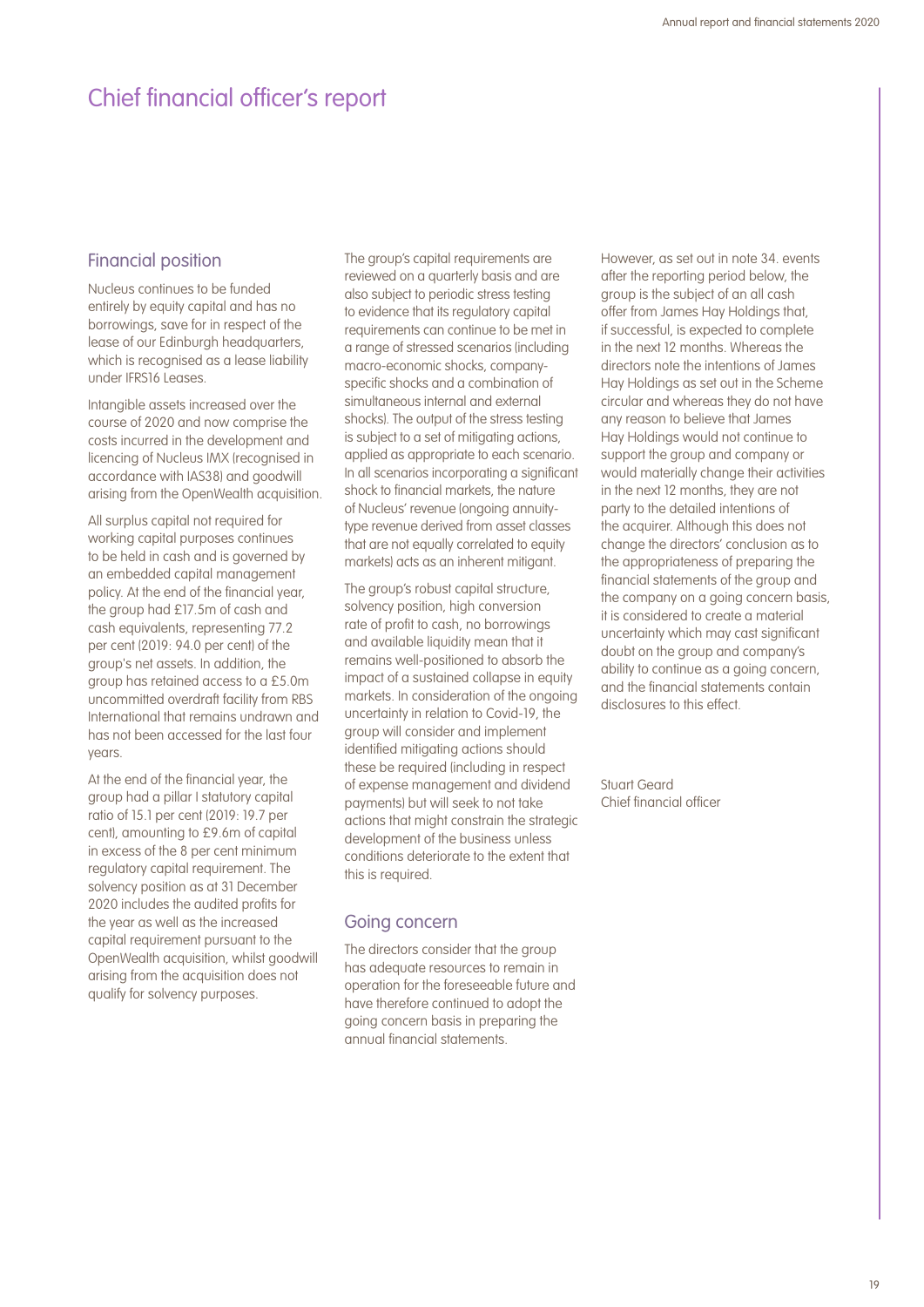#### Financial position

Nucleus continues to be funded entirely by equity capital and has no borrowings, save for in respect of the lease of our Edinburgh headquarters, which is recognised as a lease liability under IFRS16 Leases.

Intangible assets increased over the course of 2020 and now comprise the costs incurred in the development and licencing of Nucleus IMX (recognised in accordance with IAS38) and goodwill arising from the OpenWealth acquisition.

All surplus capital not required for working capital purposes continues to be held in cash and is governed by an embedded capital management policy. At the end of the financial year, the group had £17.5m of cash and cash equivalents, representing 77.2 per cent (2019: 94.0 per cent) of the group's net assets. In addition, the group has retained access to a £5.0m uncommitted overdraft facility from RBS International that remains undrawn and has not been accessed for the last four years.

At the end of the financial year, the group had a pillar I statutory capital ratio of 15.1 per cent (2019: 19.7 per cent), amounting to £9.6m of capital in excess of the 8 per cent minimum regulatory capital requirement. The solvency position as at 31 December 2020 includes the audited profits for the year as well as the increased capital requirement pursuant to the OpenWealth acquisition, whilst goodwill arising from the acquisition does not qualify for solvency purposes.

The group's capital requirements are reviewed on a quarterly basis and are also subject to periodic stress testing to evidence that its regulatory capital requirements can continue to be met in a range of stressed scenarios (including macro-economic shocks, companyspecific shocks and a combination of simultaneous internal and external shocks). The output of the stress testing is subject to a set of mitigating actions, applied as appropriate to each scenario. In all scenarios incorporating a significant shock to financial markets, the nature of Nucleus' revenue (ongoing annuitytype revenue derived from asset classes that are not equally correlated to equity markets) acts as an inherent mitigant.

The group's robust capital structure. solvency position, high conversion rate of profit to cash, no borrowings and available liquidity mean that it remains well-positioned to absorb the impact of a sustained collapse in equity markets. In consideration of the ongoing uncertainty in relation to Covid-19, the group will consider and implement identified mitigating actions should these be required (including in respect of expense management and dividend payments) but will seek to not take actions that might constrain the strategic development of the business unless conditions deteriorate to the extent that this is required.

### Going concern

The directors consider that the group has adequate resources to remain in operation for the foreseeable future and have therefore continued to adopt the going concern basis in preparing the annual financial statements.

However, as set out in note 34. events after the reporting period below, the group is the subject of an all cash offer from James Hay Holdings that, if successful, is expected to complete in the next 12 months. Whereas the directors note the intentions of James Hay Holdings as set out in the Scheme circular and whereas they do not have any reason to believe that James Hay Holdings would not continue to support the group and company or would materially change their activities in the next 12 months, they are not party to the detailed intentions of the acquirer. Although this does not change the directors' conclusion as to the appropriateness of preparing the financial statements of the group and the company on a going concern basis, it is considered to create a material uncertainty which may cast significant doubt on the group and company's ability to continue as a going concern, and the financial statements contain disclosures to this effect.

Stuart Geard Chief financial officer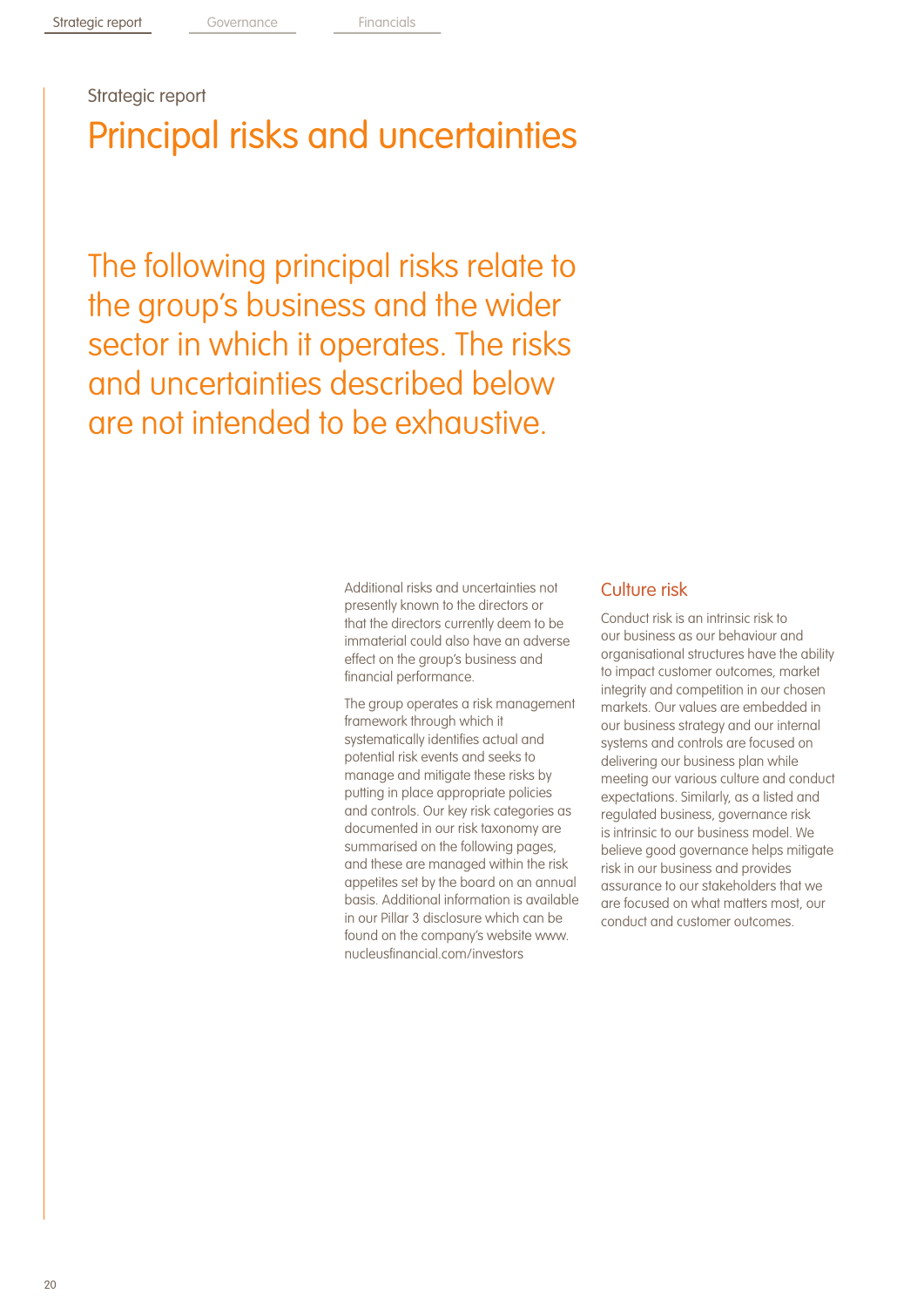Strategic report

Principal risks and uncertainties

The following principal risks relate to the group's business and the wider sector in which it operates. The risks and uncertainties described below are not intended to be exhaustive.

> Additional risks and uncertainties not presently known to the directors or that the directors currently deem to be immaterial could also have an adverse effect on the group's business and financial performance.

The group operates a risk management framework through which it systematically identifies actual and potential risk events and seeks to manage and mitigate these risks by putting in place appropriate policies and controls. Our key risk categories as documented in our risk taxonomy are summarised on the following pages, and these are managed within the risk appetites set by the board on an annual basis. Additional information is available in our Pillar 3 disclosure which can be found on the company's website www. nucleusfinancial.com/investors

### Culture risk

Conduct risk is an intrinsic risk to our business as our behaviour and organisational structures have the ability to impact customer outcomes, market integrity and competition in our chosen markets. Our values are embedded in our business strategy and our internal systems and controls are focused on delivering our business plan while meeting our various culture and conduct expectations. Similarly, as a listed and regulated business, governance risk is intrinsic to our business model. We believe good governance helps mitigate risk in our business and provides assurance to our stakeholders that we are focused on what matters most, our conduct and customer outcomes.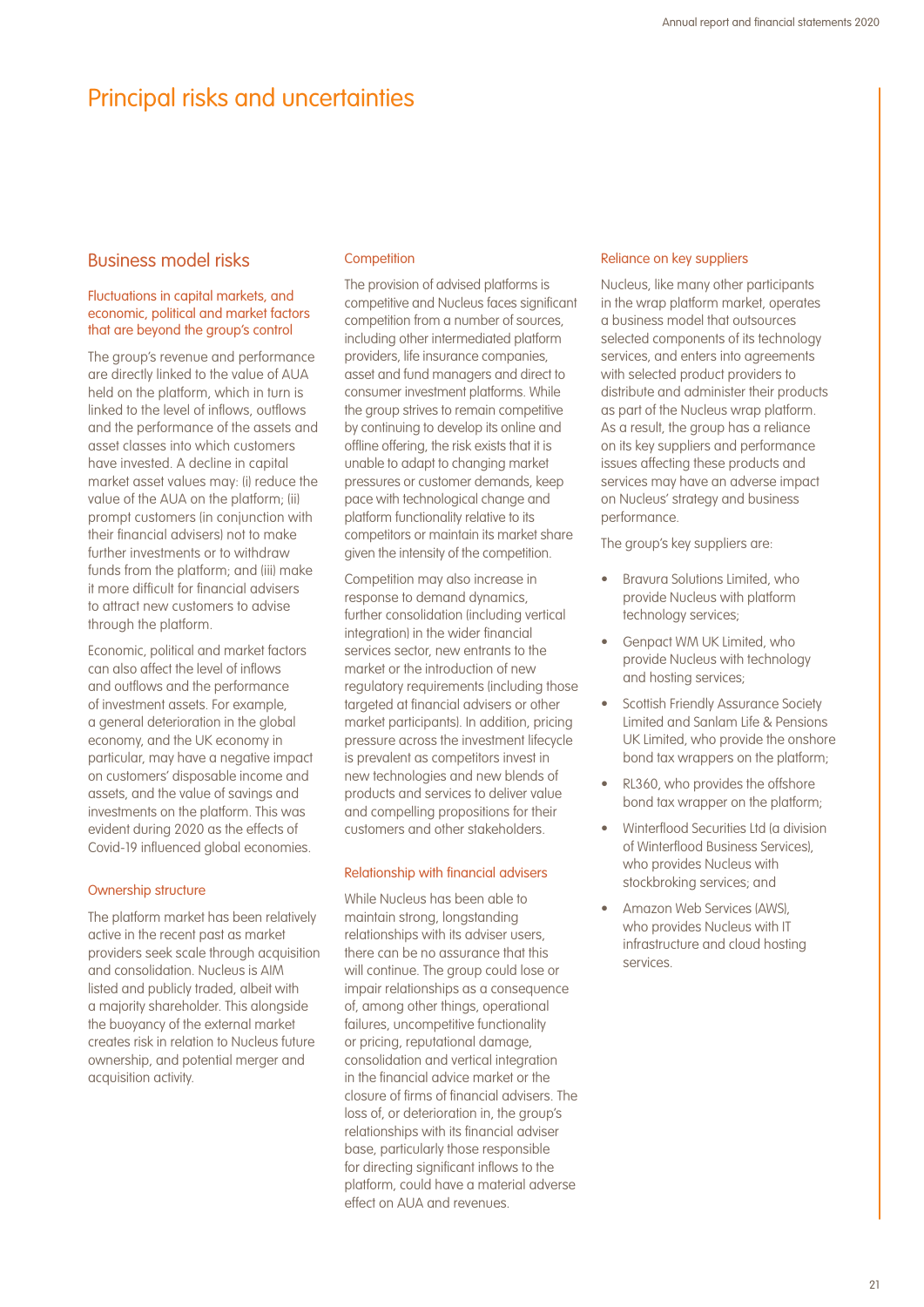## Principal risks and uncertainties

### Business model risks

#### Fluctuations in capital markets, and economic, political and market factors that are beyond the group's control

The group's revenue and performance are directly linked to the value of AUA held on the platform, which in turn is linked to the level of inflows, outflows and the performance of the assets and asset classes into which customers have invested. A decline in capital market asset values may: (i) reduce the value of the AUA on the platform; (ii) prompt customers (in conjunction with their financial advisers) not to make further investments or to withdraw funds from the platform; and (iii) make it more difficult for financial advisers to attract new customers to advise through the platform.

Economic, political and market factors can also affect the level of inflows and outflows and the performance of investment assets. For example, a general deterioration in the global economy, and the UK economy in particular, may have a negative impact on customers' disposable income and assets, and the value of savings and investments on the platform. This was evident during 2020 as the effects of Covid-19 influenced global economies.

#### Ownership structure

The platform market has been relatively active in the recent past as market providers seek scale through acquisition and consolidation. Nucleus is AIM listed and publicly traded, albeit with a majority shareholder. This alongside the buoyancy of the external market creates risk in relation to Nucleus future ownership, and potential merger and acquisition activity.

#### **Competition**

The provision of advised platforms is competitive and Nucleus faces significant competition from a number of sources, including other intermediated platform providers, life insurance companies, asset and fund managers and direct to consumer investment platforms. While the group strives to remain competitive by continuing to develop its online and offline offering, the risk exists that it is unable to adapt to changing market pressures or customer demands, keep pace with technological change and platform functionality relative to its competitors or maintain its market share given the intensity of the competition.

Competition may also increase in response to demand dynamics, further consolidation (including vertical integration) in the wider financial services sector, new entrants to the market or the introduction of new regulatory requirements (including those targeted at financial advisers or other market participants). In addition, pricing pressure across the investment lifecycle is prevalent as competitors invest in new technologies and new blends of products and services to deliver value and compelling propositions for their customers and other stakeholders.

#### Relationship with financial advisers

While Nucleus has been able to maintain strong, longstanding relationships with its adviser users, there can be no assurance that this will continue. The group could lose or impair relationships as a consequence of, among other things, operational failures, uncompetitive functionality or pricing, reputational damage, consolidation and vertical integration in the financial advice market or the closure of firms of financial advisers. The loss of, or deterioration in, the group's relationships with its financial adviser base, particularly those responsible for directing significant inflows to the platform, could have a material adverse effect on AUA and revenues.

#### Reliance on key suppliers

Nucleus, like many other participants in the wrap platform market, operates a business model that outsources selected components of its technology services, and enters into agreements with selected product providers to distribute and administer their products as part of the Nucleus wrap platform. As a result, the group has a reliance on its key suppliers and performance issues affecting these products and services may have an adverse impact on Nucleus' strategy and business performance.

The group's key suppliers are:

- Bravura Solutions Limited, who provide Nucleus with platform technology services;
- Genpact WM UK Limited, who provide Nucleus with technology and hosting services;
- Scottish Friendly Assurance Society Limited and Sanlam Life & Pensions UK Limited, who provide the onshore bond tax wrappers on the platform;
- RL360, who provides the offshore bond tax wrapper on the platform;
- Winterflood Securities Ltd (a division of Winterflood Business Services), who provides Nucleus with stockbroking services; and
- Amazon Web Services (AWS), who provides Nucleus with IT infrastructure and cloud hosting services.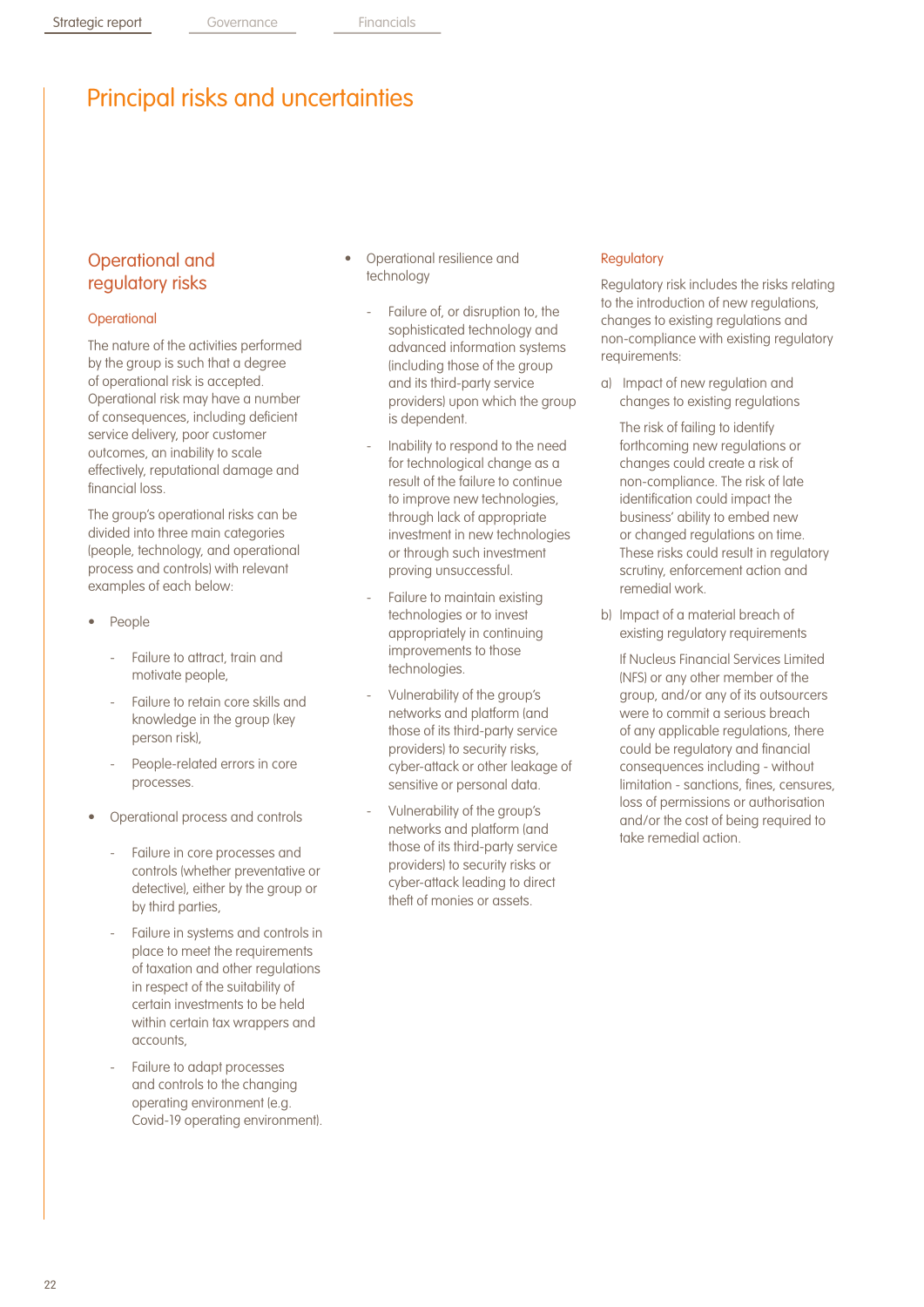## Principal risks and uncertainties

## Operational and regulatory risks

### **Operational**

The nature of the activities performed by the group is such that a degree of operational risk is accepted. Operational risk may have a number of consequences, including deficient service delivery, poor customer outcomes, an inability to scale effectively, reputational damage and financial loss.

The group's operational risks can be divided into three main categories (people, technology, and operational process and controls) with relevant examples of each below:

- People
	- Failure to attract, train and motivate people,
	- Failure to retain core skills and knowledge in the group (key person risk),
	- People-related errors in core processes.
- Operational process and controls
	- Failure in core processes and controls (whether preventative or detective), either by the group or by third parties,
	- Failure in systems and controls in place to meet the requirements of taxation and other regulations in respect of the suitability of certain investments to be held within certain tax wrappers and accounts,
	- Failure to adapt processes and controls to the changing operating environment (e.g. Covid-19 operating environment).
- Operational resilience and technology
	- Failure of, or disruption to, the sophisticated technology and advanced information systems (including those of the group and its third-party service providers) upon which the group is dependent.
	- Inability to respond to the need for technological change as a result of the failure to continue to improve new technologies, through lack of appropriate investment in new technologies or through such investment proving unsuccessful.
	- Failure to maintain existing technologies or to invest appropriately in continuing improvements to those technologies.
	- Vulnerability of the group's networks and platform (and those of its third-party service providers) to security risks, cyber-attack or other leakage of sensitive or personal data.
	- Vulnerability of the group's networks and platform (and those of its third-party service providers) to security risks or cyber-attack leading to direct theft of monies or assets.

#### **Regulatory**

Regulatory risk includes the risks relating to the introduction of new regulations, changes to existing regulations and non-compliance with existing regulatory requirements:

a) Impact of new regulation and changes to existing regulations

The risk of failing to identify forthcoming new regulations or changes could create a risk of non-compliance. The risk of late identification could impact the business' ability to embed new or changed regulations on time. These risks could result in regulatory scrutiny, enforcement action and remedial work.

b) Impact of a material breach of existing regulatory requirements

If Nucleus Financial Services Limited (NFS) or any other member of the group, and/or any of its outsourcers were to commit a serious breach of any applicable regulations, there could be regulatory and financial consequences including - without limitation - sanctions, fines, censures, loss of permissions or authorisation and/or the cost of being required to take remedial action.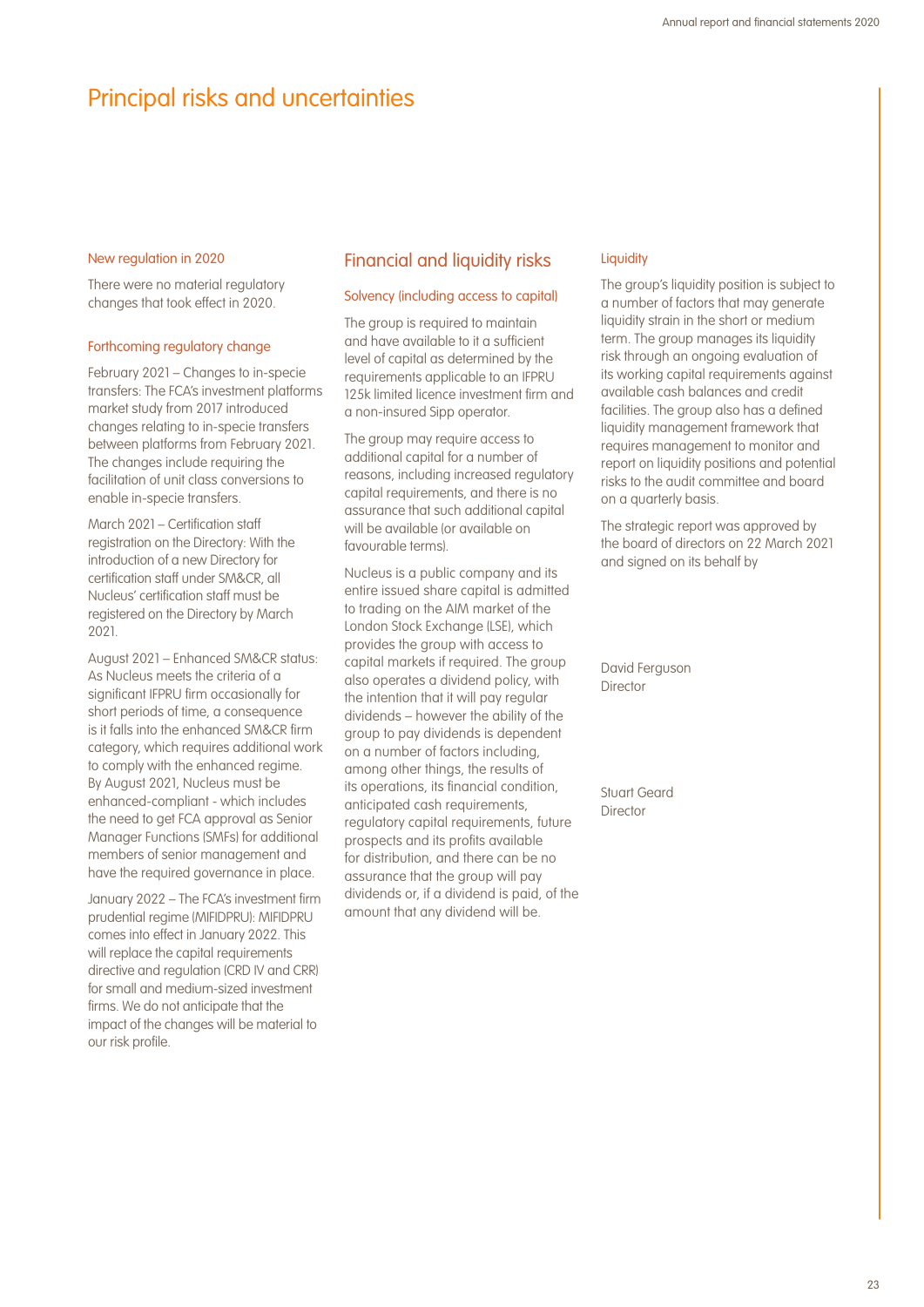## Principal risks and uncertainties

#### New regulation in 2020

There were no material regulatory changes that took effect in 2020.

#### Forthcoming regulatory change

February 2021 – Changes to in-specie transfers: The FCA's investment platforms market study from 2017 introduced changes relating to in-specie transfers between platforms from February 2021. The changes include requiring the facilitation of unit class conversions to enable in-specie transfers.

March 2021 – Certification staff registration on the Directory: With the introduction of a new Directory for certification staff under SM&CR, all Nucleus' certification staff must be registered on the Directory by March 2021.

August 2021 – Enhanced SM&CR status: As Nucleus meets the criteria of a significant IFPRU firm occasionally for short periods of time, a consequence is it falls into the enhanced SM&CR firm category, which requires additional work to comply with the enhanced regime. By August 2021, Nucleus must be enhanced-compliant - which includes the need to get FCA approval as Senior Manager Functions (SMFs) for additional members of senior management and have the required governance in place.

January 2022 – The FCA's investment firm prudential regime (MIFIDPRU): MIFIDPRU comes into effect in January 2022. This will replace the capital requirements directive and regulation (CRD IV and CRR) for small and medium-sized investment firms. We do not anticipate that the impact of the changes will be material to our risk profile.

#### Financial and liquidity risks

#### Solvency (including access to capital)

The group is required to maintain and have available to it a sufficient level of capital as determined by the requirements applicable to an IFPRU 125k limited licence investment firm and a non-insured Sipp operator.

The group may require access to additional capital for a number of reasons, including increased regulatory capital requirements, and there is no assurance that such additional capital will be available (or available on favourable terms).

Nucleus is a public company and its entire issued share capital is admitted to trading on the AIM market of the London Stock Exchange (LSE), which provides the group with access to capital markets if required. The group also operates a dividend policy, with the intention that it will pay regular dividends – however the ability of the group to pay dividends is dependent on a number of factors including, among other things, the results of its operations, its financial condition, anticipated cash requirements, regulatory capital requirements, future prospects and its profits available for distribution, and there can be no assurance that the group will pay dividends or, if a dividend is paid, of the amount that any dividend will be.

#### **Liquidity**

The group's liquidity position is subject to a number of factors that may generate liquidity strain in the short or medium term. The group manages its liquidity risk through an ongoing evaluation of its working capital requirements against available cash balances and credit facilities. The group also has a defined liquidity management framework that requires management to monitor and report on liquidity positions and potential risks to the audit committee and board on a quarterly basis.

The strategic report was approved by the board of directors on 22 March 2021 and signed on its behalf by

David Ferguson Director

Stuart Geard Director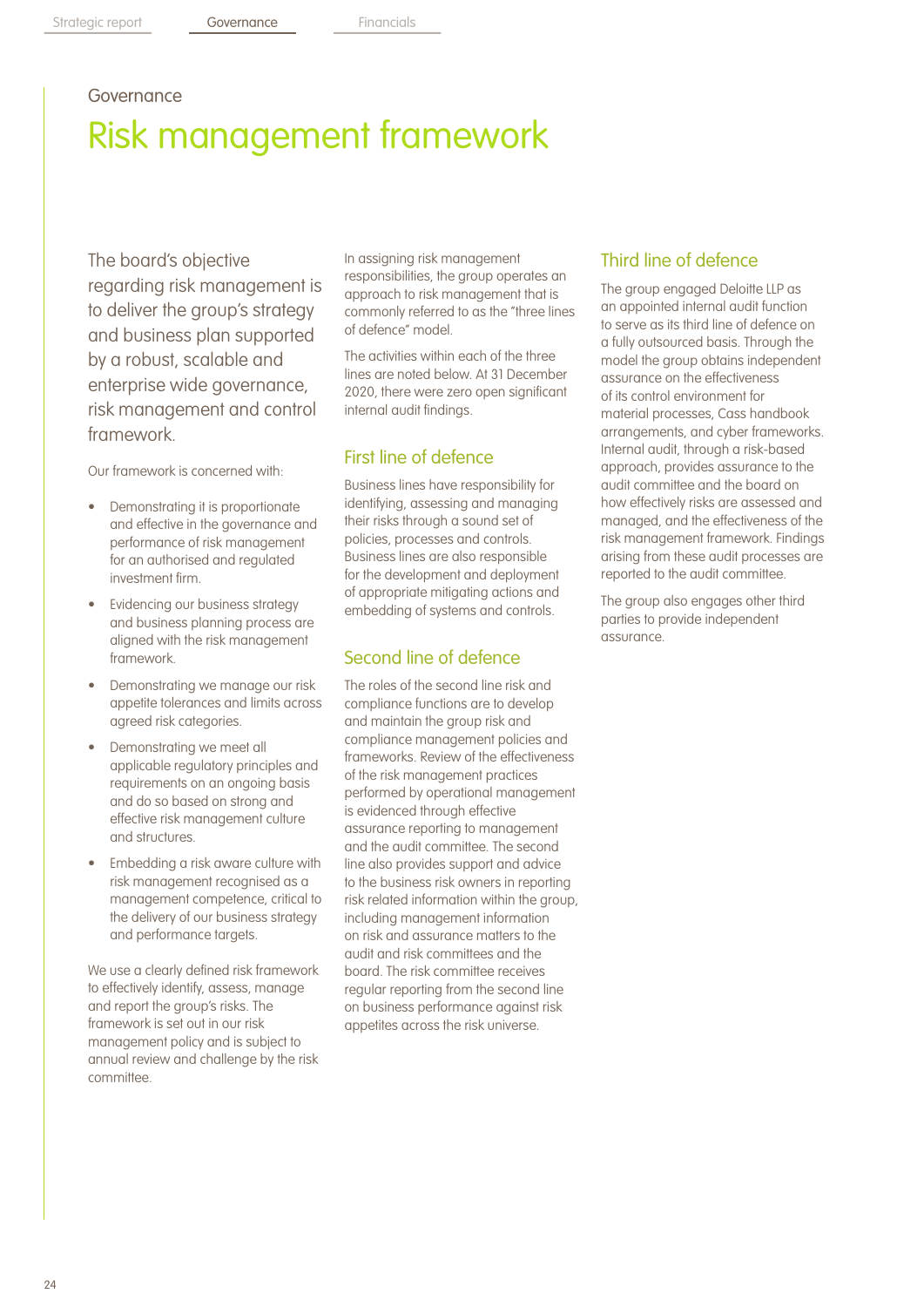## Governance

# Risk management framework

The board's objective regarding risk management is to deliver the group's strategy and business plan supported by a robust, scalable and enterprise wide governance, risk management and control framework.

Our framework is concerned with:

- Demonstrating it is proportionate and effective in the governance and performance of risk management for an authorised and regulated investment firm.
- Evidencing our business strategy and business planning process are aligned with the risk management framework.
- Demonstrating we manage our risk appetite tolerances and limits across agreed risk categories.
- Demonstrating we meet all applicable regulatory principles and requirements on an ongoing basis and do so based on strong and effective risk management culture and structures.
- Embedding a risk aware culture with risk management recognised as a management competence, critical to the delivery of our business strategy and performance targets.

We use a clearly defined risk framework to effectively identify, assess, manage and report the group's risks. The framework is set out in our risk management policy and is subject to annual review and challenge by the risk committee.

In assigning risk management responsibilities, the group operates an approach to risk management that is commonly referred to as the "three lines of defence" model.

The activities within each of the three lines are noted below. At 31 December 2020, there were zero open significant internal audit findings.

## First line of defence

Business lines have responsibility for identifying, assessing and managing their risks through a sound set of policies, processes and controls. Business lines are also responsible for the development and deployment of appropriate mitigating actions and embedding of systems and controls.

## Second line of defence

The roles of the second line risk and compliance functions are to develop and maintain the group risk and compliance management policies and frameworks. Review of the effectiveness of the risk management practices performed by operational management is evidenced through effective assurance reporting to management and the audit committee. The second line also provides support and advice to the business risk owners in reporting risk related information within the group, including management information on risk and assurance matters to the audit and risk committees and the board. The risk committee receives regular reporting from the second line on business performance against risk appetites across the risk universe.

## Third line of defence

The group engaged Deloitte LLP as an appointed internal audit function to serve as its third line of defence on a fully outsourced basis. Through the model the group obtains independent assurance on the effectiveness of its control environment for material processes, Cass handbook arrangements, and cyber frameworks. Internal audit, through a risk-based approach, provides assurance to the audit committee and the board on how effectively risks are assessed and managed, and the effectiveness of the risk management framework. Findings arising from these audit processes are reported to the audit committee.

The group also engages other third parties to provide independent assurance.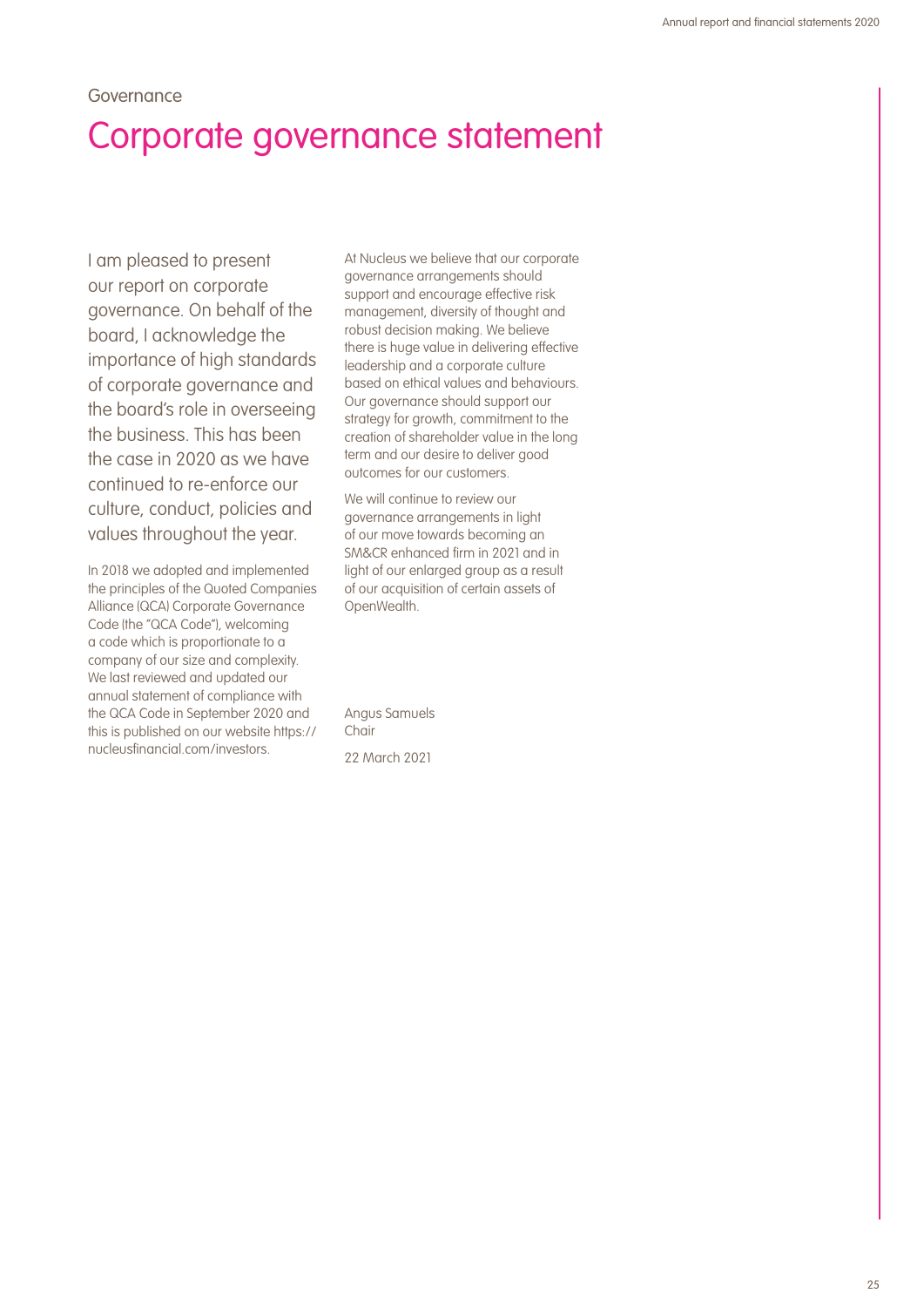## Governance Corporate governance statement

I am pleased to present our report on corporate governance. On behalf of the board, I acknowledge the importance of high standards of corporate governance and the board's role in overseeing the business. This has been the case in 2020 as we have continued to re-enforce our culture, conduct, policies and values throughout the year.

In 2018 we adopted and implemented the principles of the Quoted Companies Alliance (QCA) Corporate Governance Code (the "QCA Code"), welcoming a code which is proportionate to a company of our size and complexity. We last reviewed and updated our annual statement of compliance with the QCA Code in September 2020 and this is published on our website https:// nucleusfinancial.com/investors.

At Nucleus we believe that our corporate governance arrangements should support and encourage effective risk management, diversity of thought and robust decision making. We believe there is huge value in delivering effective leadership and a corporate culture based on ethical values and behaviours. Our governance should support our strategy for growth, commitment to the creation of shareholder value in the long term and our desire to deliver good outcomes for our customers.

We will continue to review our governance arrangements in light of our move towards becoming an SM&CR enhanced firm in 2021 and in light of our enlarged group as a result of our acquisition of certain assets of OpenWealth.

Angus Samuels Chair 22 March 2021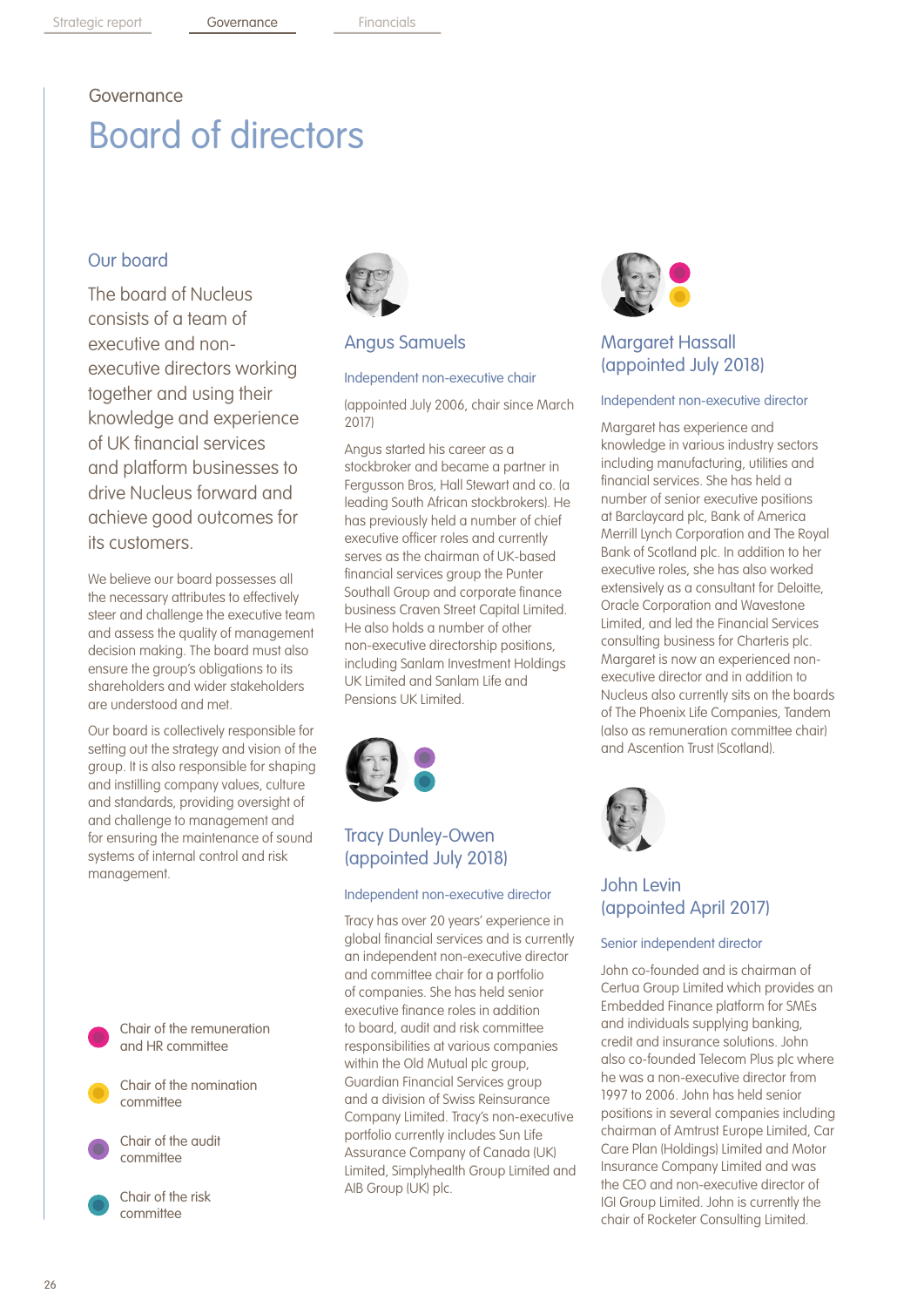# Governance Board of directors

## Our board

The board of Nucleus consists of a team of executive and nonexecutive directors working together and using their knowledge and experience of UK financial services and platform businesses to drive Nucleus forward and achieve good outcomes for its customers.

We believe our board possesses all the necessary attributes to effectively steer and challenge the executive team and assess the quality of management decision making. The board must also ensure the group's obligations to its shareholders and wider stakeholders are understood and met.

Our board is collectively responsible for setting out the strategy and vision of the group. It is also responsible for shaping and instilling company values, culture and standards, providing oversight of and challenge to management and for ensuring the maintenance of sound systems of internal control and risk management.



Chair of the nomination committee



Chair of the risk committee



### Angus Samuels

#### Independent non-executive chair

(appointed July 2006, chair since March 2017)

Angus started his career as a stockbroker and became a partner in Fergusson Bros, Hall Stewart and co. (a leading South African stockbrokers). He has previously held a number of chief executive officer roles and currently serves as the chairman of UK-based financial services group the Punter Southall Group and corporate finance business Craven Street Capital Limited. He also holds a number of other non-executive directorship positions, including Sanlam Investment Holdings UK Limited and Sanlam Life and Pensions UK Limited.



## Tracy Dunley-Owen (appointed July 2018)

#### Independent non-executive director

Tracy has over 20 years' experience in global financial services and is currently an independent non-executive director and committee chair for a portfolio of companies. She has held senior executive finance roles in addition to board, audit and risk committee responsibilities at various companies within the Old Mutual plc group, Guardian Financial Services group and a division of Swiss Reinsurance Company Limited. Tracy's non-executive portfolio currently includes Sun Life Assurance Company of Canada (UK) Limited, Simplyhealth Group Limited and AIB Group (UK) plc.



## Margaret Hassall (appointed July 2018)

#### Independent non-executive director

Margaret has experience and knowledge in various industry sectors including manufacturing, utilities and financial services. She has held a number of senior executive positions at Barclaycard plc, Bank of America Merrill Lynch Corporation and The Royal Bank of Scotland plc. In addition to her executive roles, she has also worked extensively as a consultant for Deloitte, Oracle Corporation and Wavestone Limited, and led the Financial Services consulting business for Charteris plc. Margaret is now an experienced nonexecutive director and in addition to Nucleus also currently sits on the boards of The Phoenix Life Companies, Tandem (also as remuneration committee chair) and Ascention Trust (Scotland).



## John Levin (appointed April 2017)

#### Senior independent director

John co-founded and is chairman of Certua Group Limited which provides an Embedded Finance platform for SMEs and individuals supplying banking, credit and insurance solutions. John also co-founded Telecom Plus plc where he was a non-executive director from 1997 to 2006. John has held senior positions in several companies including chairman of Amtrust Europe Limited, Car Care Plan (Holdings) Limited and Motor Insurance Company Limited and was the CEO and non-executive director of IGI Group Limited. John is currently the chair of Rocketer Consulting Limited.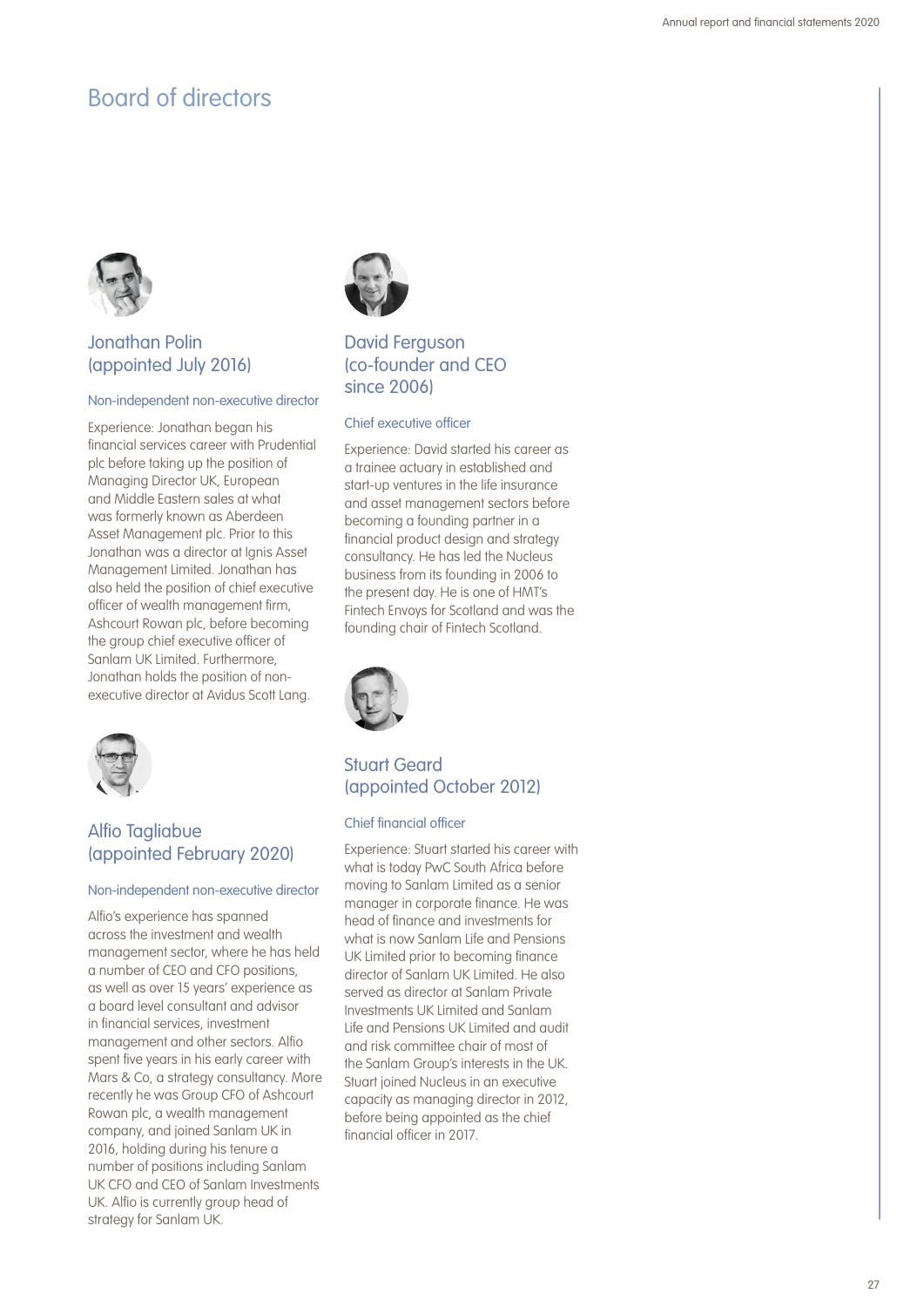

## Jonathan Polin (appointed July 2016)

#### Non-independent non-executive director

Experience: Jonathan began his financial services career with Prudential plc before taking up the position of Managing Director UK, European and Middle Eastern sales at what was formerly known as Aberdeen Asset Management plc. Prior to this Jonathan was a director at Ignis Asset Management Limited. Jonathan has also held the position of chief executive officer of wealth management firm, Ashcourt Rowan plc, before becoming the group chief executive officer of Sanlam UK Limited. Furthermore, Jonathan holds the position of nonexecutive director at Avidus Scott Lang.



## Alfio Tagliabue (appointed February 2020)

#### Non-independent non-executive director

Alfio's experience has spanned across the investment and wealth management sector, where he has held a number of CEO and CFO positions, as well as over 15 years' experience as a board level consultant and advisor in financial services, investment management and other sectors. Alfio spent five years in his early career with Mars & Co, a strategy consultancy. More recently he was Group CFO of Ashcourt Rowan plc, a wealth management company, and joined Sanlam UK in 2016, holding during his tenure a number of positions including Sanlam UK CFO and CEO of Sanlam Investments UK. Alfio is currently group head of strategy for Sanlam UK.



## David Ferguson (co-founder and CEO since 2006)

#### Chief executive officer

Experience: David started his career as a trainee actuary in established and start-up ventures in the life insurance and asset management sectors before becoming a founding partner in a financial product design and strategy consultancy. He has led the Nucleus business from its founding in 2006 to the present day. He is one of HMT's Fintech Envoys for Scotland and was the founding chair of Fintech Scotland.



## Stuart Geard (appointed October 2012)

#### Chief financial officer

Experience: Stuart started his career with what is today PwC South Africa before moving to Sanlam Limited as a senior manager in corporate finance. He was head of finance and investments for what is now Sanlam Life and Pensions UK Limited prior to becoming finance director of Sanlam UK Limited. He also served as director at Sanlam Private Investments UK Limited and Sanlam Life and Pensions UK Limited and audit and risk committee chair of most of the Sanlam Group's interests in the UK. Stuart joined Nucleus in an executive capacity as managing director in 2012, before being appointed as the chief financial officer in 2017.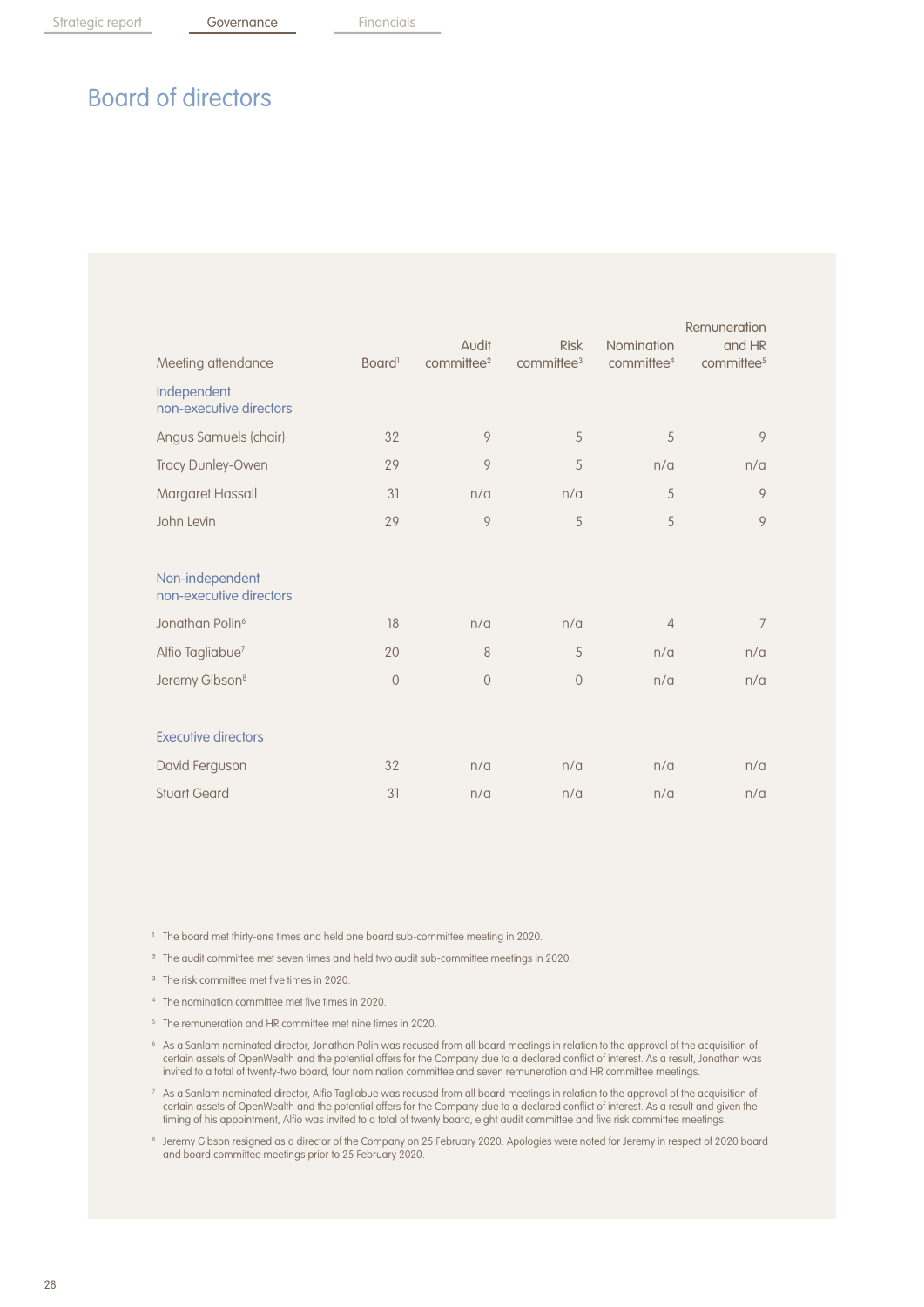| Meeting attendance                         | Board <sup>1</sup> | Audit<br>committee <sup>2</sup> | <b>Risk</b><br>committee <sup>3</sup> | Nomination<br>committee <sup>4</sup> | Remuneration<br>and HR<br>committee <sup>5</sup> |
|--------------------------------------------|--------------------|---------------------------------|---------------------------------------|--------------------------------------|--------------------------------------------------|
| Independent<br>non-executive directors     |                    |                                 |                                       |                                      |                                                  |
| Angus Samuels (chair)                      | 32                 | 9                               | 5                                     | 5                                    | 9                                                |
| Tracy Dunley-Owen                          | 29                 | 9                               | 5                                     | n/a                                  | n/a                                              |
| Margaret Hassall                           | 31                 | n/a                             | n/a                                   | 5                                    | 9                                                |
| John Levin                                 | 29                 | 9                               | 5                                     | 5                                    | 9                                                |
|                                            |                    |                                 |                                       |                                      |                                                  |
| Non-independent<br>non-executive directors |                    |                                 |                                       |                                      |                                                  |
| Jonathan Polin <sup>6</sup>                | 18                 | n/a                             | n/a                                   | $\overline{4}$                       | $\overline{7}$                                   |
| Alfio Tagliabue <sup>7</sup>               | 20                 | 8                               | 5                                     | n/a                                  | n/a                                              |
| Jeremy Gibson <sup>8</sup>                 | $\mathbf{0}$       | $\mathbf 0$                     | $\overline{0}$                        | n/a                                  | n/a                                              |
|                                            |                    |                                 |                                       |                                      |                                                  |
| <b>Executive directors</b>                 |                    |                                 |                                       |                                      |                                                  |
| David Ferguson                             | 32                 | n/a                             | n/a                                   | n/a                                  | n/a                                              |
| <b>Stuart Geard</b>                        | 31                 | n/a                             | n/a                                   | n/a                                  | n/a                                              |

<sup>1</sup> The board met thirty-one times and held one board sub-committee meeting in 2020.

<sup>2</sup> The audit committee met seven times and held two audit sub-committee meetings in 2020.

- <sup>3</sup> The risk committee met five times in 2020.
- <sup>4</sup> The nomination committee met five times in 2020.
- <sup>5</sup> The remuneration and HR committee met nine times in 2020.
- <sup>6</sup> As a Sanlam nominated director, Jonathan Polin was recused from all board meetings in relation to the approval of the acquisition of certain assets of OpenWealth and the potential offers for the Company due to a declared conflict of interest. As a result, Jonathan was invited to a total of twenty-two board, four nomination committee and seven remuneration and HR committee meetings.
- <sup>7</sup> As a Sanlam nominated director, Alfio Tagliabue was recused from all board meetings in relation to the approval of the acquisition of certain assets of OpenWealth and the potential offers for the Company due to a declared conflict of interest. As a result and given the timing of his appointment, Alfio was invited to a total of twenty board, eight audit committee and five risk committee meetings.
- <sup>8</sup> Jeremy Gibson resigned as a director of the Company on 25 February 2020. Apologies were noted for Jeremy in respect of 2020 board and board committee meetings prior to 25 February 2020.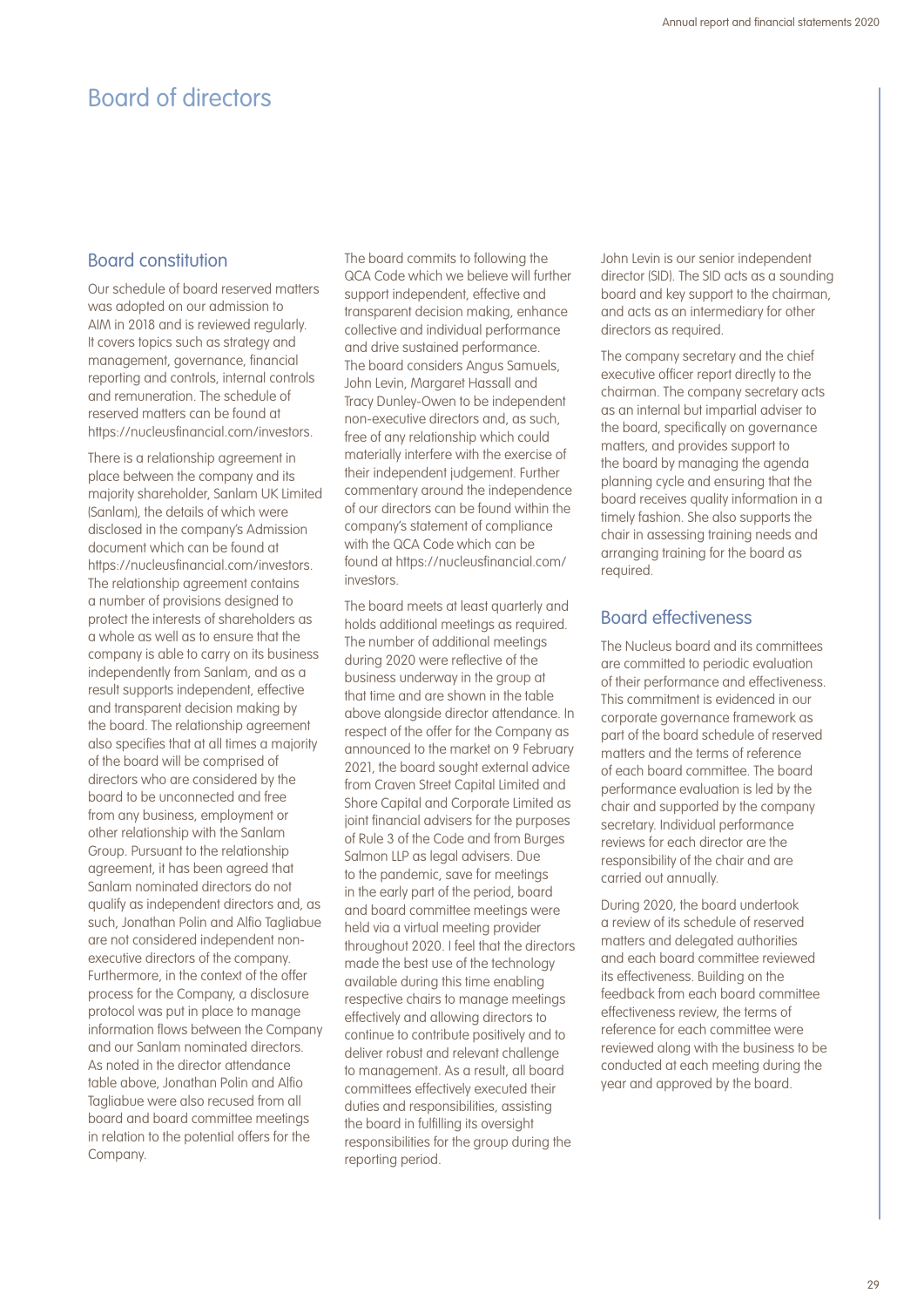### Board constitution

Our schedule of board reserved matters was adopted on our admission to AIM in 2018 and is reviewed regularly. It covers topics such as strategy and management, governance, financial reporting and controls, internal controls and remuneration. The schedule of reserved matters can be found at https://nucleusfinancial.com/investors.

There is a relationship agreement in place between the company and its majority shareholder, Sanlam UK Limited (Sanlam), the details of which were disclosed in the company's Admission document which can be found at https://nucleusfinancial.com/investors. The relationship agreement contains a number of provisions designed to protect the interests of shareholders as a whole as well as to ensure that the company is able to carry on its business independently from Sanlam, and as a result supports independent, effective and transparent decision making by the board. The relationship agreement also specifies that at all times a majority of the board will be comprised of directors who are considered by the board to be unconnected and free from any business, employment or other relationship with the Sanlam Group. Pursuant to the relationship agreement, it has been agreed that Sanlam nominated directors do not qualify as independent directors and, as such, Jonathan Polin and Alfio Tagliabue are not considered independent nonexecutive directors of the company. Furthermore, in the context of the offer process for the Company, a disclosure protocol was put in place to manage information flows between the Company and our Sanlam nominated directors. As noted in the director attendance table above, Jonathan Polin and Alfio Tagliabue were also recused from all board and board committee meetings in relation to the potential offers for the Company.

The board commits to following the QCA Code which we believe will further support independent, effective and transparent decision making, enhance collective and individual performance and drive sustained performance. The board considers Angus Samuels, John Levin, Margaret Hassall and Tracy Dunley-Owen to be independent non-executive directors and, as such, free of any relationship which could materially interfere with the exercise of their independent judgement. Further commentary around the independence of our directors can be found within the company's statement of compliance with the QCA Code which can be found at https://nucleusfinancial.com/ investors.

The board meets at least quarterly and holds additional meetings as required. The number of additional meetings during 2020 were reflective of the business underway in the group at that time and are shown in the table above alongside director attendance. In respect of the offer for the Company as announced to the market on 9 February 2021, the board sought external advice from Craven Street Capital Limited and Shore Capital and Corporate Limited as joint financial advisers for the purposes of Rule 3 of the Code and from Burges Salmon LLP as legal advisers. Due to the pandemic, save for meetings in the early part of the period, board and board committee meetings were held via a virtual meeting provider throughout 2020. I feel that the directors made the best use of the technology available during this time enabling respective chairs to manage meetings effectively and allowing directors to continue to contribute positively and to deliver robust and relevant challenge to management. As a result, all board committees effectively executed their duties and responsibilities, assisting the board in fulfilling its oversight responsibilities for the group during the reporting period.

John Levin is our senior independent director (SID). The SID acts as a sounding board and key support to the chairman, and acts as an intermediary for other directors as required.

The company secretary and the chief executive officer report directly to the chairman. The company secretary acts as an internal but impartial adviser to the board, specifically on governance matters, and provides support to the board by managing the agenda planning cycle and ensuring that the board receives quality information in a timely fashion. She also supports the chair in assessing training needs and arranging training for the board as required.

### Board effectiveness

The Nucleus board and its committees are committed to periodic evaluation of their performance and effectiveness. This commitment is evidenced in our corporate governance framework as part of the board schedule of reserved matters and the terms of reference of each board committee. The board performance evaluation is led by the chair and supported by the company secretary. Individual performance reviews for each director are the responsibility of the chair and are carried out annually.

During 2020, the board undertook a review of its schedule of reserved matters and delegated authorities and each board committee reviewed its effectiveness. Building on the feedback from each board committee effectiveness review, the terms of reference for each committee were reviewed along with the business to be conducted at each meeting during the year and approved by the board.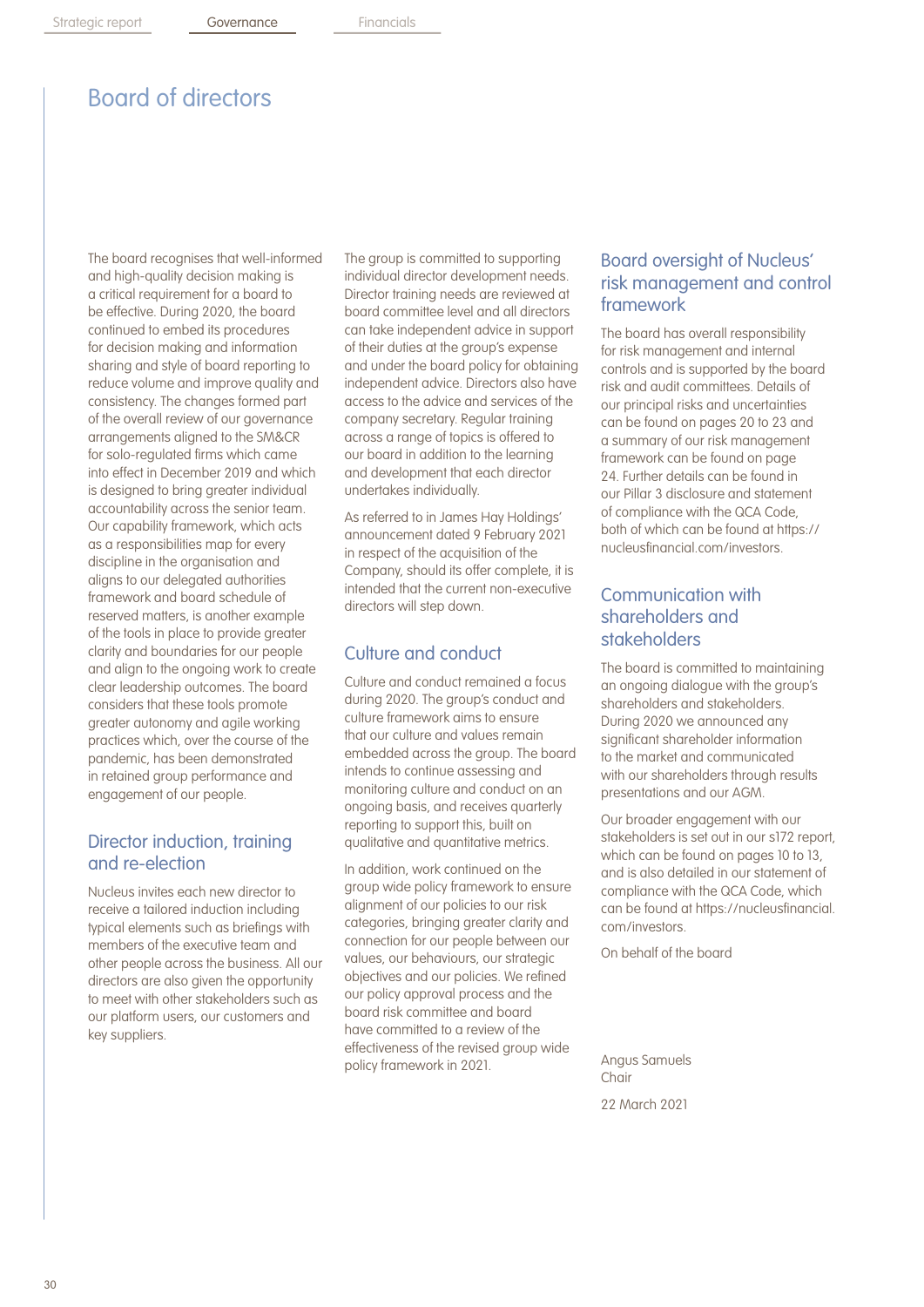The board recognises that well-informed and high-quality decision making is a critical requirement for a board to be effective. During 2020, the board continued to embed its procedures for decision making and information sharing and style of board reporting to reduce volume and improve quality and consistency. The changes formed part of the overall review of our governance arrangements aligned to the SM&CR for solo-regulated firms which came into effect in December 2019 and which is designed to bring greater individual accountability across the senior team. Our capability framework, which acts as a responsibilities map for every discipline in the organisation and aligns to our delegated authorities framework and board schedule of reserved matters, is another example of the tools in place to provide greater clarity and boundaries for our people and align to the ongoing work to create clear leadership outcomes. The board considers that these tools promote greater autonomy and agile working practices which, over the course of the pandemic, has been demonstrated in retained group performance and engagement of our people.

## Director induction, training and re-election

Nucleus invites each new director to receive a tailored induction including typical elements such as briefings with members of the executive team and other people across the business. All our directors are also given the opportunity to meet with other stakeholders such as our platform users, our customers and key suppliers.

The group is committed to supporting individual director development needs. Director training needs are reviewed at board committee level and all directors can take independent advice in support of their duties at the group's expense and under the board policy for obtaining independent advice. Directors also have access to the advice and services of the company secretary. Regular training across a range of topics is offered to our board in addition to the learning and development that each director undertakes individually.

As referred to in James Hay Holdings' announcement dated 9 February 2021 in respect of the acquisition of the Company, should its offer complete, it is intended that the current non-executive directors will step down.

## Culture and conduct

Culture and conduct remained a focus during 2020. The group's conduct and culture framework aims to ensure that our culture and values remain embedded across the group. The board intends to continue assessing and monitoring culture and conduct on an ongoing basis, and receives quarterly reporting to support this, built on qualitative and quantitative metrics.

In addition, work continued on the group wide policy framework to ensure alignment of our policies to our risk categories, bringing greater clarity and connection for our people between our values, our behaviours, our strategic objectives and our policies. We refined our policy approval process and the board risk committee and board have committed to a review of the effectiveness of the revised group wide policy framework in 2021.

## Board oversight of Nucleus' risk management and control framework

The board has overall responsibility for risk management and internal controls and is supported by the board risk and audit committees. Details of our principal risks and uncertainties can be found on pages 20 to 23 and a summary of our risk management framework can be found on page 24. Further details can be found in our Pillar 3 disclosure and statement of compliance with the QCA Code, both of which can be found at https:// nucleusfinancial.com/investors.

## Communication with shareholders and stakeholders

The board is committed to maintaining an ongoing dialogue with the group's shareholders and stakeholders. During 2020 we announced any significant shareholder information to the market and communicated with our shareholders through results presentations and our AGM.

Our broader engagement with our stakeholders is set out in our s172 report, which can be found on pages 10 to 13, and is also detailed in our statement of compliance with the QCA Code, which can be found at https://nucleusfinancial. com/investors.

On behalf of the board

Angus Samuels Chair 22 March 2021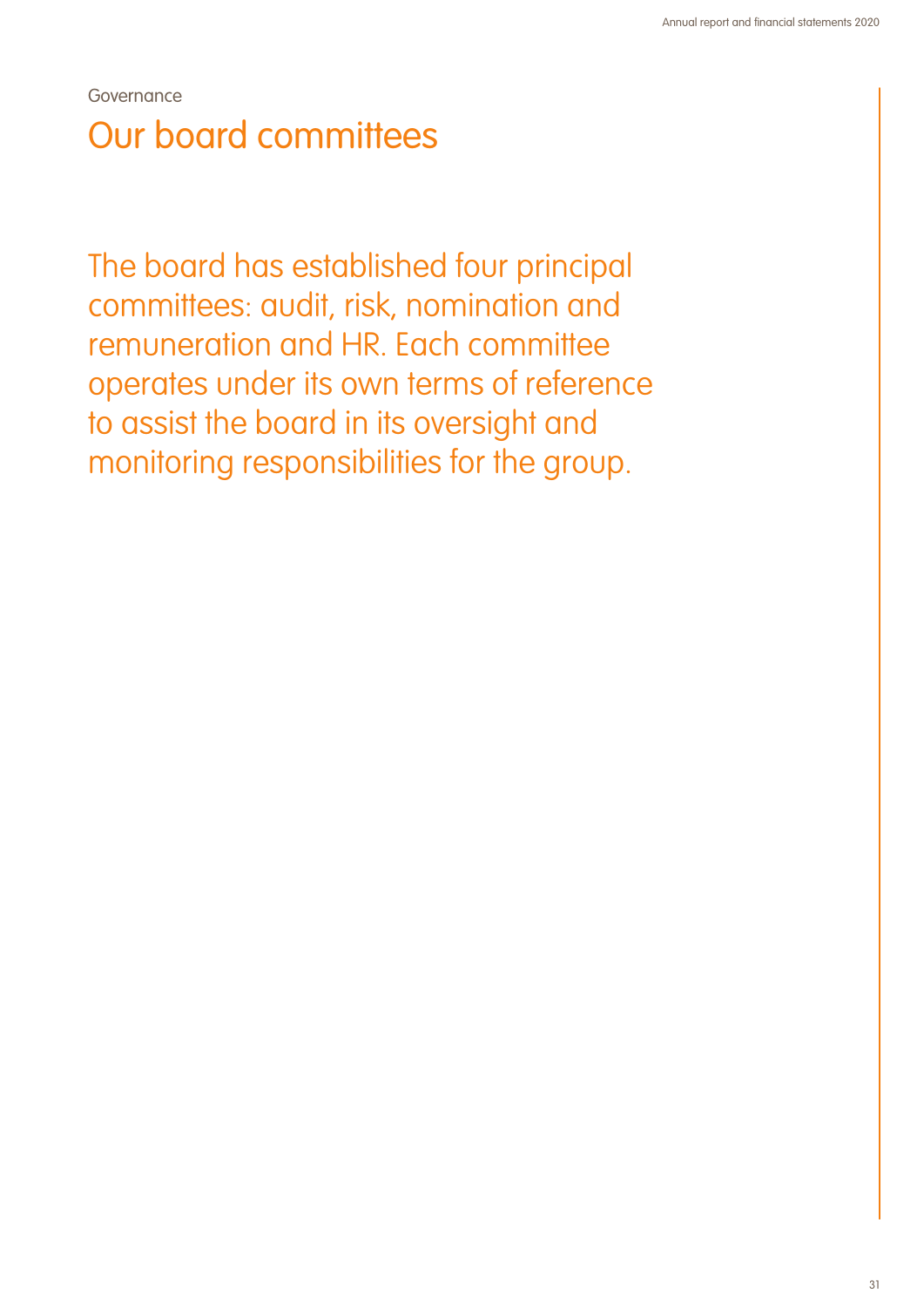Governance Our board committees

The board has established four principal committees: audit, risk, nomination and remuneration and HR. Each committee operates under its own terms of reference to assist the board in its oversight and monitoring responsibilities for the group.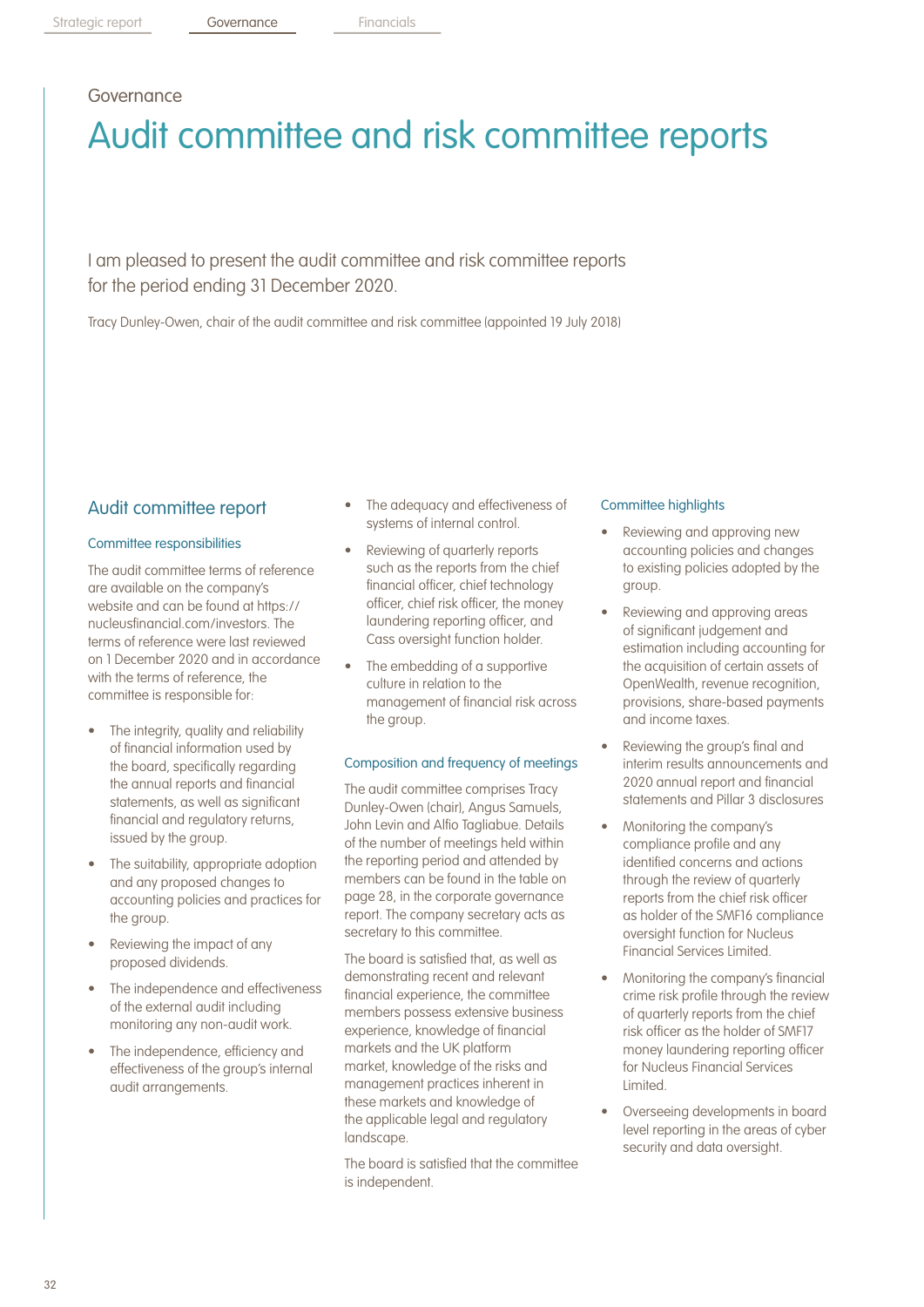## Governance

# Audit committee and risk committee reports

I am pleased to present the audit committee and risk committee reports for the period ending 31 December 2020.

Tracy Dunley-Owen, chair of the audit committee and risk committee (appointed 19 July 2018)

### Audit committee report

#### Committee responsibilities

The audit committee terms of reference are available on the company's website and can be found at https:// nucleusfinancial.com/investors. The terms of reference were last reviewed on 1 December 2020 and in accordance with the terms of reference, the committee is responsible for:

- The integrity, quality and reliability of financial information used by the board, specifically regarding the annual reports and financial statements, as well as significant financial and regulatory returns, issued by the group.
- The suitability, appropriate adoption and any proposed changes to accounting policies and practices for the group.
- Reviewing the impact of any proposed dividends.
- The independence and effectiveness of the external audit including monitoring any non-audit work.
- The independence, efficiency and effectiveness of the group's internal audit arrangements.
- The adequacy and effectiveness of systems of internal control.
- Reviewing of quarterly reports such as the reports from the chief financial officer, chief technology officer, chief risk officer, the money laundering reporting officer, and Cass oversight function holder.
- The embedding of a supportive culture in relation to the management of financial risk across the group.

#### Composition and frequency of meetings

The audit committee comprises Tracy Dunley-Owen (chair), Angus Samuels, John Levin and Alfio Tagliabue. Details of the number of meetings held within the reporting period and attended by members can be found in the table on page 28, in the corporate governance report. The company secretary acts as secretary to this committee.

The board is satisfied that, as well as demonstrating recent and relevant financial experience, the committee members possess extensive business experience, knowledge of financial markets and the UK platform market, knowledge of the risks and management practices inherent in these markets and knowledge of the applicable legal and regulatory landscape.

The board is satisfied that the committee is independent.

#### Committee highlights

- Reviewing and approving new accounting policies and changes to existing policies adopted by the group.
- Reviewing and approving areas of significant judgement and estimation including accounting for the acquisition of certain assets of OpenWealth, revenue recognition, provisions, share-based payments and income taxes.
- Reviewing the group's final and interim results announcements and 2020 annual report and financial statements and Pillar 3 disclosures
- Monitoring the company's compliance profile and any identified concerns and actions through the review of quarterly reports from the chief risk officer as holder of the SMF16 compliance oversight function for Nucleus Financial Services Limited.
- Monitoring the company's financial crime risk profile through the review of quarterly reports from the chief risk officer as the holder of SMF17 money laundering reporting officer for Nucleus Financial Services Limited.
- Overseeing developments in board level reporting in the areas of cyber security and data oversight.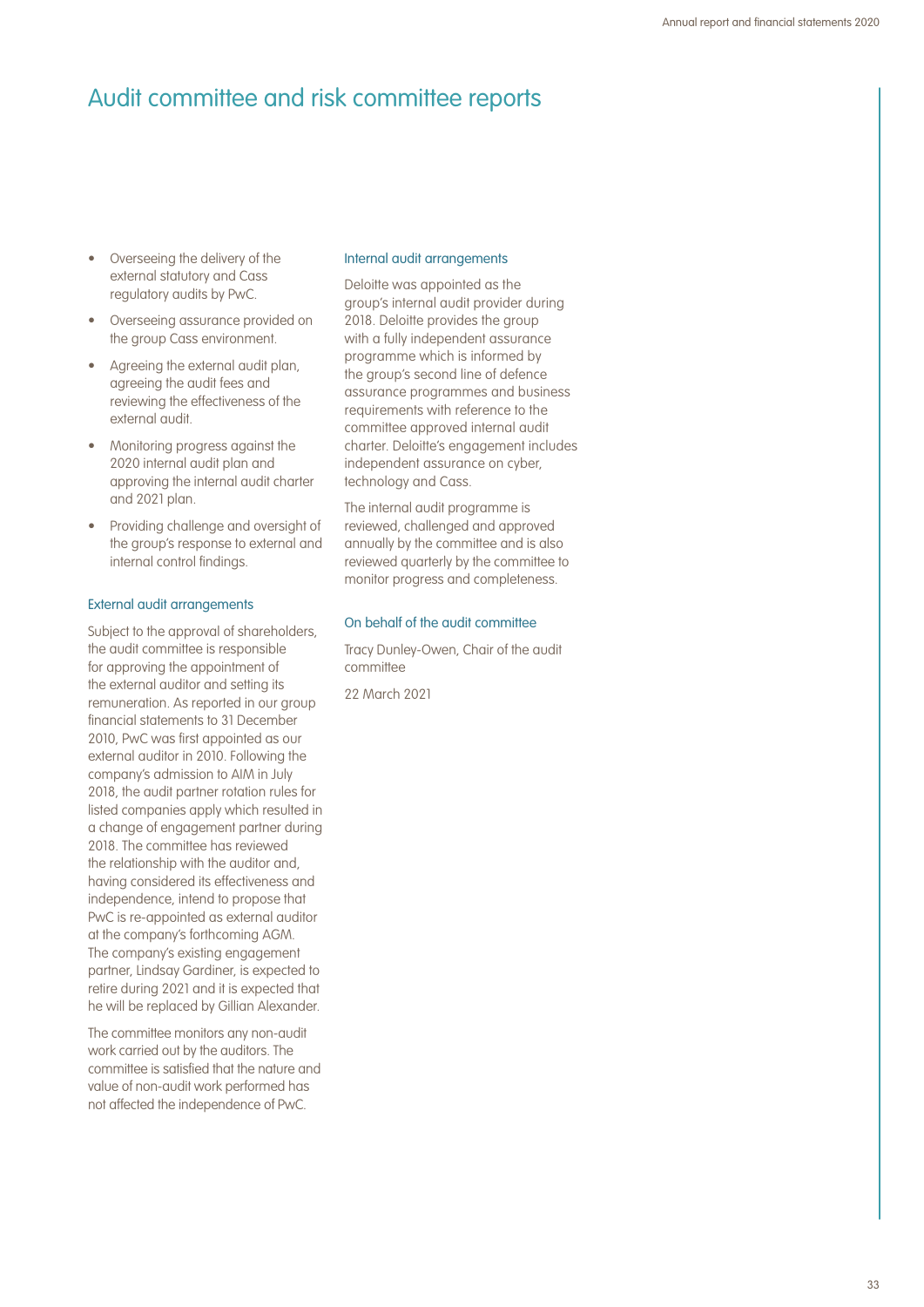## Audit committee and risk committee reports

- Overseeing the delivery of the external statutory and Cass regulatory audits by PwC.
- Overseeing assurance provided on the group Cass environment.
- Agreeing the external audit plan, agreeing the audit fees and reviewing the effectiveness of the external audit.
- Monitoring progress against the 2020 internal audit plan and approving the internal audit charter and 2021 plan.
- Providing challenge and oversight of the group's response to external and internal control findings.

#### External audit arrangements

Subject to the approval of shareholders, the audit committee is responsible for approving the appointment of the external auditor and setting its remuneration. As reported in our group financial statements to 31 December 2010, PwC was first appointed as our external auditor in 2010. Following the company's admission to AIM in July 2018, the audit partner rotation rules for listed companies apply which resulted in a change of engagement partner during 2018. The committee has reviewed the relationship with the auditor and, having considered its effectiveness and independence, intend to propose that PwC is re-appointed as external auditor at the company's forthcoming AGM. The company's existing engagement partner, Lindsay Gardiner, is expected to retire during 2021 and it is expected that he will be replaced by Gillian Alexander.

The committee monitors any non-audit work carried out by the auditors. The committee is satisfied that the nature and value of non-audit work performed has not affected the independence of PwC.

#### Internal audit arrangements

Deloitte was appointed as the group's internal audit provider during 2018. Deloitte provides the group with a fully independent assurance programme which is informed by the group's second line of defence assurance programmes and business requirements with reference to the committee approved internal audit charter. Deloitte's engagement includes independent assurance on cyber, technology and Cass.

The internal audit programme is reviewed, challenged and approved annually by the committee and is also reviewed quarterly by the committee to monitor progress and completeness.

#### On behalf of the audit committee

Tracy Dunley-Owen, Chair of the audit committee

22 March 2021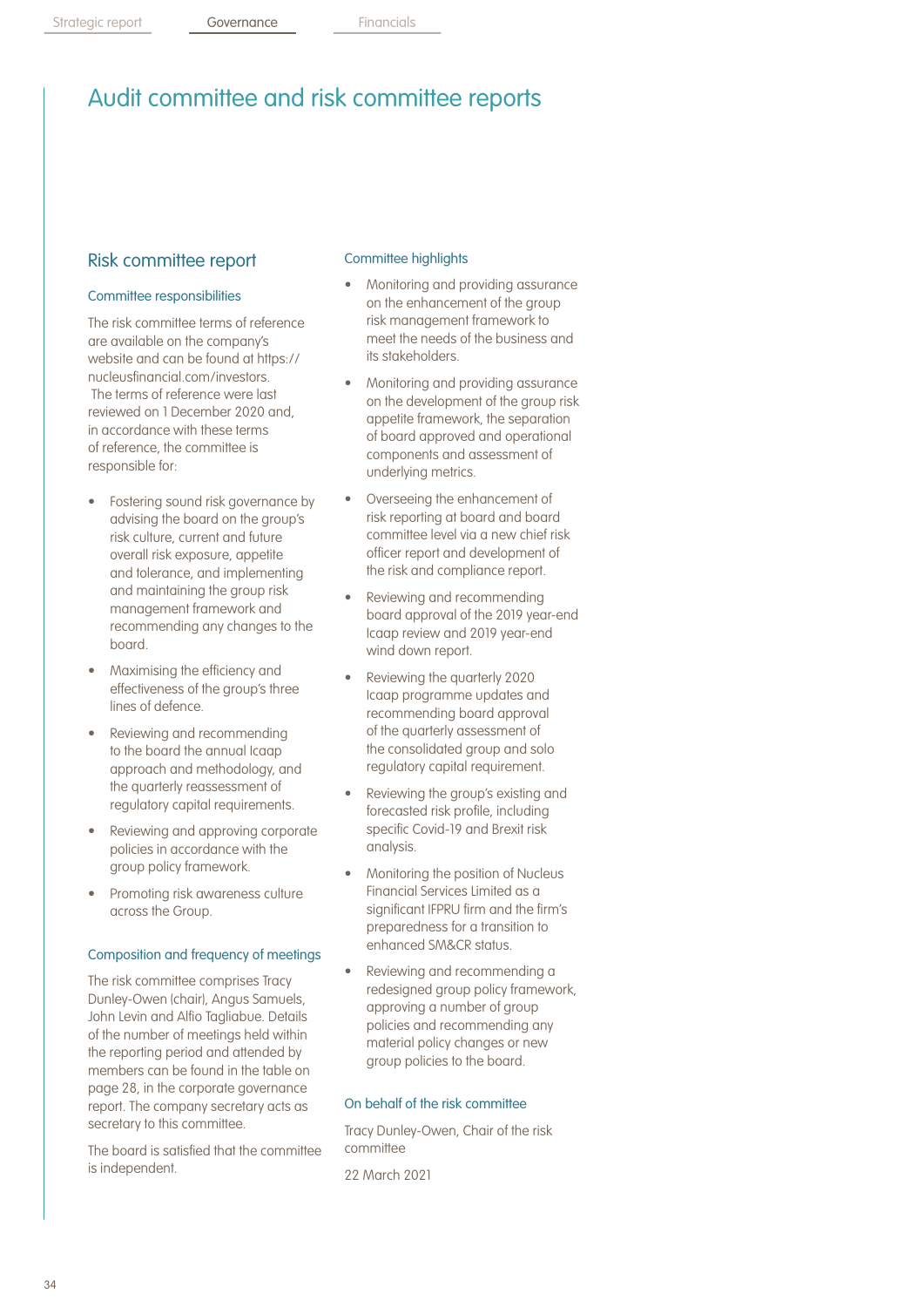## Audit committee and risk committee reports

## Risk committee report

#### Committee responsibilities

The risk committee terms of reference are available on the company's website and can be found at https:// nucleusfinancial.com/investors. The terms of reference were last reviewed on 1 December 2020 and, in accordance with these terms of reference, the committee is responsible for:

- Fostering sound risk governance by advising the board on the group's risk culture, current and future overall risk exposure, appetite and tolerance, and implementing and maintaining the group risk management framework and recommending any changes to the board.
- Maximising the efficiency and effectiveness of the group's three lines of defence.
- Reviewing and recommending to the board the annual Icaap approach and methodology, and the quarterly reassessment of regulatory capital requirements.
- Reviewing and approving corporate policies in accordance with the group policy framework.
- Promoting risk awareness culture across the Group.

#### Composition and frequency of meetings

The risk committee comprises Tracy Dunley-Owen (chair), Angus Samuels, John Levin and Alfio Tagliabue. Details of the number of meetings held within the reporting period and attended by members can be found in the table on page 28, in the corporate governance report. The company secretary acts as secretary to this committee.

The board is satisfied that the committee is independent.

### Committee highlights

- Monitoring and providing assurance on the enhancement of the group risk management framework to meet the needs of the business and its stakeholders.
- Monitoring and providing assurance on the development of the group risk appetite framework, the separation of board approved and operational components and assessment of underlying metrics.
- Overseeing the enhancement of risk reporting at board and board committee level via a new chief risk officer report and development of the risk and compliance report.
- Reviewing and recommending board approval of the 2019 year-end Icaap review and 2019 year-end wind down report.
- Reviewing the quarterly 2020 Icaap programme updates and recommending board approval of the quarterly assessment of the consolidated group and solo regulatory capital requirement.
- Reviewing the group's existing and forecasted risk profile, including specific Covid-19 and Brexit risk analysis.
- Monitoring the position of Nucleus Financial Services Limited as a significant IFPRU firm and the firm's preparedness for a transition to enhanced SM&CR status.
- Reviewing and recommending a redesigned group policy framework, approving a number of group policies and recommending any material policy changes or new group policies to the board.

### On behalf of the risk committee

Tracy Dunley-Owen, Chair of the risk committee

22 March 2021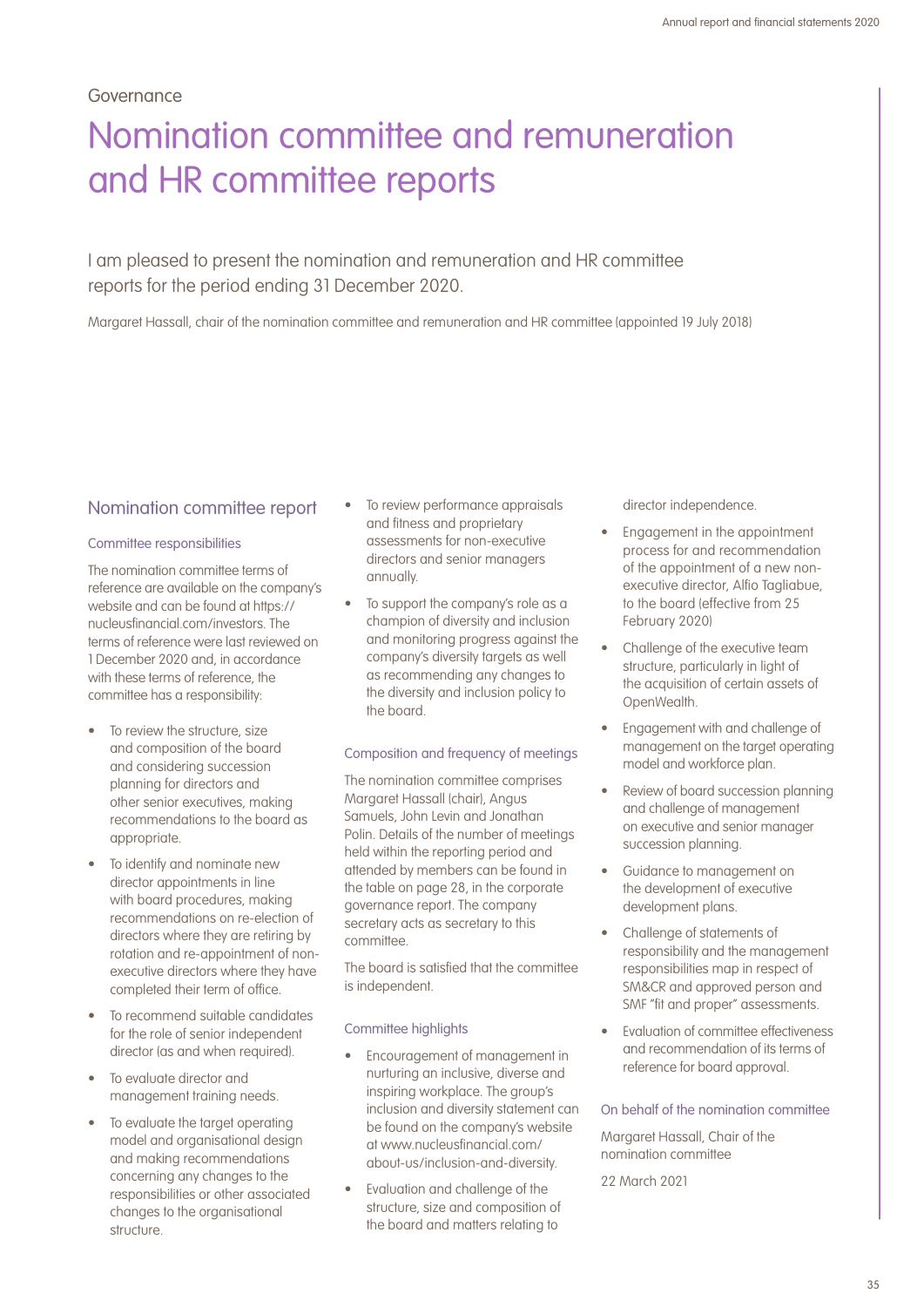### Governance

# Nomination committee and remuneration and HR committee reports

## I am pleased to present the nomination and remuneration and HR committee reports for the period ending 31 December 2020.

Margaret Hassall, chair of the nomination committee and remuneration and HR committee (appointed 19 July 2018)

### Nomination committee report

#### Committee responsibilities

The nomination committee terms of reference are available on the company's website and can be found at https:// nucleusfinancial.com/investors. The terms of reference were last reviewed on 1 December 2020 and, in accordance with these terms of reference, the committee has a responsibility:

- To review the structure, size and composition of the board and considering succession planning for directors and other senior executives, making recommendations to the board as appropriate.
- To identify and nominate new director appointments in line with board procedures, making recommendations on re-election of directors where they are retiring by rotation and re-appointment of nonexecutive directors where they have completed their term of office.
- To recommend suitable candidates for the role of senior independent director (as and when required).
- To evaluate director and management training needs.
- To evaluate the target operating model and organisational design and making recommendations concerning any changes to the responsibilities or other associated changes to the organisational structure.
- To review performance appraisals and fitness and proprietary assessments for non-executive directors and senior managers annually.
- To support the company's role as a champion of diversity and inclusion and monitoring progress against the company's diversity targets as well as recommending any changes to the diversity and inclusion policy to the board.

Composition and frequency of meetings

The nomination committee comprises Margaret Hassall (chair), Angus Samuels, John Levin and Jonathan Polin. Details of the number of meetings held within the reporting period and attended by members can be found in the table on page 28, in the corporate governance report. The company secretary acts as secretary to this committee.

The board is satisfied that the committee is independent.

#### Committee highlights

- Encouragement of management in nurturing an inclusive, diverse and inspiring workplace. The group's inclusion and diversity statement can be found on the company's website at www.nucleusfinancial.com/ about-us/inclusion-and-diversity.
- Evaluation and challenge of the structure, size and composition of the board and matters relating to

director independence.

- Engagement in the appointment process for and recommendation of the appointment of a new nonexecutive director, Alfio Tagliabue, to the board (effective from 25 February 2020)
- Challenge of the executive team structure, particularly in light of the acquisition of certain assets of OpenWealth.
- Engagement with and challenge of management on the target operating model and workforce plan.
- Review of board succession planning and challenge of management on executive and senior manager succession planning.
- Guidance to management on the development of executive development plans.
- Challenge of statements of responsibility and the management responsibilities map in respect of SM&CR and approved person and SMF "fit and proper" assessments.
- Evaluation of committee effectiveness and recommendation of its terms of reference for board approval.

On behalf of the nomination committee

Margaret Hassall, Chair of the nomination committee

22 March 2021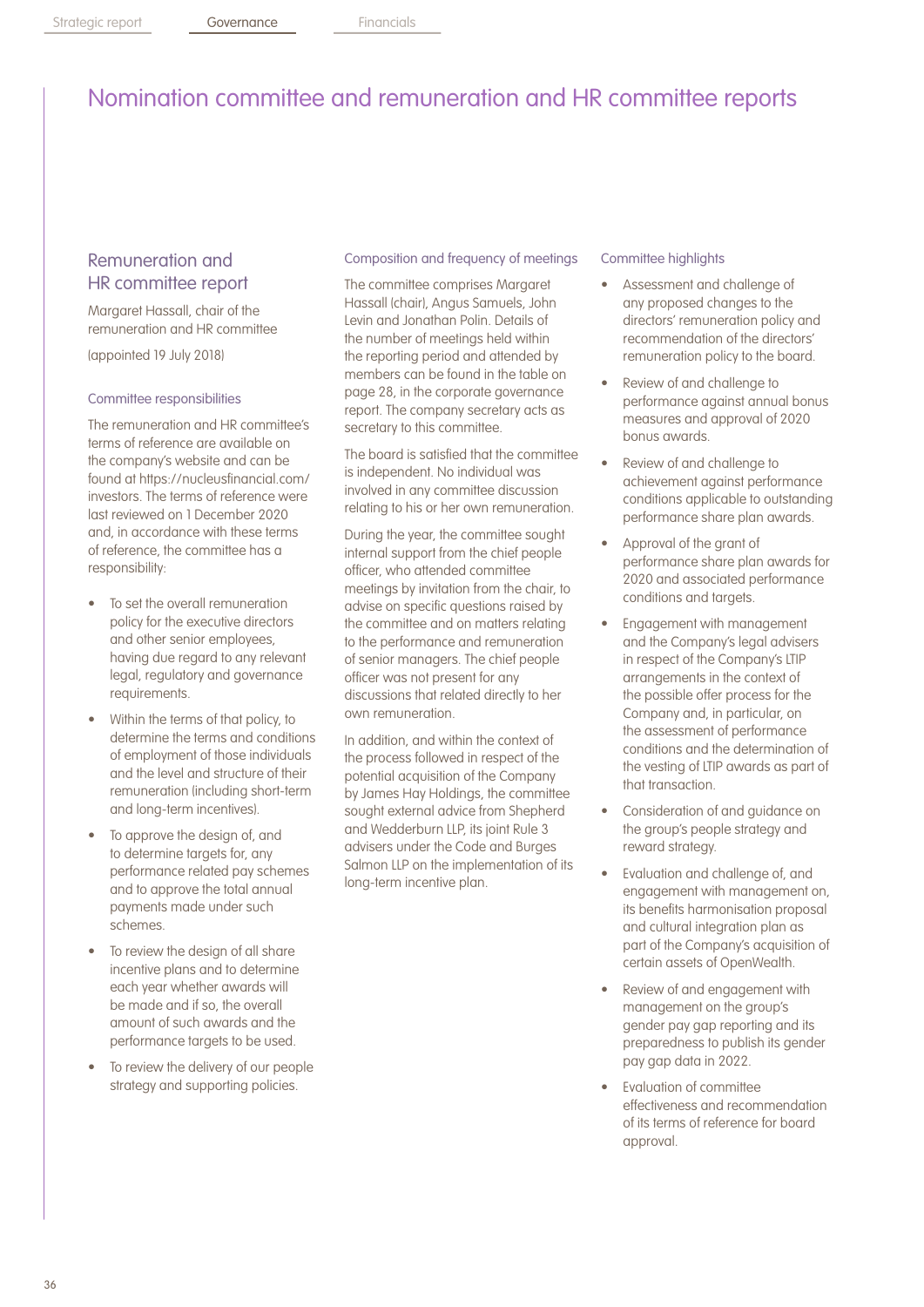## Nomination committee and remuneration and HR committee reports

## Remuneration and HR committee report

Margaret Hassall, chair of the remuneration and HR committee

(appointed 19 July 2018)

#### Committee responsibilities

The remuneration and HR committee's terms of reference are available on the company's website and can be found at https://nucleusfinancial.com/ investors. The terms of reference were last reviewed on 1 December 2020 and, in accordance with these terms of reference, the committee has a responsibility:

- To set the overall remuneration policy for the executive directors and other senior employees, having due regard to any relevant legal, regulatory and governance requirements.
- Within the terms of that policy, to determine the terms and conditions of employment of those individuals and the level and structure of their remuneration (including short-term and long-term incentives).
- To approve the design of, and to determine targets for, any performance related pay schemes and to approve the total annual payments made under such schemes.
- To review the design of all share incentive plans and to determine each year whether awards will be made and if so, the overall amount of such awards and the performance targets to be used.
- To review the delivery of our people strategy and supporting policies.

#### Composition and frequency of meetings

The committee comprises Margaret Hassall (chair), Angus Samuels, John Levin and Jonathan Polin. Details of the number of meetings held within the reporting period and attended by members can be found in the table on page 28, in the corporate governance report. The company secretary acts as secretary to this committee.

The board is satisfied that the committee is independent. No individual was involved in any committee discussion relating to his or her own remuneration.

During the year, the committee sought internal support from the chief people officer, who attended committee meetings by invitation from the chair, to advise on specific questions raised by the committee and on matters relating to the performance and remuneration of senior managers. The chief people officer was not present for any discussions that related directly to her own remuneration.

In addition, and within the context of the process followed in respect of the potential acquisition of the Company by James Hay Holdings, the committee sought external advice from Shepherd and Wedderburn LLP, its joint Rule 3 advisers under the Code and Burges Salmon LLP on the implementation of its long-term incentive plan.

#### Committee highlights

- Assessment and challenge of any proposed changes to the directors' remuneration policy and recommendation of the directors' remuneration policy to the board.
- Review of and challenge to performance against annual bonus measures and approval of 2020 bonus awards.
- Review of and challenge to achievement against performance conditions applicable to outstanding performance share plan awards.
- Approval of the grant of performance share plan awards for 2020 and associated performance conditions and targets.
- Engagement with management and the Company's legal advisers in respect of the Company's LTIP arrangements in the context of the possible offer process for the Company and, in particular, on the assessment of performance conditions and the determination of the vesting of LTIP awards as part of that transaction.
- Consideration of and guidance on the group's people strategy and reward strategy.
- Evaluation and challenge of, and engagement with management on, its benefits harmonisation proposal and cultural integration plan as part of the Company's acquisition of certain assets of OpenWealth.
- Review of and engagement with management on the group's gender pay gap reporting and its preparedness to publish its gender pay gap data in 2022.
- Evaluation of committee effectiveness and recommendation of its terms of reference for board approval.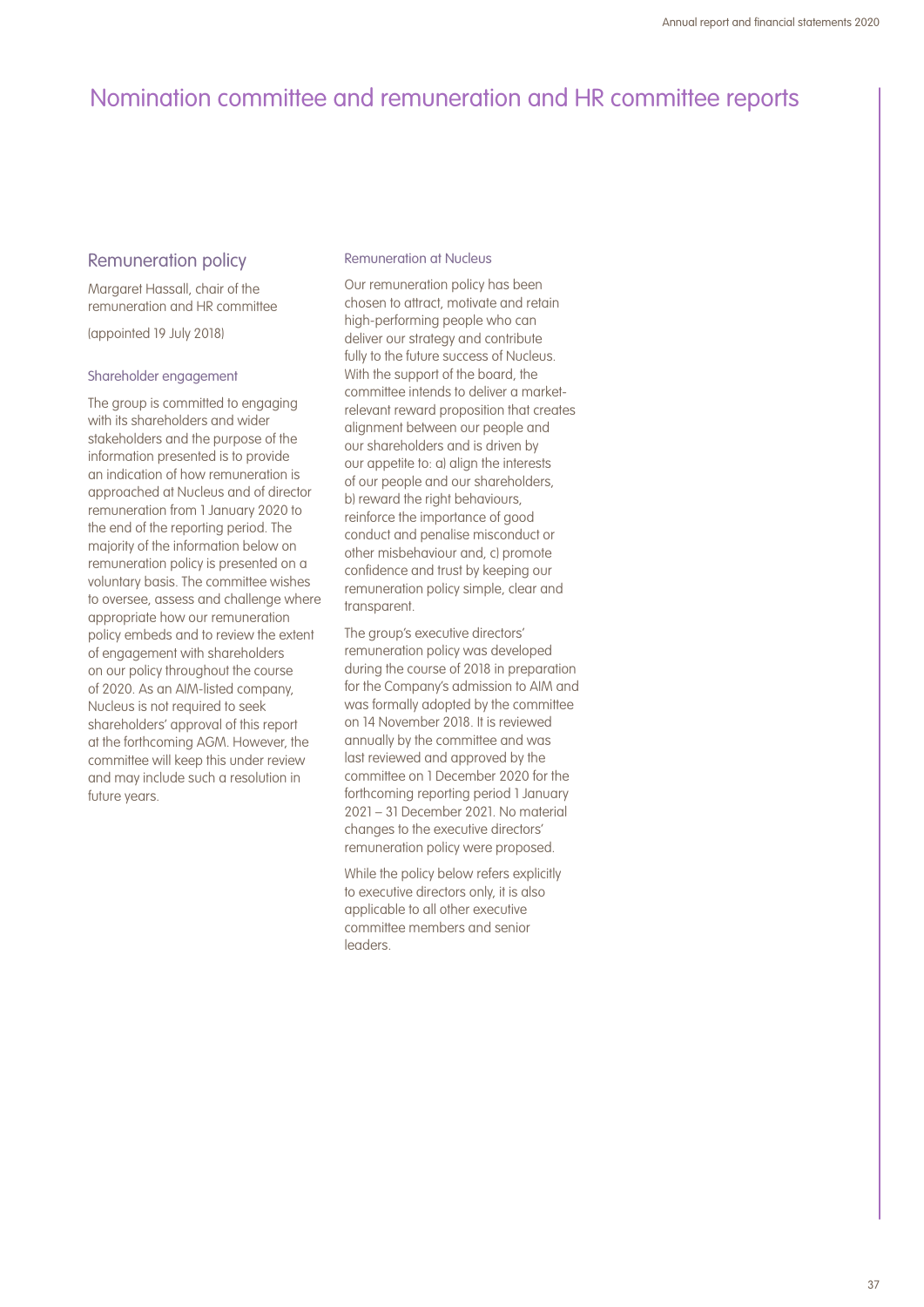### Remuneration policy

Margaret Hassall, chair of the remuneration and HR committee

(appointed 19 July 2018)

#### Shareholder engagement

The group is committed to engaging with its shareholders and wider stakeholders and the purpose of the information presented is to provide an indication of how remuneration is approached at Nucleus and of director remuneration from 1 January 2020 to the end of the reporting period. The majority of the information below on remuneration policy is presented on a voluntary basis. The committee wishes to oversee, assess and challenge where appropriate how our remuneration policy embeds and to review the extent of engagement with shareholders on our policy throughout the course of 2020. As an AIM-listed company, Nucleus is not required to seek shareholders' approval of this report at the forthcoming AGM. However, the committee will keep this under review and may include such a resolution in future years.

### Remuneration at Nucleus

Our remuneration policy has been chosen to attract, motivate and retain high-performing people who can deliver our strategy and contribute fully to the future success of Nucleus. With the support of the board, the committee intends to deliver a marketrelevant reward proposition that creates alignment between our people and our shareholders and is driven by our appetite to: a) align the interests of our people and our shareholders, b) reward the right behaviours, reinforce the importance of good conduct and penalise misconduct or other misbehaviour and, c) promote confidence and trust by keeping our remuneration policy simple, clear and transparent.

The group's executive directors' remuneration policy was developed during the course of 2018 in preparation for the Company's admission to AIM and was formally adopted by the committee on 14 November 2018. It is reviewed annually by the committee and was last reviewed and approved by the committee on 1 December 2020 for the forthcoming reporting period 1 January 2021 – 31 December 2021. No material changes to the executive directors' remuneration policy were proposed.

While the policy below refers explicitly to executive directors only, it is also applicable to all other executive committee members and senior **leaders**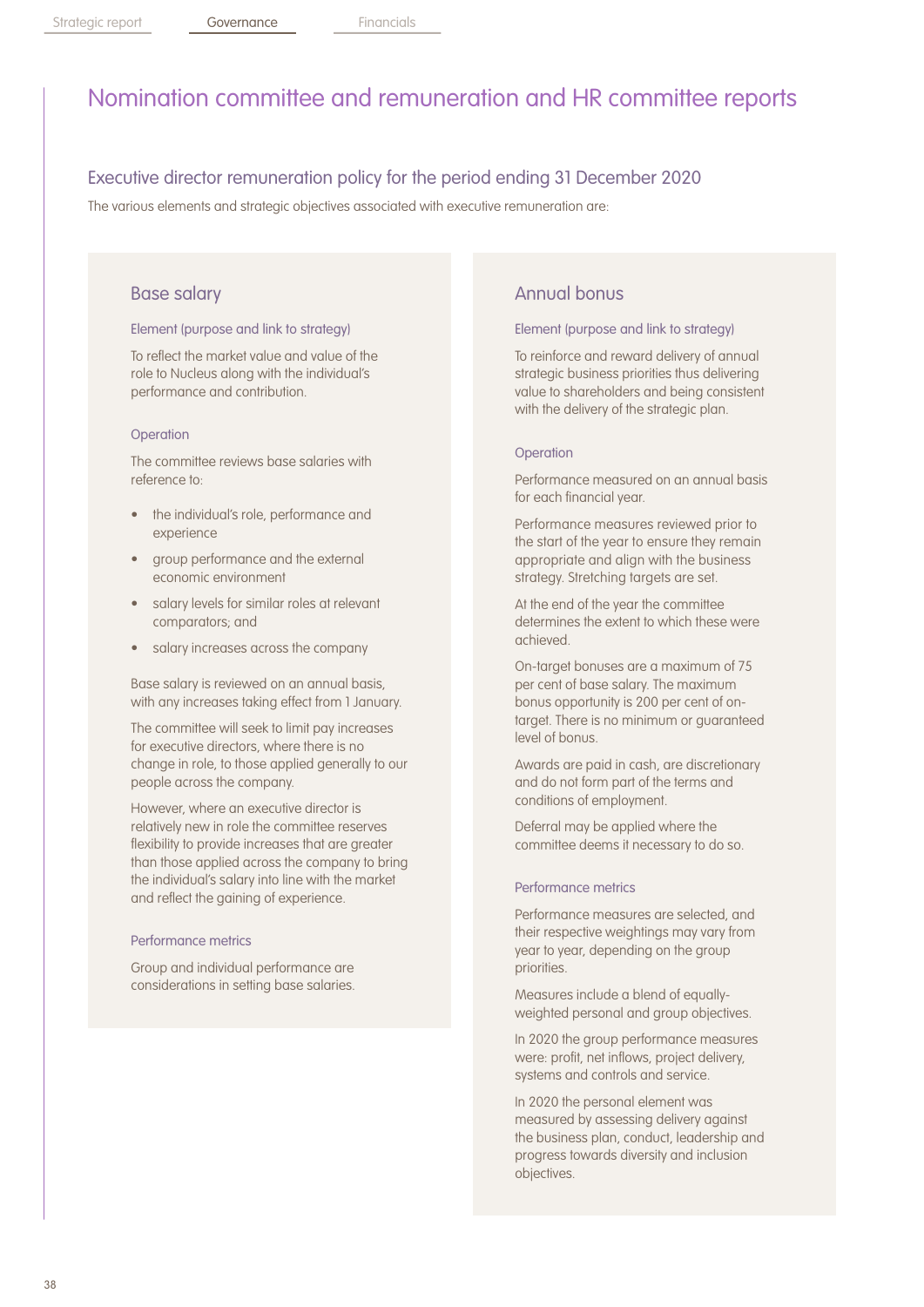## Executive director remuneration policy for the period ending 31 December 2020

The various elements and strategic objectives associated with executive remuneration are:

### Base salary

#### Element (purpose and link to strategy)

To reflect the market value and value of the role to Nucleus along with the individual's performance and contribution.

#### **Operation**

The committee reviews base salaries with reference to:

- the individual's role, performance and experience
- group performance and the external economic environment
- salary levels for similar roles at relevant comparators; and
- salary increases across the company

Base salary is reviewed on an annual basis, with any increases taking effect from 1 January.

The committee will seek to limit pay increases for executive directors, where there is no change in role, to those applied generally to our people across the company.

However, where an executive director is relatively new in role the committee reserves flexibility to provide increases that are greater than those applied across the company to bring the individual's salary into line with the market and reflect the gaining of experience.

#### Performance metrics

Group and individual performance are considerations in setting base salaries.

### Annual bonus

#### Element (purpose and link to strategy)

To reinforce and reward delivery of annual strategic business priorities thus delivering value to shareholders and being consistent with the delivery of the strategic plan.

#### **Operation**

Performance measured on an annual basis for each financial year.

Performance measures reviewed prior to the start of the year to ensure they remain appropriate and align with the business strategy. Stretching targets are set.

At the end of the year the committee determines the extent to which these were achieved.

On-target bonuses are a maximum of 75 per cent of base salary. The maximum bonus opportunity is 200 per cent of ontarget. There is no minimum or guaranteed level of bonus.

Awards are paid in cash, are discretionary and do not form part of the terms and conditions of employment.

Deferral may be applied where the committee deems it necessary to do so.

#### Performance metrics

Performance measures are selected, and their respective weightings may vary from year to year, depending on the group priorities.

Measures include a blend of equallyweighted personal and group objectives.

In 2020 the group performance measures were: profit, net inflows, project delivery, systems and controls and service.

In 2020 the personal element was measured by assessing delivery against the business plan, conduct, leadership and progress towards diversity and inclusion objectives.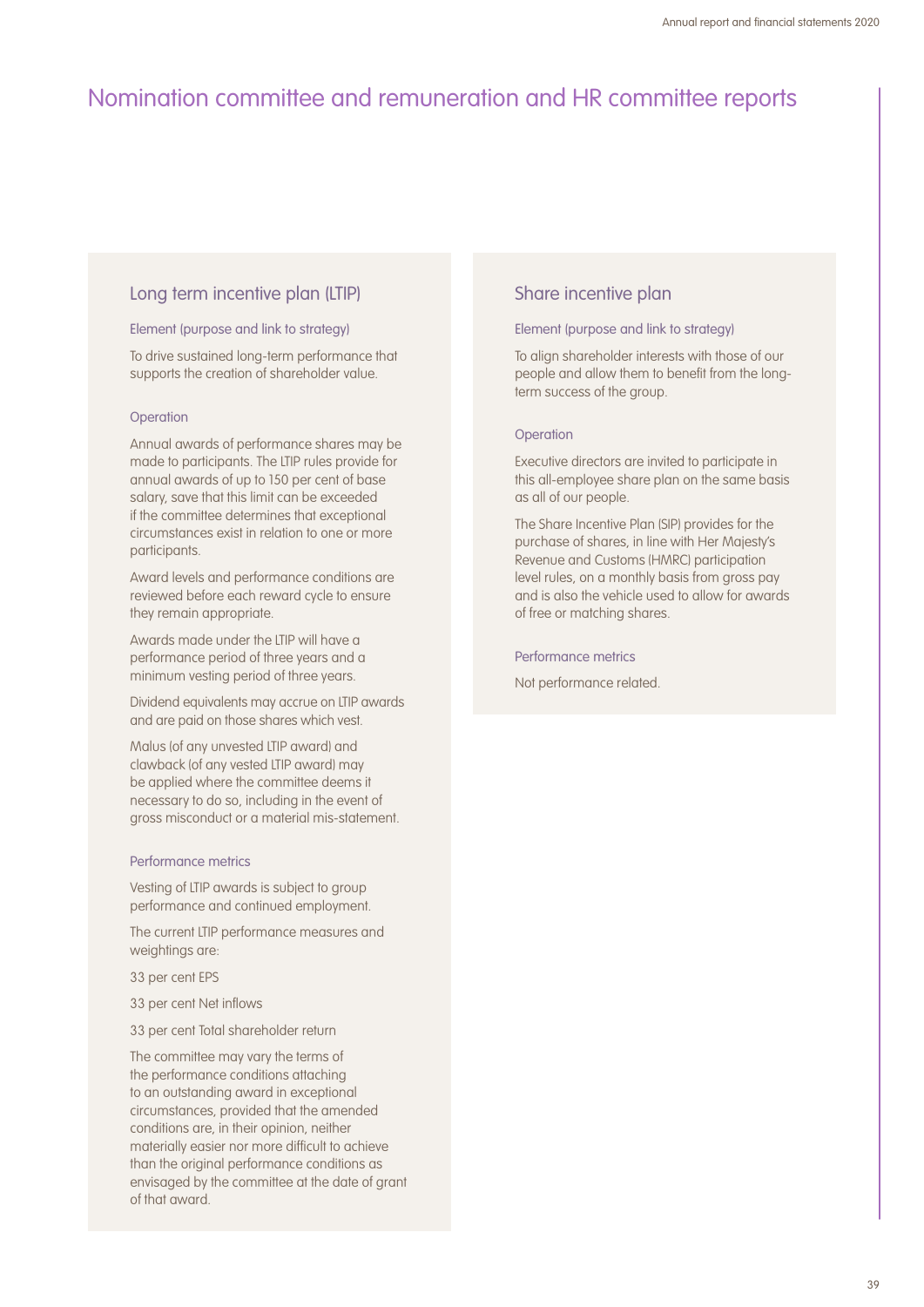### Long term incentive plan (LTIP)

#### Element (purpose and link to strategy)

To drive sustained long-term performance that supports the creation of shareholder value.

#### **Operation**

Annual awards of performance shares may be made to participants. The LTIP rules provide for annual awards of up to 150 per cent of base salary, save that this limit can be exceeded if the committee determines that exceptional circumstances exist in relation to one or more participants.

Award levels and performance conditions are reviewed before each reward cycle to ensure they remain appropriate.

Awards made under the LTIP will have a performance period of three years and a minimum vesting period of three years.

Dividend equivalents may accrue on LTIP awards and are paid on those shares which vest.

Malus (of any unvested LTIP award) and clawback (of any vested LTIP award) may be applied where the committee deems it necessary to do so, including in the event of gross misconduct or a material mis-statement.

### Performance metrics

Vesting of LTIP awards is subject to group performance and continued employment.

The current LTIP performance measures and weightings are:

33 per cent EPS

- 33 per cent Net inflows
- 33 per cent Total shareholder return

The committee may vary the terms of the performance conditions attaching to an outstanding award in exceptional circumstances, provided that the amended conditions are, in their opinion, neither materially easier nor more difficult to achieve than the original performance conditions as envisaged by the committee at the date of grant of that award.

### Share incentive plan

#### Element (purpose and link to strategy)

To align shareholder interests with those of our people and allow them to benefit from the longterm success of the group.

#### **Operation**

Executive directors are invited to participate in this all-employee share plan on the same basis as all of our people.

The Share Incentive Plan (SIP) provides for the purchase of shares, in line with Her Majesty's Revenue and Customs (HMRC) participation level rules, on a monthly basis from gross pay and is also the vehicle used to allow for awards of free or matching shares.

#### Performance metrics

Not performance related.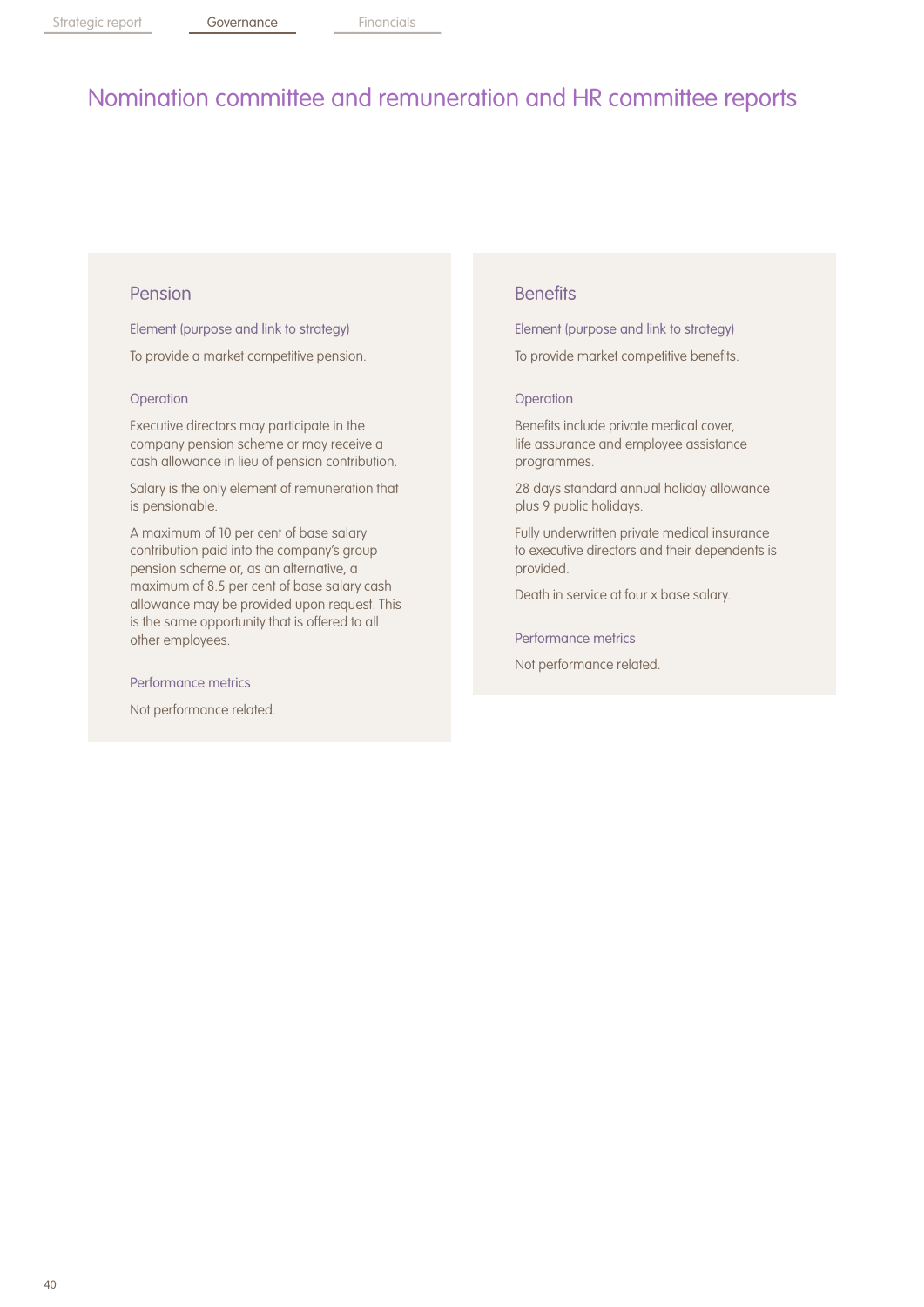### Pension

Element (purpose and link to strategy)

To provide a market competitive pension.

### **Operation**

Executive directors may participate in the company pension scheme or may receive a cash allowance in lieu of pension contribution.

Salary is the only element of remuneration that is pensionable.

A maximum of 10 per cent of base salary contribution paid into the company's group pension scheme or, as an alternative, a maximum of 8.5 per cent of base salary cash allowance may be provided upon request. This is the same opportunity that is offered to all other employees.

#### Performance metrics

Not performance related.

### **Benefits**

Element (purpose and link to strategy)

To provide market competitive benefits.

#### **Operation**

Benefits include private medical cover, life assurance and employee assistance programmes.

28 days standard annual holiday allowance plus 9 public holidays.

Fully underwritten private medical insurance to executive directors and their dependents is provided.

Death in service at four x base salary.

Performance metrics

Not performance related.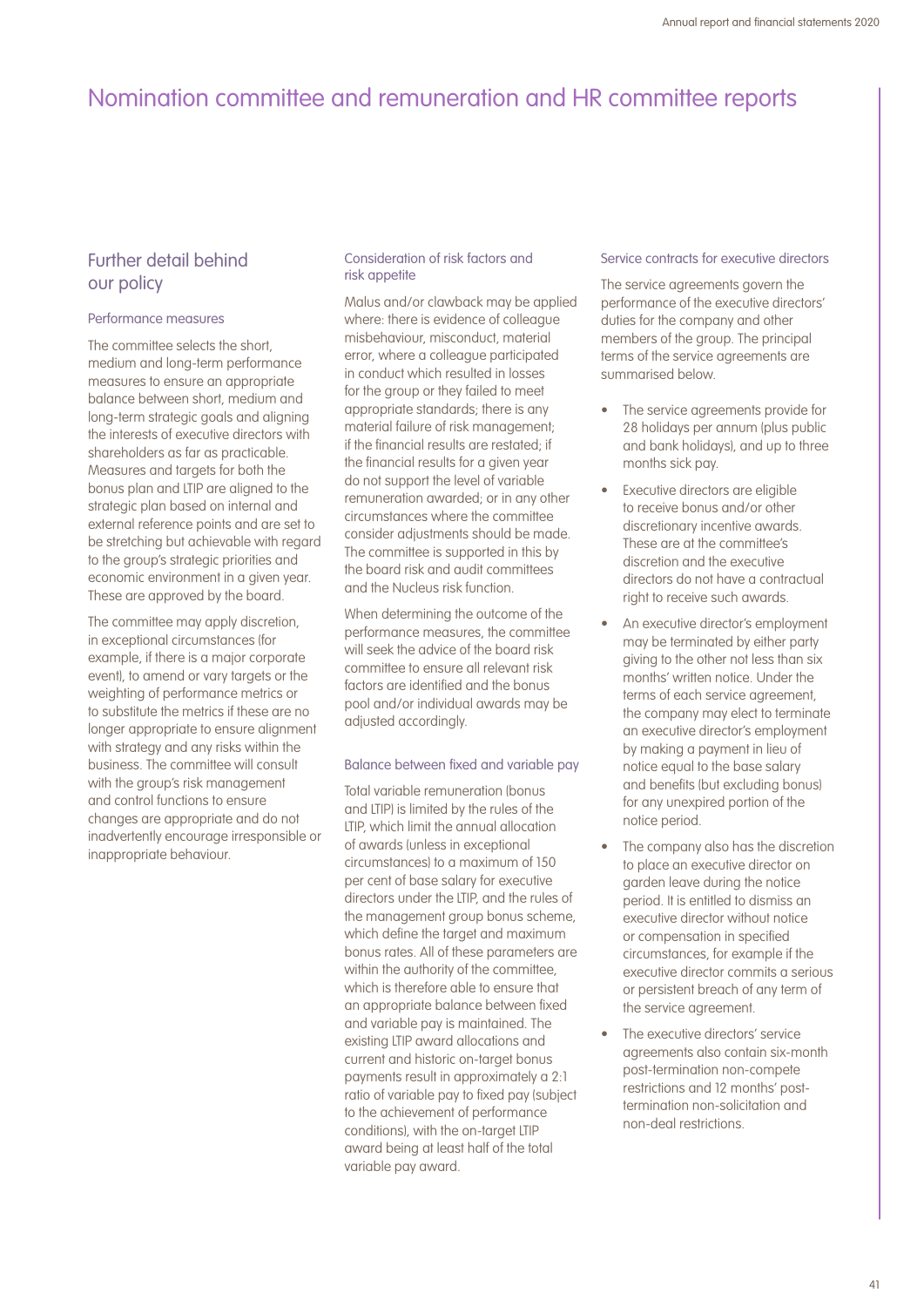## Further detail behind our policy

### Performance measures

The committee selects the short. medium and long-term performance measures to ensure an appropriate balance between short, medium and long-term strategic goals and aligning the interests of executive directors with shareholders as far as practicable. Measures and targets for both the bonus plan and LTIP are aligned to the strategic plan based on internal and external reference points and are set to be stretching but achievable with regard to the group's strategic priorities and economic environment in a given year. These are approved by the board.

The committee may apply discretion, in exceptional circumstances (for example, if there is a major corporate event), to amend or vary targets or the weighting of performance metrics or to substitute the metrics if these are no longer appropriate to ensure alignment with strategy and any risks within the business. The committee will consult with the group's risk management and control functions to ensure changes are appropriate and do not inadvertently encourage irresponsible or inappropriate behaviour.

### Consideration of risk factors and risk appetite

Malus and/or clawback may be applied where: there is evidence of colleague misbehaviour, misconduct, material error, where a colleague participated in conduct which resulted in losses for the group or they failed to meet appropriate standards; there is any material failure of risk management; if the financial results are restated; if the financial results for a given year do not support the level of variable remuneration awarded; or in any other circumstances where the committee consider adjustments should be made. The committee is supported in this by the board risk and audit committees and the Nucleus risk function.

When determining the outcome of the performance measures, the committee will seek the advice of the board risk committee to ensure all relevant risk factors are identified and the bonus pool and/or individual awards may be adjusted accordingly.

### Balance between fixed and variable pay

Total variable remuneration (bonus and LTIP) is limited by the rules of the LTIP, which limit the annual allocation of awards (unless in exceptional circumstances) to a maximum of 150 per cent of base salary for executive directors under the LTIP, and the rules of the management group bonus scheme, which define the target and maximum bonus rates. All of these parameters are within the authority of the committee. which is therefore able to ensure that an appropriate balance between fixed and variable pay is maintained. The existing LTIP award allocations and current and historic on-target bonus payments result in approximately a 2:1 ratio of variable pay to fixed pay (subject to the achievement of performance conditions), with the on-target LTIP award being at least half of the total variable pay award.

#### Service contracts for executive directors

The service agreements govern the performance of the executive directors' duties for the company and other members of the group. The principal terms of the service agreements are summarised below.

- The service agreements provide for 28 holidays per annum (plus public and bank holidays), and up to three months sick pay.
- Executive directors are eligible to receive bonus and/or other discretionary incentive awards. These are at the committee's discretion and the executive directors do not have a contractual right to receive such awards.
- An executive director's employment may be terminated by either party giving to the other not less than six months' written notice. Under the terms of each service agreement, the company may elect to terminate an executive director's employment by making a payment in lieu of notice equal to the base salary and benefits (but excluding bonus) for any unexpired portion of the notice period.
- The company also has the discretion to place an executive director on garden leave during the notice period. It is entitled to dismiss an executive director without notice or compensation in specified circumstances, for example if the executive director commits a serious or persistent breach of any term of the service agreement.
- The executive directors' service agreements also contain six-month post-termination non-compete restrictions and 12 months' posttermination non-solicitation and non-deal restrictions.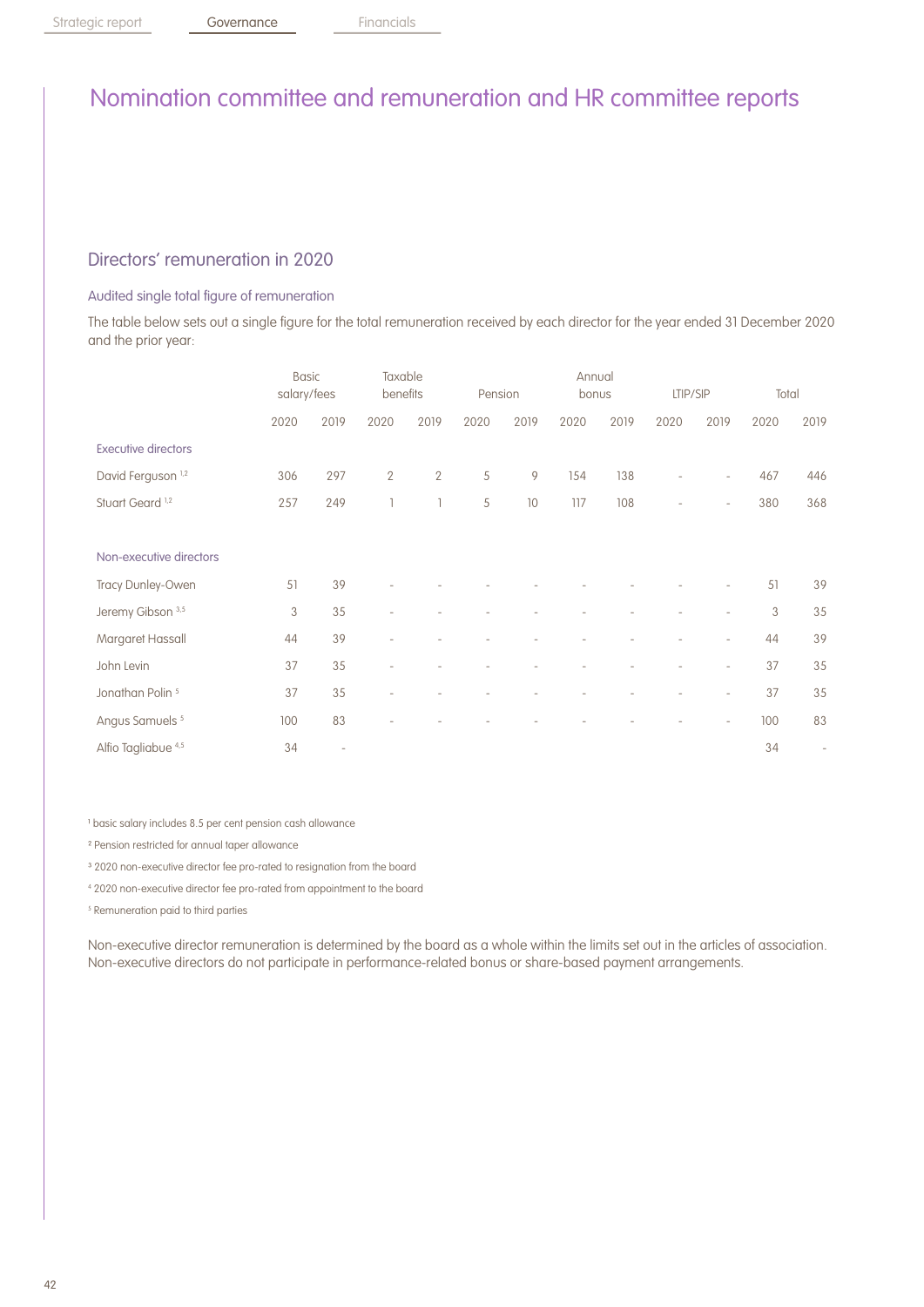## Directors' remuneration in 2020

### Audited single total figure of remuneration

The table below sets out a single figure for the total remuneration received by each director for the year ended 31 December 2020 and the prior year:

|                                | <b>Basic</b><br>salary/fees |                          | Taxable<br>benefits |                | Pension |      | Annual<br>bonus |      | LTIP/SIP                 |                          | Total |                          |
|--------------------------------|-----------------------------|--------------------------|---------------------|----------------|---------|------|-----------------|------|--------------------------|--------------------------|-------|--------------------------|
|                                | 2020                        | 2019                     | 2020                | 2019           | 2020    | 2019 | 2020            | 2019 | 2020                     | 2019                     | 2020  | 2019                     |
| <b>Executive directors</b>     |                             |                          |                     |                |         |      |                 |      |                          |                          |       |                          |
| David Ferguson <sup>1,2</sup>  | 306                         | 297                      | $\overline{2}$      | $\overline{2}$ | 5       | 9    | 154             | 138  | $\overline{\phantom{0}}$ | $\overline{\phantom{a}}$ | 467   | 446                      |
| Stuart Geard <sup>1,2</sup>    | 257                         | 249                      |                     | T              | 5       | 10   | 117             | 108  | $\overline{a}$           | $\overline{\phantom{a}}$ | 380   | 368                      |
|                                |                             |                          |                     |                |         |      |                 |      |                          |                          |       |                          |
| Non-executive directors        |                             |                          |                     |                |         |      |                 |      |                          |                          |       |                          |
| Tracy Dunley-Owen              | 51                          | 39                       |                     |                |         |      |                 |      |                          |                          | 51    | 39                       |
| Jeremy Gibson 3,5              | 3                           | 35                       |                     |                |         |      |                 |      |                          |                          | 3     | 35                       |
| Margaret Hassall               | 44                          | 39                       | $\qquad \qquad -$   |                |         |      |                 |      |                          | $\overline{\phantom{a}}$ | 44    | 39                       |
| John Levin                     | 37                          | 35                       |                     |                |         |      |                 |      |                          | $\overline{\phantom{a}}$ | 37    | 35                       |
| Jonathan Polin <sup>5</sup>    | 37                          | 35                       | $\overline{a}$      |                |         |      |                 |      |                          | $\overline{\phantom{a}}$ | 37    | 35                       |
| Angus Samuels <sup>5</sup>     | 100                         | 83                       |                     |                |         |      |                 |      |                          | $\overline{\phantom{a}}$ | 100   | 83                       |
| Alfio Tagliabue <sup>4,5</sup> | 34                          | $\overline{\phantom{a}}$ |                     |                |         |      |                 |      |                          |                          | 34    | $\overline{\phantom{a}}$ |

<sup>1</sup> basic salary includes 8.5 per cent pension cash allowance

- ² Pension restricted for annual taper allowance
- <sup>3</sup> 2020 non-executive director fee pro-rated to resignation from the board
- 4 2020 non-executive director fee pro-rated from appointment to the board
- 5 Remuneration paid to third parties

Non-executive director remuneration is determined by the board as a whole within the limits set out in the articles of association. Non-executive directors do not participate in performance-related bonus or share-based payment arrangements.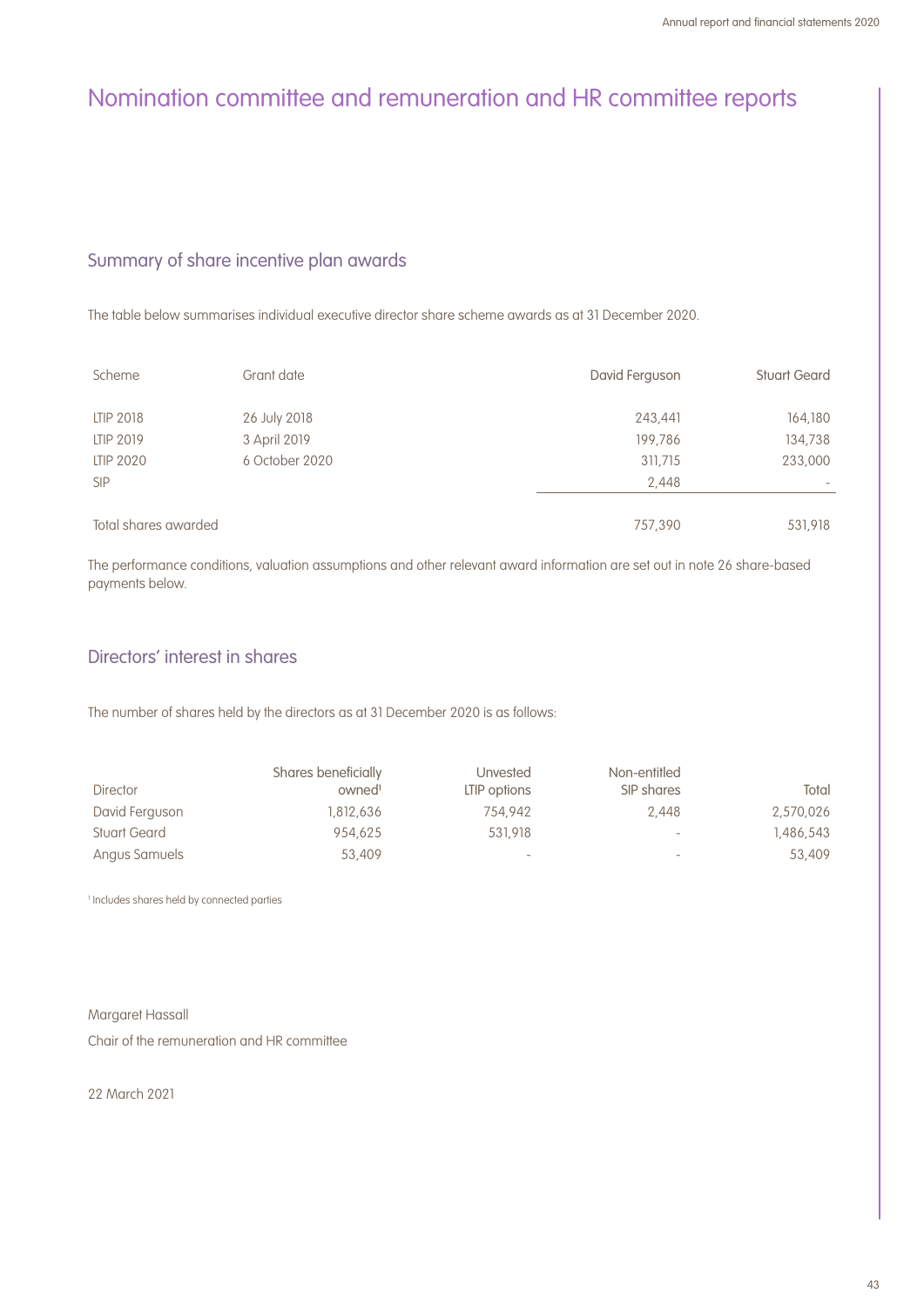## Summary of share incentive plan awards

The table below summarises individual executive director share scheme awards as at 31 December 2020.

| Scheme               | Grant date     | David Ferguson | <b>Stuart Geard</b> |
|----------------------|----------------|----------------|---------------------|
| LTIP 2018            | 26 July 2018   | 243,441        | 164,180             |
| LTIP 2019            | 3 April 2019   | 199.786        | 134,738             |
| <b>LTIP 2020</b>     | 6 October 2020 | 311,715        | 233,000             |
| <b>SIP</b>           |                | 2,448          |                     |
|                      |                |                |                     |
| Total shares awarded |                | 757,390        | 531,918             |

The performance conditions, valuation assumptions and other relevant award information are set out in note 26 share-based payments below.

## Directors' interest in shares

The number of shares held by the directors as at 31 December 2020 is as follows:

|                     | Shares beneficially | <b>Unvested</b>          | Non-entitled             |           |
|---------------------|---------------------|--------------------------|--------------------------|-----------|
| <b>Director</b>     | owned <sup>1</sup>  | LTIP options             | SIP shares               | Total     |
| David Ferguson      | 1.812.636           | 754.942                  | 2.448                    | 2,570,026 |
| <b>Stuart Geard</b> | 954.625             | 531.918                  | $\overline{\phantom{a}}$ | 1.486.543 |
| Angus Samuels       | 53,409              | $\overline{\phantom{a}}$ | $\overline{\phantom{a}}$ | 53,409    |

1 Includes shares held by connected parties

Margaret Hassall

Chair of the remuneration and HR committee

22 March 2021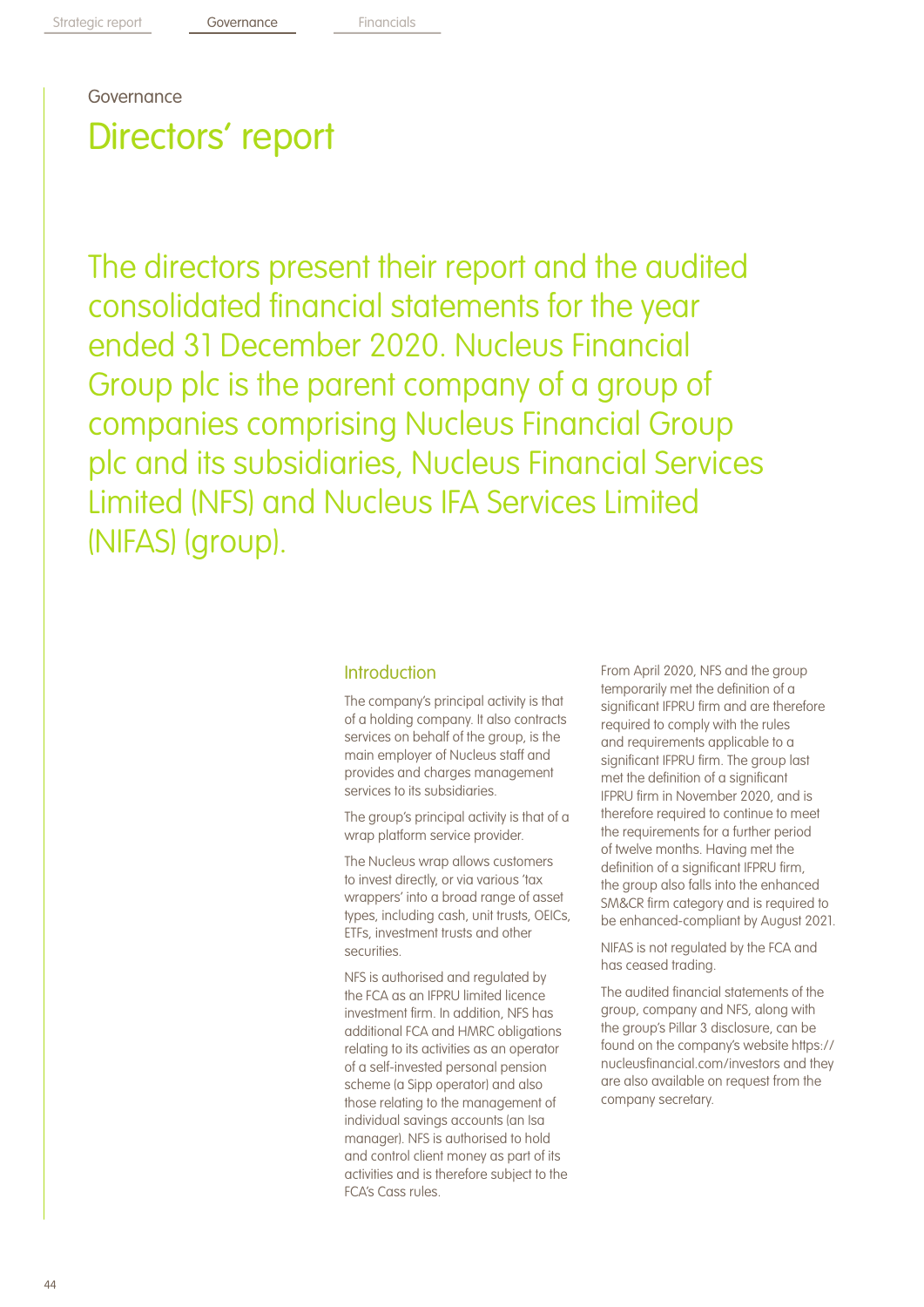# Directors' report Governance

The directors present their report and the audited consolidated financial statements for the year ended 31 December 2020. Nucleus Financial Group plc is the parent company of a group of companies comprising Nucleus Financial Group plc and its subsidiaries, Nucleus Financial Services Limited (NFS) and Nucleus IFA Services Limited (NIFAS) (group).

### Introduction

The company's principal activity is that of a holding company. It also contracts services on behalf of the group, is the main employer of Nucleus staff and provides and charges management services to its subsidiaries.

The group's principal activity is that of a wrap platform service provider.

The Nucleus wrap allows customers to invest directly, or via various 'tax wrappers' into a broad range of asset types, including cash, unit trusts, OEICs, ETFs, investment trusts and other securities.

NFS is authorised and regulated by the FCA as an IFPRU limited licence investment firm. In addition, NFS has additional FCA and HMRC obligations relating to its activities as an operator of a self-invested personal pension scheme (a Sipp operator) and also those relating to the management of individual savings accounts (an Isa manager). NFS is authorised to hold and control client money as part of its activities and is therefore subject to the FCA's Cass rules.

From April 2020, NFS and the group temporarily met the definition of a significant IFPRU firm and are therefore required to comply with the rules and requirements applicable to a significant IFPRU firm. The group last met the definition of a significant IFPRU firm in November 2020, and is therefore required to continue to meet the requirements for a further period of twelve months. Having met the definition of a significant IFPRU firm, the group also falls into the enhanced SM&CR firm category and is required to be enhanced-compliant by August 2021.

NIFAS is not regulated by the FCA and has ceased trading.

The audited financial statements of the group, company and NFS, along with the group's Pillar 3 disclosure, can be found on the company's website https:// nucleusfinancial.com/investors and they are also available on request from the company secretary.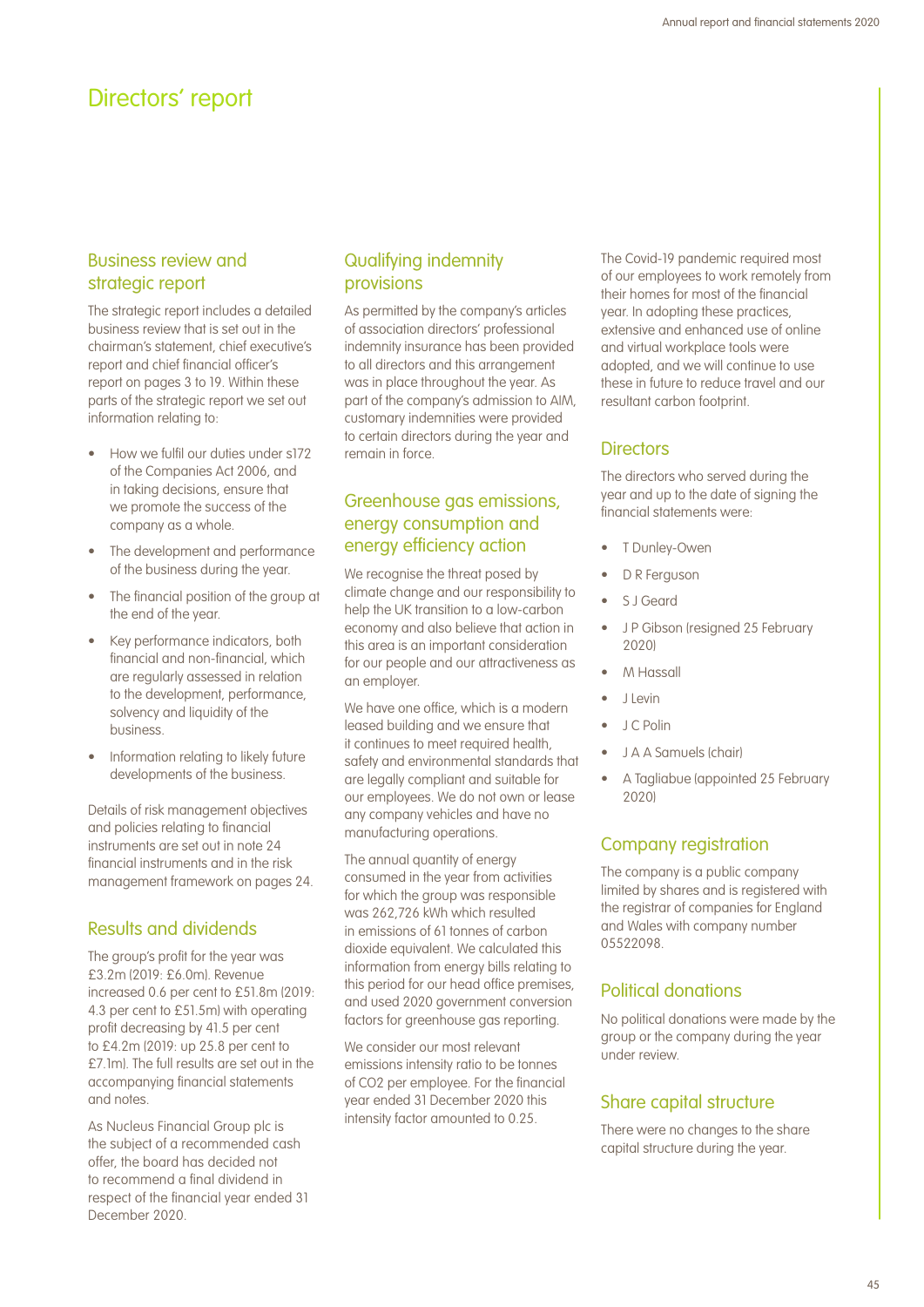## Directors' report

## Business review and strategic report

The strategic report includes a detailed business review that is set out in the chairman's statement, chief executive's report and chief financial officer's report on pages 3 to 19. Within these parts of the strategic report we set out information relating to:

- How we fulfil our duties under s172 of the Companies Act 2006, and in taking decisions, ensure that we promote the success of the company as a whole.
- The development and performance of the business during the year.
- The financial position of the group at the end of the year.
- Key performance indicators, both financial and non-financial, which are regularly assessed in relation to the development, performance, solvency and liquidity of the business.
- Information relating to likely future developments of the business.

Details of risk management objectives and policies relating to financial instruments are set out in note 24 financial instruments and in the risk management framework on pages 24.

## Results and dividends

The group's profit for the year was £3.2m (2019: £6.0m). Revenue increased 0.6 per cent to £51.8m (2019: 4.3 per cent to £51.5m) with operating profit decreasing by 41.5 per cent to £4.2m (2019: up 25.8 per cent to £7.1m). The full results are set out in the accompanying financial statements and notes.

As Nucleus Financial Group plc is the subject of a recommended cash offer, the board has decided not to recommend a final dividend in respect of the financial year ended 31 December 2020.

## Qualifying indemnity provisions

As permitted by the company's articles of association directors' professional indemnity insurance has been provided to all directors and this arrangement was in place throughout the year. As part of the company's admission to AIM, customary indemnities were provided to certain directors during the year and remain in force.

## Greenhouse gas emissions, energy consumption and energy efficiency action

We recognise the threat posed by climate change and our responsibility to help the UK transition to a low-carbon economy and also believe that action in this area is an important consideration for our people and our attractiveness as an employer.

We have one office, which is a modern leased building and we ensure that it continues to meet required health, safety and environmental standards that are legally compliant and suitable for our employees. We do not own or lease any company vehicles and have no manufacturing operations.

The annual quantity of energy consumed in the year from activities for which the group was responsible was 262,726 kWh which resulted in emissions of 61 tonnes of carbon dioxide equivalent. We calculated this information from energy bills relating to this period for our head office premises, and used 2020 government conversion factors for greenhouse gas reporting.

We consider our most relevant emissions intensity ratio to be tonnes of CO2 per employee. For the financial year ended 31 December 2020 this intensity factor amounted to 0.25.

The Covid-19 pandemic required most of our employees to work remotely from their homes for most of the financial year. In adopting these practices, extensive and enhanced use of online and virtual workplace tools were adopted, and we will continue to use these in future to reduce travel and our resultant carbon footprint.

## **Directors**

The directors who served during the year and up to the date of signing the financial statements were:

- T Dunley-Owen
- D R Ferguson
- S J Geard
- J P Gibson (resigned 25 February 2020)
- M Hassall
- J Levin
- J C Polin
- J A A Samuels (chair)
- A Tagliabue (appointed 25 February 2020)

## Company registration

The company is a public company limited by shares and is registered with the registrar of companies for England and Wales with company number 05522098.

## Political donations

No political donations were made by the group or the company during the year under review.

## Share capital structure

There were no changes to the share capital structure during the year.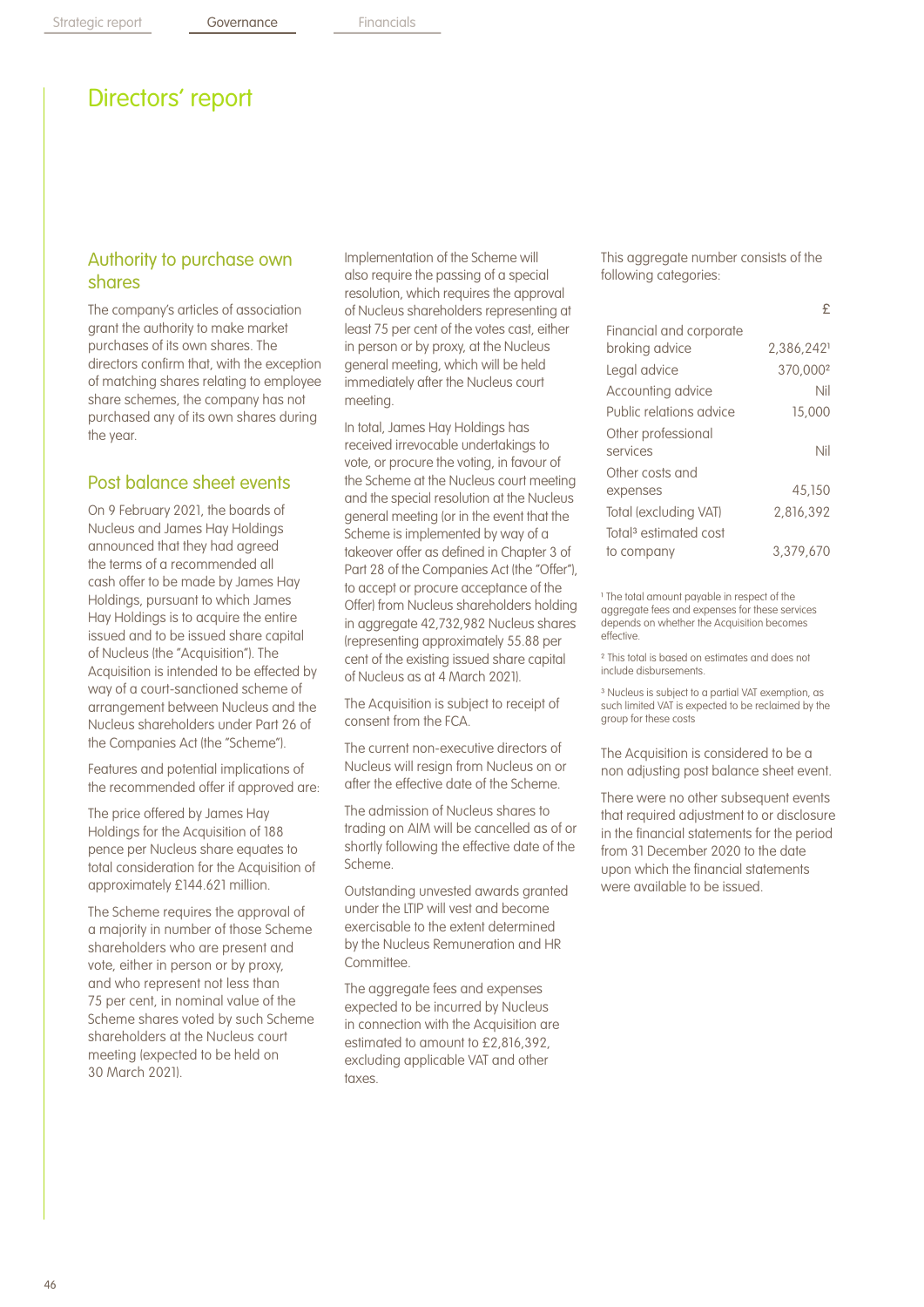## Directors' report

## Authority to purchase own shares

The company's articles of association grant the authority to make market purchases of its own shares. The directors confirm that, with the exception of matching shares relating to employee share schemes, the company has not purchased any of its own shares during the year.

## Post balance sheet events

On 9 February 2021, the boards of Nucleus and James Hay Holdings announced that they had agreed the terms of a recommended all cash offer to be made by James Hay Holdings, pursuant to which James Hay Holdings is to acquire the entire issued and to be issued share capital of Nucleus (the "Acquisition"). The Acquisition is intended to be effected by way of a court-sanctioned scheme of arrangement between Nucleus and the Nucleus shareholders under Part 26 of the Companies Act (the "Scheme").

Features and potential implications of the recommended offer if approved are:

The price offered by James Hay Holdings for the Acquisition of 188 pence per Nucleus share equates to total consideration for the Acquisition of approximately £144.621 million.

The Scheme requires the approval of a majority in number of those Scheme shareholders who are present and vote, either in person or by proxy, and who represent not less than 75 per cent, in nominal value of the Scheme shares voted by such Scheme shareholders at the Nucleus court meeting (expected to be held on 30 March 2021).

Implementation of the Scheme will also require the passing of a special resolution, which requires the approval of Nucleus shareholders representing at least 75 per cent of the votes cast, either in person or by proxy, at the Nucleus general meeting, which will be held immediately after the Nucleus court meeting.

In total, James Hay Holdings has received irrevocable undertakings to vote, or procure the voting, in favour of the Scheme at the Nucleus court meeting and the special resolution at the Nucleus general meeting (or in the event that the Scheme is implemented by way of a takeover offer as defined in Chapter 3 of Part 28 of the Companies Act (the "Offer"), to accept or procure acceptance of the Offer) from Nucleus shareholders holding in aggregate 42,732,982 Nucleus shares (representing approximately 55.88 per cent of the existing issued share capital of Nucleus as at 4 March 2021).

The Acquisition is subject to receipt of consent from the FCA.

The current non-executive directors of Nucleus will resign from Nucleus on or after the effective date of the Scheme.

The admission of Nucleus shares to trading on AIM will be cancelled as of or shortly following the effective date of the Scheme.

Outstanding unvested awards granted under the LTIP will vest and become exercisable to the extent determined by the Nucleus Remuneration and HR Committee.

The aggregate fees and expenses expected to be incurred by Nucleus in connection with the Acquisition are estimated to amount to £2,816,392, excluding applicable VAT and other taxes.

This aggregate number consists of the following categories:

£

| Financial and corporate           |            |
|-----------------------------------|------------|
| broking advice                    | 2.386.2421 |
| Legal advice                      | 370,0002   |
| Accounting advice                 | Nil        |
| Public relations advice           | 15,000     |
| Other professional                |            |
| services                          | Nil        |
| Other costs and                   |            |
| expenses                          | 45.150     |
| Total (excluding VAT)             | 2,816,392  |
| Total <sup>3</sup> estimated cost |            |
| to company                        | 3.379.670  |
|                                   |            |

<sup>1</sup> The total amount payable in respect of the aggregate fees and expenses for these services depends on whether the Acquisition becomes effective.

² This total is based on estimates and does not include disbursements.

³ Nucleus is subject to a partial VAT exemption, as such limited VAT is expected to be reclaimed by the group for these costs

The Acquisition is considered to be a non adjusting post balance sheet event.

There were no other subsequent events that required adjustment to or disclosure in the financial statements for the period from 31 December 2020 to the date upon which the financial statements were available to be issued.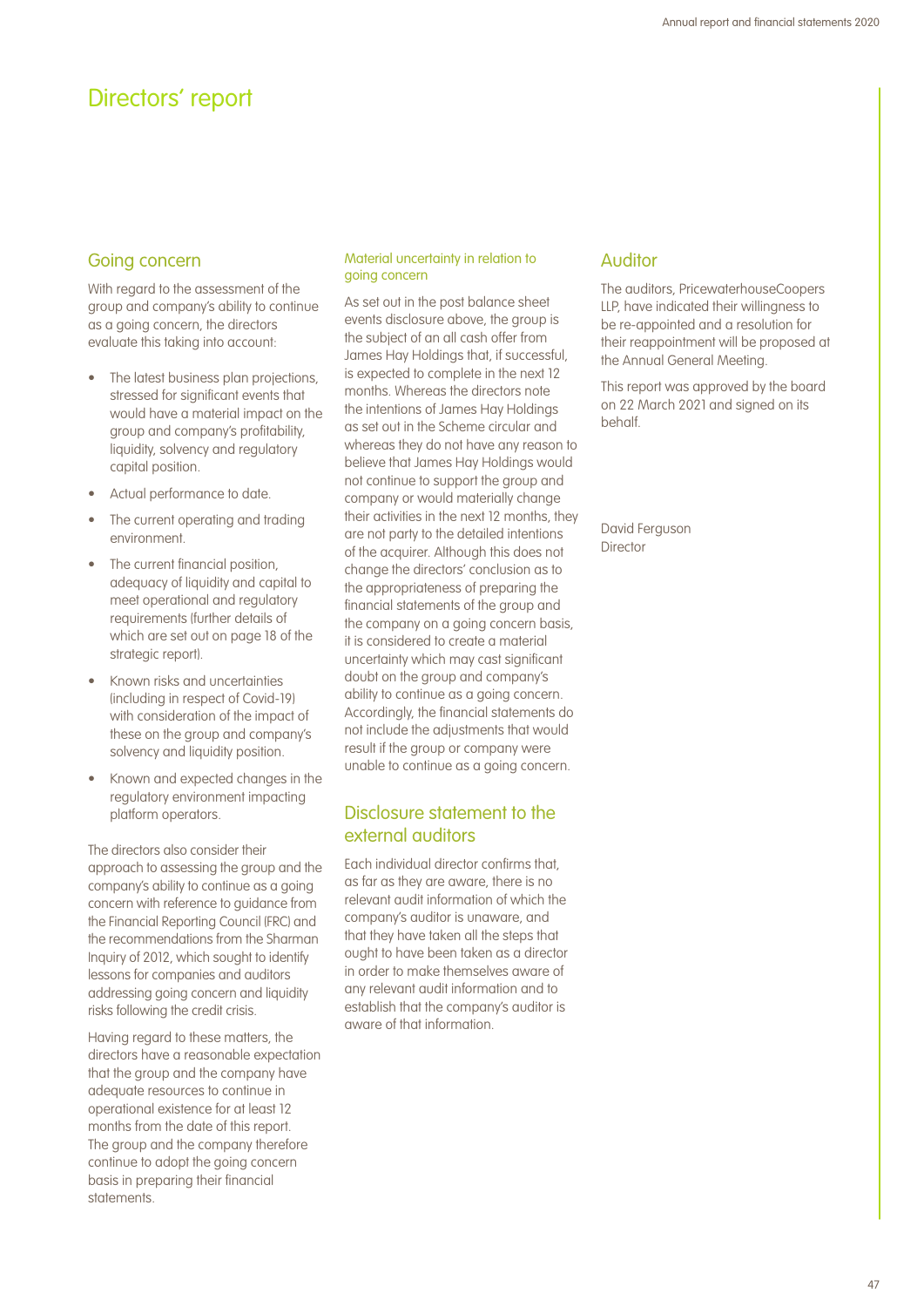## Directors' report

### Going concern

With regard to the assessment of the group and company's ability to continue as a going concern, the directors evaluate this taking into account:

- The latest business plan projections, stressed for significant events that would have a material impact on the group and company's profitability, liquidity, solvency and regulatory capital position.
- Actual performance to date.
- The current operating and trading environment.
- The current financial position, adequacy of liquidity and capital to meet operational and regulatory requirements (further details of which are set out on page 18 of the strategic report).
- Known risks and uncertainties (including in respect of Covid-19) with consideration of the impact of these on the group and company's solvency and liquidity position.
- Known and expected changes in the regulatory environment impacting platform operators.

The directors also consider their approach to assessing the group and the company's ability to continue as a going concern with reference to guidance from the Financial Reporting Council (FRC) and the recommendations from the Sharman Inquiry of 2012, which sought to identify lessons for companies and auditors addressing going concern and liquidity risks following the credit crisis.

Having regard to these matters, the directors have a reasonable expectation that the group and the company have adequate resources to continue in operational existence for at least 12 months from the date of this report. The group and the company therefore continue to adopt the going concern basis in preparing their financial statements.

### Material uncertainty in relation to going concern

As set out in the post balance sheet events disclosure above, the group is the subject of an all cash offer from James Hay Holdings that, if successful, is expected to complete in the next 12 months. Whereas the directors note the intentions of James Hay Holdings as set out in the Scheme circular and whereas they do not have any reason to believe that James Hay Holdings would not continue to support the group and company or would materially change their activities in the next 12 months, they are not party to the detailed intentions of the acquirer. Although this does not change the directors' conclusion as to the appropriateness of preparing the financial statements of the group and the company on a going concern basis. it is considered to create a material uncertainty which may cast significant doubt on the group and company's ability to continue as a going concern. Accordingly, the financial statements do not include the adjustments that would result if the group or company were unable to continue as a going concern.

## Disclosure statement to the external auditors

Each individual director confirms that, as far as they are aware, there is no relevant audit information of which the company's auditor is unaware, and that they have taken all the steps that ought to have been taken as a director in order to make themselves aware of any relevant audit information and to establish that the company's auditor is aware of that information.

### Auditor

The auditors, PricewaterhouseCoopers LLP, have indicated their willingness to be re-appointed and a resolution for their reappointment will be proposed at the Annual General Meeting.

This report was approved by the board on 22 March 2021 and signed on its behalf.

David Ferguson Director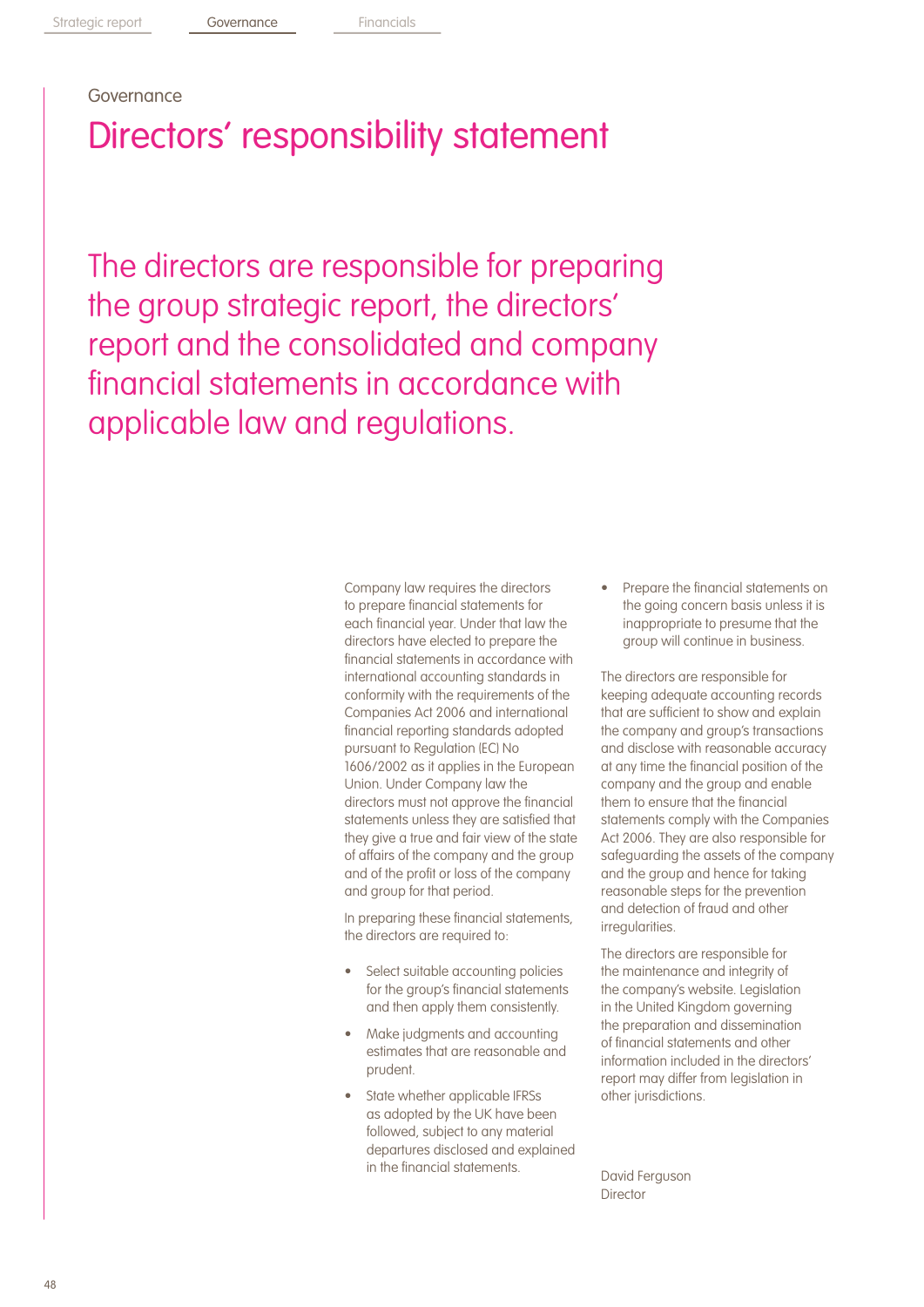## Governance

# Directors' responsibility statement

The directors are responsible for preparing the group strategic report, the directors' report and the consolidated and company financial statements in accordance with applicable law and regulations.

> Company law requires the directors to prepare financial statements for each financial year. Under that law the directors have elected to prepare the financial statements in accordance with international accounting standards in conformity with the requirements of the Companies Act 2006 and international financial reporting standards adopted pursuant to Regulation (EC) No 1606/2002 as it applies in the European Union. Under Company law the directors must not approve the financial statements unless they are satisfied that they give a true and fair view of the state of affairs of the company and the group and of the profit or loss of the company and group for that period.

In preparing these financial statements, the directors are required to:

- Select suitable accounting policies for the group's financial statements and then apply them consistently.
- Make judgments and accounting estimates that are reasonable and prudent.
- State whether applicable IFRSs as adopted by the UK have been followed, subject to any material departures disclosed and explained in the financial statements.

• Prepare the financial statements on the going concern basis unless it is inappropriate to presume that the group will continue in business.

The directors are responsible for keeping adequate accounting records that are sufficient to show and explain the company and group's transactions and disclose with reasonable accuracy at any time the financial position of the company and the group and enable them to ensure that the financial statements comply with the Companies Act 2006. They are also responsible for safeguarding the assets of the company and the group and hence for taking reasonable steps for the prevention and detection of fraud and other irregularities.

The directors are responsible for the maintenance and integrity of the company's website. Legislation in the United Kingdom governing the preparation and dissemination of financial statements and other information included in the directors' report may differ from legislation in other jurisdictions.

David Ferguson **Director**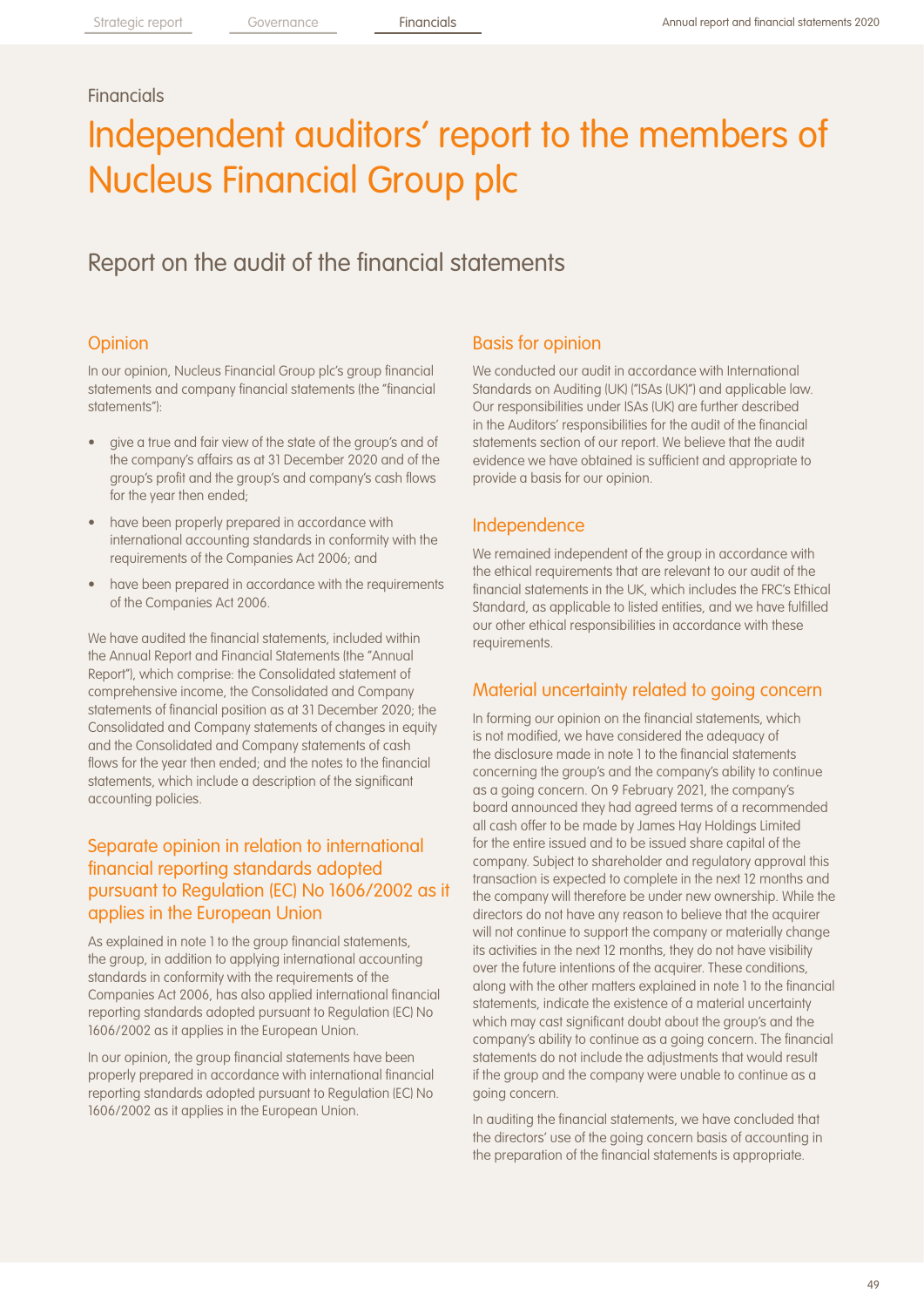## **Financials**

# Independent auditors' report to the members of Nucleus Financial Group plc

## Report on the audit of the financial statements

### **Opinion**

In our opinion, Nucleus Financial Group plc's group financial statements and company financial statements (the "financial statements"):

- give a true and fair view of the state of the group's and of the company's affairs as at 31 December 2020 and of the group's profit and the group's and company's cash flows for the year then ended;
- have been properly prepared in accordance with international accounting standards in conformity with the requirements of the Companies Act 2006; and
- have been prepared in accordance with the requirements of the Companies Act 2006.

We have audited the financial statements, included within the Annual Report and Financial Statements (the "Annual Report"), which comprise: the Consolidated statement of comprehensive income, the Consolidated and Company statements of financial position as at 31 December 2020; the Consolidated and Company statements of changes in equity and the Consolidated and Company statements of cash flows for the year then ended; and the notes to the financial statements, which include a description of the significant accounting policies.

## Separate opinion in relation to international financial reporting standards adopted pursuant to Regulation (EC) No 1606/2002 as it applies in the European Union

As explained in note 1 to the group financial statements, the group, in addition to applying international accounting standards in conformity with the requirements of the Companies Act 2006, has also applied international financial reporting standards adopted pursuant to Regulation (EC) No 1606/2002 as it applies in the European Union.

In our opinion, the group financial statements have been properly prepared in accordance with international financial reporting standards adopted pursuant to Regulation (EC) No 1606/2002 as it applies in the European Union.

### Basis for opinion

We conducted our audit in accordance with International Standards on Auditing (UK) ("ISAs (UK)") and applicable law. Our responsibilities under ISAs (UK) are further described in the Auditors' responsibilities for the audit of the financial statements section of our report. We believe that the audit evidence we have obtained is sufficient and appropriate to provide a basis for our opinion.

### Independence

We remained independent of the group in accordance with the ethical requirements that are relevant to our audit of the financial statements in the UK, which includes the FRC's Ethical Standard, as applicable to listed entities, and we have fulfilled our other ethical responsibilities in accordance with these requirements.

### Material uncertainty related to going concern

In forming our opinion on the financial statements, which is not modified, we have considered the adequacy of the disclosure made in note 1 to the financial statements concerning the group's and the company's ability to continue as a going concern. On 9 February 2021, the company's board announced they had agreed terms of a recommended all cash offer to be made by James Hay Holdings Limited for the entire issued and to be issued share capital of the company. Subject to shareholder and regulatory approval this transaction is expected to complete in the next 12 months and the company will therefore be under new ownership. While the directors do not have any reason to believe that the acquirer will not continue to support the company or materially change its activities in the next 12 months, they do not have visibility over the future intentions of the acquirer. These conditions, along with the other matters explained in note 1 to the financial statements, indicate the existence of a material uncertainty which may cast significant doubt about the group's and the company's ability to continue as a going concern. The financial statements do not include the adjustments that would result if the group and the company were unable to continue as a going concern.

In auditing the financial statements, we have concluded that the directors' use of the going concern basis of accounting in the preparation of the financial statements is appropriate.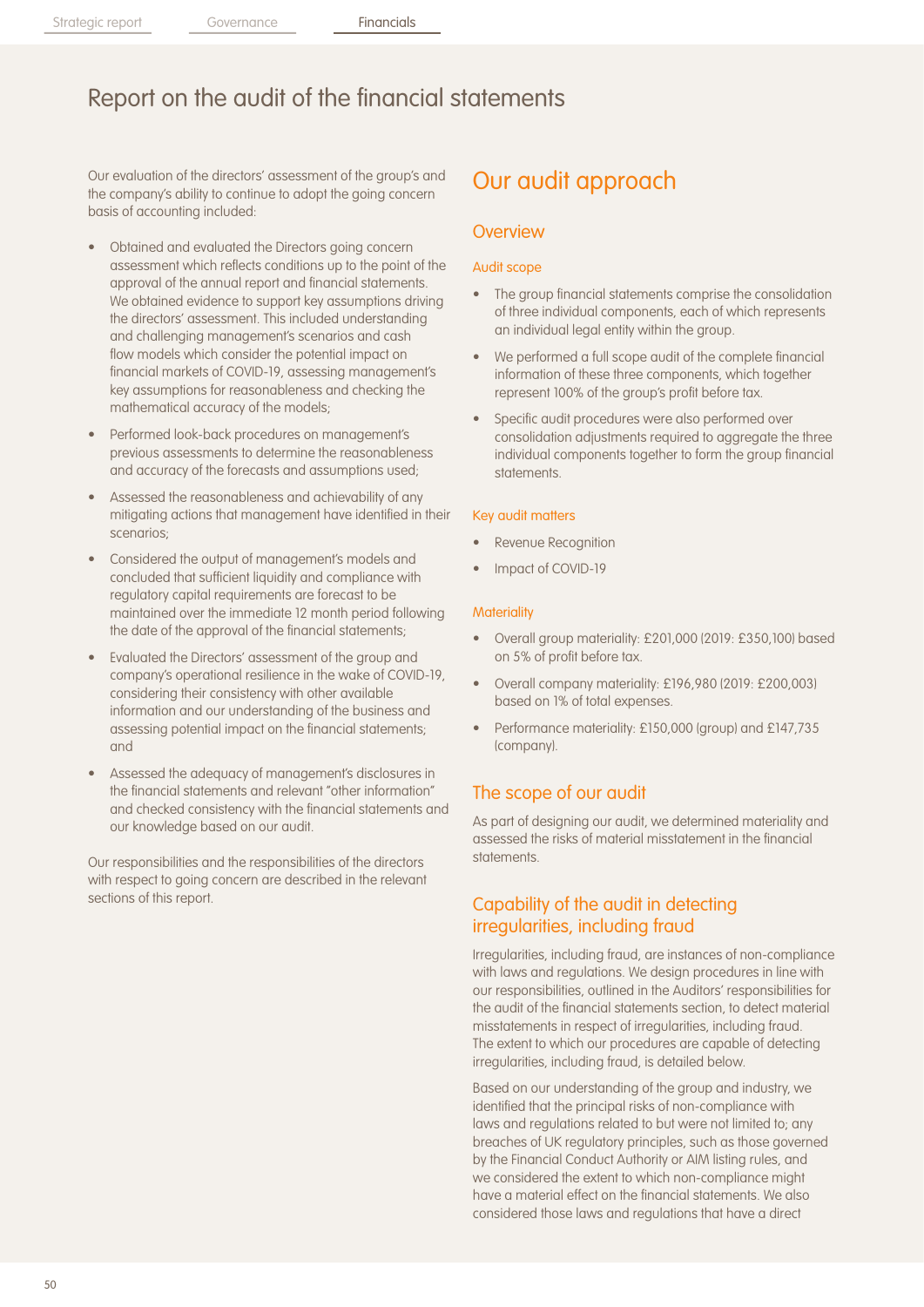Our evaluation of the directors' assessment of the group's and the company's ability to continue to adopt the going concern basis of accounting included:

- Obtained and evaluated the Directors going concern assessment which reflects conditions up to the point of the approval of the annual report and financial statements. We obtained evidence to support key assumptions driving the directors' assessment. This included understanding and challenging management's scenarios and cash flow models which consider the potential impact on financial markets of COVID-19, assessing management's key assumptions for reasonableness and checking the mathematical accuracy of the models;
- Performed look-back procedures on management's previous assessments to determine the reasonableness and accuracy of the forecasts and assumptions used;
- Assessed the reasonableness and achievability of any mitigating actions that management have identified in their scenarios;
- Considered the output of management's models and concluded that sufficient liquidity and compliance with regulatory capital requirements are forecast to be maintained over the immediate 12 month period following the date of the approval of the financial statements;
- Evaluated the Directors' assessment of the group and company's operational resilience in the wake of COVID-19, considering their consistency with other available information and our understanding of the business and assessing potential impact on the financial statements; and
- Assessed the adequacy of management's disclosures in the financial statements and relevant "other information" and checked consistency with the financial statements and our knowledge based on our audit.

Our responsibilities and the responsibilities of the directors with respect to going concern are described in the relevant sections of this report.

## Our audit approach

### **Overview**

#### Audit scope

- The group financial statements comprise the consolidation of three individual components, each of which represents an individual legal entity within the group.
- We performed a full scope audit of the complete financial information of these three components, which together represent 100% of the group's profit before tax.
- Specific audit procedures were also performed over consolidation adjustments required to aggregate the three individual components together to form the group financial statements.

#### Key audit matters

- Revenue Recognition
- Impact of COVID-19

#### **Materiality**

- Overall group materiality: £201,000 (2019: £350,100) based on 5% of profit before tax.
- Overall company materiality: £196,980 (2019: £200,003) based on 1% of total expenses.
- Performance materiality: £150,000 (group) and £147,735 (company).

### The scope of our audit

As part of designing our audit, we determined materiality and assessed the risks of material misstatement in the financial statements.

### Capability of the audit in detecting irregularities, including fraud

Irregularities, including fraud, are instances of non-compliance with laws and regulations. We design procedures in line with our responsibilities, outlined in the Auditors' responsibilities for the audit of the financial statements section, to detect material misstatements in respect of irregularities, including fraud. The extent to which our procedures are capable of detecting irregularities, including fraud, is detailed below.

Based on our understanding of the group and industry, we identified that the principal risks of non-compliance with laws and regulations related to but were not limited to; any breaches of UK regulatory principles, such as those governed by the Financial Conduct Authority or AIM listing rules, and we considered the extent to which non-compliance might have a material effect on the financial statements. We also considered those laws and regulations that have a direct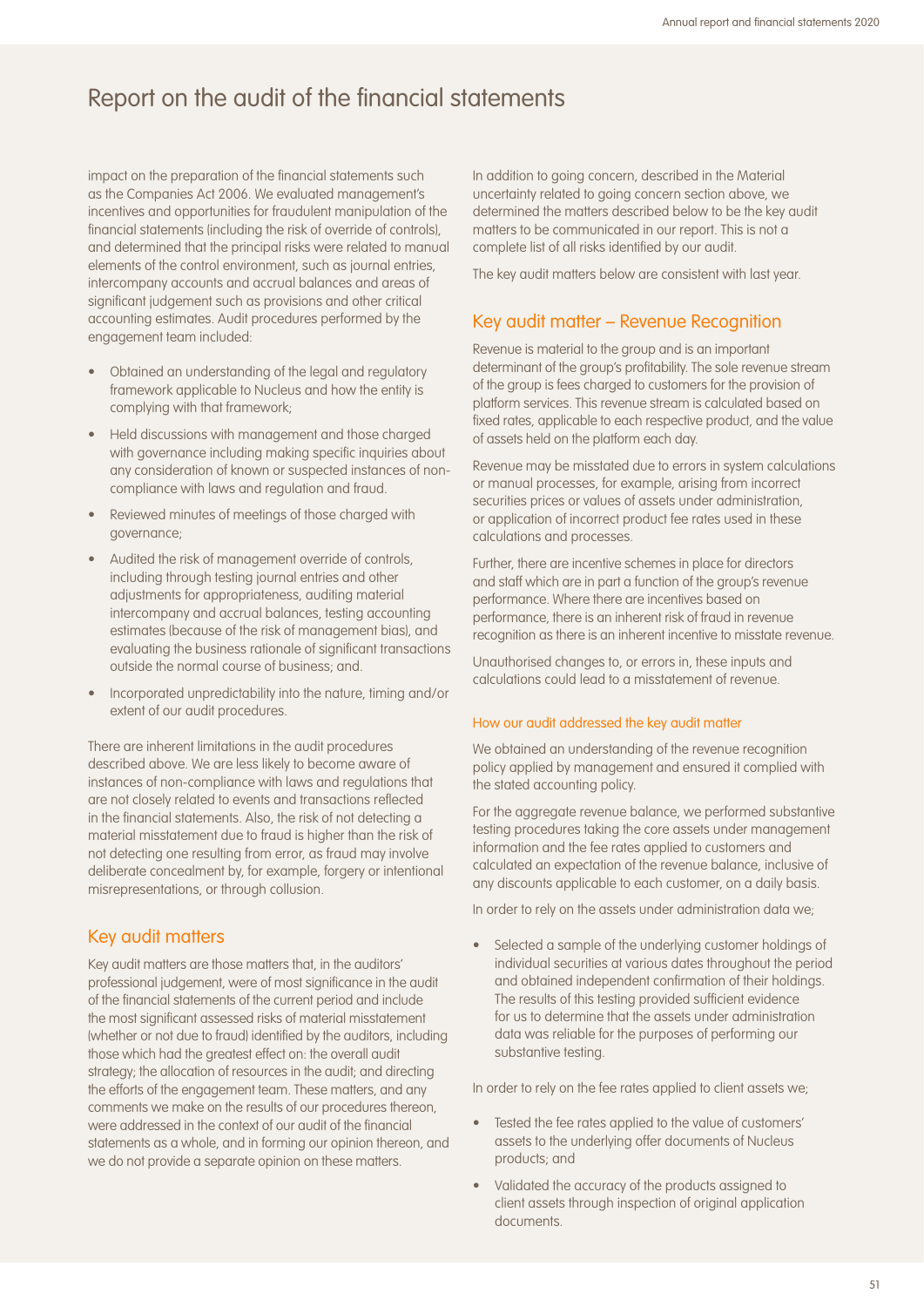impact on the preparation of the financial statements such as the Companies Act 2006. We evaluated management's incentives and opportunities for fraudulent manipulation of the financial statements (including the risk of override of controls), and determined that the principal risks were related to manual elements of the control environment, such as journal entries, intercompany accounts and accrual balances and areas of significant judgement such as provisions and other critical accounting estimates. Audit procedures performed by the engagement team included:

- Obtained an understanding of the legal and regulatory framework applicable to Nucleus and how the entity is complying with that framework;
- Held discussions with management and those charged with governance including making specific inquiries about any consideration of known or suspected instances of noncompliance with laws and regulation and fraud.
- Reviewed minutes of meetings of those charged with governance;
- Audited the risk of management override of controls, including through testing journal entries and other adjustments for appropriateness, auditing material intercompany and accrual balances, testing accounting estimates (because of the risk of management bias), and evaluating the business rationale of significant transactions outside the normal course of business; and.
- Incorporated unpredictability into the nature, timing and/or extent of our audit procedures.

There are inherent limitations in the audit procedures described above. We are less likely to become aware of instances of non-compliance with laws and regulations that are not closely related to events and transactions reflected in the financial statements. Also, the risk of not detecting a material misstatement due to fraud is higher than the risk of not detecting one resulting from error, as fraud may involve deliberate concealment by, for example, forgery or intentional misrepresentations, or through collusion.

### Key audit matters

Key audit matters are those matters that, in the auditors' professional judgement, were of most significance in the audit of the financial statements of the current period and include the most significant assessed risks of material misstatement (whether or not due to fraud) identified by the auditors, including those which had the greatest effect on: the overall audit strategy; the allocation of resources in the audit; and directing the efforts of the engagement team. These matters, and any comments we make on the results of our procedures thereon, were addressed in the context of our audit of the financial statements as a whole, and in forming our opinion thereon, and we do not provide a separate opinion on these matters.

In addition to going concern, described in the Material uncertainty related to going concern section above, we determined the matters described below to be the key audit matters to be communicated in our report. This is not a complete list of all risks identified by our audit.

The key audit matters below are consistent with last year.

## Key audit matter – Revenue Recognition

Revenue is material to the group and is an important determinant of the group's profitability. The sole revenue stream of the group is fees charged to customers for the provision of platform services. This revenue stream is calculated based on fixed rates, applicable to each respective product, and the value of assets held on the platform each day.

Revenue may be misstated due to errors in system calculations or manual processes, for example, arising from incorrect securities prices or values of assets under administration, or application of incorrect product fee rates used in these calculations and processes.

Further, there are incentive schemes in place for directors and staff which are in part a function of the group's revenue performance. Where there are incentives based on performance, there is an inherent risk of fraud in revenue recognition as there is an inherent incentive to misstate revenue.

Unauthorised changes to, or errors in, these inputs and calculations could lead to a misstatement of revenue.

### How our audit addressed the key audit matter

We obtained an understanding of the revenue recognition policy applied by management and ensured it complied with the stated accounting policy.

For the aggregate revenue balance, we performed substantive testing procedures taking the core assets under management information and the fee rates applied to customers and calculated an expectation of the revenue balance, inclusive of any discounts applicable to each customer, on a daily basis.

In order to rely on the assets under administration data we;

• Selected a sample of the underlying customer holdings of individual securities at various dates throughout the period and obtained independent confirmation of their holdings. The results of this testing provided sufficient evidence for us to determine that the assets under administration data was reliable for the purposes of performing our substantive testing.

In order to rely on the fee rates applied to client assets we;

- Tested the fee rates applied to the value of customers' assets to the underlying offer documents of Nucleus products; and
- Validated the accuracy of the products assigned to client assets through inspection of original application documents.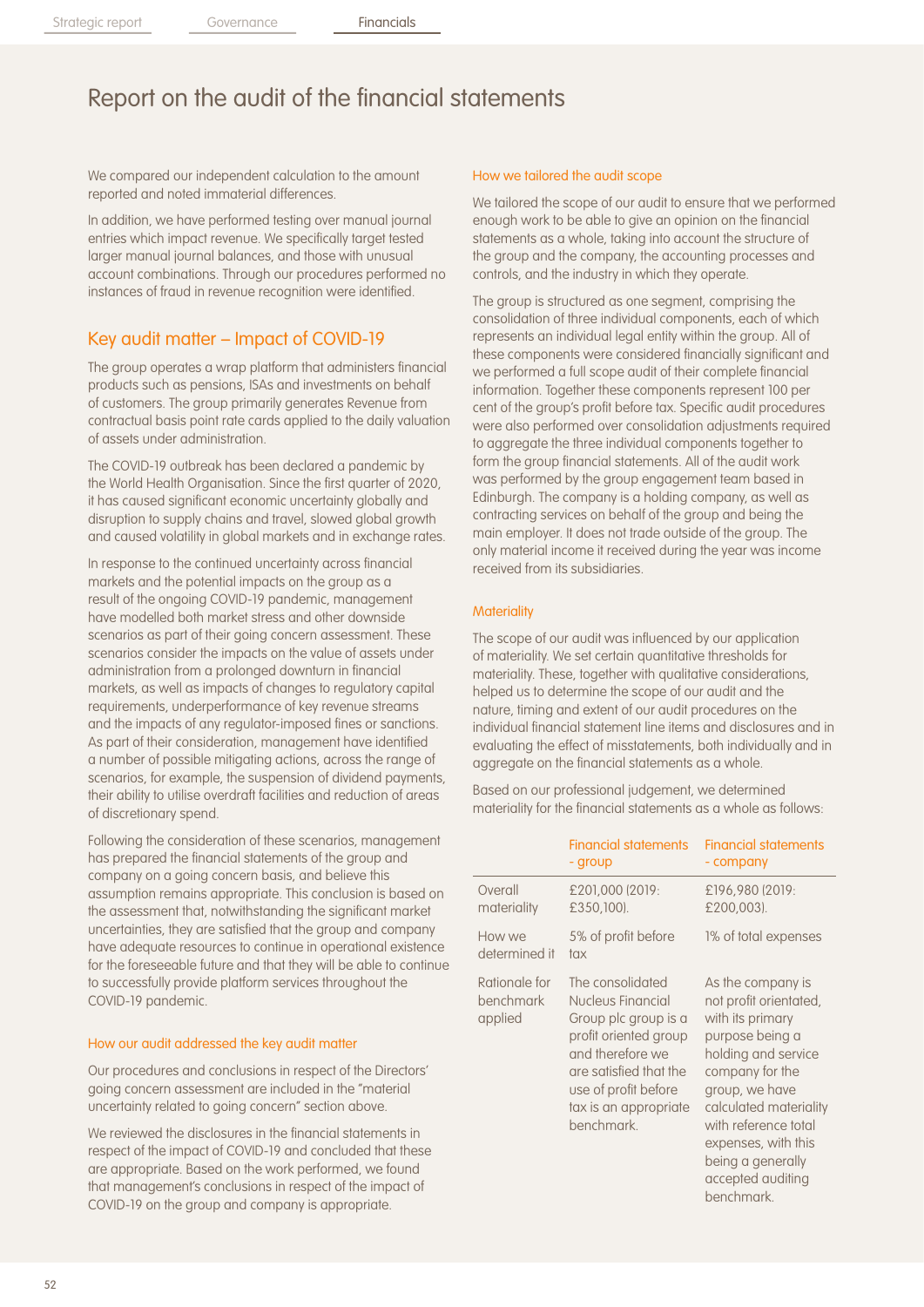We compared our independent calculation to the amount reported and noted immaterial differences.

In addition, we have performed testing over manual journal entries which impact revenue. We specifically target tested larger manual journal balances, and those with unusual account combinations. Through our procedures performed no instances of fraud in revenue recognition were identified.

## Key audit matter – Impact of COVID-19

The group operates a wrap platform that administers financial products such as pensions, ISAs and investments on behalf of customers. The group primarily generates Revenue from contractual basis point rate cards applied to the daily valuation of assets under administration.

The COVID-19 outbreak has been declared a pandemic by the World Health Organisation. Since the first quarter of 2020, it has caused significant economic uncertainty globally and disruption to supply chains and travel, slowed global growth and caused volatility in global markets and in exchange rates.

In response to the continued uncertainty across financial markets and the potential impacts on the group as a result of the ongoing COVID-19 pandemic, management have modelled both market stress and other downside scenarios as part of their going concern assessment. These scenarios consider the impacts on the value of assets under administration from a prolonged downturn in financial markets, as well as impacts of changes to regulatory capital requirements, underperformance of key revenue streams and the impacts of any regulator-imposed fines or sanctions. As part of their consideration, management have identified a number of possible mitigating actions, across the range of scenarios, for example, the suspension of dividend payments, their ability to utilise overdraft facilities and reduction of areas of discretionary spend.

Following the consideration of these scenarios, management has prepared the financial statements of the group and company on a going concern basis, and believe this assumption remains appropriate. This conclusion is based on the assessment that, notwithstanding the significant market uncertainties, they are satisfied that the group and company have adequate resources to continue in operational existence for the foreseeable future and that they will be able to continue to successfully provide platform services throughout the COVID-19 pandemic.

### How our audit addressed the key audit matter

Our procedures and conclusions in respect of the Directors' going concern assessment are included in the "material uncertainty related to going concern" section above.

We reviewed the disclosures in the financial statements in respect of the impact of COVID-19 and concluded that these are appropriate. Based on the work performed, we found that management's conclusions in respect of the impact of COVID-19 on the group and company is appropriate.

### How we tailored the audit scope

We tailored the scope of our audit to ensure that we performed enough work to be able to give an opinion on the financial statements as a whole, taking into account the structure of the group and the company, the accounting processes and controls, and the industry in which they operate.

The group is structured as one segment, comprising the consolidation of three individual components, each of which represents an individual legal entity within the group. All of these components were considered financially significant and we performed a full scope audit of their complete financial information. Together these components represent 100 per cent of the group's profit before tax. Specific audit procedures were also performed over consolidation adjustments required to aggregate the three individual components together to form the group financial statements. All of the audit work was performed by the group engagement team based in Edinburgh. The company is a holding company, as well as contracting services on behalf of the group and being the main employer. It does not trade outside of the group. The only material income it received during the year was income received from its subsidiaries.

### **Materiality**

The scope of our audit was influenced by our application of materiality. We set certain quantitative thresholds for materiality. These, together with qualitative considerations, helped us to determine the scope of our audit and the nature, timing and extent of our audit procedures on the individual financial statement line items and disclosures and in evaluating the effect of misstatements, both individually and in aggregate on the financial statements as a whole.

Based on our professional judgement, we determined materiality for the financial statements as a whole as follows:

|                                       | <b>Financial statements</b><br>- group                                                                                                                                                              | <b>Financial statements</b><br>- company                                                                                                                                                                                                                                              |
|---------------------------------------|-----------------------------------------------------------------------------------------------------------------------------------------------------------------------------------------------------|---------------------------------------------------------------------------------------------------------------------------------------------------------------------------------------------------------------------------------------------------------------------------------------|
| Overall<br>materiality                | £201,000 (2019:<br>£350,100).                                                                                                                                                                       | £196,980 (2019:<br>£200,003).                                                                                                                                                                                                                                                         |
| How we<br>determined it               | 5% of profit before<br>tax                                                                                                                                                                          | 1% of total expenses                                                                                                                                                                                                                                                                  |
| Rationale for<br>benchmark<br>applied | The consolidated<br>Nucleus Financial<br>Group plc group is a<br>profit oriented group<br>and therefore we<br>are satisfied that the<br>use of profit before<br>tax is an appropriate<br>benchmark. | As the company is<br>not profit orientated,<br>with its primary<br>purpose being a<br>holding and service<br>company for the<br>group, we have<br>calculated materiality<br>with reference total<br>expenses, with this<br>being a generally<br>accepted auditing<br><b>benchmark</b> |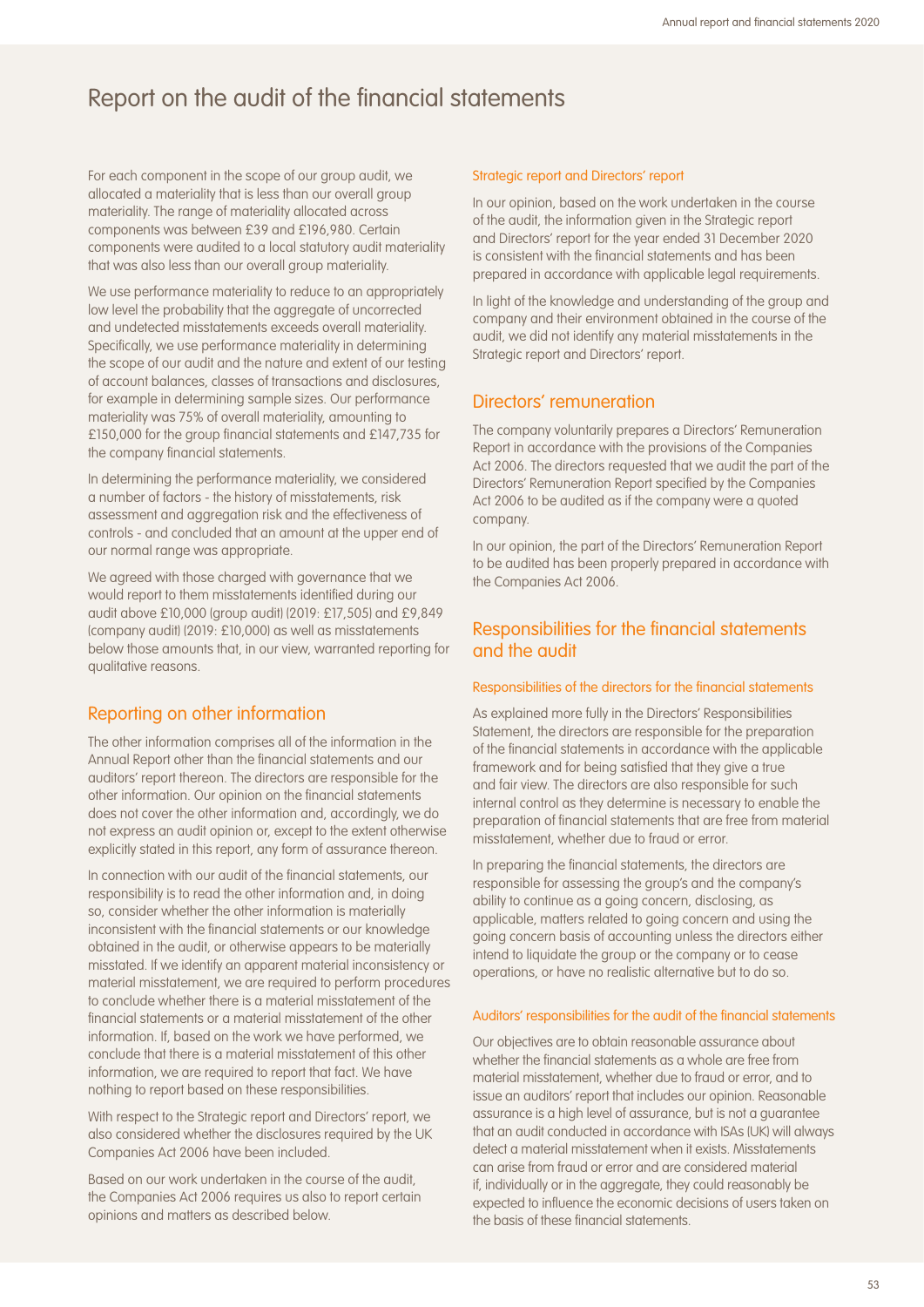For each component in the scope of our group audit, we allocated a materiality that is less than our overall group materiality. The range of materiality allocated across components was between £39 and £196,980. Certain components were audited to a local statutory audit materiality that was also less than our overall group materiality.

We use performance materiality to reduce to an appropriately low level the probability that the aggregate of uncorrected and undetected misstatements exceeds overall materiality. Specifically, we use performance materiality in determining the scope of our audit and the nature and extent of our testing of account balances, classes of transactions and disclosures, for example in determining sample sizes. Our performance materiality was 75% of overall materiality, amounting to £150,000 for the group financial statements and £147,735 for the company financial statements.

In determining the performance materiality, we considered a number of factors - the history of misstatements, risk assessment and aggregation risk and the effectiveness of controls - and concluded that an amount at the upper end of our normal range was appropriate.

We agreed with those charged with governance that we would report to them misstatements identified during our audit above £10,000 (group audit) (2019: £17,505) and £9,849 (company audit) (2019: £10,000) as well as misstatements below those amounts that, in our view, warranted reporting for qualitative reasons.

### Reporting on other information

The other information comprises all of the information in the Annual Report other than the financial statements and our auditors' report thereon. The directors are responsible for the other information. Our opinion on the financial statements does not cover the other information and, accordingly, we do not express an audit opinion or, except to the extent otherwise explicitly stated in this report, any form of assurance thereon.

In connection with our audit of the financial statements, our responsibility is to read the other information and, in doing so, consider whether the other information is materially inconsistent with the financial statements or our knowledge obtained in the audit, or otherwise appears to be materially misstated. If we identify an apparent material inconsistency or material misstatement, we are required to perform procedures to conclude whether there is a material misstatement of the financial statements or a material misstatement of the other information. If, based on the work we have performed, we conclude that there is a material misstatement of this other information, we are required to report that fact. We have nothing to report based on these responsibilities.

With respect to the Strategic report and Directors' report, we also considered whether the disclosures required by the UK Companies Act 2006 have been included.

Based on our work undertaken in the course of the audit, the Companies Act 2006 requires us also to report certain opinions and matters as described below.

### Strategic report and Directors' report

In our opinion, based on the work undertaken in the course of the audit, the information given in the Strategic report and Directors' report for the year ended 31 December 2020 is consistent with the financial statements and has been prepared in accordance with applicable legal requirements.

In light of the knowledge and understanding of the group and company and their environment obtained in the course of the audit, we did not identify any material misstatements in the Strategic report and Directors' report.

### Directors' remuneration

The company voluntarily prepares a Directors' Remuneration Report in accordance with the provisions of the Companies Act 2006. The directors requested that we audit the part of the Directors' Remuneration Report specified by the Companies Act 2006 to be audited as if the company were a quoted company.

In our opinion, the part of the Directors' Remuneration Report to be audited has been properly prepared in accordance with the Companies Act 2006.

### Responsibilities for the financial statements and the audit

### Responsibilities of the directors for the financial statements

As explained more fully in the Directors' Responsibilities Statement, the directors are responsible for the preparation of the financial statements in accordance with the applicable framework and for being satisfied that they give a true and fair view. The directors are also responsible for such internal control as they determine is necessary to enable the preparation of financial statements that are free from material misstatement, whether due to fraud or error.

In preparing the financial statements, the directors are responsible for assessing the group's and the company's ability to continue as a going concern, disclosing, as applicable, matters related to going concern and using the going concern basis of accounting unless the directors either intend to liquidate the group or the company or to cease operations, or have no realistic alternative but to do so.

### Auditors' responsibilities for the audit of the financial statements

Our objectives are to obtain reasonable assurance about whether the financial statements as a whole are free from material misstatement, whether due to fraud or error, and to issue an auditors' report that includes our opinion. Reasonable assurance is a high level of assurance, but is not a guarantee that an audit conducted in accordance with ISAs (UK) will always detect a material misstatement when it exists. Misstatements can arise from fraud or error and are considered material if, individually or in the aggregate, they could reasonably be expected to influence the economic decisions of users taken on the basis of these financial statements.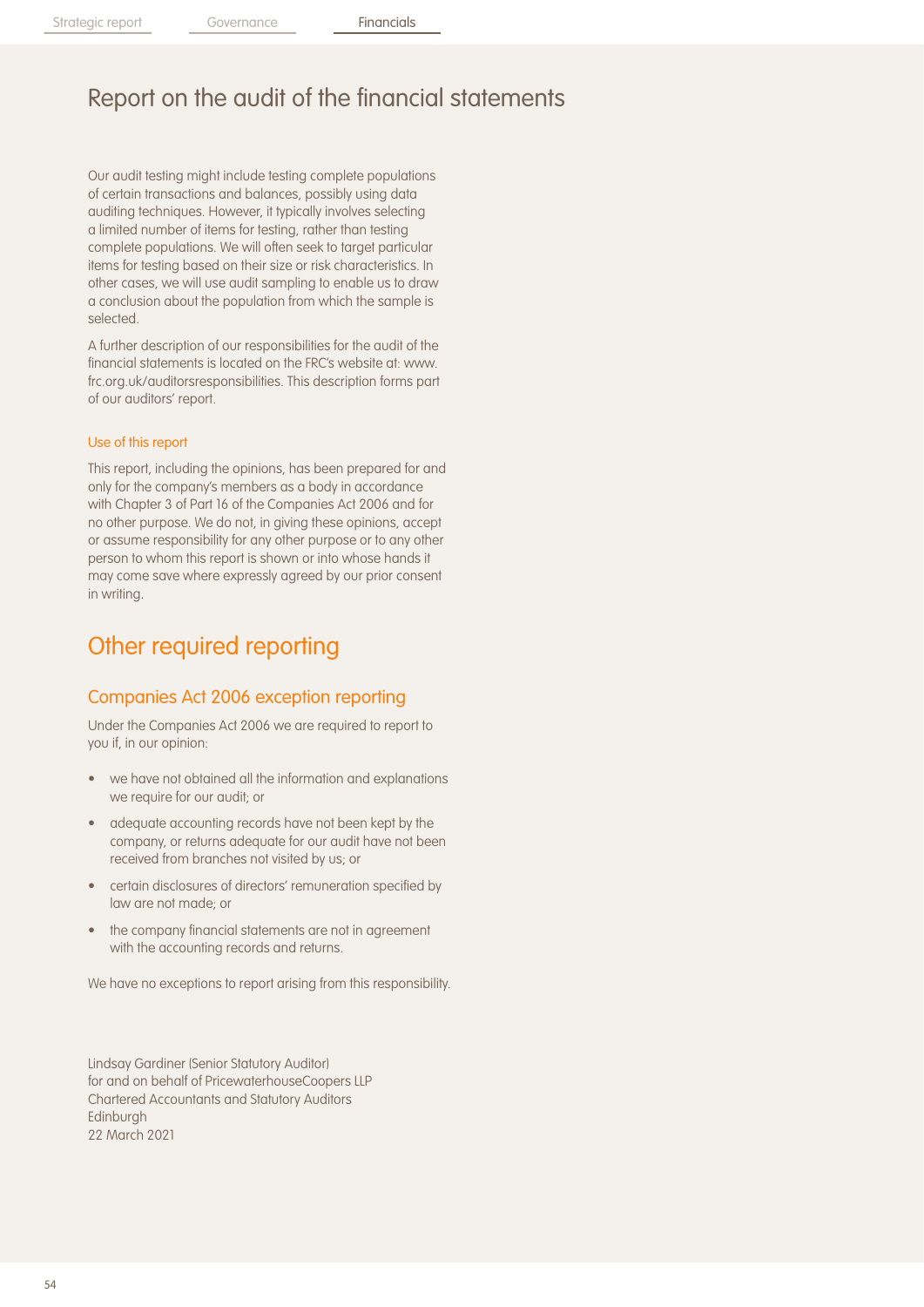Our audit testing might include testing complete populations of certain transactions and balances, possibly using data auditing techniques. However, it typically involves selecting a limited number of items for testing, rather than testing complete populations. We will often seek to target particular items for testing based on their size or risk characteristics. In other cases, we will use audit sampling to enable us to draw a conclusion about the population from which the sample is selected.

A further description of our responsibilities for the audit of the financial statements is located on the FRC's website at: www. frc.org.uk/auditorsresponsibilities. This description forms part of our auditors' report.

### Use of this report

This report, including the opinions, has been prepared for and only for the company's members as a body in accordance with Chapter 3 of Part 16 of the Companies Act 2006 and for no other purpose. We do not, in giving these opinions, accept or assume responsibility for any other purpose or to any other person to whom this report is shown or into whose hands it may come save where expressly agreed by our prior consent in writing.

## Other required reporting

### Companies Act 2006 exception reporting

Under the Companies Act 2006 we are required to report to you if, in our opinion:

- we have not obtained all the information and explanations we require for our audit; or
- adequate accounting records have not been kept by the company, or returns adequate for our audit have not been received from branches not visited by us; or
- certain disclosures of directors' remuneration specified by law are not made; or
- the company financial statements are not in agreement with the accounting records and returns.

We have no exceptions to report arising from this responsibility.

Lindsay Gardiner (Senior Statutory Auditor) for and on behalf of PricewaterhouseCoopers LLP Chartered Accountants and Statutory Auditors **Edinburgh** 22 March 2021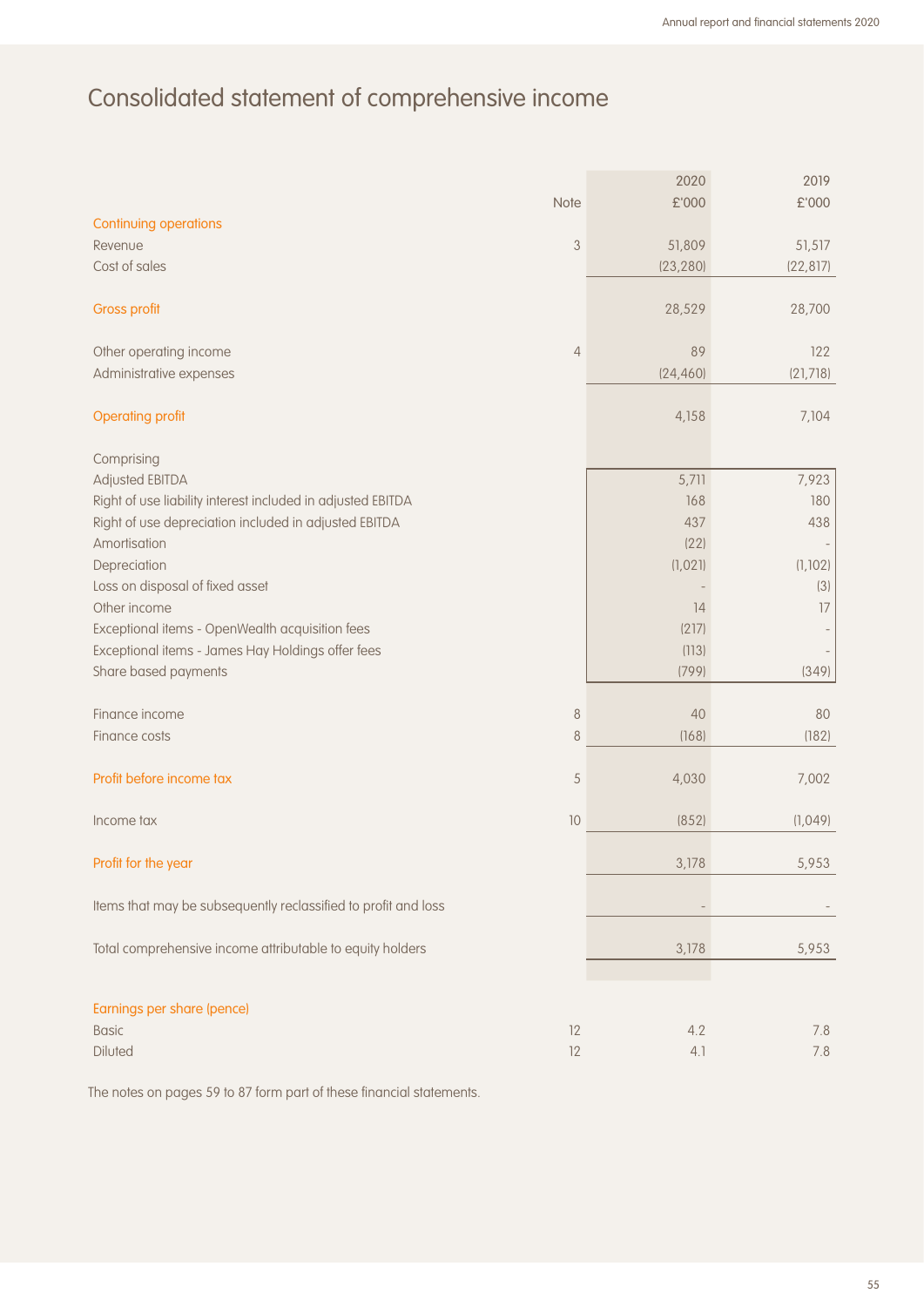# Consolidated statement of comprehensive income

|                                                                |                           | 2020      | 2019                |
|----------------------------------------------------------------|---------------------------|-----------|---------------------|
|                                                                | Note                      | £'000     | $\pounds$ 000       |
| Continuing operations<br>Revenue                               | $\ensuremath{\mathsf{3}}$ | 51,809    |                     |
| Cost of sales                                                  |                           | (23, 280) | 51,517<br>(22, 817) |
|                                                                |                           |           |                     |
| <b>Gross profit</b>                                            |                           | 28,529    | 28,700              |
| Other operating income                                         | $\overline{4}$            | 89        | 122                 |
| Administrative expenses                                        |                           | (24, 460) | (21,718)            |
| <b>Operating profit</b>                                        |                           | 4,158     | 7,104               |
| Comprising                                                     |                           |           |                     |
| Adjusted EBITDA                                                |                           | 5,711     | 7,923               |
| Right of use liability interest included in adjusted EBITDA    |                           | 168       | 180                 |
| Right of use depreciation included in adjusted EBITDA          |                           | 437       | 438                 |
| Amortisation                                                   |                           | (22)      |                     |
| Depreciation                                                   |                           | (1,021)   | (1, 102)            |
| Loss on disposal of fixed asset                                |                           |           | (3)                 |
| Other income                                                   |                           | 14        | 17                  |
| Exceptional items - OpenWealth acquisition fees                |                           | (217)     |                     |
| Exceptional items - James Hay Holdings offer fees              |                           | (113)     |                     |
| Share based payments                                           |                           | (799)     | (349)               |
| Finance income                                                 | $\,8\,$                   | 40        | 80                  |
| Finance costs                                                  | $\delta$                  | (168)     | (182)               |
|                                                                |                           |           |                     |
| Profit before income tax                                       | 5                         | 4,030     | 7,002               |
| Income tax                                                     | 10                        | (852)     | (1,049)             |
| Profit for the year                                            |                           | 3,178     | 5,953               |
| Items that may be subsequently reclassified to profit and loss |                           |           |                     |
| Total comprehensive income attributable to equity holders      |                           | 3,178     | 5,953               |
|                                                                |                           |           |                     |
| Earnings per share (pence)                                     |                           |           |                     |
| <b>Basic</b>                                                   | 12                        | 4.2       | 7.8                 |
| Diluted                                                        | 12                        | 4.1       | 7.8                 |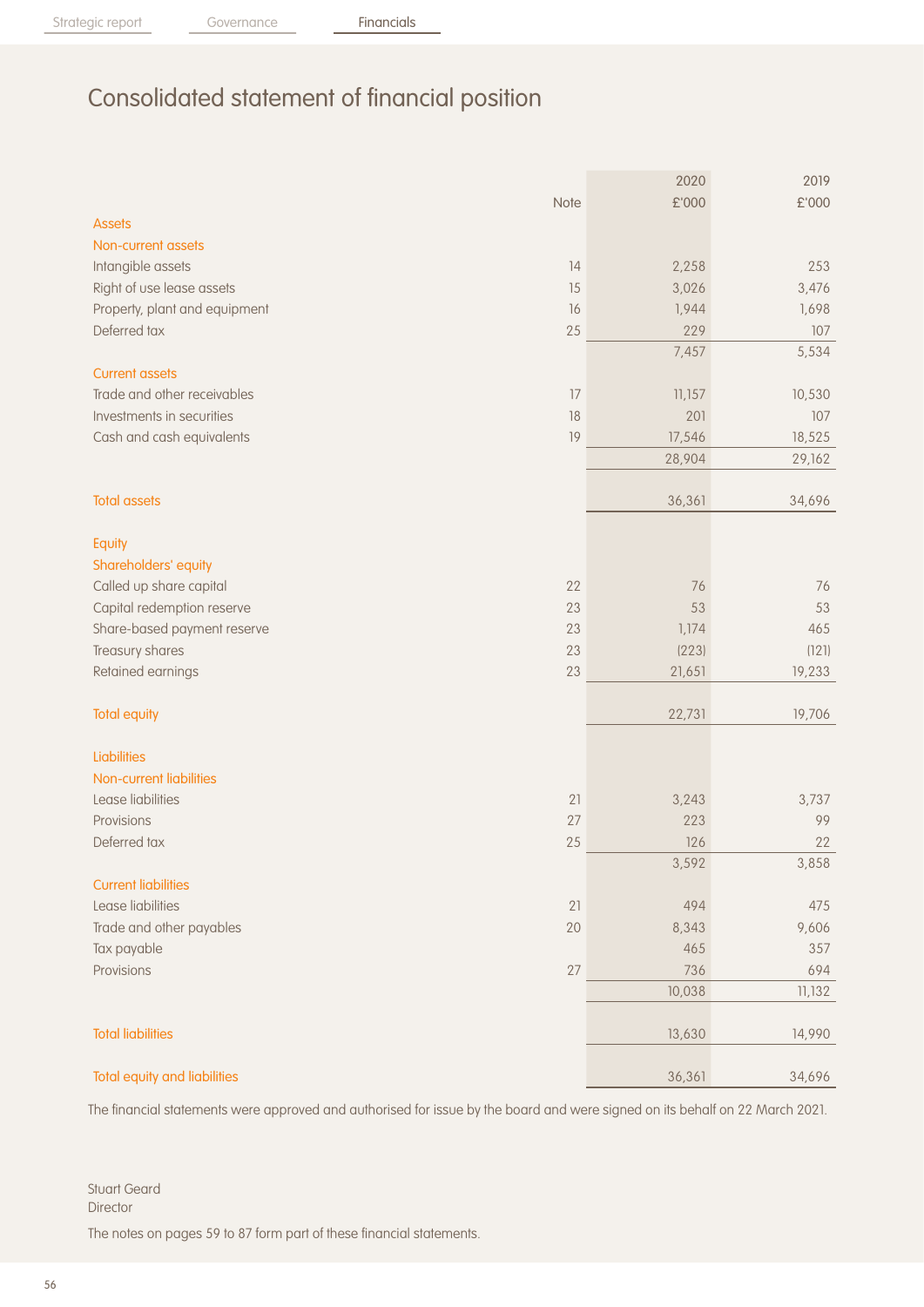# Consolidated statement of financial position

|                                     |      | 2020   | 2019          |
|-------------------------------------|------|--------|---------------|
|                                     | Note | £'000  | $\pounds$ 000 |
| <b>Assets</b>                       |      |        |               |
| Non-current assets                  |      |        |               |
| Intangible assets                   | 14   | 2,258  | 253           |
| Right of use lease assets           | 15   | 3,026  | 3,476         |
| Property, plant and equipment       | 16   | 1,944  | 1,698         |
| Deferred tax                        | 25   | 229    | 107           |
|                                     |      | 7,457  | 5,534         |
| <b>Current assets</b>               |      |        |               |
| Trade and other receivables         | 17   | 11,157 | 10,530        |
| Investments in securities           | 18   | 201    | 107           |
| Cash and cash equivalents           | 19   | 17,546 | 18,525        |
|                                     |      | 28,904 | 29,162        |
| <b>Total assets</b>                 |      | 36,361 | 34,696        |
|                                     |      |        |               |
| Equity                              |      |        |               |
| Shareholders' equity                |      |        |               |
| Called up share capital             | 22   | 76     | 76            |
| Capital redemption reserve          | 23   | 53     | 53            |
| Share-based payment reserve         | 23   | 1,174  | 465           |
| Treasury shares                     | 23   | (223)  | (121)         |
| Retained earnings                   | 23   | 21,651 | 19,233        |
| <b>Total equity</b>                 |      | 22,731 | 19,706        |
| Liabilities                         |      |        |               |
| Non-current liabilities             |      |        |               |
| Lease liabilities                   | 21   | 3,243  | 3,737         |
| Provisions                          | 27   | 223    | 99            |
| Deferred tax                        | 25   | 126    | 22            |
|                                     |      | 3,592  | 3,858         |
| <b>Current liabilities</b>          |      |        |               |
| Lease liabilities                   | 21   | 494    | 475           |
| Trade and other payables            | 20   | 8,343  | 9,606         |
| Tax payable                         |      | 465    | 357           |
| Provisions                          | 27   | 736    | 694           |
|                                     |      | 10,038 | 11,132        |
| <b>Total liabilities</b>            |      | 13,630 | 14,990        |
| <b>Total equity and liabilities</b> |      | 36,361 | 34,696        |
|                                     |      |        |               |

The financial statements were approved and authorised for issue by the board and were signed on its behalf on 22 March 2021.

Stuart Geard Director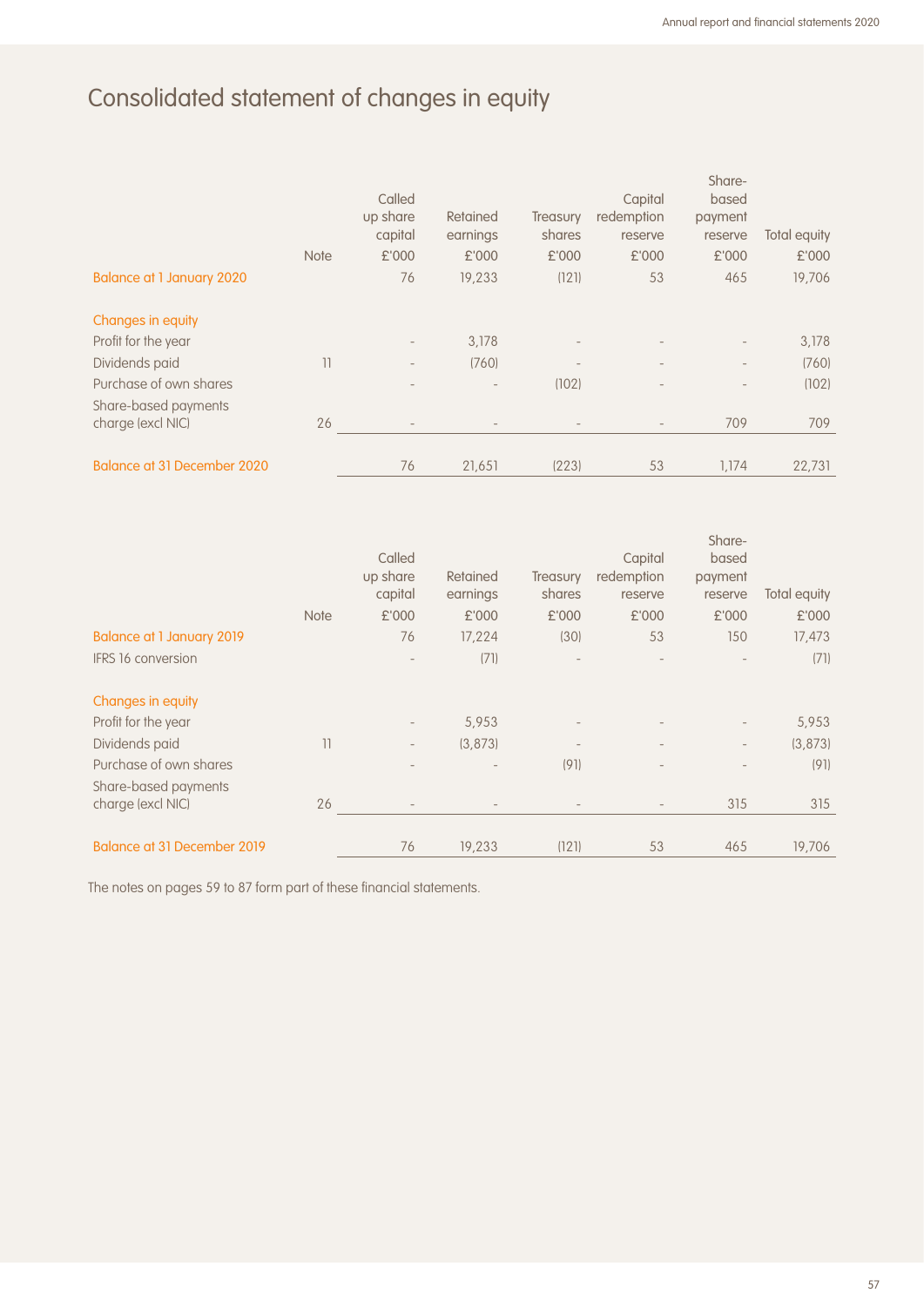# Consolidated statement of changes in equity

|                                                | <b>Note</b> | Called<br>up share<br>capital<br>£'000 | Retained<br>earnings<br>£'000 | <b>Treasury</b><br>shares<br>£'000 | Capital<br>redemption<br>reserve<br>£'000 | Share-<br>based<br>payment<br>reserve<br>£'000 | Total equity<br>£'000 |
|------------------------------------------------|-------------|----------------------------------------|-------------------------------|------------------------------------|-------------------------------------------|------------------------------------------------|-----------------------|
| <b>Balance at 1 January 2020</b>               |             | 76                                     | 19,233                        | (121)                              | 53                                        | 465                                            | 19,706                |
| Changes in equity                              |             |                                        |                               |                                    |                                           |                                                |                       |
| Profit for the year                            |             | $\overline{\phantom{a}}$               | 3,178                         |                                    |                                           | $\qquad \qquad -$                              | 3,178                 |
| Dividends paid                                 | 11          | $\overline{a}$                         | (760)                         | $\overline{\phantom{m}}$           | $\overline{\phantom{a}}$                  | $\overline{\phantom{a}}$                       | (760)                 |
| Purchase of own shares<br>Share-based payments |             | $\overline{\phantom{a}}$               | $\overline{\phantom{a}}$      | (102)                              | $\overline{\phantom{a}}$                  | $\qquad \qquad -$                              | (102)                 |
| charge (excl NIC)                              | 26          | $\overline{\phantom{a}}$               | $\overline{\phantom{a}}$      |                                    |                                           | 709                                            | 709                   |
| <b>Balance at 31 December 2020</b>             |             | 76                                     | 21,651                        | (223)                              | 53                                        | 1,174                                          | 22,731                |

|                                    |                 | Called                   |                          |          | Capital                  | Share-<br>based          |              |
|------------------------------------|-----------------|--------------------------|--------------------------|----------|--------------------------|--------------------------|--------------|
|                                    |                 | up share                 | Retained                 | Treasury | redemption               | payment                  |              |
|                                    |                 | capital                  | earnings                 | shares   | reserve                  | reserve                  | Total equity |
|                                    | <b>Note</b>     | £'000                    | £'000                    | £'000    | £'000                    | £'000                    | £'000        |
| <b>Balance at 1 January 2019</b>   |                 | 76                       | 17,224                   | (30)     | 53                       | 150                      | 17,473       |
| <b>IFRS 16 conversion</b>          |                 | $\overline{\phantom{a}}$ | (71)                     |          |                          |                          | (71)         |
| Changes in equity                  |                 |                          |                          |          |                          |                          |              |
| Profit for the year                |                 | $\overline{\phantom{a}}$ | 5,953                    |          |                          | $\overline{\phantom{a}}$ | 5,953        |
| Dividends paid                     | $\overline{11}$ | $\overline{\phantom{a}}$ | (3,873)                  |          | $\overline{\phantom{m}}$ | $\overline{\phantom{m}}$ | (3,873)      |
| Purchase of own shares             |                 | $\overline{\phantom{a}}$ | $\overline{\phantom{a}}$ | (91)     | $\overline{\phantom{m}}$ |                          | (91)         |
| Share-based payments               |                 |                          |                          |          |                          |                          |              |
| charge (excl NIC)                  | 26              |                          |                          |          |                          | 315                      | 315          |
| <b>Balance at 31 December 2019</b> |                 | 76                       | 19,233                   | (121)    | 53                       | 465                      | 19,706       |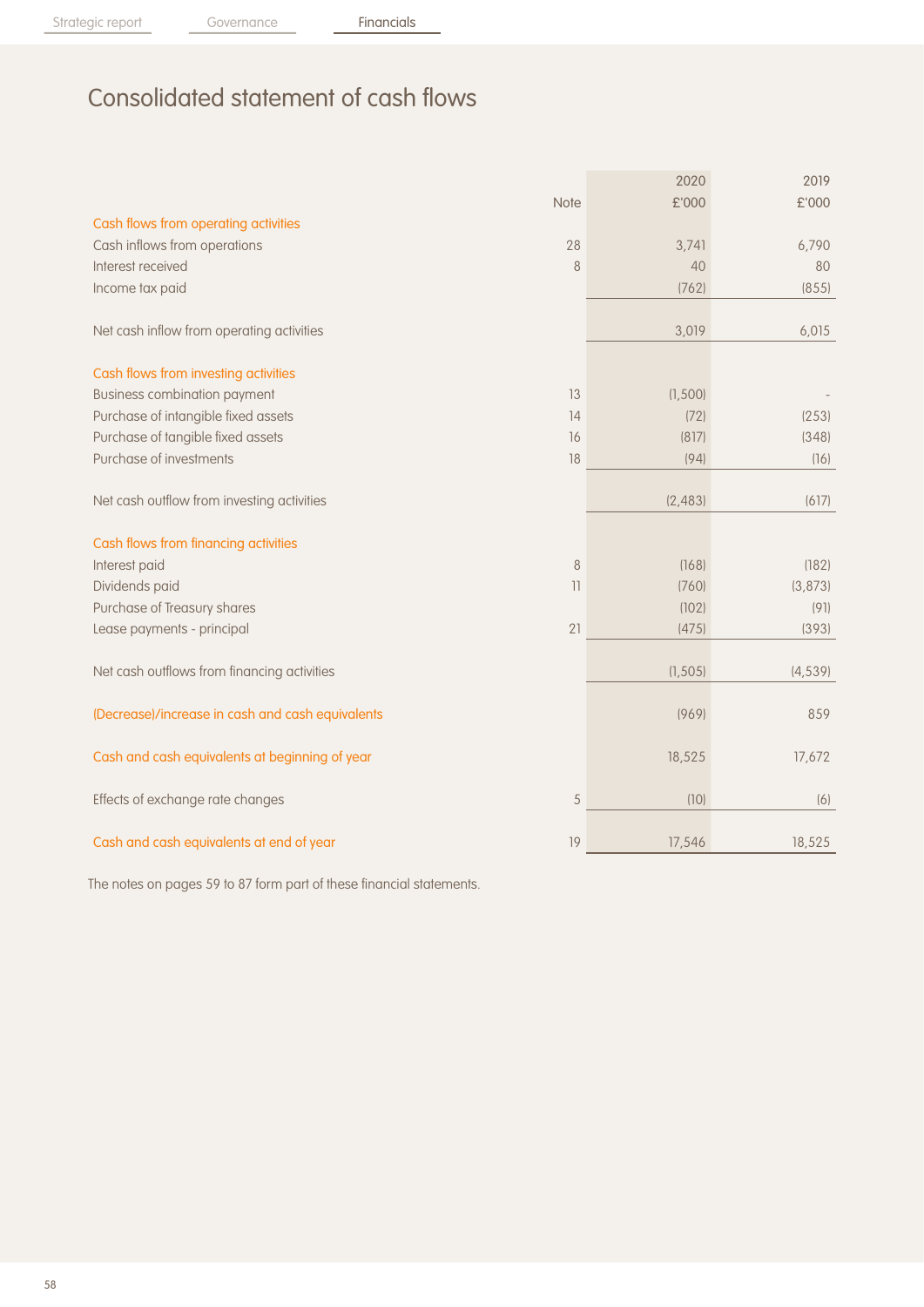Strategic report Governance Financials

# Consolidated statement of cash flows

|                                                  |                          | 2020     | 2019     |
|--------------------------------------------------|--------------------------|----------|----------|
|                                                  | Note                     | £'000    | £'000    |
| Cash flows from operating activities             |                          |          |          |
| Cash inflows from operations                     | 28                       | 3,741    | 6,790    |
| Interest received                                | 8                        | 40       | 80       |
| Income tax paid                                  |                          | (762)    | (855)    |
| Net cash inflow from operating activities        |                          | 3,019    | 6,015    |
| Cash flows from investing activities             |                          |          |          |
| <b>Business combination payment</b>              | 13                       | (1, 500) |          |
| Purchase of intangible fixed assets              | 14                       | (72)     | (253)    |
| Purchase of tangible fixed assets                | 16                       | (817)    | (348)    |
| Purchase of investments                          | 18                       | (94)     | (16)     |
| Net cash outflow from investing activities       |                          | (2, 483) | (617)    |
| Cash flows from financing activities             |                          |          |          |
| Interest paid                                    | 8                        | (168)    | (182)    |
| Dividends paid                                   | $\overline{\phantom{a}}$ | (760)    | (3, 873) |
| Purchase of Treasury shares                      |                          | (102)    | (91)     |
| Lease payments - principal                       | 21                       | (475)    | (393)    |
| Net cash outflows from financing activities      |                          | (1, 505) | (4, 539) |
| (Decrease)/increase in cash and cash equivalents |                          | (969)    | 859      |
| Cash and cash equivalents at beginning of year   |                          | 18,525   | 17,672   |
| Effects of exchange rate changes                 | 5                        | (10)     | (6)      |
| Cash and cash equivalents at end of year         | 19                       | 17,546   | 18,525   |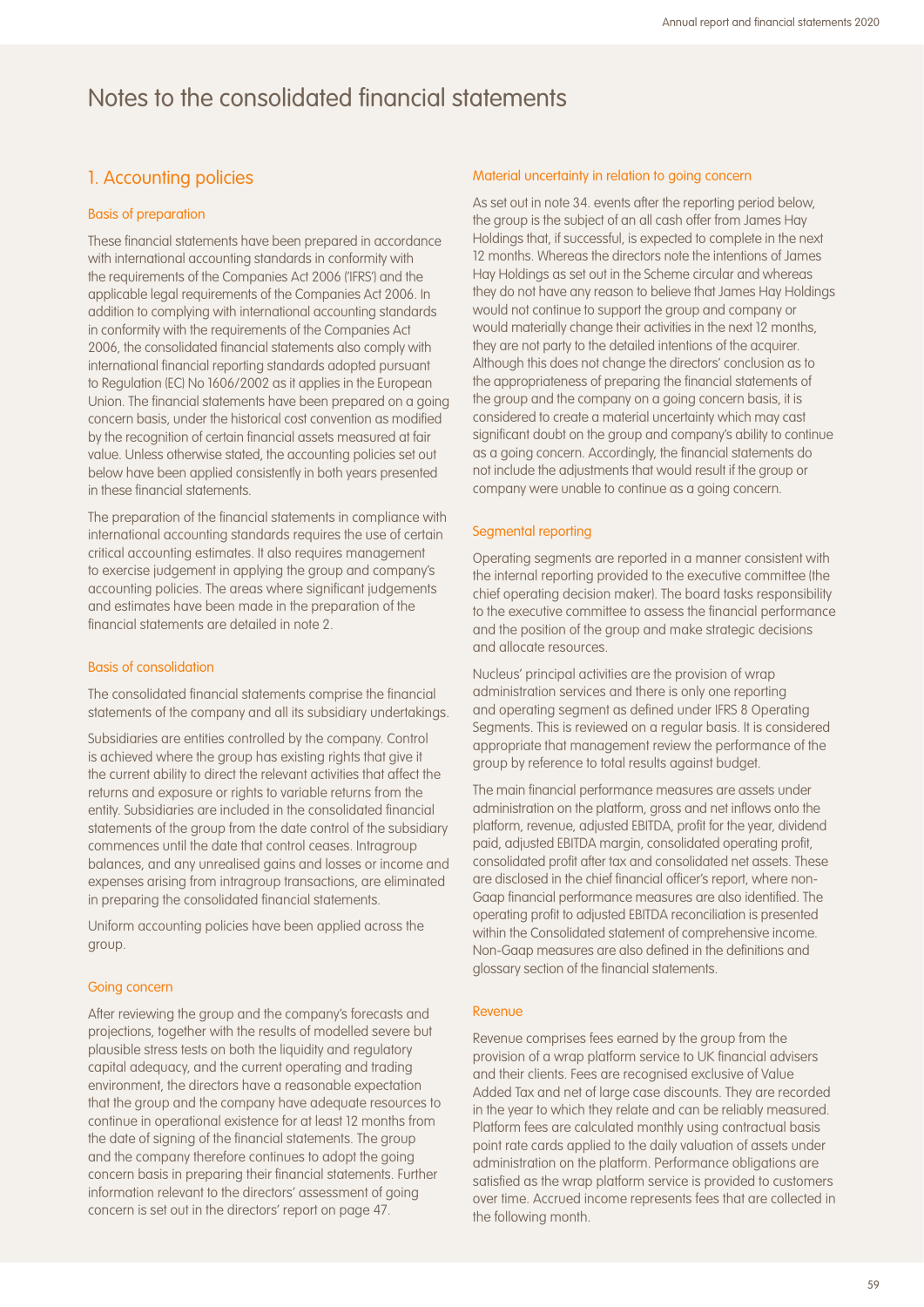## 1. Accounting policies

### Basis of preparation

These financial statements have been prepared in accordance with international accounting standards in conformity with the requirements of the Companies Act 2006 ('IFRS') and the applicable legal requirements of the Companies Act 2006. In addition to complying with international accounting standards in conformity with the requirements of the Companies Act 2006, the consolidated financial statements also comply with international financial reporting standards adopted pursuant to Regulation (EC) No 1606/2002 as it applies in the European Union. The financial statements have been prepared on a going concern basis, under the historical cost convention as modified by the recognition of certain financial assets measured at fair value. Unless otherwise stated, the accounting policies set out below have been applied consistently in both years presented in these financial statements.

The preparation of the financial statements in compliance with international accounting standards requires the use of certain critical accounting estimates. It also requires management to exercise judgement in applying the group and company's accounting policies. The areas where significant judgements and estimates have been made in the preparation of the financial statements are detailed in note 2.

### Basis of consolidation

The consolidated financial statements comprise the financial statements of the company and all its subsidiary undertakings.

Subsidiaries are entities controlled by the company. Control is achieved where the group has existing rights that give it the current ability to direct the relevant activities that affect the returns and exposure or rights to variable returns from the entity. Subsidiaries are included in the consolidated financial statements of the group from the date control of the subsidiary commences until the date that control ceases. Intragroup balances, and any unrealised gains and losses or income and expenses arising from intragroup transactions, are eliminated in preparing the consolidated financial statements.

Uniform accounting policies have been applied across the group.

#### Going concern

After reviewing the group and the company's forecasts and projections, together with the results of modelled severe but plausible stress tests on both the liquidity and regulatory capital adequacy, and the current operating and trading environment, the directors have a reasonable expectation that the group and the company have adequate resources to continue in operational existence for at least 12 months from the date of signing of the financial statements. The group and the company therefore continues to adopt the going concern basis in preparing their financial statements. Further information relevant to the directors' assessment of going concern is set out in the directors' report on page 47.

#### Material uncertainty in relation to going concern

As set out in note 34. events after the reporting period below, the group is the subject of an all cash offer from James Hay Holdings that, if successful, is expected to complete in the next 12 months. Whereas the directors note the intentions of James Hay Holdings as set out in the Scheme circular and whereas they do not have any reason to believe that James Hay Holdings would not continue to support the group and company or would materially change their activities in the next 12 months, they are not party to the detailed intentions of the acquirer. Although this does not change the directors' conclusion as to the appropriateness of preparing the financial statements of the group and the company on a going concern basis, it is considered to create a material uncertainty which may cast significant doubt on the group and company's ability to continue as a going concern. Accordingly, the financial statements do not include the adjustments that would result if the group or company were unable to continue as a going concern.

#### Segmental reporting

Operating segments are reported in a manner consistent with the internal reporting provided to the executive committee (the chief operating decision maker). The board tasks responsibility to the executive committee to assess the financial performance and the position of the group and make strategic decisions and allocate resources.

Nucleus' principal activities are the provision of wrap administration services and there is only one reporting and operating segment as defined under IFRS 8 Operating Segments. This is reviewed on a regular basis. It is considered appropriate that management review the performance of the group by reference to total results against budget.

The main financial performance measures are assets under administration on the platform, gross and net inflows onto the platform, revenue, adjusted EBITDA, profit for the year, dividend paid, adjusted EBITDA margin, consolidated operating profit, consolidated profit after tax and consolidated net assets. These are disclosed in the chief financial officer's report, where non-Gaap financial performance measures are also identified. The operating profit to adjusted EBITDA reconciliation is presented within the Consolidated statement of comprehensive income. Non-Gaap measures are also defined in the definitions and glossary section of the financial statements.

#### Revenue

Revenue comprises fees earned by the group from the provision of a wrap platform service to UK financial advisers and their clients. Fees are recognised exclusive of Value Added Tax and net of large case discounts. They are recorded in the year to which they relate and can be reliably measured. Platform fees are calculated monthly using contractual basis point rate cards applied to the daily valuation of assets under administration on the platform. Performance obligations are satisfied as the wrap platform service is provided to customers over time. Accrued income represents fees that are collected in the following month.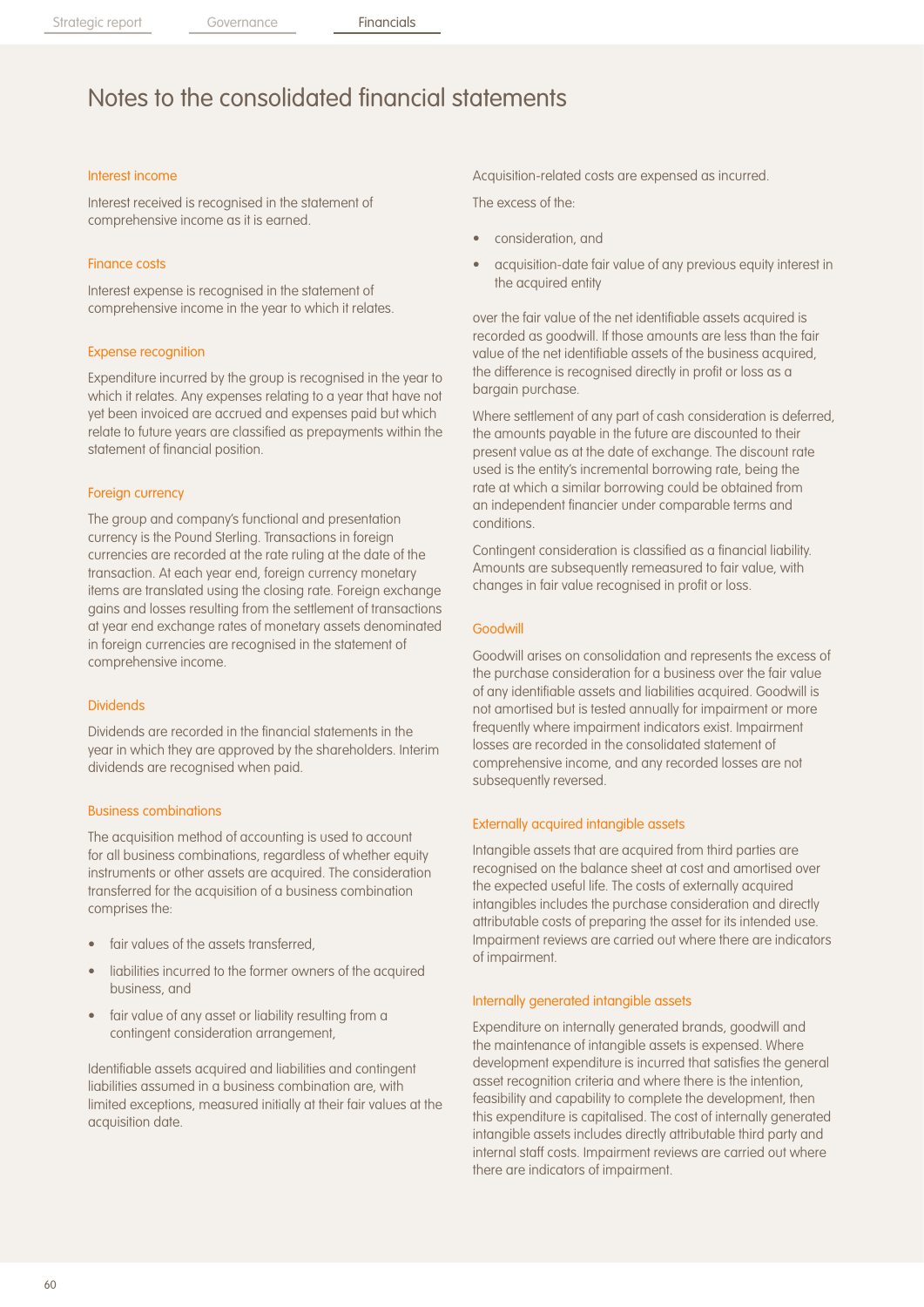### Interest income

Interest received is recognised in the statement of comprehensive income as it is earned.

### Finance costs

Interest expense is recognised in the statement of comprehensive income in the year to which it relates.

### Expense recognition

Expenditure incurred by the group is recognised in the year to which it relates. Any expenses relating to a year that have not yet been invoiced are accrued and expenses paid but which relate to future years are classified as prepayments within the statement of financial position.

### Foreign currency

The group and company's functional and presentation currency is the Pound Sterling. Transactions in foreign currencies are recorded at the rate ruling at the date of the transaction. At each year end, foreign currency monetary items are translated using the closing rate. Foreign exchange gains and losses resulting from the settlement of transactions at year end exchange rates of monetary assets denominated in foreign currencies are recognised in the statement of comprehensive income.

### Dividends

Dividends are recorded in the financial statements in the year in which they are approved by the shareholders. Interim dividends are recognised when paid.

### Business combinations

The acquisition method of accounting is used to account for all business combinations, regardless of whether equity instruments or other assets are acquired. The consideration transferred for the acquisition of a business combination comprises the:

- fair values of the assets transferred.
- liabilities incurred to the former owners of the acquired business, and
- fair value of any asset or liability resulting from a contingent consideration arrangement,

Identifiable assets acquired and liabilities and contingent liabilities assumed in a business combination are, with limited exceptions, measured initially at their fair values at the acquisition date.

Acquisition-related costs are expensed as incurred.

The excess of the:

- consideration, and
- acquisition-date fair value of any previous equity interest in the acquired entity

over the fair value of the net identifiable assets acquired is recorded as goodwill. If those amounts are less than the fair value of the net identifiable assets of the business acquired, the difference is recognised directly in profit or loss as a bargain purchase.

Where settlement of any part of cash consideration is deferred, the amounts payable in the future are discounted to their present value as at the date of exchange. The discount rate used is the entity's incremental borrowing rate, being the rate at which a similar borrowing could be obtained from an independent financier under comparable terms and conditions.

Contingent consideration is classified as a financial liability. Amounts are subsequently remeasured to fair value, with changes in fair value recognised in profit or loss.

#### Goodwill

Goodwill arises on consolidation and represents the excess of the purchase consideration for a business over the fair value of any identifiable assets and liabilities acquired. Goodwill is not amortised but is tested annually for impairment or more frequently where impairment indicators exist. Impairment losses are recorded in the consolidated statement of comprehensive income, and any recorded losses are not subsequently reversed.

### Externally acquired intangible assets

Intangible assets that are acquired from third parties are recognised on the balance sheet at cost and amortised over the expected useful life. The costs of externally acquired intangibles includes the purchase consideration and directly attributable costs of preparing the asset for its intended use. Impairment reviews are carried out where there are indicators of impairment.

#### Internally generated intangible assets

Expenditure on internally generated brands, goodwill and the maintenance of intangible assets is expensed. Where development expenditure is incurred that satisfies the general asset recognition criteria and where there is the intention, feasibility and capability to complete the development, then this expenditure is capitalised. The cost of internally generated intangible assets includes directly attributable third party and internal staff costs. Impairment reviews are carried out where there are indicators of impairment.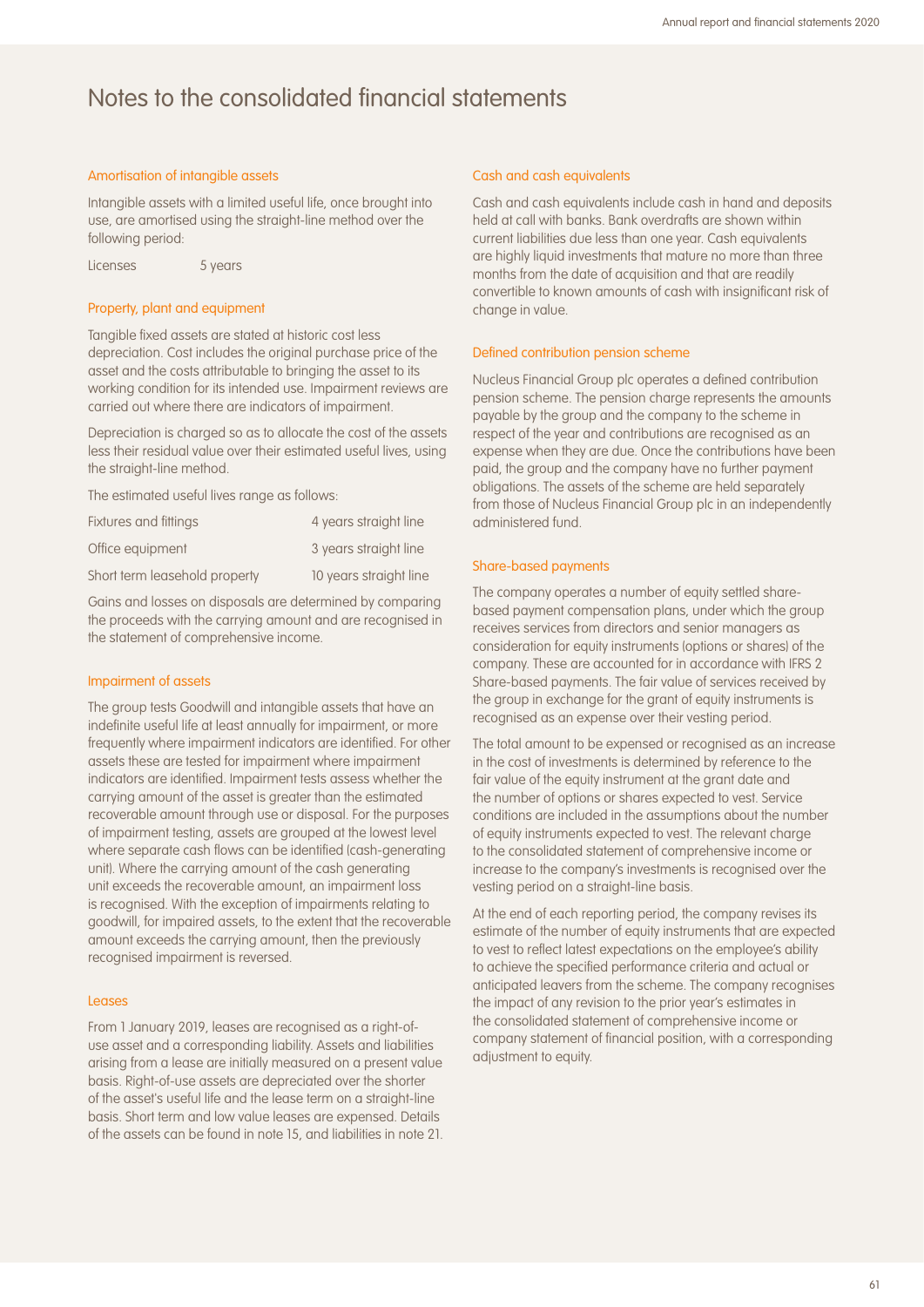### Amortisation of intangible assets

Intangible assets with a limited useful life, once brought into use, are amortised using the straight-line method over the following period:

Licenses 5 years

### Property, plant and equipment

Tangible fixed assets are stated at historic cost less depreciation. Cost includes the original purchase price of the asset and the costs attributable to bringing the asset to its working condition for its intended use. Impairment reviews are carried out where there are indicators of impairment.

Depreciation is charged so as to allocate the cost of the assets less their residual value over their estimated useful lives, using the straight-line method.

The estimated useful lives range as follows:

| Fixtures and fittings         | 4 years straight line  |
|-------------------------------|------------------------|
| Office equipment              | 3 years straight line  |
| Short term leasehold property | 10 years straight line |

Gains and losses on disposals are determined by comparing the proceeds with the carrying amount and are recognised in the statement of comprehensive income.

### Impairment of assets

The group tests Goodwill and intangible assets that have an indefinite useful life at least annually for impairment, or more frequently where impairment indicators are identified. For other assets these are tested for impairment where impairment indicators are identified. Impairment tests assess whether the carrying amount of the asset is greater than the estimated recoverable amount through use or disposal. For the purposes of impairment testing, assets are grouped at the lowest level where separate cash flows can be identified (cash-generating unit). Where the carrying amount of the cash generating unit exceeds the recoverable amount, an impairment loss is recognised. With the exception of impairments relating to goodwill, for impaired assets, to the extent that the recoverable amount exceeds the carrying amount, then the previously recognised impairment is reversed.

#### Leases

From 1 January 2019, leases are recognised as a right-ofuse asset and a corresponding liability. Assets and liabilities arising from a lease are initially measured on a present value basis. Right-of-use assets are depreciated over the shorter of the asset's useful life and the lease term on a straight-line basis. Short term and low value leases are expensed. Details of the assets can be found in note 15, and liabilities in note 21.

#### Cash and cash equivalents

Cash and cash equivalents include cash in hand and deposits held at call with banks. Bank overdrafts are shown within current liabilities due less than one year. Cash equivalents are highly liquid investments that mature no more than three months from the date of acquisition and that are readily convertible to known amounts of cash with insignificant risk of change in value.

#### Defined contribution pension scheme

Nucleus Financial Group plc operates a defined contribution pension scheme. The pension charge represents the amounts payable by the group and the company to the scheme in respect of the year and contributions are recognised as an expense when they are due. Once the contributions have been paid, the group and the company have no further payment obligations. The assets of the scheme are held separately from those of Nucleus Financial Group plc in an independently administered fund.

#### Share-based payments

The company operates a number of equity settled sharebased payment compensation plans, under which the group receives services from directors and senior managers as consideration for equity instruments (options or shares) of the company. These are accounted for in accordance with IFRS 2 Share-based payments. The fair value of services received by the group in exchange for the grant of equity instruments is recognised as an expense over their vesting period.

The total amount to be expensed or recognised as an increase in the cost of investments is determined by reference to the fair value of the equity instrument at the grant date and the number of options or shares expected to vest. Service conditions are included in the assumptions about the number of equity instruments expected to vest. The relevant charge to the consolidated statement of comprehensive income or increase to the company's investments is recognised over the vesting period on a straight-line basis.

At the end of each reporting period, the company revises its estimate of the number of equity instruments that are expected to vest to reflect latest expectations on the employee's ability to achieve the specified performance criteria and actual or anticipated leavers from the scheme. The company recognises the impact of any revision to the prior year's estimates in the consolidated statement of comprehensive income or company statement of financial position, with a corresponding adjustment to equity.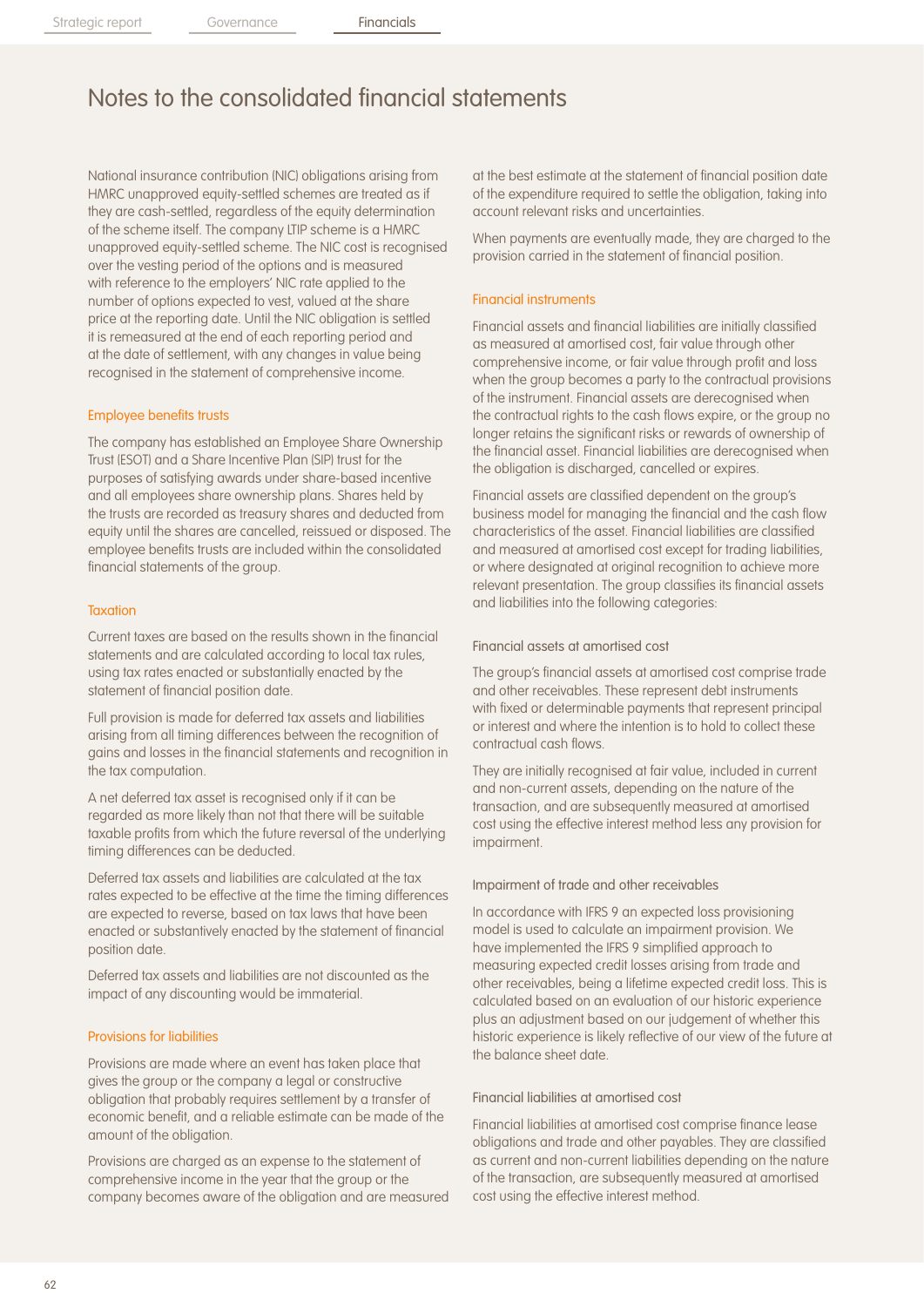National insurance contribution (NIC) obligations arising from HMRC unapproved equity-settled schemes are treated as if they are cash-settled, regardless of the equity determination of the scheme itself. The company LTIP scheme is a HMRC unapproved equity-settled scheme. The NIC cost is recognised over the vesting period of the options and is measured with reference to the employers' NIC rate applied to the number of options expected to vest, valued at the share price at the reporting date. Until the NIC obligation is settled it is remeasured at the end of each reporting period and at the date of settlement, with any changes in value being recognised in the statement of comprehensive income.

### Employee benefits trusts

The company has established an Employee Share Ownership Trust (ESOT) and a Share Incentive Plan (SIP) trust for the purposes of satisfying awards under share-based incentive and all employees share ownership plans. Shares held by the trusts are recorded as treasury shares and deducted from equity until the shares are cancelled, reissued or disposed. The employee benefits trusts are included within the consolidated financial statements of the group.

#### **Taxation**

Current taxes are based on the results shown in the financial statements and are calculated according to local tax rules, using tax rates enacted or substantially enacted by the statement of financial position date.

Full provision is made for deferred tax assets and liabilities arising from all timing differences between the recognition of gains and losses in the financial statements and recognition in the tax computation.

A net deferred tax asset is recognised only if it can be regarded as more likely than not that there will be suitable taxable profits from which the future reversal of the underlying timing differences can be deducted.

Deferred tax assets and liabilities are calculated at the tax rates expected to be effective at the time the timing differences are expected to reverse, based on tax laws that have been enacted or substantively enacted by the statement of financial position date.

Deferred tax assets and liabilities are not discounted as the impact of any discounting would be immaterial.

### Provisions for liabilities

Provisions are made where an event has taken place that gives the group or the company a legal or constructive obligation that probably requires settlement by a transfer of economic benefit, and a reliable estimate can be made of the amount of the obligation.

Provisions are charged as an expense to the statement of comprehensive income in the year that the group or the company becomes aware of the obligation and are measured at the best estimate at the statement of financial position date of the expenditure required to settle the obligation, taking into account relevant risks and uncertainties.

When payments are eventually made, they are charged to the provision carried in the statement of financial position.

#### Financial instruments

Financial assets and financial liabilities are initially classified as measured at amortised cost, fair value through other comprehensive income, or fair value through profit and loss when the group becomes a party to the contractual provisions of the instrument. Financial assets are derecognised when the contractual rights to the cash flows expire, or the group no longer retains the significant risks or rewards of ownership of the financial asset. Financial liabilities are derecognised when the obligation is discharged, cancelled or expires.

Financial assets are classified dependent on the group's business model for managing the financial and the cash flow characteristics of the asset. Financial liabilities are classified and measured at amortised cost except for trading liabilities, or where designated at original recognition to achieve more relevant presentation. The group classifies its financial assets and liabilities into the following categories:

### Financial assets at amortised cost

The group's financial assets at amortised cost comprise trade and other receivables. These represent debt instruments with fixed or determinable payments that represent principal or interest and where the intention is to hold to collect these contractual cash flows.

They are initially recognised at fair value, included in current and non-current assets, depending on the nature of the transaction, and are subsequently measured at amortised cost using the effective interest method less any provision for impairment.

#### Impairment of trade and other receivables

In accordance with IFRS 9 an expected loss provisioning model is used to calculate an impairment provision. We have implemented the IFRS 9 simplified approach to measuring expected credit losses arising from trade and other receivables, being a lifetime expected credit loss. This is calculated based on an evaluation of our historic experience plus an adjustment based on our judgement of whether this historic experience is likely reflective of our view of the future at the balance sheet date.

### Financial liabilities at amortised cost

Financial liabilities at amortised cost comprise finance lease obligations and trade and other payables. They are classified as current and non-current liabilities depending on the nature of the transaction, are subsequently measured at amortised cost using the effective interest method.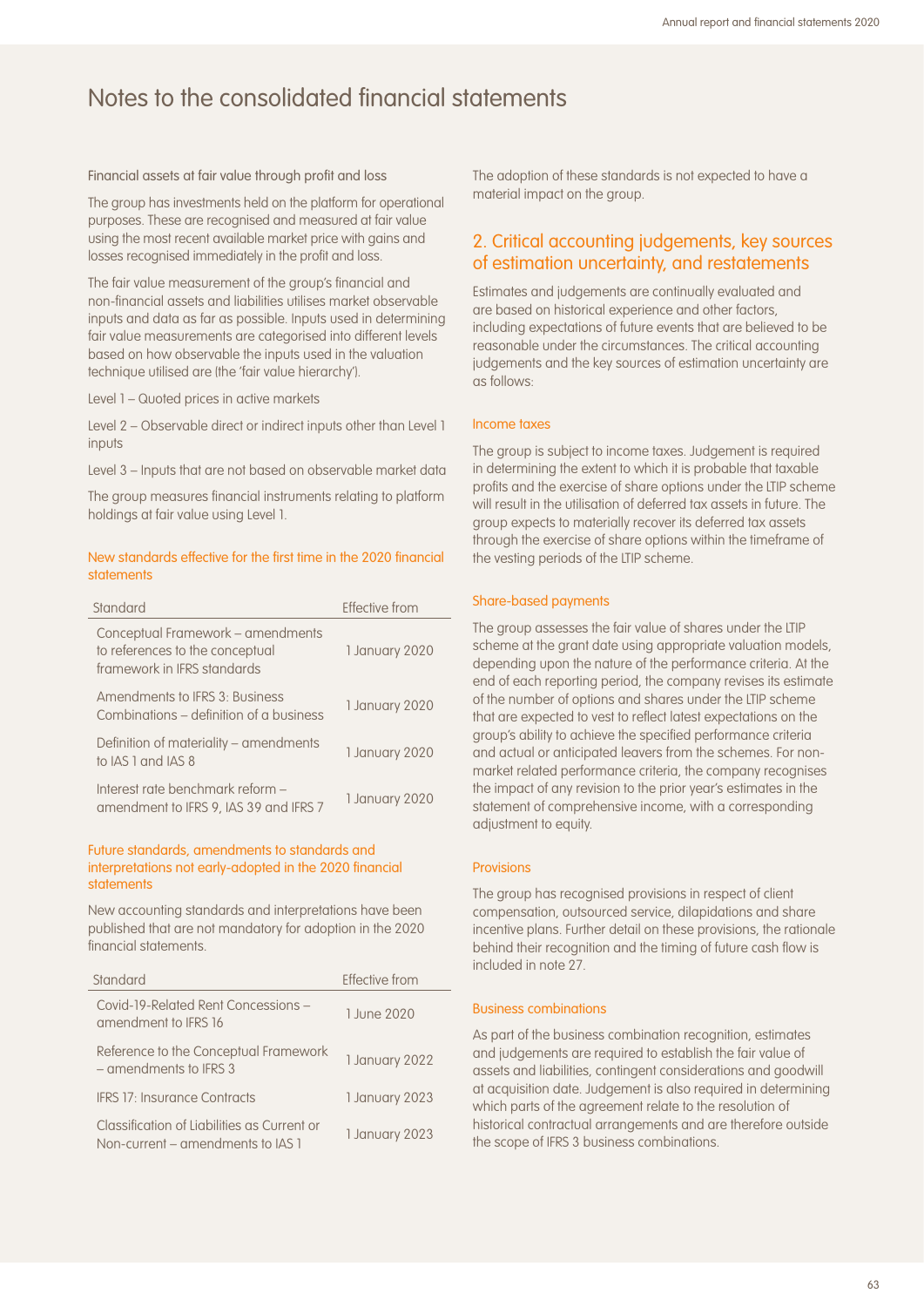Financial assets at fair value through profit and loss

The group has investments held on the platform for operational purposes. These are recognised and measured at fair value using the most recent available market price with gains and losses recognised immediately in the profit and loss.

The fair value measurement of the group's financial and non-financial assets and liabilities utilises market observable inputs and data as far as possible. Inputs used in determining fair value measurements are categorised into different levels based on how observable the inputs used in the valuation technique utilised are (the 'fair value hierarchy').

Level 1 – Quoted prices in active markets

Level 2 – Observable direct or indirect inputs other than Level 1 inputs

Level 3 – Inputs that are not based on observable market data

The group measures financial instruments relating to platform holdings at fair value using Level 1.

### New standards effective for the first time in the 2020 financial statements

| Standard                                                                                            | Effective from |
|-----------------------------------------------------------------------------------------------------|----------------|
| Conceptual Framework – amendments<br>to references to the conceptual<br>framework in IFRS standards | 1 January 2020 |
| Amendments to IFRS 3: Business<br>Combinations – definition of a business                           | 1 January 2020 |
| Definition of materiality – amendments<br>to IAS 1 and IAS 8                                        | 1 January 2020 |
| Interest rate benchmark reform -<br>amendment to IFRS 9, IAS 39 and IFRS 7                          | 1 January 2020 |

### Future standards, amendments to standards and interpretations not early-adopted in the 2020 financial statements

New accounting standards and interpretations have been published that are not mandatory for adoption in the 2020 financial statements.

| Standard                                                                         | Effective from |
|----------------------------------------------------------------------------------|----------------|
| Covid-19-Related Rent Concessions -<br>amendment to IFRS 16                      | 1 June 2020    |
| Reference to the Conceptual Framework<br>- amendments to IFRS 3                  | 1 January 2022 |
| <b>IFRS 17: Insurance Contracts</b>                                              | 1 January 2023 |
| Classification of Liabilities as Current or<br>Non-current – amendments to IAS 1 | 1 January 2023 |

The adoption of these standards is not expected to have a material impact on the group.

## 2. Critical accounting judgements, key sources of estimation uncertainty, and restatements

Estimates and judgements are continually evaluated and are based on historical experience and other factors, including expectations of future events that are believed to be reasonable under the circumstances. The critical accounting judgements and the key sources of estimation uncertainty are as follows:

### Income taxes

The group is subject to income taxes. Judgement is required in determining the extent to which it is probable that taxable profits and the exercise of share options under the LTIP scheme will result in the utilisation of deferred tax assets in future. The group expects to materially recover its deferred tax assets through the exercise of share options within the timeframe of the vesting periods of the LTIP scheme.

### Share-based payments

The group assesses the fair value of shares under the LTIP scheme at the grant date using appropriate valuation models, depending upon the nature of the performance criteria. At the end of each reporting period, the company revises its estimate of the number of options and shares under the LTIP scheme that are expected to vest to reflect latest expectations on the group's ability to achieve the specified performance criteria and actual or anticipated leavers from the schemes. For nonmarket related performance criteria, the company recognises the impact of any revision to the prior year's estimates in the statement of comprehensive income, with a corresponding adjustment to equity.

### Provisions

The group has recognised provisions in respect of client compensation, outsourced service, dilapidations and share incentive plans. Further detail on these provisions, the rationale behind their recognition and the timing of future cash flow is included in note 27.

### Business combinations

As part of the business combination recognition, estimates and judgements are required to establish the fair value of assets and liabilities, contingent considerations and goodwill at acquisition date. Judgement is also required in determining which parts of the agreement relate to the resolution of historical contractual arrangements and are therefore outside the scope of IFRS 3 business combinations.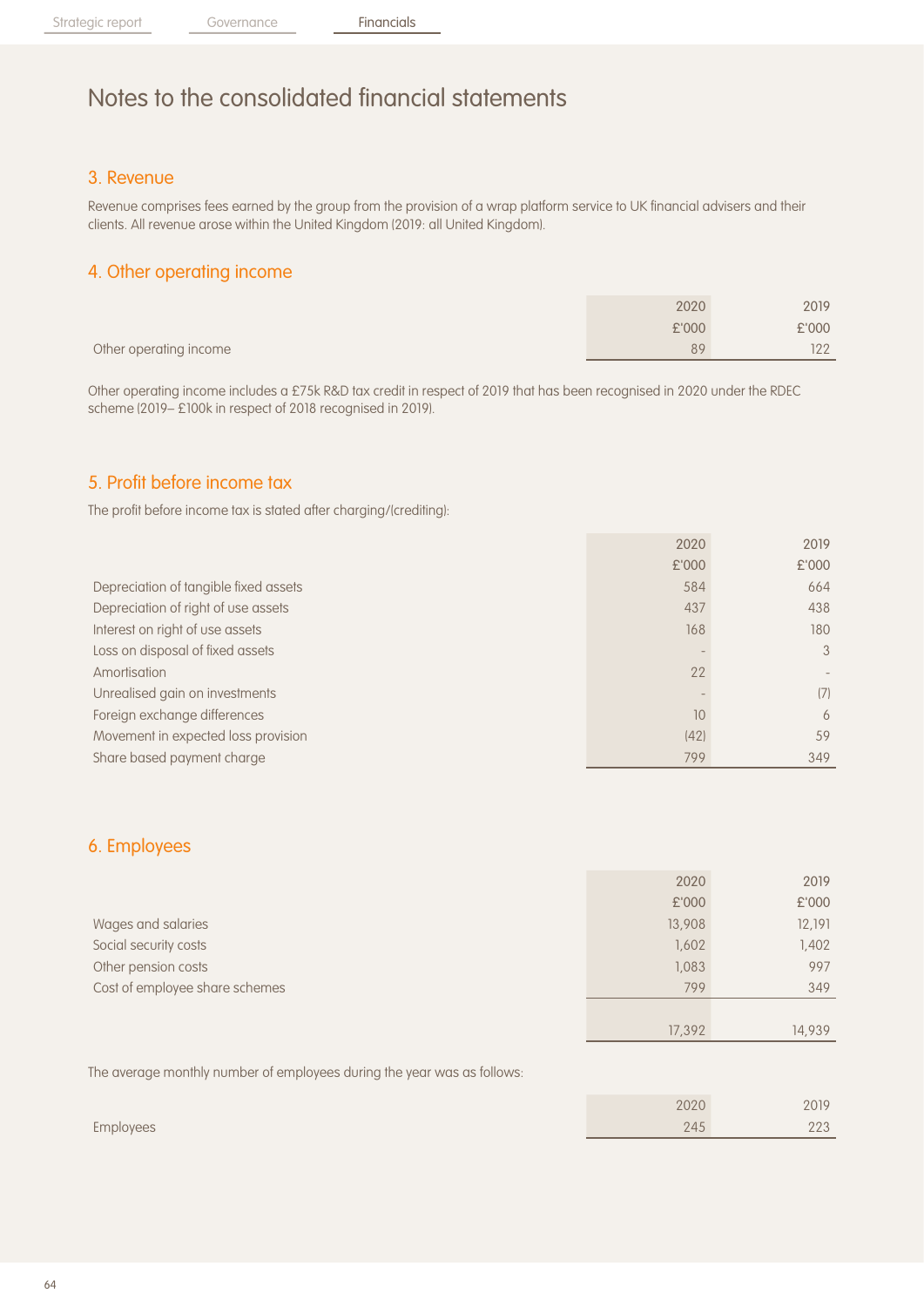### 3. Revenue

Revenue comprises fees earned by the group from the provision of a wrap platform service to UK financial advisers and their clients. All revenue arose within the United Kingdom (2019: all United Kingdom).

### 4. Other operating income

|                        | 2020  | 2019  |
|------------------------|-------|-------|
|                        | £'000 | £'000 |
| Other operating income | 89    | 122   |

Other operating income includes a £75k R&D tax credit in respect of 2019 that has been recognised in 2020 under the RDEC scheme (2019– £100k in respect of 2018 recognised in 2019).

### 5. Profit before income tax

The profit before income tax is stated after charging/(crediting):

|                                       | 2020  | 2019          |
|---------------------------------------|-------|---------------|
|                                       | £'000 | £'000         |
| Depreciation of tangible fixed assets | 584   | 664           |
| Depreciation of right of use assets   | 437   | 438           |
| Interest on right of use assets       | 168   | 180           |
| Loss on disposal of fixed assets      |       | $\mathcal{S}$ |
| Amortisation                          | 22    |               |
| Unrealised gain on investments        |       | (7)           |
| Foreign exchange differences          | 10    | 6             |
| Movement in expected loss provision   | (42)  | 59            |
| Share based payment charge            | 799   | 349           |

### 6. Employees

|                                | 2020   | 2019   |
|--------------------------------|--------|--------|
|                                | £'000  | £'000  |
| Wages and salaries             | 13,908 | 12,191 |
| Social security costs          | 1,602  | 1,402  |
| Other pension costs            | 1,083  | 997    |
| Cost of employee share schemes | 799    | 349    |
|                                |        |        |
|                                | 17,392 | 14.939 |

The average monthly number of employees during the year was as follows:

|           | 2020 | 2019         |
|-----------|------|--------------|
| Employees | 245  | nnn<br>L L U |
|           |      |              |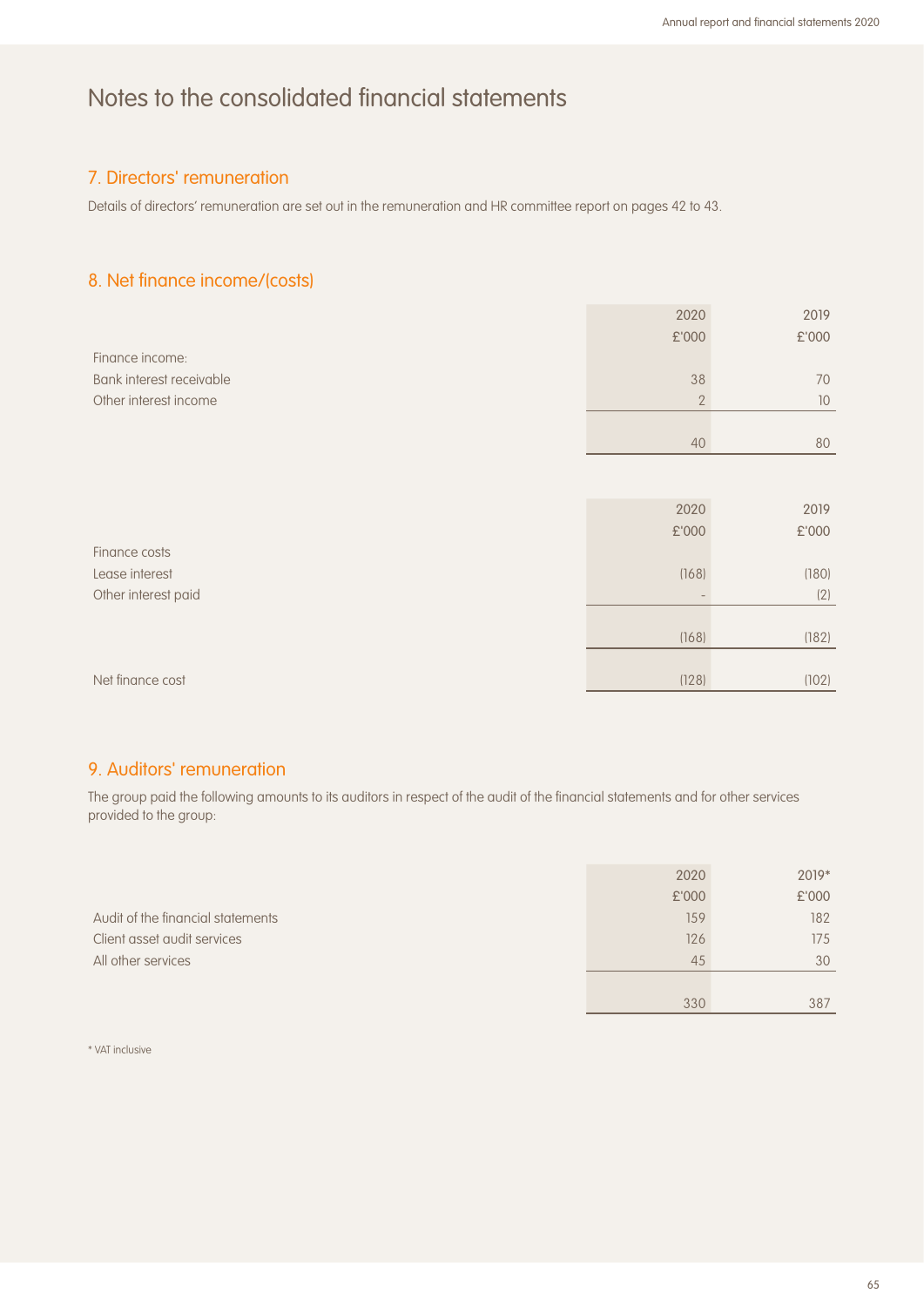## 7. Directors' remuneration

Details of directors' remuneration are set out in the remuneration and HR committee report on pages 42 to 43.

### 8. Net finance income/(costs)

|                          | 2020          | 2019  |
|--------------------------|---------------|-------|
|                          | £'000         | £'000 |
| Finance income:          |               |       |
| Bank interest receivable | 38            | 70    |
| Other interest income    | $\mathbf{2}$  | 10    |
|                          |               |       |
|                          | 40            | 80    |
|                          |               |       |
|                          |               |       |
|                          | 2020          | 2019  |
|                          | $\pounds$ 000 | £'000 |
| Finance costs            |               |       |
| Lease interest           | (168)         | (180) |
| Other interest paid      |               | (2)   |
|                          |               |       |
|                          | (168)         | (182) |
|                          |               |       |
| Net finance cost         | (128)         | (102) |

### 9. Auditors' remuneration

The group paid the following amounts to its auditors in respect of the audit of the financial statements and for other services provided to the group:

|                                   | 2020  | 2019* |
|-----------------------------------|-------|-------|
|                                   | £'000 | £'000 |
| Audit of the financial statements | 159   | 182   |
| Client asset audit services       | 126   | 175   |
| All other services                | 45    | 30    |
|                                   |       |       |
|                                   | 330   | 387   |

\* VAT inclusive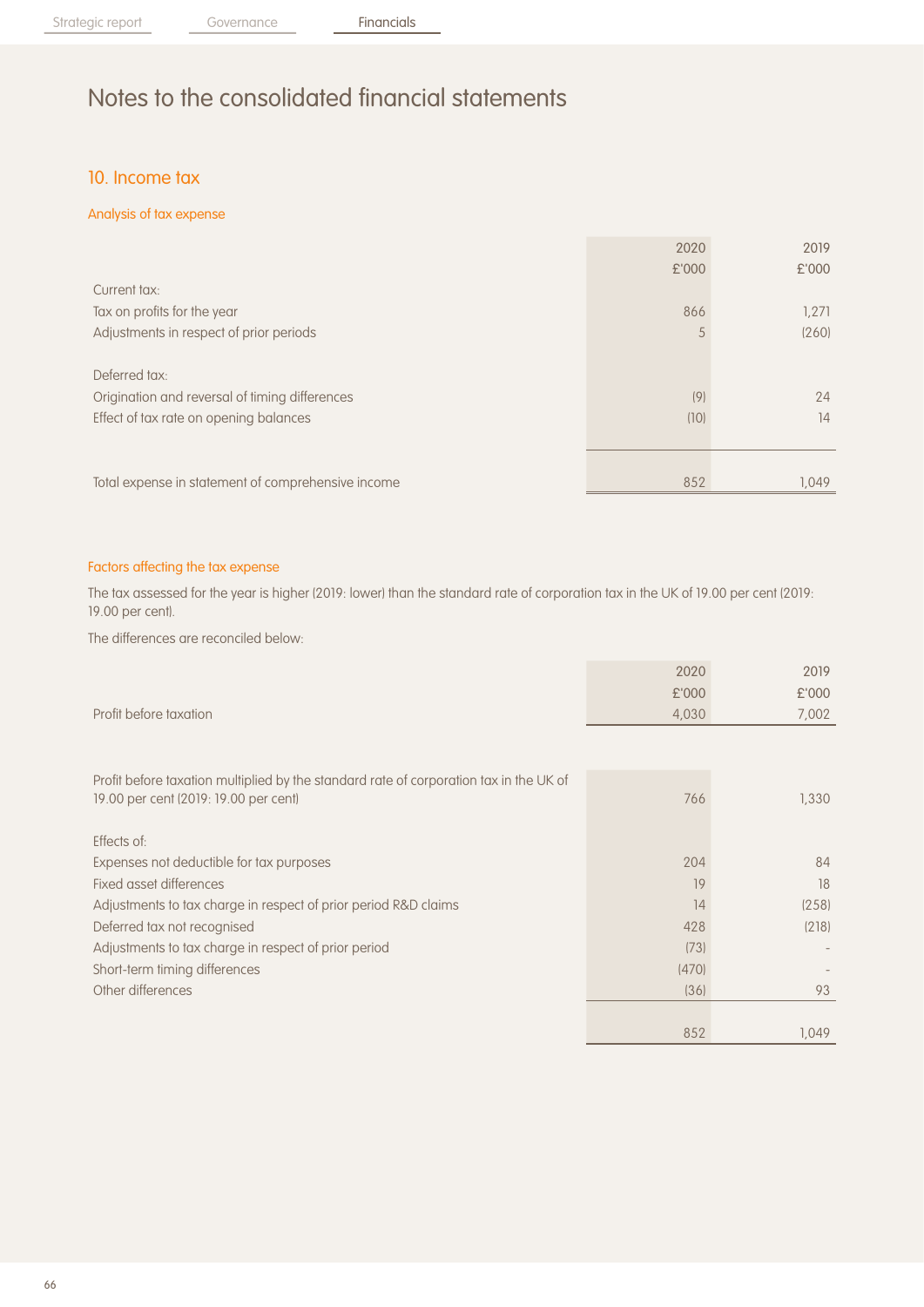## 10. Income tax

### Analysis of tax expense

|                                                    | 2020  | 2019  |
|----------------------------------------------------|-------|-------|
|                                                    | £'000 | £'000 |
| Current tax:                                       |       |       |
| Tax on profits for the year                        | 866   | 1,271 |
| Adjustments in respect of prior periods            | 5     | (260) |
|                                                    |       |       |
| Deferred tax:                                      |       |       |
| Origination and reversal of timing differences     | (9)   | 24    |
| Effect of tax rate on opening balances             | (10)  | 14    |
|                                                    |       |       |
|                                                    |       |       |
| Total expense in statement of comprehensive income | 852   | 1.049 |

### Factors affecting the tax expense

The tax assessed for the year is higher (2019: lower) than the standard rate of corporation tax in the UK of 19.00 per cent (2019: 19.00 per cent).

The differences are reconciled below:

|                                                                                        | 2020  | 2019  |
|----------------------------------------------------------------------------------------|-------|-------|
|                                                                                        | £'000 | £'000 |
| Profit before taxation                                                                 | 4,030 | 7,002 |
|                                                                                        |       |       |
| Profit before taxation multiplied by the standard rate of corporation tax in the UK of |       |       |
| 19.00 per cent (2019: 19.00 per cent)                                                  | 766   | 1,330 |
|                                                                                        |       |       |
| Effects of:                                                                            |       |       |
| Expenses not deductible for tax purposes                                               | 204   | 84    |
| Fixed asset differences                                                                | 19    | 18    |
| Adjustments to tax charge in respect of prior period R&D claims                        | 14    | (258) |
| Deferred tax not recognised                                                            | 428   | (218) |
| Adjustments to tax charge in respect of prior period                                   | (73)  |       |
| Short-term timing differences                                                          | (470) |       |
| Other differences                                                                      | (36)  | 93    |
|                                                                                        |       |       |
|                                                                                        | 852   | 1,049 |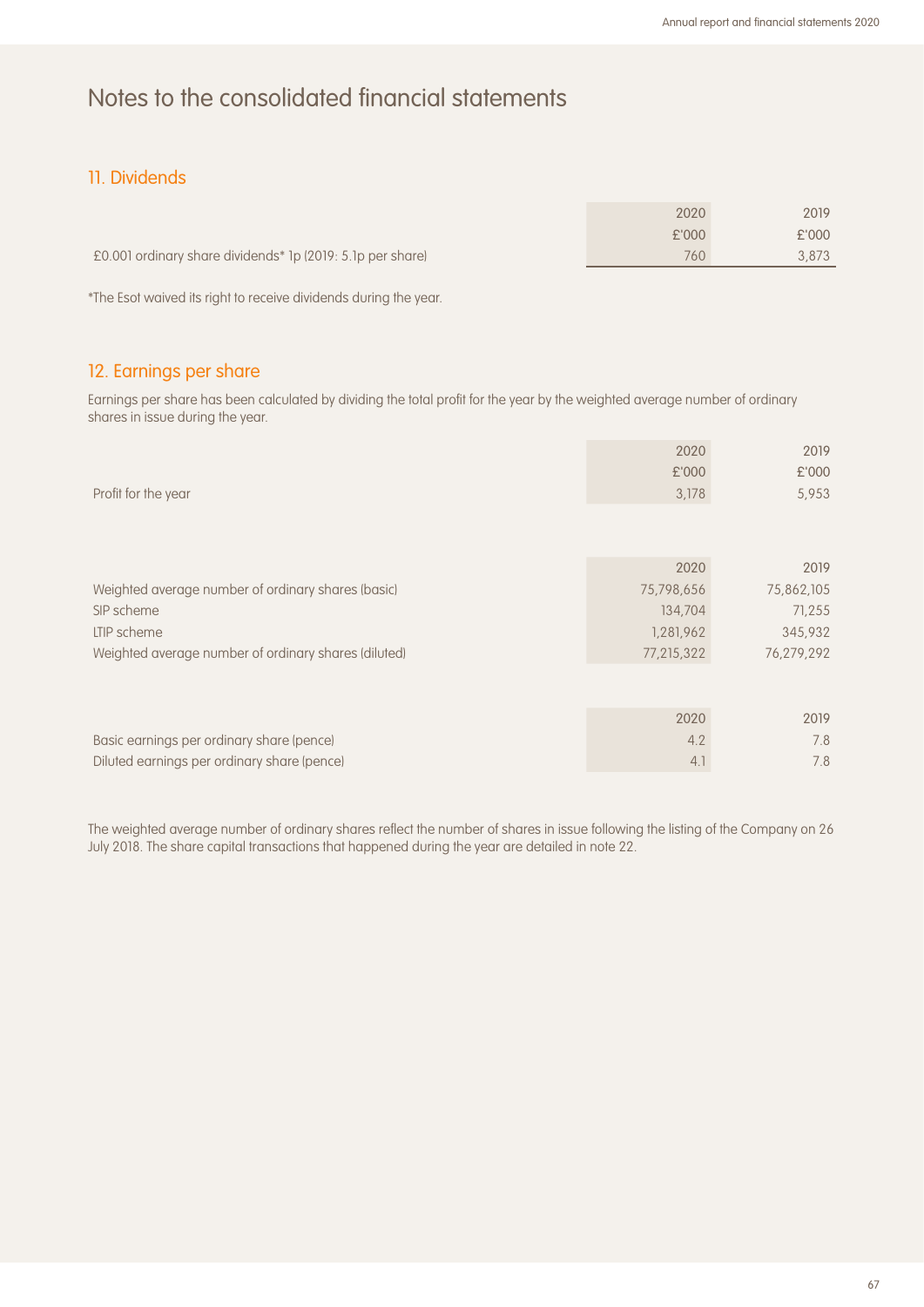## 11. Dividends

|                                                            | 2020  | 2019  |
|------------------------------------------------------------|-------|-------|
|                                                            | £'000 | £'000 |
| E0.001 ordinary share dividends* 1p (2019: 5.1p per share) | 760   | 3.873 |

\*The Esot waived its right to receive dividends during the year.

## 12. Earnings per share

Earnings per share has been calculated by dividing the total profit for the year by the weighted average number of ordinary shares in issue during the year.

| Profit for the year                                                                                                                     | 2020<br>£'000<br>3,178                                   | 2019<br>£'000<br>5,953                                |
|-----------------------------------------------------------------------------------------------------------------------------------------|----------------------------------------------------------|-------------------------------------------------------|
| Weighted average number of ordinary shares (basic)<br>SIP scheme<br>LTIP scheme<br>Weighted average number of ordinary shares (diluted) | 2020<br>75,798,656<br>134,704<br>1,281,962<br>77,215,322 | 2019<br>75,862,105<br>71,255<br>345,932<br>76,279,292 |
| Basic earnings per ordinary share (pence)<br>Diluted earnings per ordinary share (pence)                                                | 2020<br>4.2<br>4.1                                       | 2019<br>7.8<br>7.8                                    |

The weighted average number of ordinary shares reflect the number of shares in issue following the listing of the Company on 26 July 2018. The share capital transactions that happened during the year are detailed in note 22.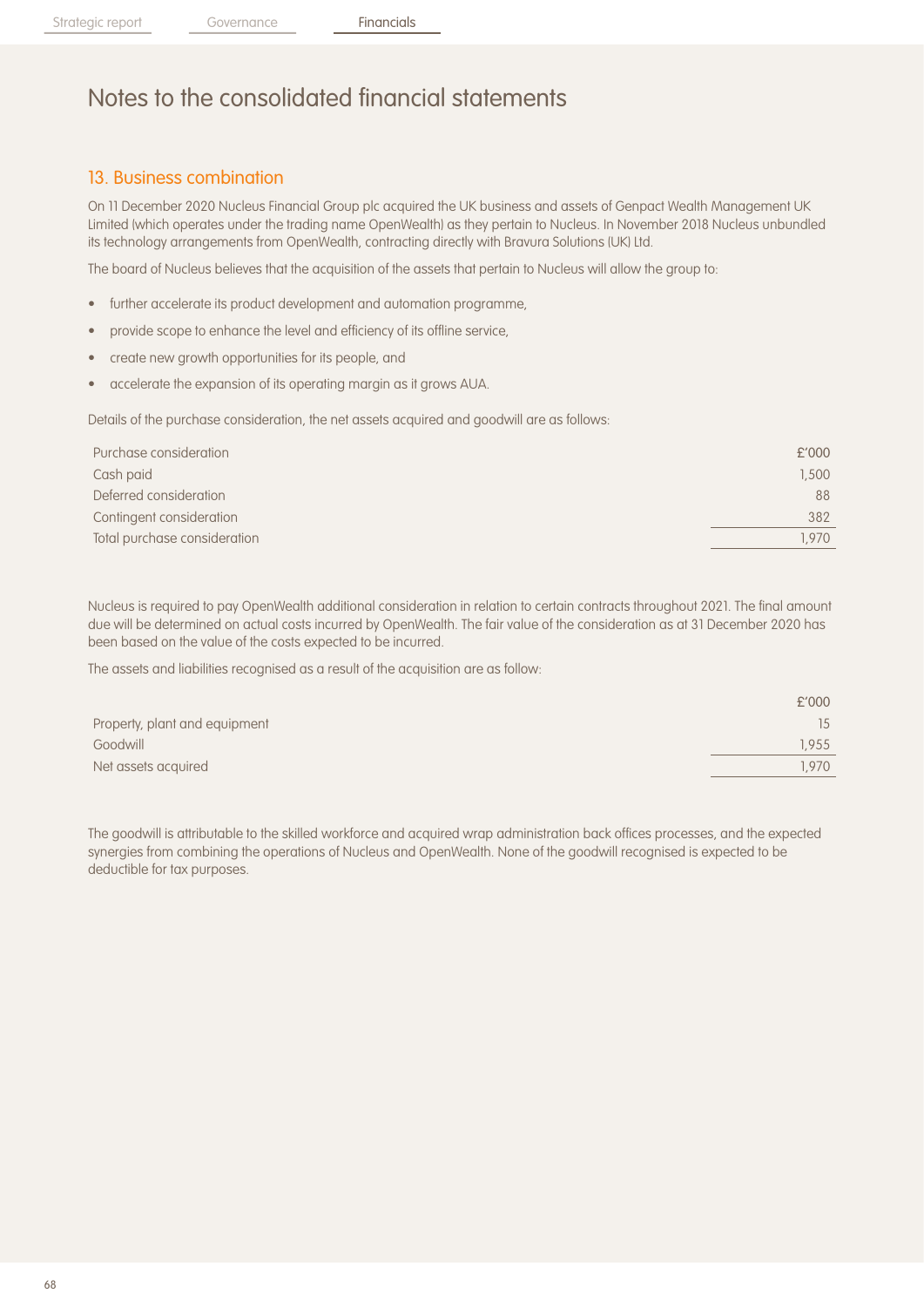## 13. Business combination

On 11 December 2020 Nucleus Financial Group plc acquired the UK business and assets of Genpact Wealth Management UK Limited (which operates under the trading name OpenWealth) as they pertain to Nucleus. In November 2018 Nucleus unbundled its technology arrangements from OpenWealth, contracting directly with Bravura Solutions (UK) Ltd.

The board of Nucleus believes that the acquisition of the assets that pertain to Nucleus will allow the group to:

- further accelerate its product development and automation programme,
- provide scope to enhance the level and efficiency of its offline service,
- create new growth opportunities for its people, and
- accelerate the expansion of its operating margin as it grows AUA.

Details of the purchase consideration, the net assets acquired and goodwill are as follows:

| Purchase consideration       | £'000 |
|------------------------------|-------|
| Cash paid                    | 1,500 |
| Deferred consideration       | 88    |
| Contingent consideration     | 382   |
| Total purchase consideration | 1.970 |
|                              |       |

Nucleus is required to pay OpenWealth additional consideration in relation to certain contracts throughout 2021. The final amount due will be determined on actual costs incurred by OpenWealth. The fair value of the consideration as at 31 December 2020 has been based on the value of the costs expected to be incurred.

The assets and liabilities recognised as a result of the acquisition are as follow:

|                               | £'000 |
|-------------------------------|-------|
| Property, plant and equipment | 15    |
| Goodwill                      | 1.955 |
| Net assets acquired           | .970  |

The goodwill is attributable to the skilled workforce and acquired wrap administration back offices processes, and the expected synergies from combining the operations of Nucleus and OpenWealth. None of the goodwill recognised is expected to be deductible for tax purposes.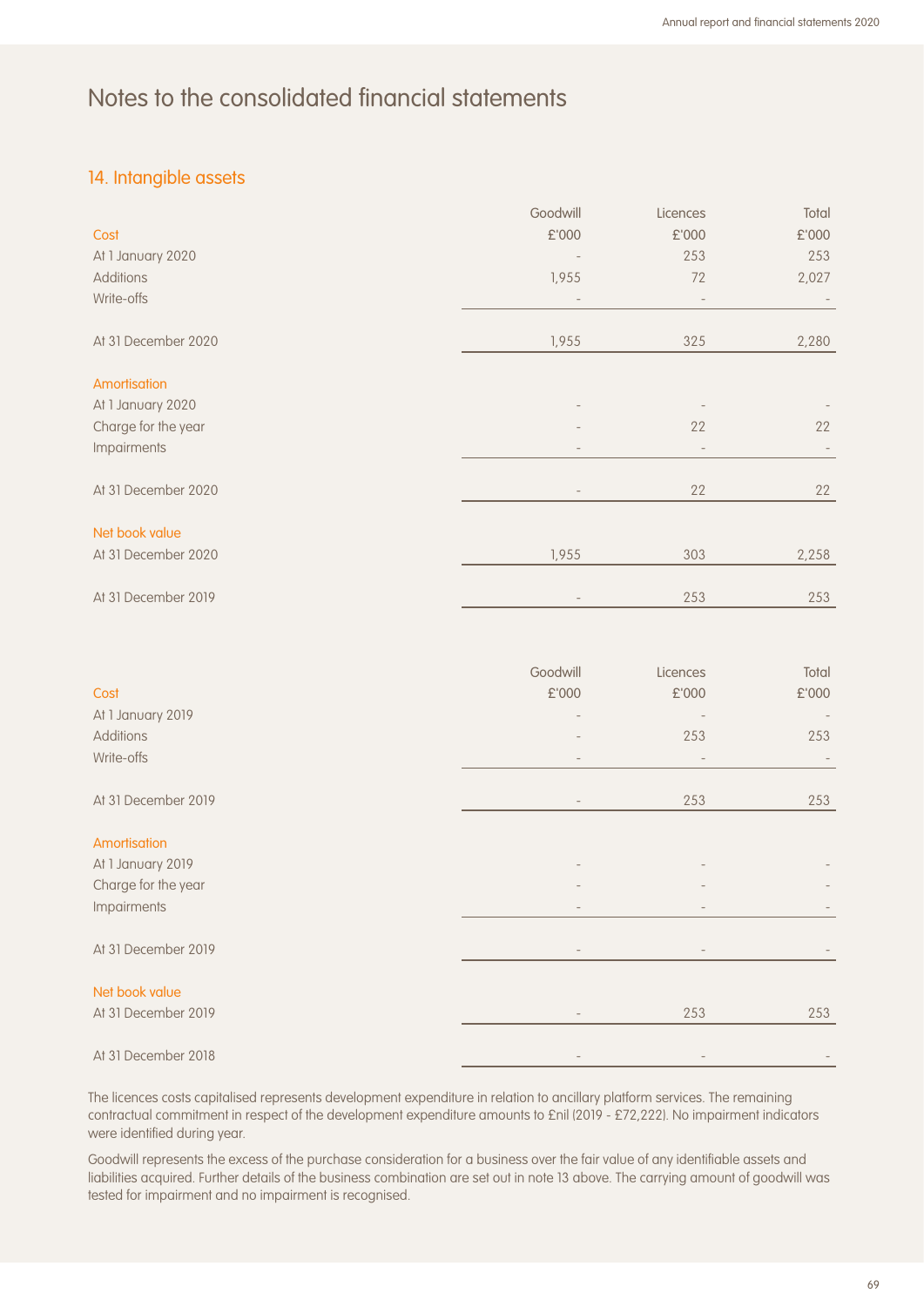## 14. Intangible assets

|                     | Goodwill                 | Licences                 | Total |
|---------------------|--------------------------|--------------------------|-------|
| Cost                | £'000                    | £'000                    | £'000 |
| At 1 January 2020   |                          | 253                      | 253   |
| <b>Additions</b>    | 1,955                    | 72                       | 2,027 |
| Write-offs          | $\overline{\phantom{a}}$ | $\overline{\phantom{a}}$ |       |
| At 31 December 2020 | 1,955                    | 325                      | 2,280 |
| Amortisation        |                          |                          |       |
| At 1 January 2020   |                          |                          |       |
| Charge for the year |                          | 22                       | 22    |
| Impairments         |                          | $\overline{\phantom{a}}$ |       |
| At 31 December 2020 |                          | 22                       | 22    |
| Net book value      |                          |                          |       |
| At 31 December 2020 | 1,955                    | 303                      | 2,258 |
| At 31 December 2019 |                          | 253                      | 253   |
|                     |                          |                          |       |

|                     | Goodwill | Licences                 | Total |
|---------------------|----------|--------------------------|-------|
| Cost                | £'000    | £'000                    | £'000 |
| At 1 January 2019   |          |                          |       |
| Additions           |          | 253                      | 253   |
| Write-offs          |          |                          |       |
| At 31 December 2019 |          | 253                      | 253   |
| Amortisation        |          |                          |       |
| At 1 January 2019   |          |                          |       |
| Charge for the year |          |                          |       |
| Impairments         |          |                          |       |
| At 31 December 2019 |          | $\overline{\phantom{a}}$ |       |
| Net book value      |          |                          |       |
| At 31 December 2019 |          | 253                      | 253   |
| At 31 December 2018 |          |                          |       |

The licences costs capitalised represents development expenditure in relation to ancillary platform services. The remaining contractual commitment in respect of the development expenditure amounts to £nil (2019 - £72,222). No impairment indicators were identified during year.

Goodwill represents the excess of the purchase consideration for a business over the fair value of any identifiable assets and liabilities acquired. Further details of the business combination are set out in note 13 above. The carrying amount of goodwill was tested for impairment and no impairment is recognised.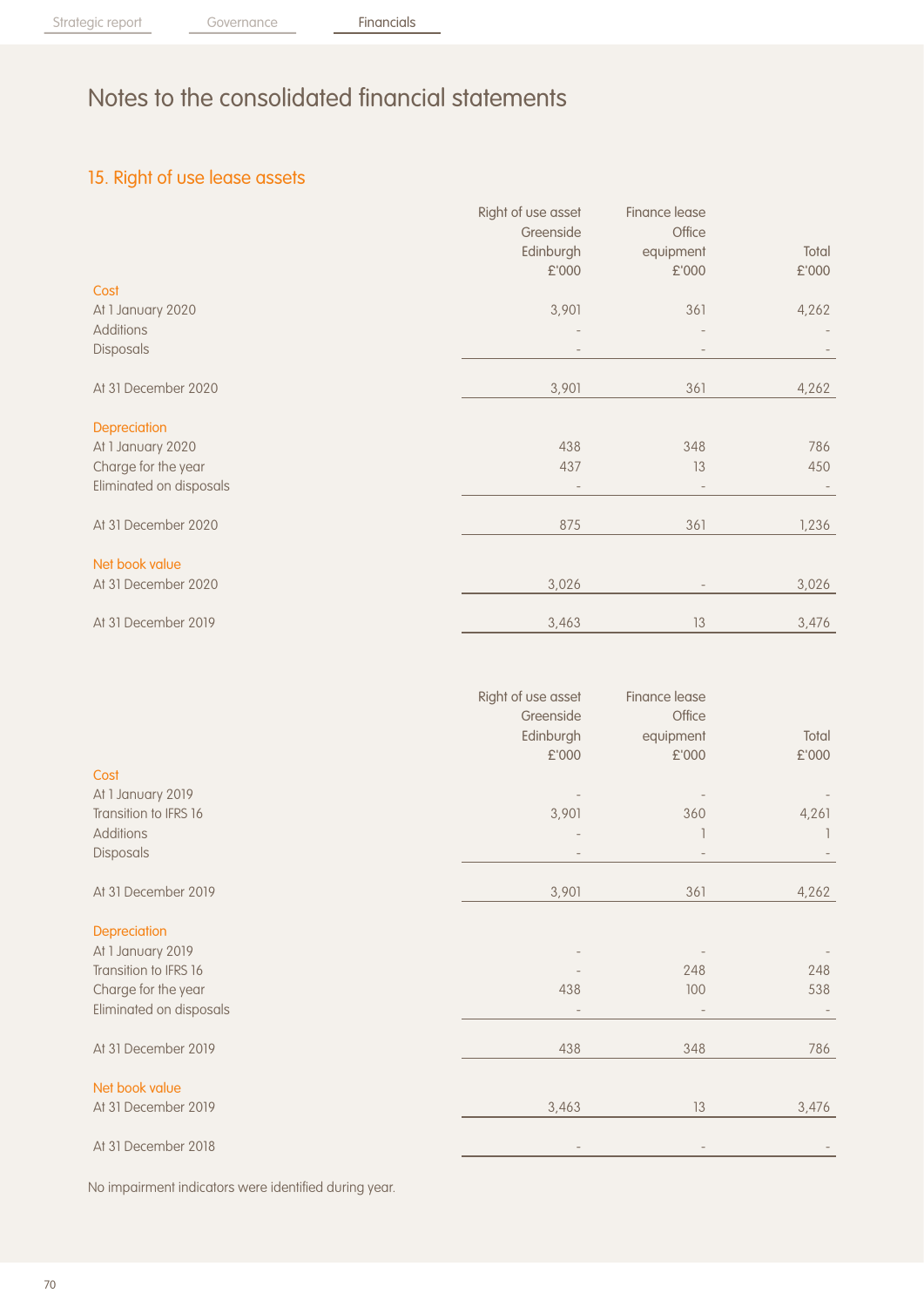## 15. Right of use lease assets

|                         | Right of use asset | Finance lease     |       |
|-------------------------|--------------------|-------------------|-------|
|                         | Greenside          | Office            |       |
|                         | Edinburgh          | equipment         | Total |
|                         | £'000              | £'000             | £'000 |
| Cost                    |                    |                   |       |
| At 1 January 2020       | 3,901              | 361               | 4,262 |
| Additions               |                    |                   |       |
| Disposals               |                    |                   |       |
| At 31 December 2020     | 3,901              | 361               | 4,262 |
| Depreciation            |                    |                   |       |
| At 1 January 2020       | 438                | 348               | 786   |
| Charge for the year     | 437                | 13                | 450   |
| Eliminated on disposals |                    | $\qquad \qquad -$ |       |
|                         |                    |                   |       |
| At 31 December 2020     | 875                | 361               | 1,236 |
| Net book value          |                    |                   |       |
| At 31 December 2020     | 3,026              |                   | 3,026 |
| At 31 December 2019     | 3,463              | 13                | 3,476 |
|                         |                    |                   |       |

|                         | Right of use asset | Finance lease |       |
|-------------------------|--------------------|---------------|-------|
|                         | Greenside          | Office        |       |
|                         | Edinburgh          | equipment     | Total |
|                         | £'000              | £'000         | £'000 |
| Cost                    |                    |               |       |
| At 1 January 2019       |                    |               |       |
| Transition to IFRS 16   | 3,901              | 360           | 4,261 |
| Additions               |                    |               |       |
| Disposals               |                    |               |       |
| At 31 December 2019     | 3,901              | 361           | 4,262 |
| Depreciation            |                    |               |       |
| At 1 January 2019       |                    |               |       |
| Transition to IFRS 16   |                    | 248           | 248   |
| Charge for the year     | 438                | 100           | 538   |
| Eliminated on disposals |                    |               |       |
| At 31 December 2019     | 438                | 348           | 786   |
| Net book value          |                    |               |       |
| At 31 December 2019     | 3,463              | 13            | 3,476 |
| At 31 December 2018     |                    |               |       |
|                         |                    |               |       |

No impairment indicators were identified during year.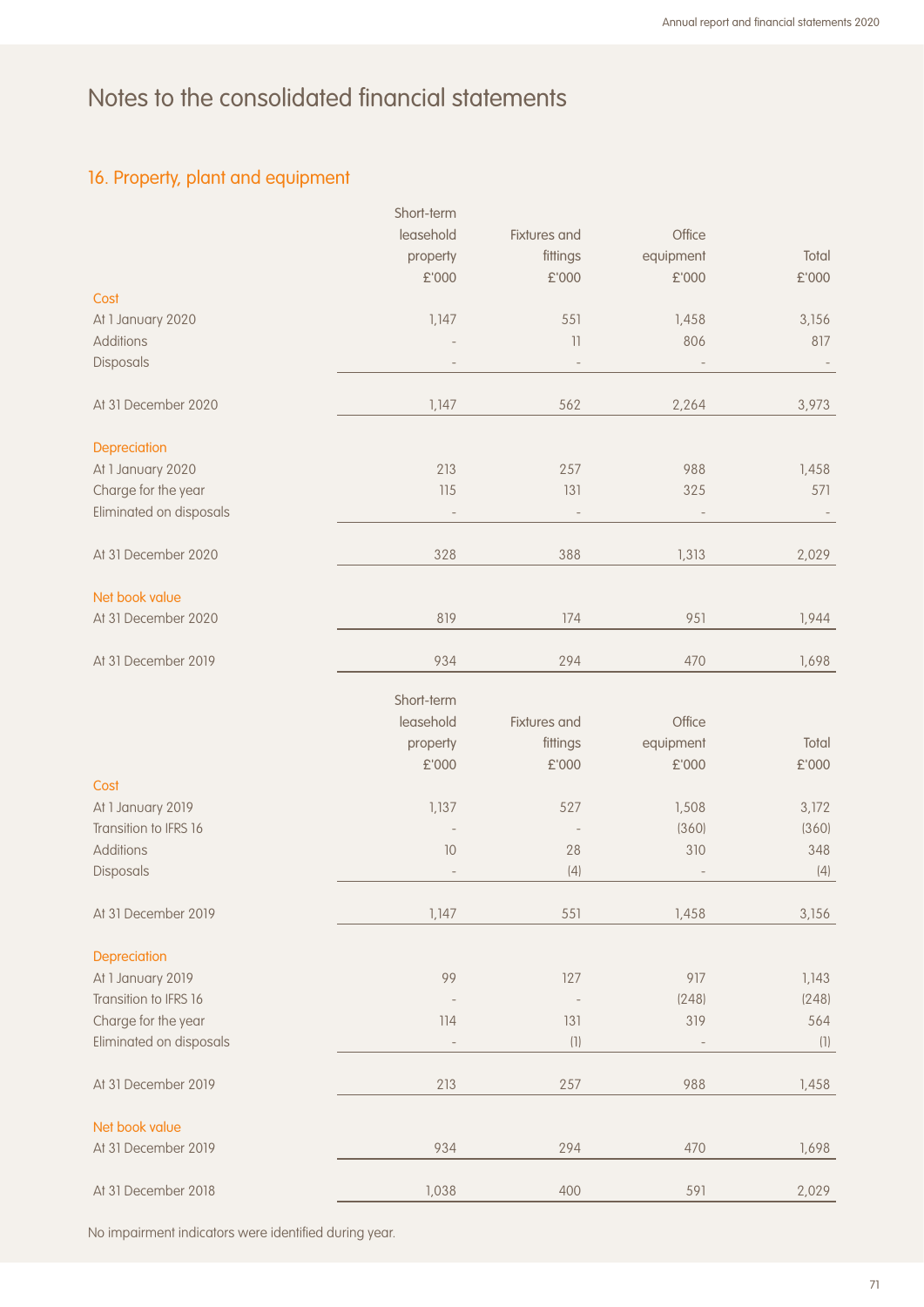## 16. Property, plant and equipment

|                         | Short-term |                   |           |       |
|-------------------------|------------|-------------------|-----------|-------|
|                         | leasehold  | Fixtures and      | Office    |       |
|                         | property   | fittings          | equipment | Total |
|                         | £'000      | £'000             | £'000     | £'000 |
| Cost                    |            |                   |           |       |
| At 1 January 2020       | 1,147      | 551               | 1,458     | 3,156 |
| <b>Additions</b>        |            | $\overline{11}$   | 806       | 817   |
|                         |            |                   |           |       |
| Disposals               |            |                   |           |       |
| At 31 December 2020     | 1,147      | 562               | 2,264     | 3,973 |
|                         |            |                   |           |       |
| Depreciation            |            |                   |           |       |
| At 1 January 2020       | 213        | 257               | 988       | 1,458 |
| Charge for the year     | 115        | 131               | 325       | 571   |
| Eliminated on disposals |            |                   |           |       |
| At 31 December 2020     | 328        | 388               | 1,313     | 2,029 |
| Net book value          |            |                   |           |       |
|                         |            |                   |           |       |
| At 31 December 2020     | 819        | 174               | 951       | 1,944 |
| At 31 December 2019     | 934        | 294               | 470       | 1,698 |
|                         | Short-term |                   |           |       |
|                         | leasehold  | Fixtures and      | Office    |       |
|                         |            |                   |           | Total |
|                         | property   | fittings          | equipment |       |
|                         | £'000      | £'000             | £'000     | £'000 |
| Cost                    |            |                   |           |       |
| At 1 January 2019       | 1,137      | 527               | 1,508     | 3,172 |
| Transition to IFRS 16   |            |                   | (360)     | (360) |
| <b>Additions</b>        | $10$       | 28                | 310       | 348   |
| Disposals               |            | (4)               |           | (4)   |
| At 31 December 2019     | 1,147      | 551               | 1,458     | 3,156 |
|                         |            |                   |           |       |
| Depreciation            |            |                   |           |       |
| At 1 January 2019       | 99         | 127               | 917       | 1,143 |
| Transition to IFRS 16   |            |                   | (248)     | (248) |
| Charge for the year     | 114        | 131               | 319       | 564   |
| Eliminated on disposals | ÷          | $\left( 1\right)$ |           | (1)   |
|                         |            |                   |           |       |
| At 31 December 2019     | 213        | 257               | 988       | 1,458 |
| Net book value          |            |                   |           |       |
| At 31 December 2019     | 934        | 294               | 470       | 1,698 |
|                         |            |                   |           |       |
| At 31 December 2018     | 1,038      | 400               | 591       | 2,029 |

No impairment indicators were identified during year.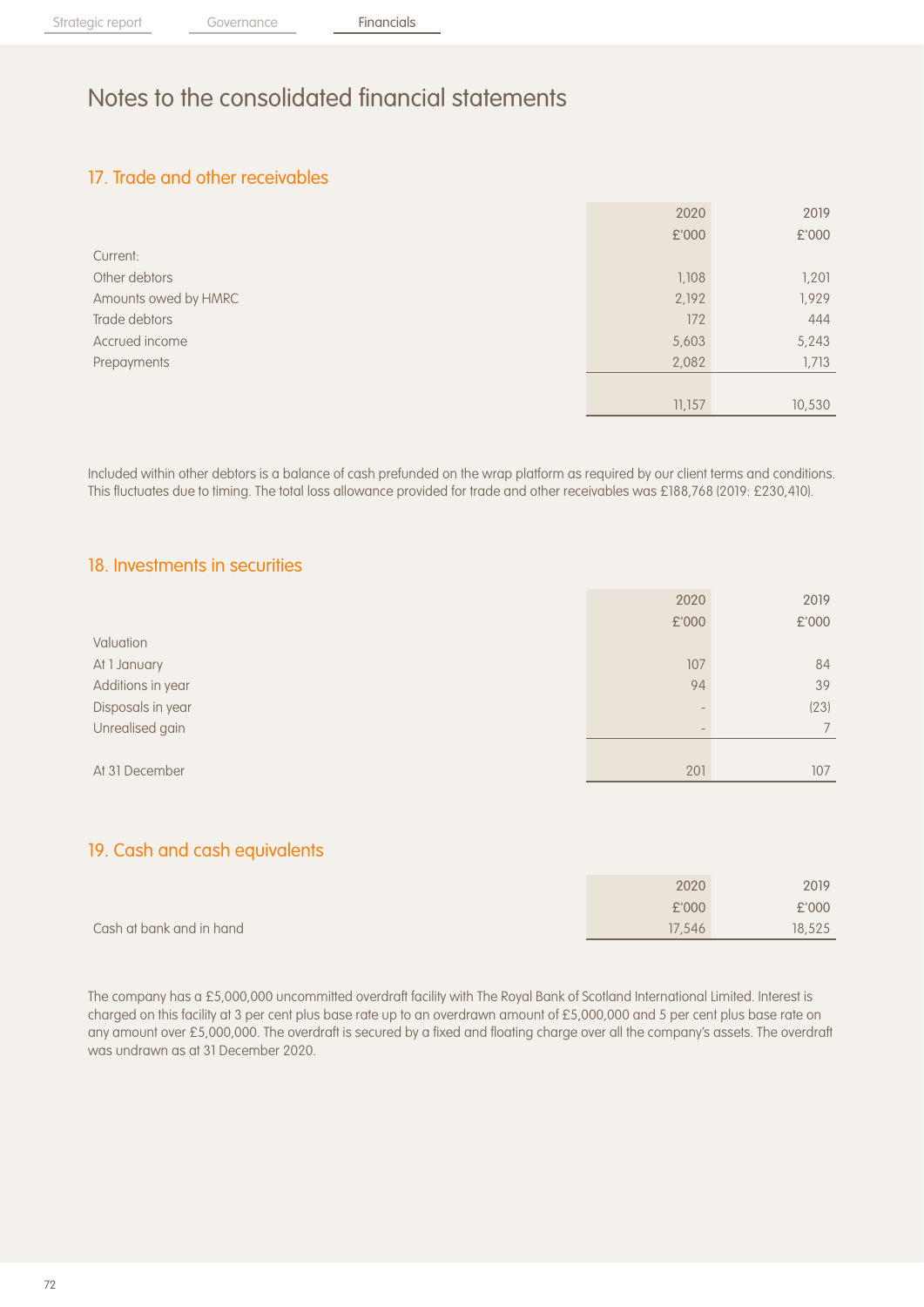## 17. Trade and other receivables

|                      | 2020   | 2019   |
|----------------------|--------|--------|
|                      | £'000  | £'000  |
| Current:             |        |        |
| Other debtors        | 1,108  | 1,201  |
| Amounts owed by HMRC | 2,192  | 1,929  |
| Trade debtors        | 172    | 444    |
| Accrued income       | 5,603  | 5,243  |
| Prepayments          | 2,082  | 1,713  |
|                      |        |        |
|                      | 11,157 | 10,530 |

Included within other debtors is a balance of cash prefunded on the wrap platform as required by our client terms and conditions. This fluctuates due to timing. The total loss allowance provided for trade and other receivables was £188,768 (2019: £230,410).

### 18. Investments in securities

|                   | 2020  | 2019  |
|-------------------|-------|-------|
|                   | £'000 | £'000 |
| Valuation         |       |       |
| At 1 January      | 107   | 84    |
| Additions in year | 94    | 39    |
| Disposals in year |       | (23)  |
| Unrealised gain   |       |       |
|                   |       |       |
| At 31 December    | 201   | 107   |

## 19. Cash and cash equivalents

|                          | 2020   | 2019   |
|--------------------------|--------|--------|
|                          | £'000  | £'000  |
| Cash at bank and in hand | 17,546 | 18,525 |

The company has a £5,000,000 uncommitted overdraft facility with The Royal Bank of Scotland International Limited. Interest is charged on this facility at 3 per cent plus base rate up to an overdrawn amount of £5,000,000 and 5 per cent plus base rate on any amount over £5,000,000. The overdraft is secured by a fixed and floating charge over all the company's assets. The overdraft was undrawn as at 31 December 2020.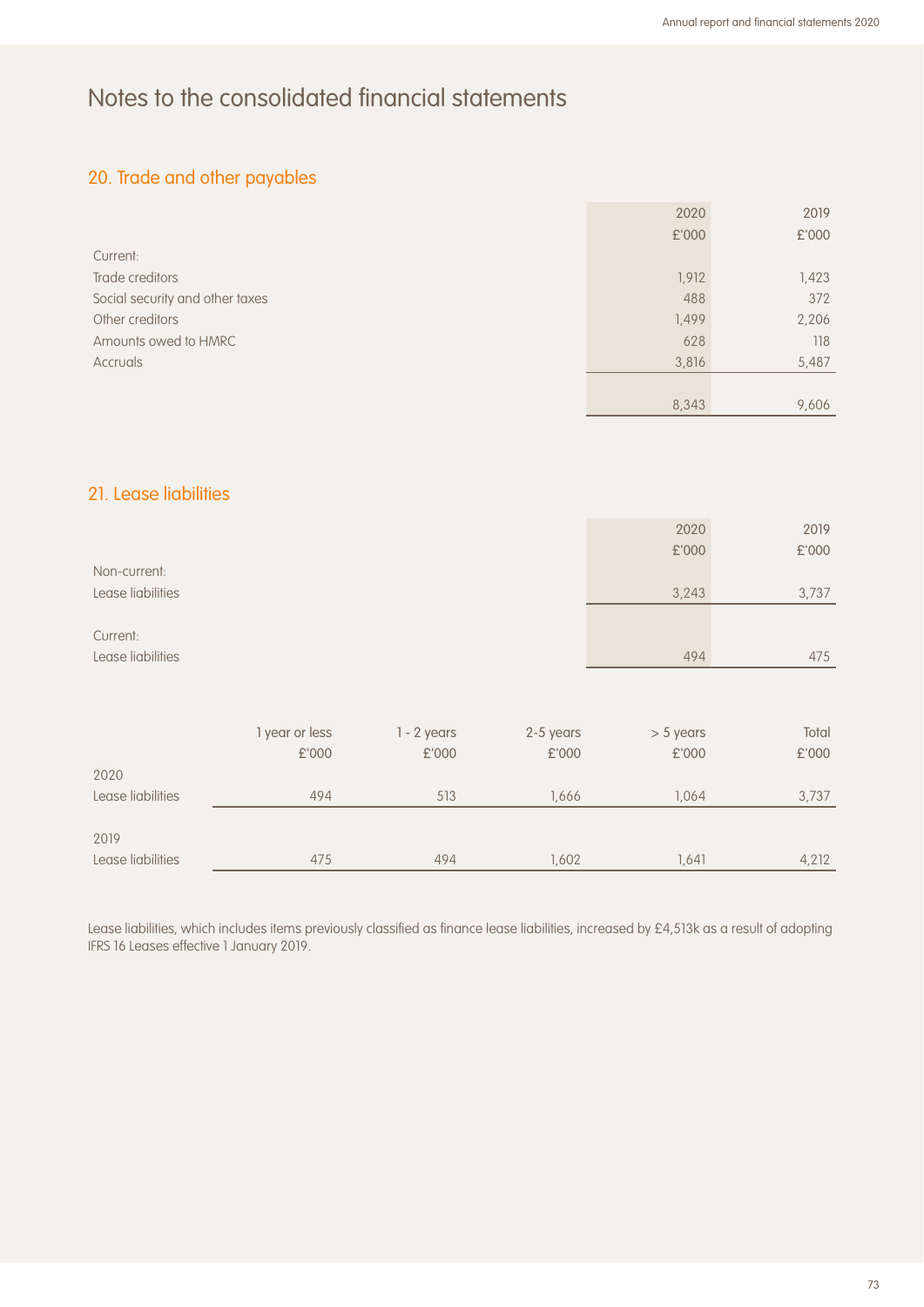## 20. Trade and other payables

|                                 | 2020  | 2019  |
|---------------------------------|-------|-------|
|                                 | £'000 | £'000 |
| Current:                        |       |       |
| Trade creditors                 | 1,912 | 1,423 |
| Social security and other taxes | 488   | 372   |
| Other creditors                 | 1,499 | 2,206 |
| Amounts owed to HMRC            | 628   | 118   |
| Accruals                        | 3,816 | 5,487 |
|                                 |       |       |
|                                 | 8,343 | 9,606 |

#### 21. Lease liabilities

|                   | 2020  | 2019  |
|-------------------|-------|-------|
|                   | £'000 | £'000 |
| Non-current:      |       |       |
| Lease liabilities | 3,243 | 3,737 |
|                   |       |       |
| Current:          |       |       |
| Lease liabilities | 494   | 475   |

|                   | l year or less | $1 - 2$ years | 2-5 years | $> 5$ years | Total |
|-------------------|----------------|---------------|-----------|-------------|-------|
|                   | £'000          | £'000         | £'000     | £'000       | £'000 |
| 2020              |                |               |           |             |       |
| Lease liabilities | 494            | 513           | 1.666     | 1.064       | 3,737 |
|                   |                |               |           |             |       |
| 2019              |                |               |           |             |       |
| Lease liabilities | 475            | 494           | 1,602     | 1,641       | 4,212 |

Lease liabilities, which includes items previously classified as finance lease liabilities, increased by £4,513k as a result of adopting IFRS 16 Leases effective 1 January 2019.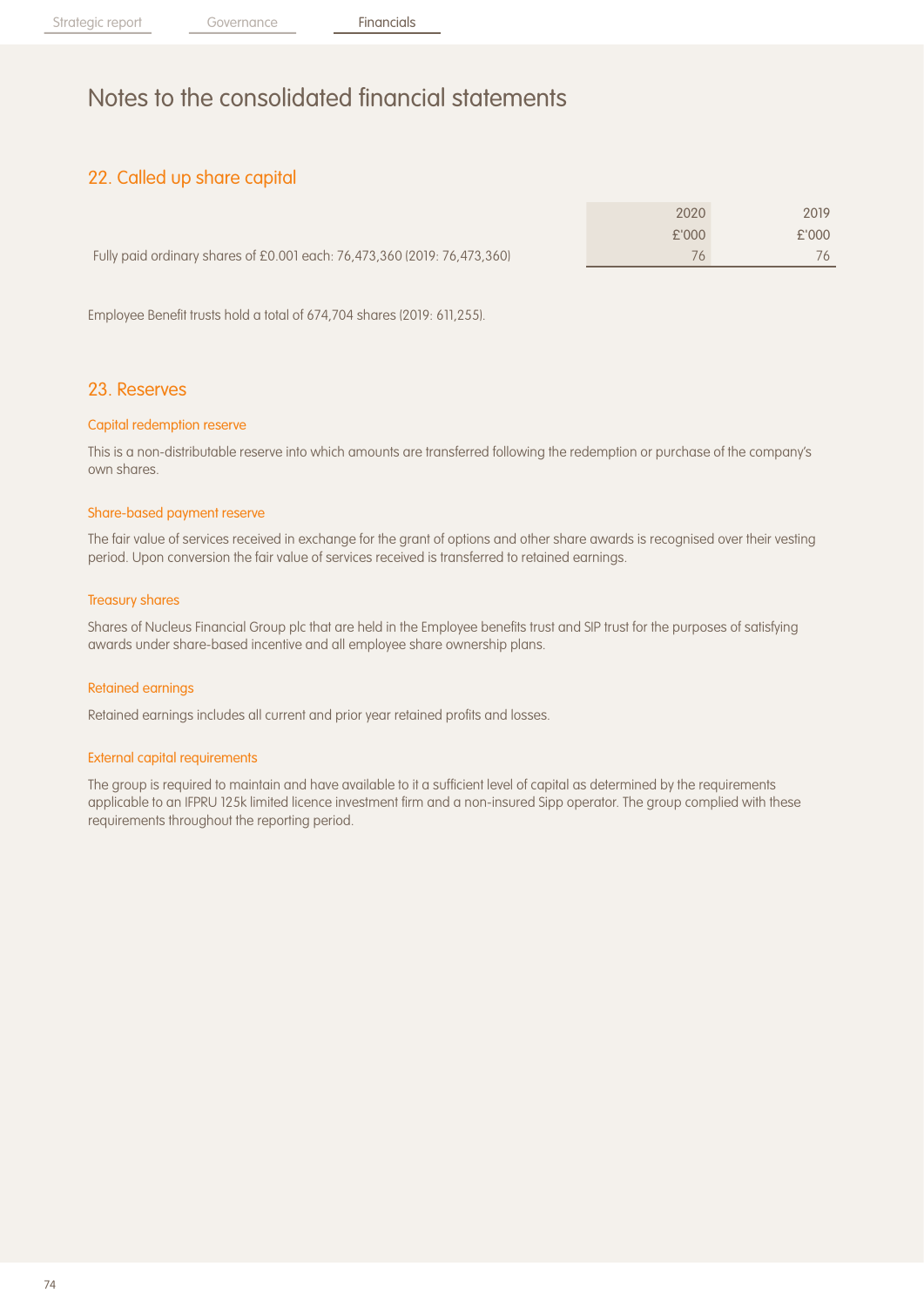## 22. Called up share capital

|                                                                          | 2020  | 2019  |
|--------------------------------------------------------------------------|-------|-------|
|                                                                          | f'000 | £'000 |
| Fully paid ordinary shares of £0.001 each: 76,473,360 (2019: 76,473,360) | 76    |       |

Employee Benefit trusts hold a total of 674,704 shares (2019: 611,255).

#### 23. Reserves

#### Capital redemption reserve

This is a non-distributable reserve into which amounts are transferred following the redemption or purchase of the company's own shares.

#### Share-based payment reserve

The fair value of services received in exchange for the grant of options and other share awards is recognised over their vesting period. Upon conversion the fair value of services received is transferred to retained earnings.

#### Treasury shares

Shares of Nucleus Financial Group plc that are held in the Employee benefits trust and SIP trust for the purposes of satisfying awards under share-based incentive and all employee share ownership plans.

#### Retained earnings

Retained earnings includes all current and prior year retained profits and losses.

#### External capital requirements

The group is required to maintain and have available to it a sufficient level of capital as determined by the requirements applicable to an IFPRU 125k limited licence investment firm and a non-insured Sipp operator. The group complied with these requirements throughout the reporting period.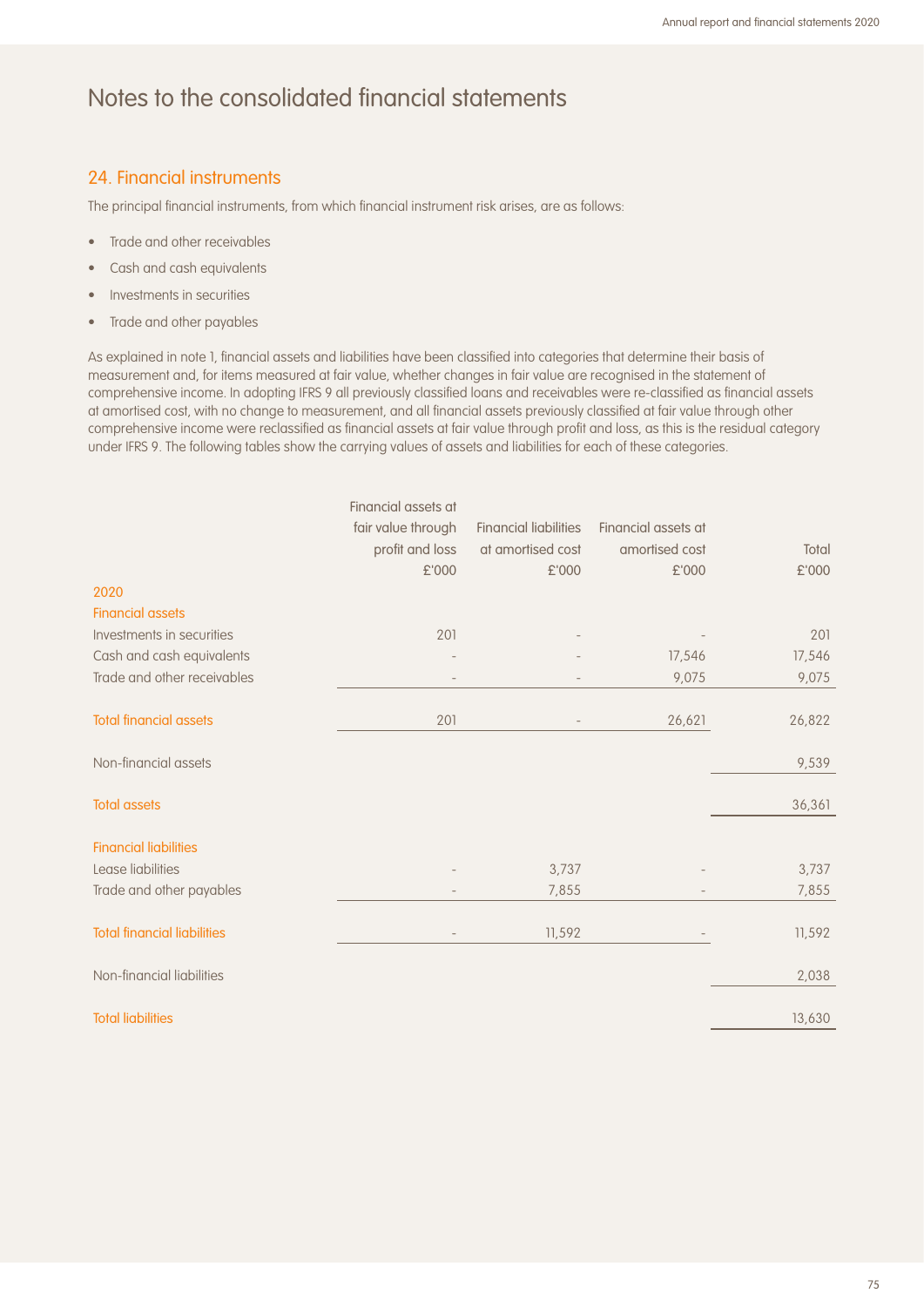#### 24. Financial instruments

The principal financial instruments, from which financial instrument risk arises, are as follows:

- Trade and other receivables
- Cash and cash equivalents
- Investments in securities
- Trade and other payables

As explained in note 1, financial assets and liabilities have been classified into categories that determine their basis of measurement and, for items measured at fair value, whether changes in fair value are recognised in the statement of comprehensive income. In adopting IFRS 9 all previously classified loans and receivables were re-classified as financial assets at amortised cost, with no change to measurement, and all financial assets previously classified at fair value through other comprehensive income were reclassified as financial assets at fair value through profit and loss, as this is the residual category under IFRS 9. The following tables show the carrying values of assets and liabilities for each of these categories.

|                                    | Financial assets at |                              |                     |        |
|------------------------------------|---------------------|------------------------------|---------------------|--------|
|                                    | fair value through  | <b>Financial liabilities</b> | Financial assets at |        |
|                                    | profit and loss     | at amortised cost            | amortised cost      | Total  |
|                                    | £'000               | £'000                        | £'000               | £'000  |
| 2020                               |                     |                              |                     |        |
| <b>Financial assets</b>            |                     |                              |                     |        |
| Investments in securities          | 201                 |                              |                     | 201    |
| Cash and cash equivalents          |                     |                              | 17,546              | 17,546 |
| Trade and other receivables        |                     |                              | 9,075               | 9,075  |
|                                    |                     |                              |                     |        |
| <b>Total financial assets</b>      | 201                 |                              | 26,621              | 26,822 |
|                                    |                     |                              |                     |        |
| Non-financial assets               |                     |                              |                     | 9,539  |
|                                    |                     |                              |                     |        |
| <b>Total assets</b>                |                     |                              |                     | 36,361 |
|                                    |                     |                              |                     |        |
| <b>Financial liabilities</b>       |                     |                              |                     |        |
| Lease liabilities                  |                     | 3,737                        |                     | 3,737  |
| Trade and other payables           |                     | 7,855                        |                     | 7,855  |
|                                    |                     |                              |                     |        |
| <b>Total financial liabilities</b> |                     | 11,592                       |                     | 11,592 |
|                                    |                     |                              |                     |        |
| Non-financial liabilities          |                     |                              |                     | 2,038  |
|                                    |                     |                              |                     |        |
| <b>Total liabilities</b>           |                     |                              |                     | 13,630 |
|                                    |                     |                              |                     |        |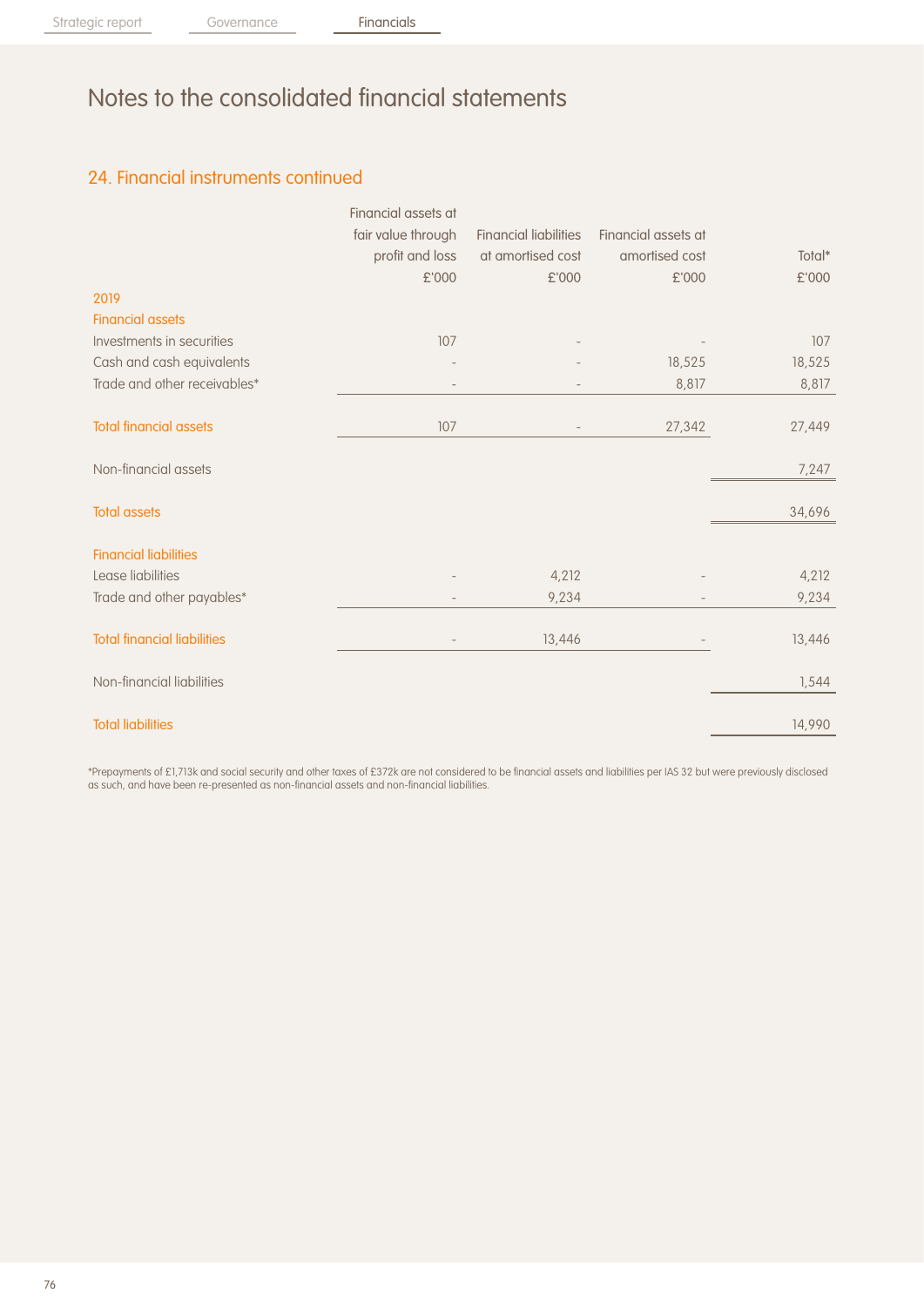## 24. Financial instruments continued

|                                    | Financial assets at      |                              |                     |        |
|------------------------------------|--------------------------|------------------------------|---------------------|--------|
|                                    | fair value through       | <b>Financial liabilities</b> | Financial assets at |        |
|                                    | profit and loss          | at amortised cost            | amortised cost      | Total* |
|                                    | £'000                    | £'000                        | £'000               | £'000  |
| 2019                               |                          |                              |                     |        |
| <b>Financial assets</b>            |                          |                              |                     |        |
| Investments in securities          | 107                      |                              |                     | 107    |
| Cash and cash equivalents          |                          |                              | 18,525              | 18,525 |
| Trade and other receivables*       |                          |                              | 8,817               | 8,817  |
| <b>Total financial assets</b>      | 107                      |                              | 27,342              | 27,449 |
| Non-financial assets               |                          |                              |                     | 7,247  |
| <b>Total assets</b>                |                          |                              |                     | 34,696 |
| <b>Financial liabilities</b>       |                          |                              |                     |        |
| Lease liabilities                  |                          | 4,212                        |                     | 4,212  |
| Trade and other payables*          |                          | 9,234                        |                     | 9,234  |
| <b>Total financial liabilities</b> | $\overline{\phantom{a}}$ | 13,446                       |                     | 13,446 |
| Non-financial liabilities          |                          |                              |                     | 1,544  |
| <b>Total liabilities</b>           |                          |                              |                     | 14,990 |

\*Prepayments of £1,713k and social security and other taxes of £372k are not considered to be financial assets and liabilities per IAS 32 but were previously disclosed as such, and have been re-presented as non-financial assets and non-financial liabilities.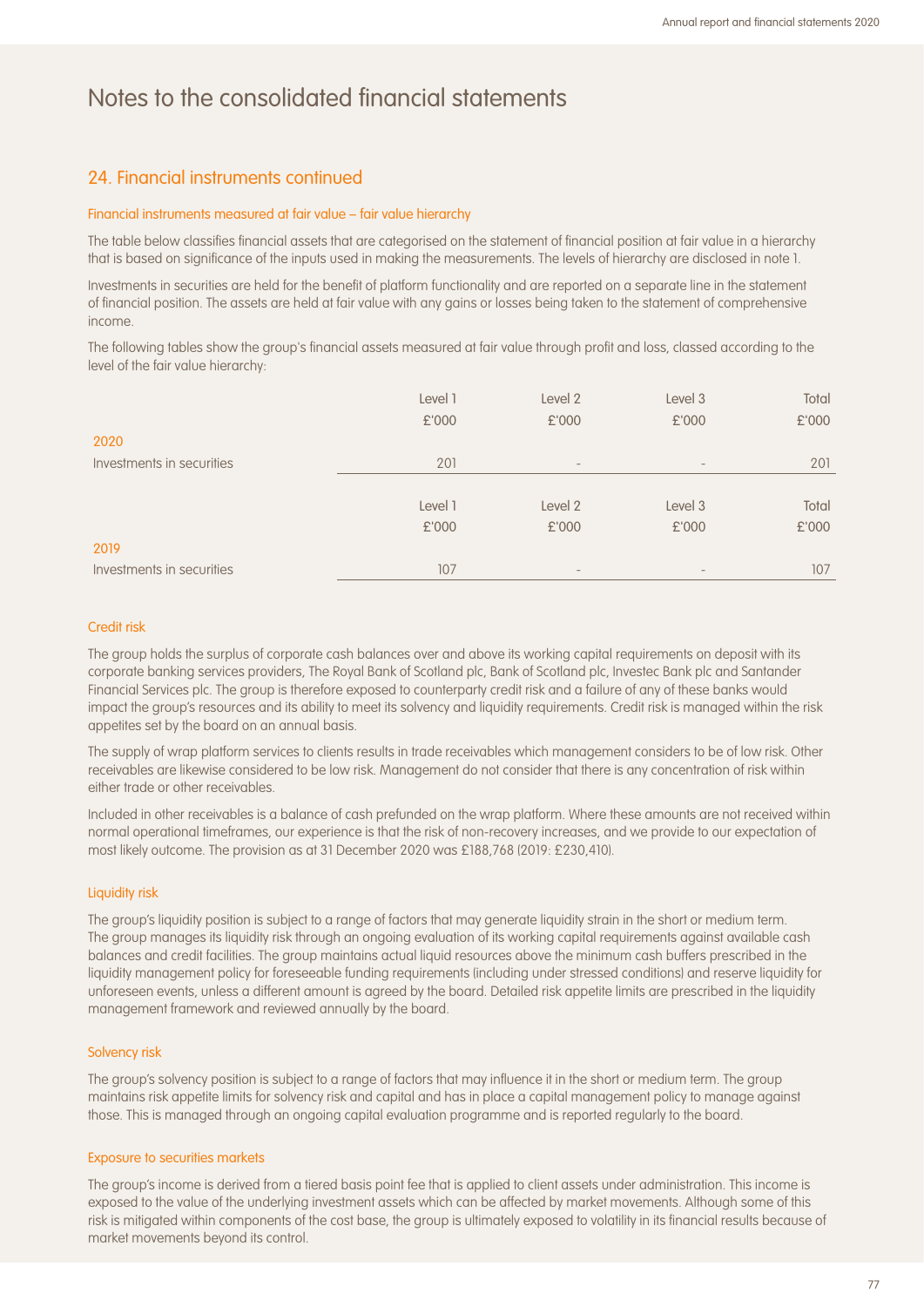#### 24. Financial instruments continued

#### Financial instruments measured at fair value – fair value hierarchy

The table below classifies financial assets that are categorised on the statement of financial position at fair value in a hierarchy that is based on significance of the inputs used in making the measurements. The levels of hierarchy are disclosed in note 1.

Investments in securities are held for the benefit of platform functionality and are reported on a separate line in the statement of financial position. The assets are held at fair value with any gains or losses being taken to the statement of comprehensive income.

The following tables show the group's financial assets measured at fair value through profit and loss, classed according to the level of the fair value hierarchy:

|                           | Level 1 | Level 2                      | Level 3           | Total |
|---------------------------|---------|------------------------------|-------------------|-------|
|                           | £'000   | £'000                        | £'000             | £'000 |
| 2020                      |         |                              |                   |       |
| Investments in securities | 201     | $\qquad \qquad$              | $\qquad \qquad -$ | 201   |
|                           |         |                              |                   |       |
|                           | Level 1 | Level 2                      | Level 3           | Total |
|                           | £'000   | £'000                        | £'000             | £'000 |
| 2019                      |         |                              |                   |       |
| Investments in securities | 107     | $\qquad \qquad \blacksquare$ | $\qquad \qquad$   | 107   |

#### Credit risk

The group holds the surplus of corporate cash balances over and above its working capital requirements on deposit with its corporate banking services providers, The Royal Bank of Scotland plc, Bank of Scotland plc, Investec Bank plc and Santander Financial Services plc. The group is therefore exposed to counterparty credit risk and a failure of any of these banks would impact the group's resources and its ability to meet its solvency and liquidity requirements. Credit risk is managed within the risk appetites set by the board on an annual basis.

The supply of wrap platform services to clients results in trade receivables which management considers to be of low risk. Other receivables are likewise considered to be low risk. Management do not consider that there is any concentration of risk within either trade or other receivables.

Included in other receivables is a balance of cash prefunded on the wrap platform. Where these amounts are not received within normal operational timeframes, our experience is that the risk of non-recovery increases, and we provide to our expectation of most likely outcome. The provision as at 31 December 2020 was £188,768 (2019: £230,410).

#### Liquidity risk

The group's liquidity position is subject to a range of factors that may generate liquidity strain in the short or medium term. The group manages its liquidity risk through an ongoing evaluation of its working capital requirements against available cash balances and credit facilities. The group maintains actual liquid resources above the minimum cash buffers prescribed in the liquidity management policy for foreseeable funding requirements (including under stressed conditions) and reserve liquidity for unforeseen events, unless a different amount is agreed by the board. Detailed risk appetite limits are prescribed in the liquidity management framework and reviewed annually by the board.

#### Solvency risk

The group's solvency position is subject to a range of factors that may influence it in the short or medium term. The group maintains risk appetite limits for solvency risk and capital and has in place a capital management policy to manage against those. This is managed through an ongoing capital evaluation programme and is reported regularly to the board.

#### Exposure to securities markets

The group's income is derived from a tiered basis point fee that is applied to client assets under administration. This income is exposed to the value of the underlying investment assets which can be affected by market movements. Although some of this risk is mitigated within components of the cost base, the group is ultimately exposed to volatility in its financial results because of market movements beyond its control.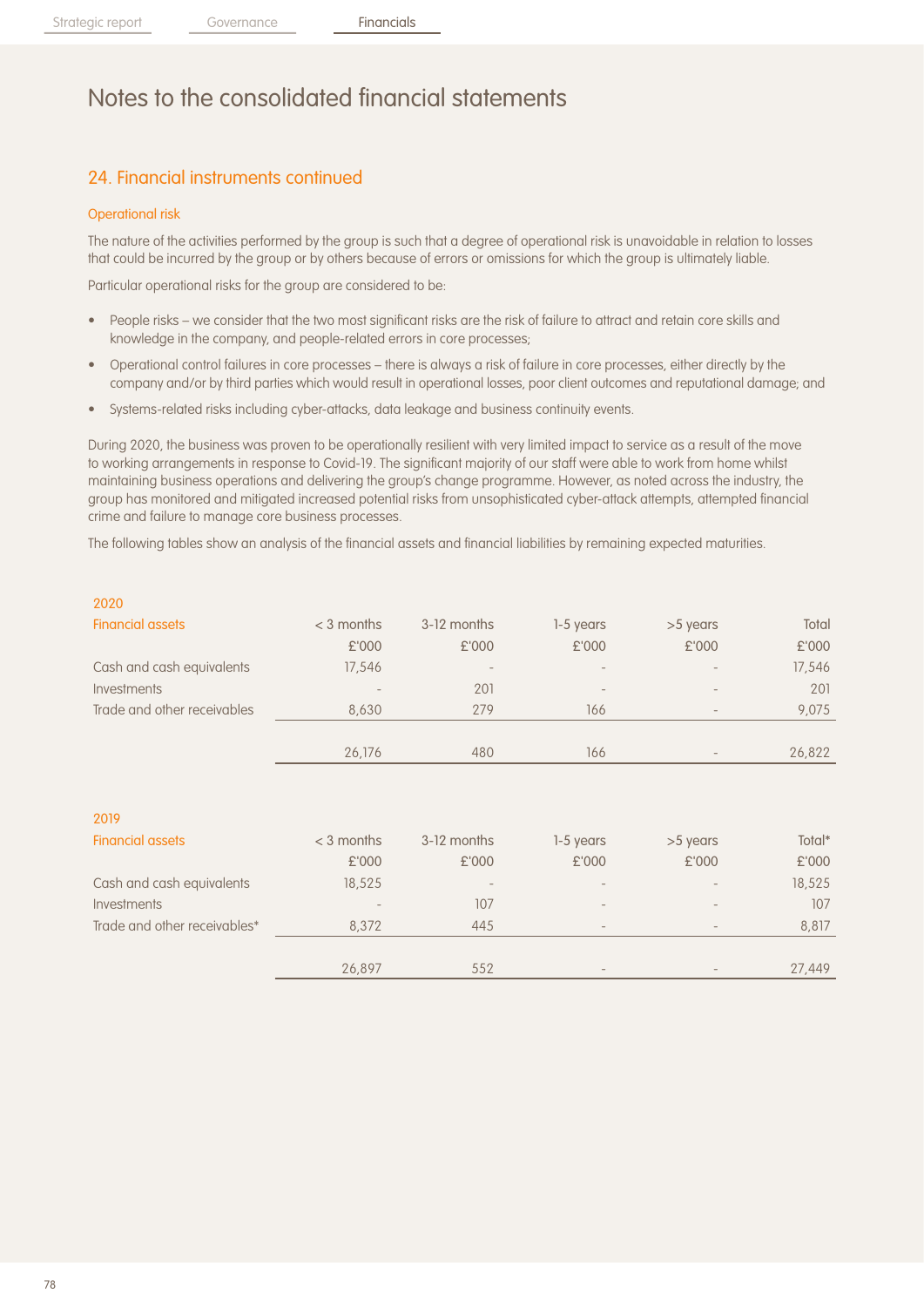## 24. Financial instruments continued

#### Operational risk

The nature of the activities performed by the group is such that a degree of operational risk is unavoidable in relation to losses that could be incurred by the group or by others because of errors or omissions for which the group is ultimately liable.

Particular operational risks for the group are considered to be:

- People risks we consider that the two most significant risks are the risk of failure to attract and retain core skills and knowledge in the company, and people-related errors in core processes;
- Operational control failures in core processes there is always a risk of failure in core processes, either directly by the company and/or by third parties which would result in operational losses, poor client outcomes and reputational damage; and
- Systems-related risks including cyber-attacks, data leakage and business continuity events.

During 2020, the business was proven to be operationally resilient with very limited impact to service as a result of the move to working arrangements in response to Covid-19. The significant majority of our staff were able to work from home whilst maintaining business operations and delivering the group's change programme. However, as noted across the industry, the group has monitored and mitigated increased potential risks from unsophisticated cyber-attack attempts, attempted financial crime and failure to manage core business processes.

The following tables show an analysis of the financial assets and financial liabilities by remaining expected maturities.

| 2020                        |                 |                 |                          |                              |        |
|-----------------------------|-----------------|-----------------|--------------------------|------------------------------|--------|
| <b>Financial assets</b>     | $<$ 3 months    | 3-12 months     | 1-5 years                | >5 years                     | Total  |
|                             | £'000           | £'000           | £'000                    | £'000                        | £'000  |
| Cash and cash equivalents   | 17,546          | $\qquad \qquad$ | $\overline{\phantom{a}}$ |                              | 17,546 |
| Investments                 | $\qquad \qquad$ | 201             | $\overline{\phantom{a}}$ | $\qquad \qquad \blacksquare$ | 201    |
| Trade and other receivables | 8.630           | 279             | 166                      | $\sim$                       | 9,075  |
|                             |                 |                 |                          |                              |        |
|                             | 26,176          | 480             | 166                      |                              | 26,822 |
|                             |                 |                 |                          |                              |        |

| 2019                         |              |                   |                          |          |        |
|------------------------------|--------------|-------------------|--------------------------|----------|--------|
| <b>Financial assets</b>      | $<$ 3 months | 3-12 months       | 1-5 years                | >5 years | Total* |
|                              | £'000        | £'000             | £'000                    | £'000    | £'000  |
| Cash and cash equivalents    | 18,525       | $\qquad \qquad -$ |                          |          | 18,525 |
| Investments                  |              | 107               |                          |          | 107    |
| Trade and other receivables* | 8.372        | 445               | $\overline{\phantom{a}}$ |          | 8,817  |
|                              |              |                   |                          |          |        |
|                              | 26,897       | 552               |                          |          | 27,449 |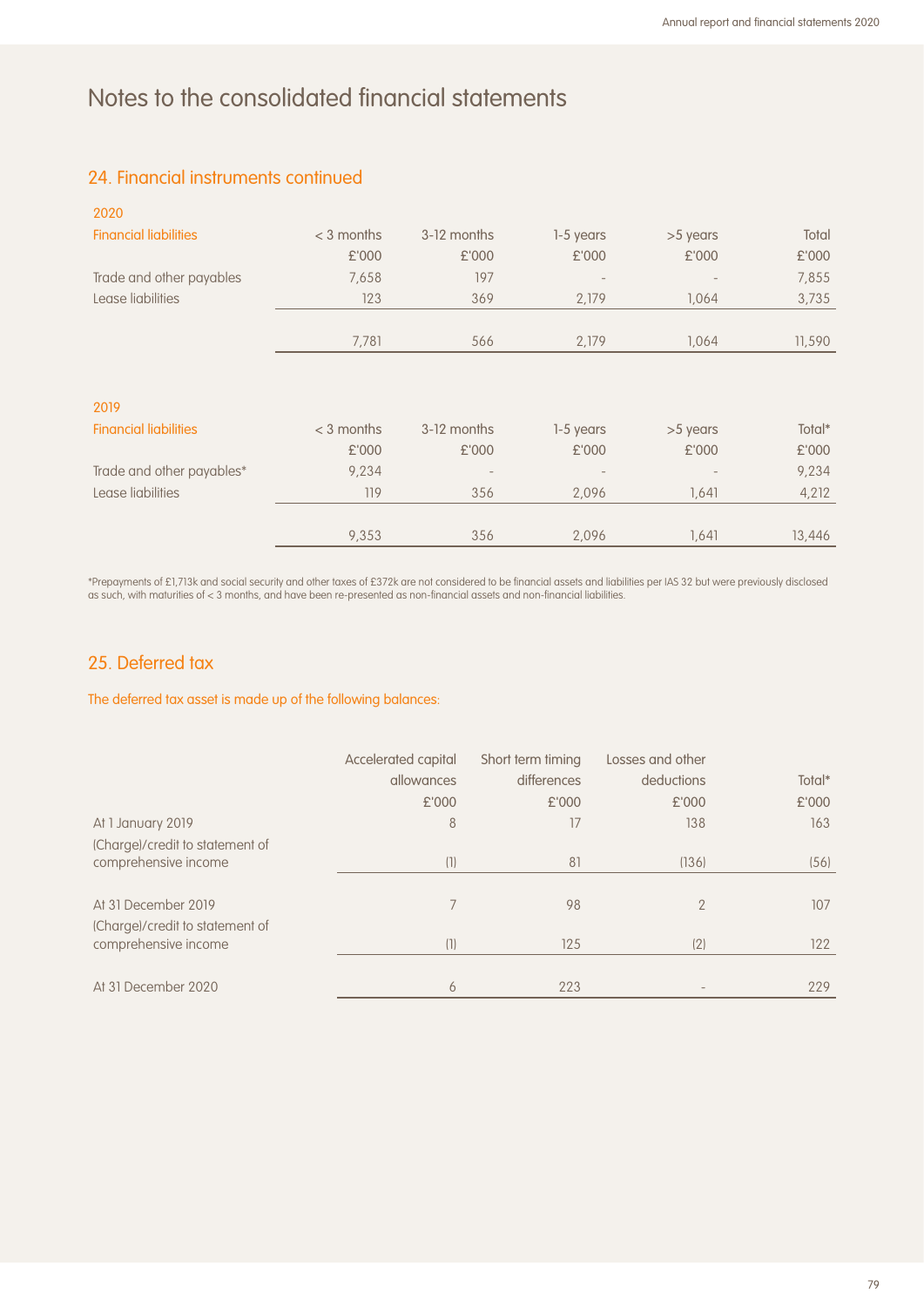### 24. Financial instruments continued

| Total<br>£'000<br>7,855 |
|-------------------------|
|                         |
|                         |
|                         |
| 3,735                   |
| 11,590                  |
|                         |
|                         |
| Total*                  |
| £'000                   |
| 9,234                   |
| 4,212                   |
| 13,446                  |
|                         |

\*Prepayments of £1,713k and social security and other taxes of £372k are not considered to be financial assets and liabilities per IAS 32 but were previously disclosed as such, with maturities of < 3 months, and have been re-presented as non-financial assets and non-financial liabilities.

### 25. Deferred tax

The deferred tax asset is made up of the following balances:

|                                 | Accelerated capital | Short term timing | Losses and other |        |
|---------------------------------|---------------------|-------------------|------------------|--------|
|                                 | allowances          | differences       | deductions       | Total* |
|                                 | £'000               | £'000             | £'000            | £'000  |
| At 1 January 2019               | 8                   | 17                | 138              | 163    |
| (Charge)/credit to statement of |                     |                   |                  |        |
| comprehensive income            | (1)                 | 81                | (136)            | (56)   |
|                                 |                     |                   |                  |        |
| At 31 December 2019             |                     | 98                | $\mathcal{P}$    | 107    |
| (Charge)/credit to statement of |                     |                   |                  |        |
| comprehensive income            | (1)                 | 125               | (2)              | 122    |
|                                 |                     |                   |                  |        |
| At 31 December 2020             | 6                   | 223               |                  | 229    |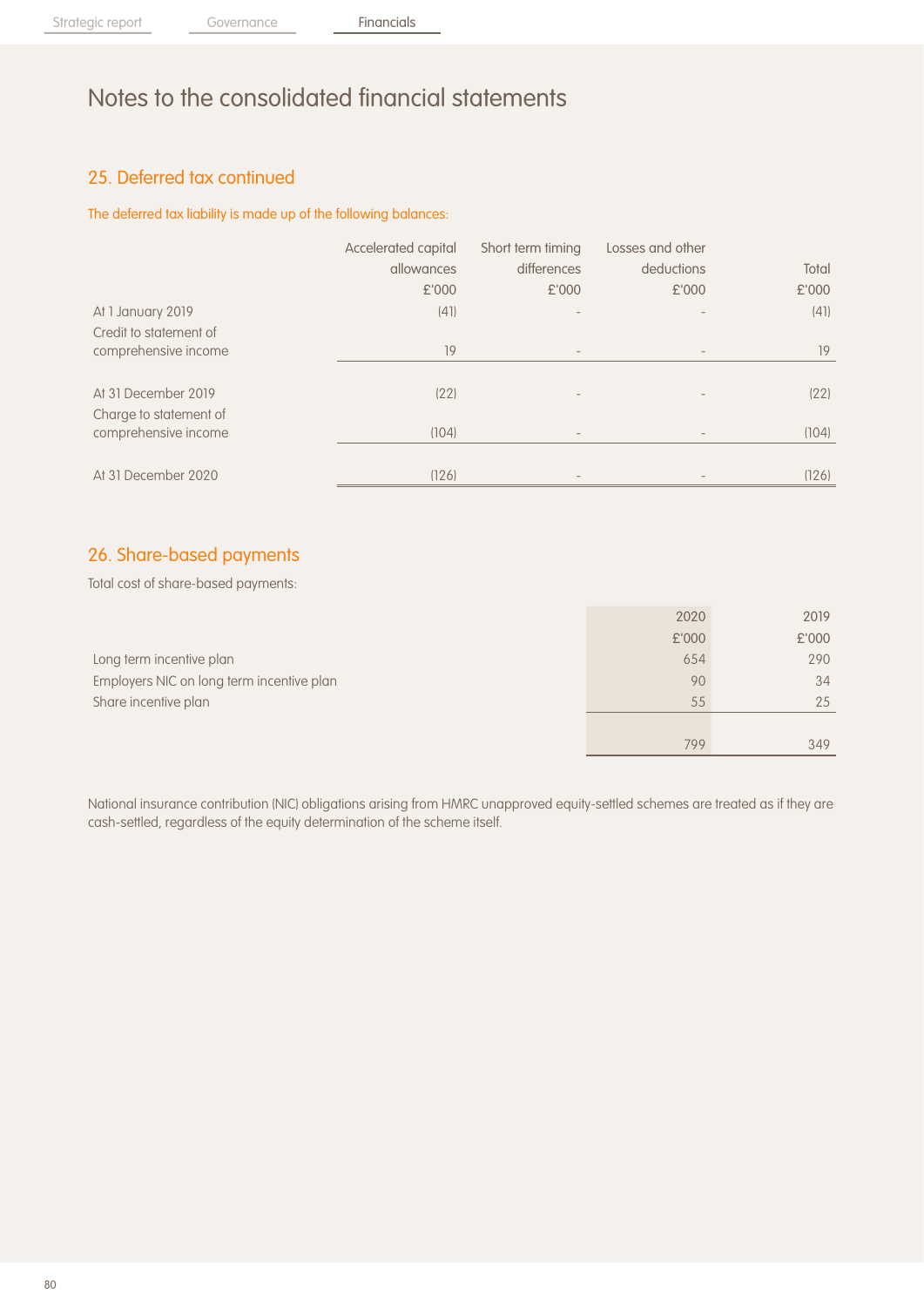## 25. Deferred tax continued

The deferred tax liability is made up of the following balances:

|                        | Accelerated capital | Short term timing        | Losses and other |       |
|------------------------|---------------------|--------------------------|------------------|-------|
|                        | allowances          | differences              | deductions       | Total |
|                        | £'000               | £'000                    | £'000            | £'000 |
| At 1 January 2019      | (41)                |                          |                  | (41)  |
| Credit to statement of |                     |                          |                  |       |
| comprehensive income   | 19                  | $\overline{\phantom{a}}$ |                  | 19    |
|                        |                     |                          |                  |       |
| At 31 December 2019    | (22)                |                          |                  | (22)  |
| Charge to statement of |                     |                          |                  |       |
| comprehensive income   | (104)               | $\overline{\phantom{m}}$ |                  | (104) |
|                        |                     |                          |                  |       |
| At 31 December 2020    | (126)               |                          |                  | (126) |

### 26. Share-based payments

Total cost of share-based payments:

|                                           | 2020  | 2019  |
|-------------------------------------------|-------|-------|
|                                           | £'000 | £'000 |
| Long term incentive plan                  | 654   | 290   |
| Employers NIC on long term incentive plan | 90    | 34    |
| Share incentive plan                      | 55    | 25    |
|                                           |       |       |
|                                           | 799   | 349   |

National insurance contribution (NIC) obligations arising from HMRC unapproved equity-settled schemes are treated as if they are cash-settled, regardless of the equity determination of the scheme itself.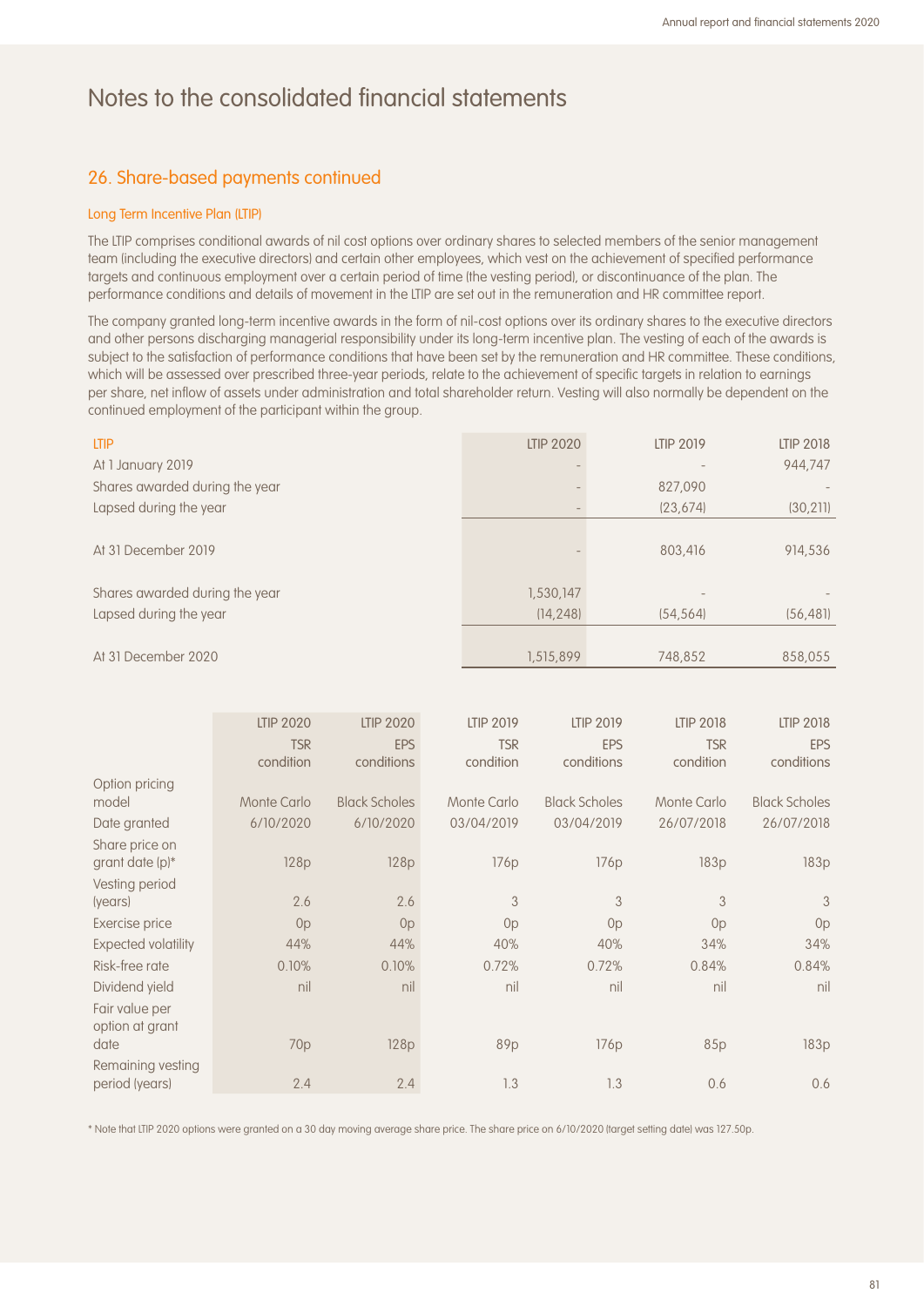### 26. Share-based payments continued

#### Long Term Incentive Plan (LTIP)

The LTIP comprises conditional awards of nil cost options over ordinary shares to selected members of the senior management team (including the executive directors) and certain other employees, which vest on the achievement of specified performance targets and continuous employment over a certain period of time (the vesting period), or discontinuance of the plan. The performance conditions and details of movement in the LTIP are set out in the remuneration and HR committee report.

The company granted long-term incentive awards in the form of nil-cost options over its ordinary shares to the executive directors and other persons discharging managerial responsibility under its long-term incentive plan. The vesting of each of the awards is subject to the satisfaction of performance conditions that have been set by the remuneration and HR committee. These conditions, which will be assessed over prescribed three-year periods, relate to the achievement of specific targets in relation to earnings per share, net inflow of assets under administration and total shareholder return. Vesting will also normally be dependent on the continued employment of the participant within the group.

| <b>LTIP</b>                    | <b>LTIP 2020</b> | <b>LTIP 2019</b> | <b>LTIP 2018</b> |
|--------------------------------|------------------|------------------|------------------|
| At 1 January 2019              |                  |                  | 944,747          |
| Shares awarded during the year |                  | 827,090          |                  |
| Lapsed during the year         |                  | (23, 674)        | (30, 211)        |
|                                |                  |                  |                  |
| At 31 December 2019            |                  | 803,416          | 914,536          |
|                                |                  |                  |                  |
| Shares awarded during the year | 1,530,147        |                  |                  |
| Lapsed during the year         | (14, 248)        | (54, 564)        | (56, 481)        |
|                                |                  |                  |                  |
| At 31 December 2020            | 1,515,899        | 748.852          | 858.055          |

|                                   | <b>LTIP 2020</b> | <b>LTIP 2020</b>     | <b>LTIP 2019</b> | <b>LTIP 2019</b>     | <b>LTIP 2018</b> | <b>LTIP 2018</b>     |
|-----------------------------------|------------------|----------------------|------------------|----------------------|------------------|----------------------|
|                                   | <b>TSR</b>       | <b>EPS</b>           | <b>TSR</b>       | <b>EPS</b>           | <b>TSR</b>       | <b>EPS</b>           |
|                                   | condition        | conditions           | condition        | conditions           | condition        | conditions           |
| Option pricing                    |                  |                      |                  |                      |                  |                      |
| model                             | Monte Carlo      | <b>Black Scholes</b> | Monte Carlo      | <b>Black Scholes</b> | Monte Carlo      | <b>Black Scholes</b> |
| Date granted                      | 6/10/2020        | 6/10/2020            | 03/04/2019       | 03/04/2019           | 26/07/2018       | 26/07/2018           |
| Share price on                    |                  |                      |                  |                      |                  |                      |
| grant date (p)*                   | 128p             | 128p                 | 176 <sub>p</sub> | 176p                 | 183p             | 183p                 |
| Vesting period                    |                  |                      |                  |                      |                  |                      |
| (years)                           | 2.6              | 2.6                  | 3                | 3                    | 3                | 3                    |
| Exercise price                    | 0 <sub>p</sub>   | Op                   | 0 <sub>p</sub>   | 0 <sub>p</sub>       | 0 <sub>p</sub>   | 0p                   |
| <b>Expected volatility</b>        | 44%              | 44%                  | 40%              | 40%                  | 34%              | 34%                  |
| Risk-free rate                    | 0.10%            | 0.10%                | 0.72%            | 0.72%                | 0.84%            | 0.84%                |
| Dividend yield                    | nil              | nil                  | nil              | nil                  | nil              | nil                  |
| Fair value per<br>option at grant |                  |                      |                  |                      |                  |                      |
| date                              | 70 <sub>p</sub>  | 128p                 | 89p              | 176p                 | 85p              | 183p                 |
| Remaining vesting                 |                  |                      |                  |                      |                  |                      |
| period (years)                    | 2.4              | 2.4                  | 1.3              | 1.3                  | 0.6              | 0.6                  |

\* Note that LTIP 2020 options were granted on a 30 day moving average share price. The share price on 6/10/2020 (target setting date) was 127.50p.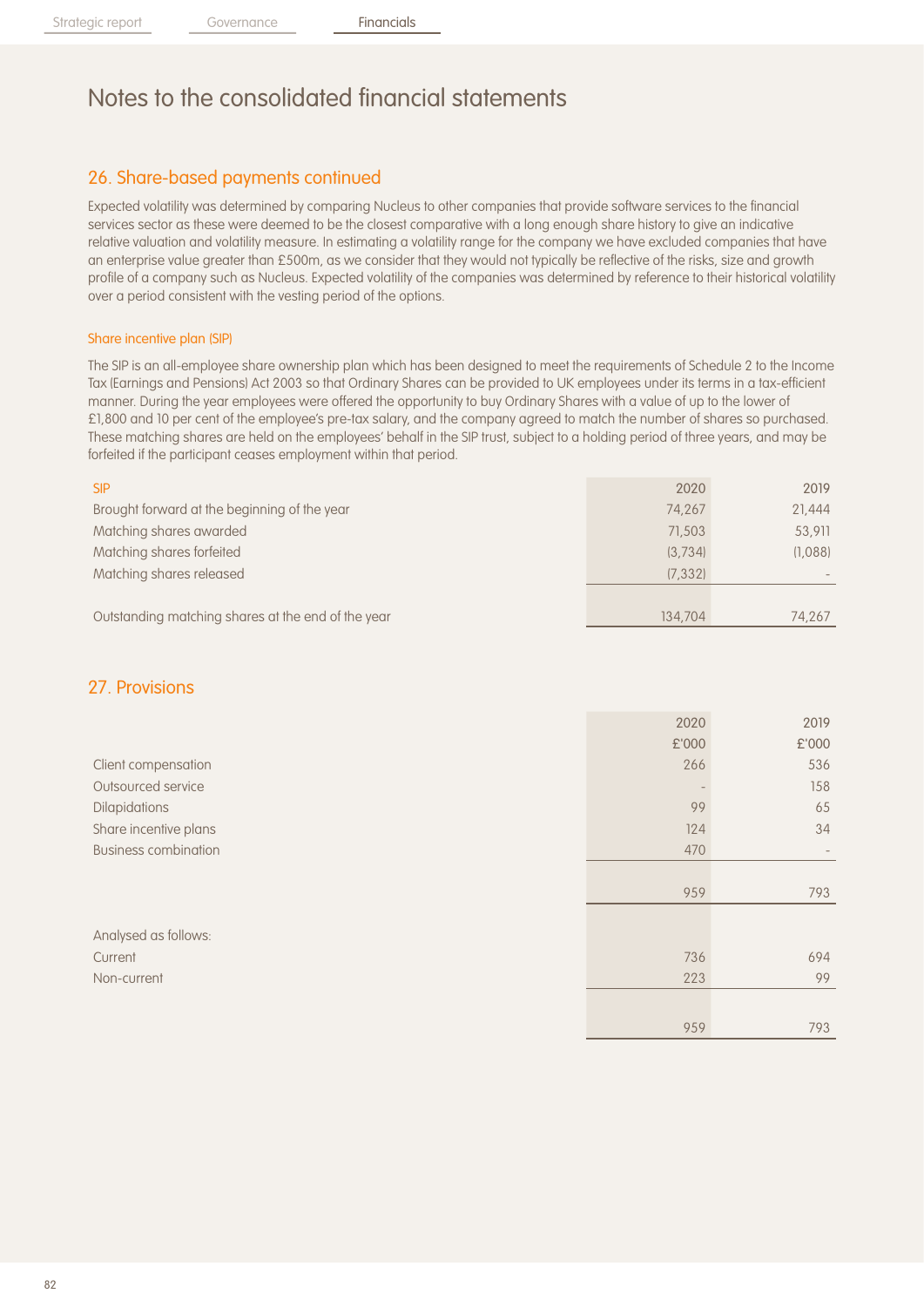## 26. Share-based payments continued

Expected volatility was determined by comparing Nucleus to other companies that provide software services to the financial services sector as these were deemed to be the closest comparative with a long enough share history to give an indicative relative valuation and volatility measure. In estimating a volatility range for the company we have excluded companies that have an enterprise value greater than £500m, as we consider that they would not typically be reflective of the risks, size and growth profile of a company such as Nucleus. Expected volatility of the companies was determined by reference to their historical volatility over a period consistent with the vesting period of the options.

#### Share incentive plan (SIP)

The SIP is an all-employee share ownership plan which has been designed to meet the requirements of Schedule 2 to the Income Tax (Earnings and Pensions) Act 2003 so that Ordinary Shares can be provided to UK employees under its terms in a tax-efficient manner. During the year employees were offered the opportunity to buy Ordinary Shares with a value of up to the lower of £1,800 and 10 per cent of the employee's pre-tax salary, and the company agreed to match the number of shares so purchased. These matching shares are held on the employees' behalf in the SIP trust, subject to a holding period of three years, and may be forfeited if the participant ceases employment within that period.

| <b>SIP</b>                                         | 2020     | 2019    |
|----------------------------------------------------|----------|---------|
| Brought forward at the beginning of the year       | 74.267   | 21,444  |
| Matching shares awarded                            | 71,503   | 53,911  |
| Matching shares forfeited                          | (3.734)  | (1,088) |
| Matching shares released                           | (7, 332) |         |
|                                                    |          |         |
| Outstanding matching shares at the end of the year | 134,704  | 74.267  |

#### 27. Provisions

|                             | 2020  | 2019  |
|-----------------------------|-------|-------|
|                             | £'000 | £'000 |
| Client compensation         | 266   | 536   |
| Outsourced service          |       | 158   |
| <b>Dilapidations</b>        | 99    | 65    |
| Share incentive plans       | 124   | 34    |
| <b>Business combination</b> | 470   |       |
|                             |       |       |
|                             | 959   | 793   |
|                             |       |       |
| Analysed as follows:        |       |       |
| Current                     | 736   | 694   |
| Non-current                 | 223   | 99    |
|                             |       |       |
|                             | 959   | 793   |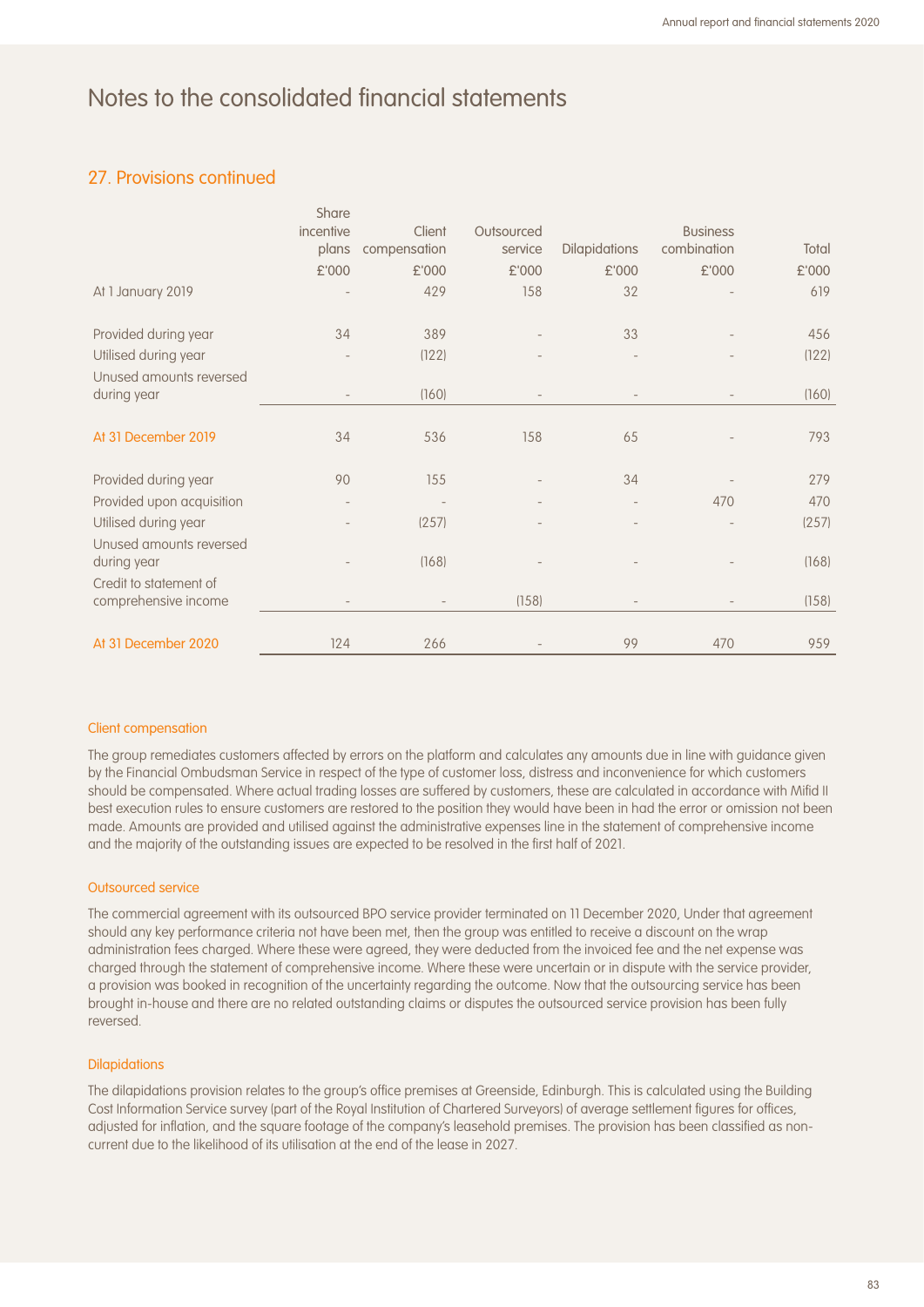### 27. Provisions continued

|                                                | Share     |                          |            |                      |                          |       |
|------------------------------------------------|-----------|--------------------------|------------|----------------------|--------------------------|-------|
|                                                | incentive | Client                   | Outsourced |                      | <b>Business</b>          |       |
|                                                | plans     | compensation             | service    | <b>Dilapidations</b> | combination              | Total |
|                                                | £'000     | £'000                    | £'000      | £'000                | £'000                    | £'000 |
| At 1 January 2019                              |           | 429                      | 158        | 32                   |                          | 619   |
| Provided during year                           | 34        | 389                      |            | 33                   |                          | 456   |
| Utilised during year                           |           | (122)                    |            |                      |                          | (122) |
| Unused amounts reversed                        |           |                          |            |                      |                          |       |
| during year                                    |           | (160)                    |            |                      |                          | (160) |
| At 31 December 2019                            | 34        | 536                      | 158        | 65                   |                          | 793   |
| Provided during year                           | 90        | 155                      |            | 34                   |                          | 279   |
| Provided upon acquisition                      |           |                          |            |                      | 470                      | 470   |
| Utilised during year                           |           | (257)                    |            |                      |                          | (257) |
| Unused amounts reversed<br>during year         |           | (168)                    |            |                      |                          | (168) |
| Credit to statement of<br>comprehensive income |           | $\overline{\phantom{a}}$ | (158)      |                      | $\overline{\phantom{a}}$ | (158) |
|                                                |           |                          |            |                      |                          |       |
| At 31 December 2020                            | 124       | 266                      |            | 99                   | 470                      | 959   |

#### Client compensation

The group remediates customers affected by errors on the platform and calculates any amounts due in line with guidance given by the Financial Ombudsman Service in respect of the type of customer loss, distress and inconvenience for which customers should be compensated. Where actual trading losses are suffered by customers, these are calculated in accordance with Mifid II best execution rules to ensure customers are restored to the position they would have been in had the error or omission not been made. Amounts are provided and utilised against the administrative expenses line in the statement of comprehensive income and the majority of the outstanding issues are expected to be resolved in the first half of 2021.

#### Outsourced service

The commercial agreement with its outsourced BPO service provider terminated on 11 December 2020, Under that agreement should any key performance criteria not have been met, then the group was entitled to receive a discount on the wrap administration fees charged. Where these were agreed, they were deducted from the invoiced fee and the net expense was charged through the statement of comprehensive income. Where these were uncertain or in dispute with the service provider, a provision was booked in recognition of the uncertainty regarding the outcome. Now that the outsourcing service has been brought in-house and there are no related outstanding claims or disputes the outsourced service provision has been fully reversed.

#### **Dilapidations**

The dilapidations provision relates to the group's office premises at Greenside, Edinburgh. This is calculated using the Building Cost Information Service survey (part of the Royal Institution of Chartered Surveyors) of average settlement figures for offices, adjusted for inflation, and the square footage of the company's leasehold premises. The provision has been classified as noncurrent due to the likelihood of its utilisation at the end of the lease in 2027.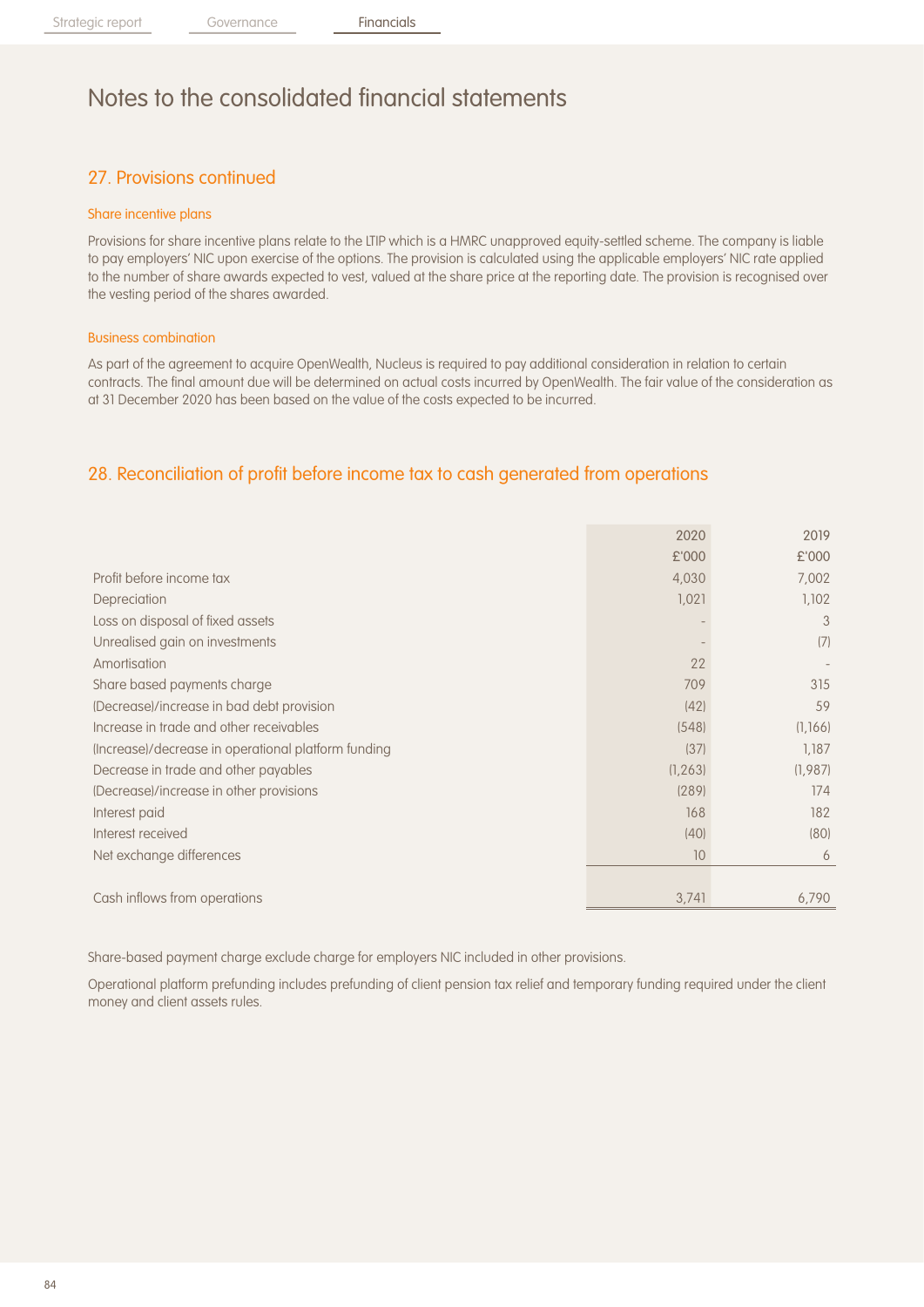## 27. Provisions continued

#### Share incentive plans

Provisions for share incentive plans relate to the LTIP which is a HMRC unapproved equity-settled scheme. The company is liable to pay employers' NIC upon exercise of the options. The provision is calculated using the applicable employers' NIC rate applied to the number of share awards expected to vest, valued at the share price at the reporting date. The provision is recognised over the vesting period of the shares awarded.

#### Business combination

As part of the agreement to acquire OpenWealth, Nucleus is required to pay additional consideration in relation to certain contracts. The final amount due will be determined on actual costs incurred by OpenWealth. The fair value of the consideration as at 31 December 2020 has been based on the value of the costs expected to be incurred.

### 28. Reconciliation of profit before income tax to cash generated from operations

|                                                     | 2020     | 2019    |
|-----------------------------------------------------|----------|---------|
|                                                     | £'000    | £'000   |
| Profit before income tax                            | 4,030    | 7,002   |
| Depreciation                                        | 1,021    | 1,102   |
| Loss on disposal of fixed assets                    |          | 3       |
| Unrealised gain on investments                      |          | (7)     |
| Amortisation                                        | 22       |         |
| Share based payments charge                         | 709      | 315     |
| (Decrease)/increase in bad debt provision           | (42)     | 59      |
| Increase in trade and other receivables             | (548)    | (1,166) |
| (Increase)/decrease in operational platform funding | (37)     | 1,187   |
| Decrease in trade and other payables                | (1, 263) | (1,987) |
| (Decrease)/increase in other provisions             | (289)    | 174     |
| Interest paid                                       | 168      | 182     |
| Interest received                                   | (40)     | (80)    |
| Net exchange differences                            | 10       | 6       |
|                                                     |          |         |
| Cash inflows from operations                        | 3,741    | 6,790   |

Share-based payment charge exclude charge for employers NIC included in other provisions.

Operational platform prefunding includes prefunding of client pension tax relief and temporary funding required under the client money and client assets rules.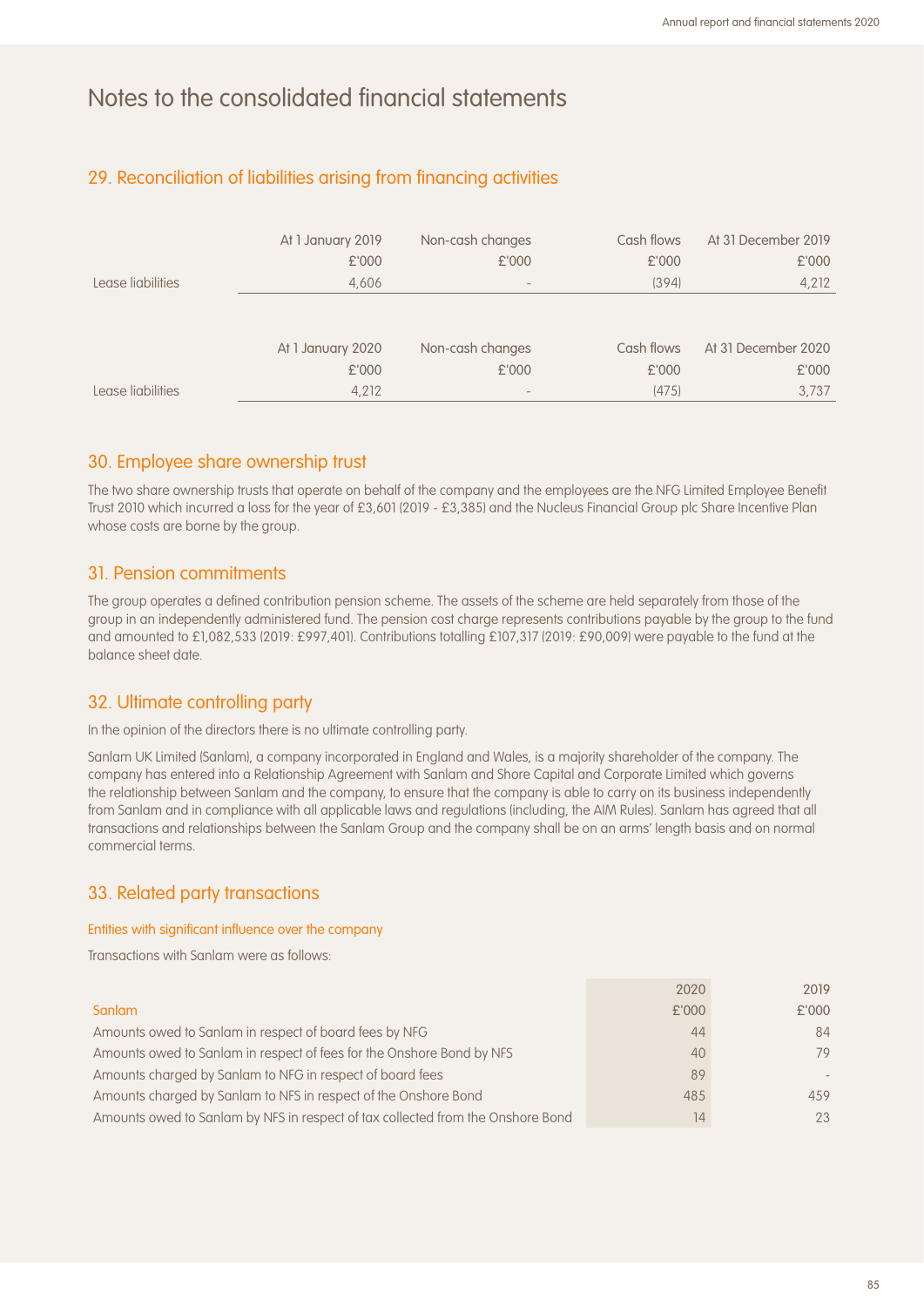### 29. Reconciliation of liabilities arising from financing activities

|                   | At 1 January 2019 | Non-cash changes | Cash flows | At 31 December 2019 |
|-------------------|-------------------|------------------|------------|---------------------|
|                   | £'000             | £'000            | £'000      | £'000               |
| Lease liabilities | 4,606             |                  | (394)      | 4,212               |
|                   |                   |                  |            |                     |
|                   |                   |                  |            |                     |
|                   | At 1 January 2020 | Non-cash changes | Cash flows | At 31 December 2020 |
|                   | £'000             | £'000            | £'000      | £'000               |
| Lease liabilities | 4,212             | $\qquad \qquad$  | (475)      | 3.737               |

#### 30. Employee share ownership trust

The two share ownership trusts that operate on behalf of the company and the employees are the NFG Limited Employee Benefit Trust 2010 which incurred a loss for the year of £3,601 (2019 - £3,385) and the Nucleus Financial Group plc Share Incentive Plan whose costs are borne by the group.

#### 31. Pension commitments

The group operates a defined contribution pension scheme. The assets of the scheme are held separately from those of the group in an independently administered fund. The pension cost charge represents contributions payable by the group to the fund and amounted to £1,082,533 (2019: £997,401). Contributions totalling £107,317 (2019: £90,009) were payable to the fund at the balance sheet date.

#### 32. Ultimate controlling party

In the opinion of the directors there is no ultimate controlling party.

Sanlam UK Limited (Sanlam), a company incorporated in England and Wales, is a majority shareholder of the company. The company has entered into a Relationship Agreement with Sanlam and Shore Capital and Corporate Limited which governs the relationship between Sanlam and the company, to ensure that the company is able to carry on its business independently from Sanlam and in compliance with all applicable laws and regulations (including, the AIM Rules). Sanlam has agreed that all transactions and relationships between the Sanlam Group and the company shall be on an arms' length basis and on normal commercial terms.

#### 33. Related party transactions

#### Entities with significant influence over the company

Transactions with Sanlam were as follows:

| Sanlam                                                                          | £'000 | £'000 |
|---------------------------------------------------------------------------------|-------|-------|
| Amounts owed to Sanlam in respect of board fees by NFG                          | 44    | 84    |
| Amounts owed to Sanlam in respect of fees for the Onshore Bond by NFS           | 40    | 79    |
| Amounts charged by Sanlam to NFG in respect of board fees                       | 89    |       |
| Amounts charged by Sanlam to NFS in respect of the Onshore Bond                 | 485   | 459   |
| Amounts owed to Sanlam by NFS in respect of tax collected from the Onshore Bond | 14    | 23    |

2020 2019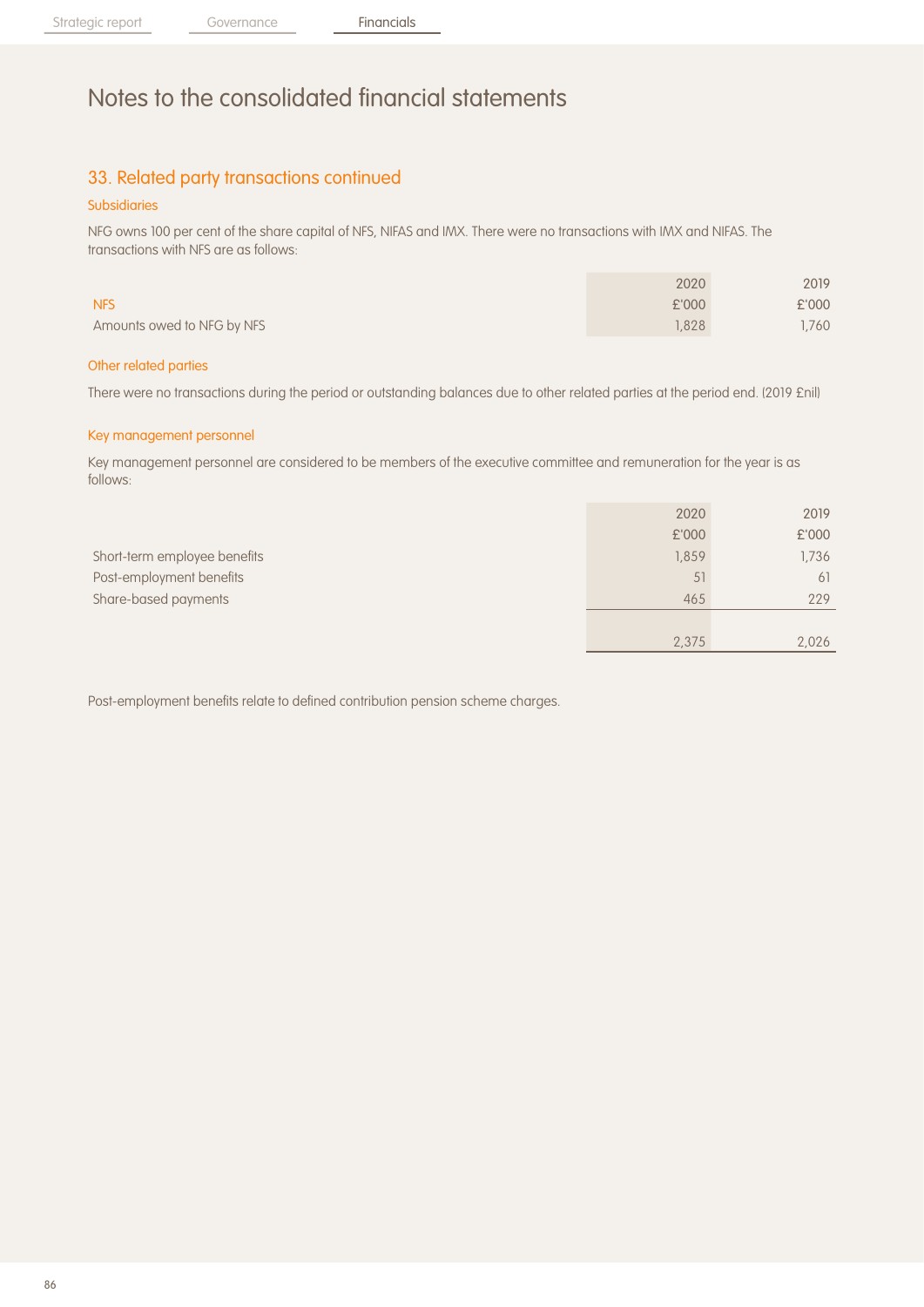## 33. Related party transactions continued

#### Subsidiaries

NFG owns 100 per cent of the share capital of NFS, NIFAS and IMX. There were no transactions with IMX and NIFAS. The transactions with NFS are as follows:

|                            | 2020  | 2019  |
|----------------------------|-------|-------|
| <b>NFS</b>                 | £'000 | £'000 |
| Amounts owed to NFG by NFS | .828  | 1,760 |
|                            |       |       |

#### Other related parties

There were no transactions during the period or outstanding balances due to other related parties at the period end. (2019 £nil)

#### Key management personnel

Key management personnel are considered to be members of the executive committee and remuneration for the year is as follows:

|                              | 2020  | 2019  |
|------------------------------|-------|-------|
|                              | £'000 | £'000 |
| Short-term employee benefits | 1,859 | 1,736 |
| Post-employment benefits     | 51    | 61    |
| Share-based payments         | 465   | 229   |
|                              |       |       |
|                              | 2,375 | 2,026 |

Post-employment benefits relate to defined contribution pension scheme charges.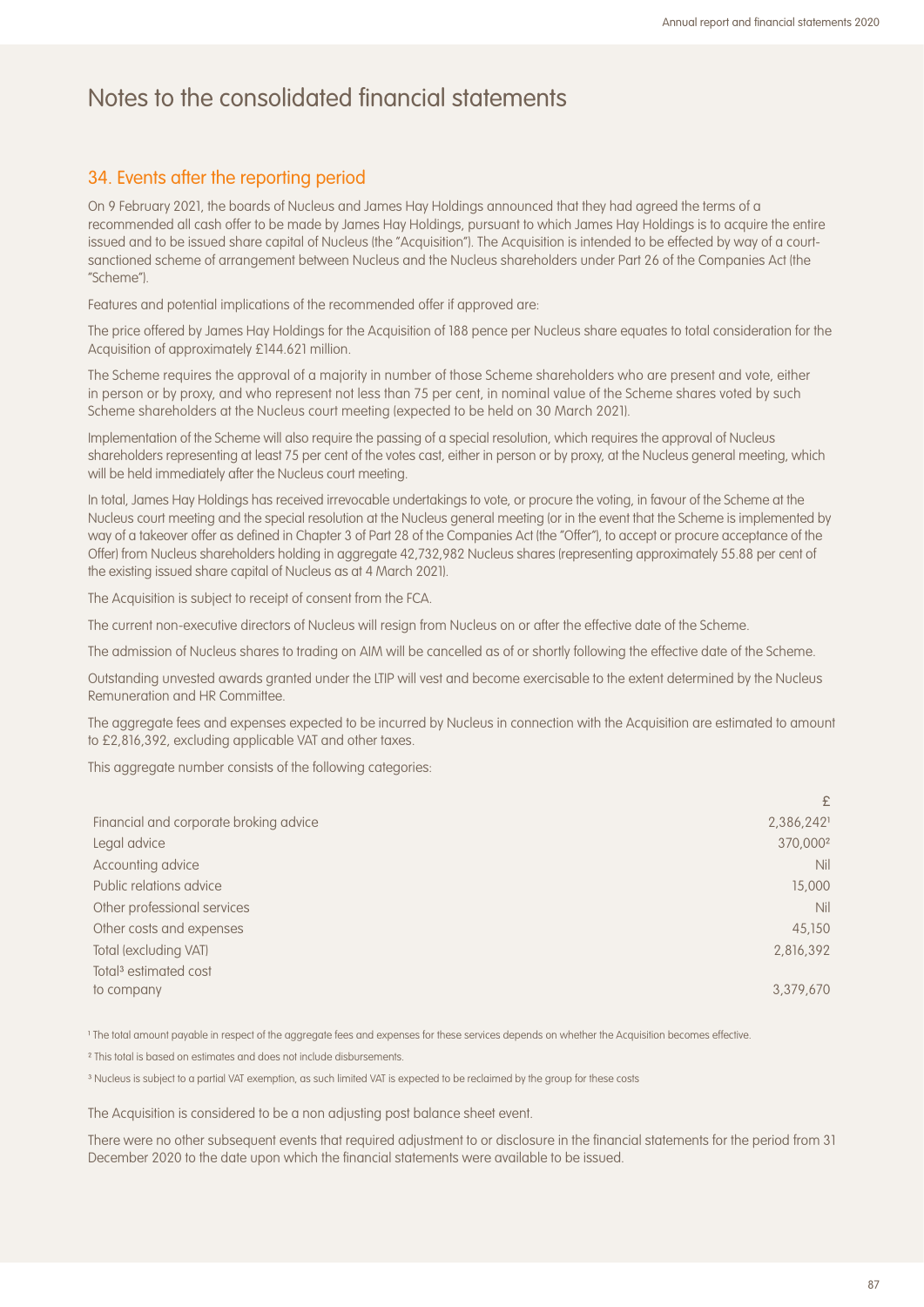#### 34. Events after the reporting period

On 9 February 2021, the boards of Nucleus and James Hay Holdings announced that they had agreed the terms of a recommended all cash offer to be made by James Hay Holdings, pursuant to which James Hay Holdings is to acquire the entire issued and to be issued share capital of Nucleus (the "Acquisition"). The Acquisition is intended to be effected by way of a courtsanctioned scheme of arrangement between Nucleus and the Nucleus shareholders under Part 26 of the Companies Act (the "Scheme").

Features and potential implications of the recommended offer if approved are:

The price offered by James Hay Holdings for the Acquisition of 188 pence per Nucleus share equates to total consideration for the Acquisition of approximately £144.621 million.

The Scheme requires the approval of a majority in number of those Scheme shareholders who are present and vote, either in person or by proxy, and who represent not less than 75 per cent, in nominal value of the Scheme shares voted by such Scheme shareholders at the Nucleus court meeting (expected to be held on 30 March 2021).

Implementation of the Scheme will also require the passing of a special resolution, which requires the approval of Nucleus shareholders representing at least 75 per cent of the votes cast, either in person or by proxy, at the Nucleus general meeting, which will be held immediately after the Nucleus court meeting.

In total, James Hay Holdings has received irrevocable undertakings to vote, or procure the voting, in favour of the Scheme at the Nucleus court meeting and the special resolution at the Nucleus general meeting (or in the event that the Scheme is implemented by way of a takeover offer as defined in Chapter 3 of Part 28 of the Companies Act (the "Offer"), to accept or procure acceptance of the Offer) from Nucleus shareholders holding in aggregate 42,732,982 Nucleus shares (representing approximately 55.88 per cent of the existing issued share capital of Nucleus as at 4 March 2021).

The Acquisition is subject to receipt of consent from the FCA.

The current non-executive directors of Nucleus will resign from Nucleus on or after the effective date of the Scheme.

The admission of Nucleus shares to trading on AIM will be cancelled as of or shortly following the effective date of the Scheme.

Outstanding unvested awards granted under the LTIP will vest and become exercisable to the extent determined by the Nucleus Remuneration and HR Committee.

The aggregate fees and expenses expected to be incurred by Nucleus in connection with the Acquisition are estimated to amount to £2,816,392, excluding applicable VAT and other taxes.

This aggregate number consists of the following categories:

|                                        | £                    |
|----------------------------------------|----------------------|
| Financial and corporate broking advice | 2,386,2421           |
| Legal advice                           | 370,000 <sup>2</sup> |
| Accounting advice                      | Nil                  |
| Public relations advice                | 15,000               |
| Other professional services            | Nil                  |
| Other costs and expenses               | 45,150               |
| Total (excluding VAT)                  | 2,816,392            |
| Total <sup>3</sup> estimated cost      |                      |
| to company                             | 3,379,670            |

<sup>1</sup> The total amount payable in respect of the aggregate fees and expenses for these services depends on whether the Acquisition becomes effective.

² This total is based on estimates and does not include disbursements.

<sup>3</sup> Nucleus is subject to a partial VAT exemption, as such limited VAT is expected to be reclaimed by the group for these costs

The Acquisition is considered to be a non adjusting post balance sheet event.

There were no other subsequent events that required adjustment to or disclosure in the financial statements for the period from 31 December 2020 to the date upon which the financial statements were available to be issued.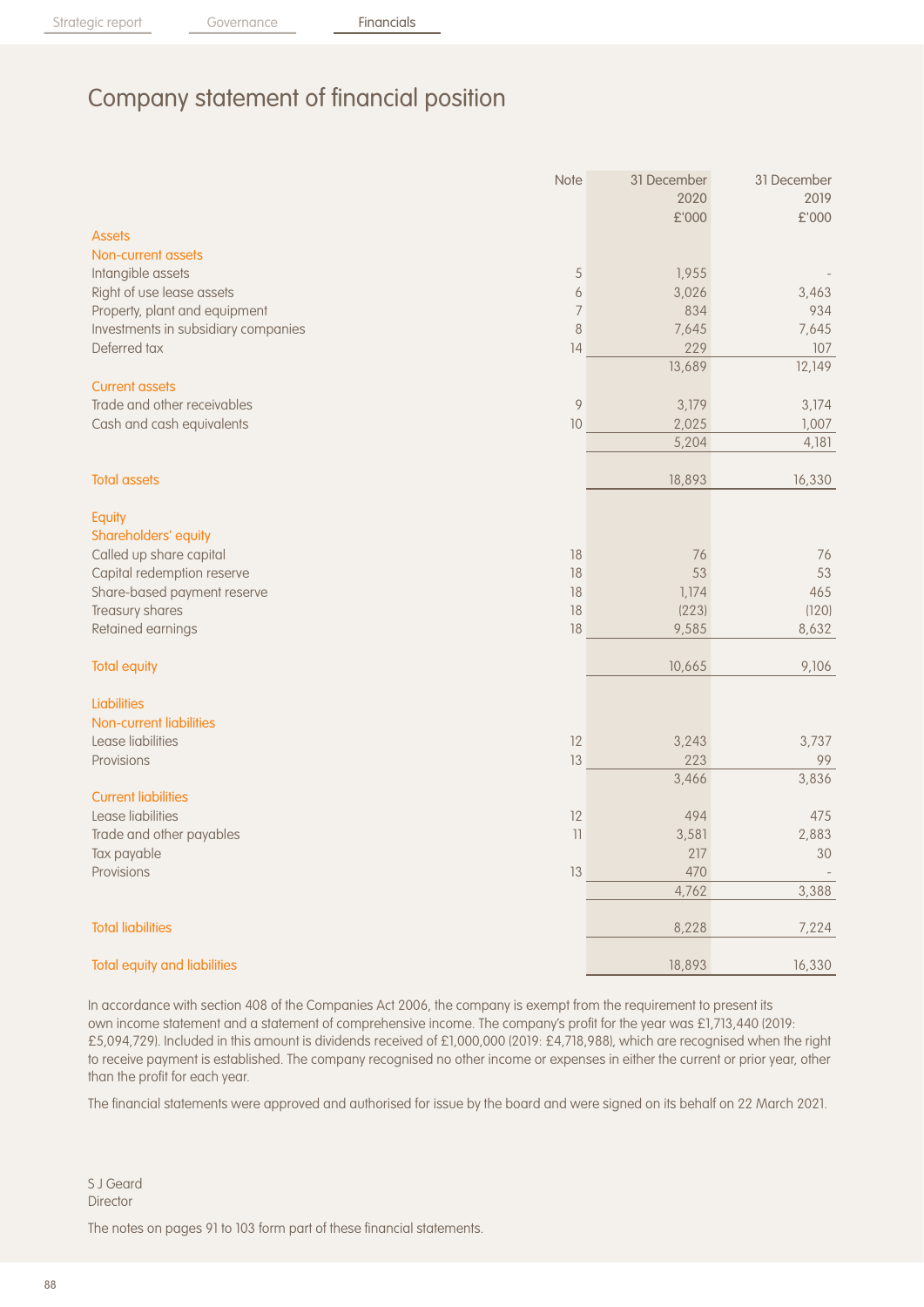# Company statement of financial position

|                                     | Note           | 31 December<br>2020 | 31 December<br>2019 |
|-------------------------------------|----------------|---------------------|---------------------|
|                                     |                | £'000               | £'000               |
| <b>Assets</b>                       |                |                     |                     |
| Non-current assets                  |                |                     |                     |
| Intangible assets                   | 5              | 1,955               |                     |
| Right of use lease assets           | 6              | 3,026               | 3,463               |
| Property, plant and equipment       | $\overline{7}$ | 834                 | 934                 |
| Investments in subsidiary companies | $\,8\,$        | 7,645               | 7,645               |
| Deferred tax                        | 14             | 229                 | 107                 |
|                                     |                | 13,689              | 12,149              |
| <b>Current assets</b>               |                |                     |                     |
| Trade and other receivables         | 9              | 3,179               | 3,174               |
| Cash and cash equivalents           | 10             | 2,025               | 1,007               |
|                                     |                | 5,204               | 4,181               |
| <b>Total assets</b>                 |                | 18,893              | 16,330              |
| Equity                              |                |                     |                     |
| Shareholders' equity                |                |                     |                     |
| Called up share capital             | 18             | 76                  | 76                  |
| Capital redemption reserve          | 18             | 53                  | 53                  |
| Share-based payment reserve         | 18             | 1,174               | 465                 |
| Treasury shares                     | 18             | (223)               | (120)               |
| Retained earnings                   | 18             | 9,585               | 8,632               |
| <b>Total equity</b>                 |                | 10,665              | 9,106               |
| <b>Liabilities</b>                  |                |                     |                     |
| Non-current liabilities             |                |                     |                     |
| Lease liabilities                   | 12             | 3,243               | 3,737               |
| Provisions                          | 13             | 223                 | 99                  |
|                                     |                | 3,466               | 3,836               |
| <b>Current liabilities</b>          |                |                     |                     |
| Lease liabilities                   | 12             | 494                 | 475                 |
| Trade and other payables            | 11             | 3,581               | 2,883               |
| Tax payable                         |                | 217                 | 30                  |
| Provisions                          | 13             | 470                 |                     |
|                                     |                | 4,762               | 3,388               |
| <b>Total liabilities</b>            |                | 8,228               | 7,224               |
| <b>Total equity and liabilities</b> |                | 18,893              | 16,330              |

In accordance with section 408 of the Companies Act 2006, the company is exempt from the requirement to present its own income statement and a statement of comprehensive income. The company's profit for the year was £1,713,440 (2019: £5,094,729). Included in this amount is dividends received of £1,000,000 (2019: £4,718,988), which are recognised when the right to receive payment is established. The company recognised no other income or expenses in either the current or prior year, other than the profit for each year.

The financial statements were approved and authorised for issue by the board and were signed on its behalf on 22 March 2021.

S J Geard **Director** 

The notes on pages 91 to 103 form part of these financial statements.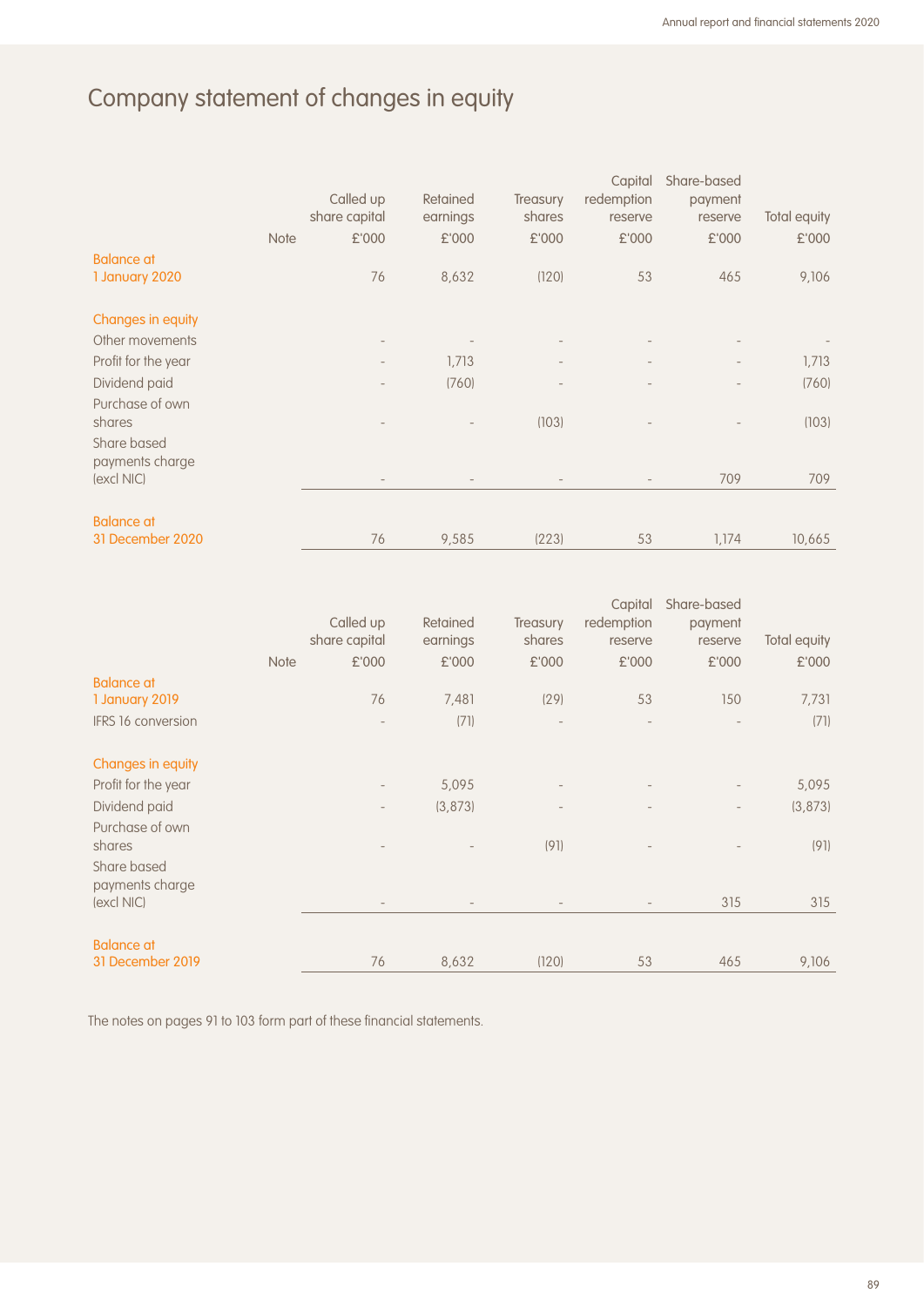# Company statement of changes in equity

|                                | <b>Note</b> | Called up<br>share capital<br>£'000 | Retained<br>earnings<br>£'000 | <b>Treasury</b><br>shares<br>£'000 | Capital<br>redemption<br>reserve<br>£'000 | Share-based<br>payment<br>reserve<br>£'000 | Total equity<br>£'000 |
|--------------------------------|-------------|-------------------------------------|-------------------------------|------------------------------------|-------------------------------------------|--------------------------------------------|-----------------------|
| <b>Balance at</b>              |             |                                     |                               |                                    |                                           |                                            |                       |
| 1 January 2020                 |             | 76                                  | 8,632                         | (120)                              | 53                                        | 465                                        | 9,106                 |
| Changes in equity              |             |                                     |                               |                                    |                                           |                                            |                       |
| Other movements                |             | $\overline{\phantom{a}}$            |                               | $\overline{\phantom{a}}$           |                                           |                                            |                       |
| Profit for the year            |             | $\overline{\phantom{a}}$            | 1,713                         | $\overline{\phantom{a}}$           |                                           |                                            | 1,713                 |
| Dividend paid                  |             |                                     | (760)                         |                                    |                                           |                                            | (760)                 |
| Purchase of own<br>shares      |             |                                     |                               | (103)                              |                                           |                                            | (103)                 |
| Share based<br>payments charge |             |                                     |                               |                                    |                                           |                                            |                       |
| (excl NIC)                     |             | $\overline{\phantom{a}}$            |                               |                                    |                                           | 709                                        | 709                   |
| <b>Balance at</b>              |             |                                     |                               |                                    |                                           |                                            |                       |
| 31 December 2020               |             | 76                                  | 9,585                         | (223)                              | 53                                        | 1,174                                      | 10,665                |

|                                |             |                          |          |                          | Capital    | Share-based |              |
|--------------------------------|-------------|--------------------------|----------|--------------------------|------------|-------------|--------------|
|                                |             | Called up                | Retained | <b>Treasury</b>          | redemption | payment     |              |
|                                |             | share capital            | earnings | shares                   | reserve    | reserve     | Total equity |
|                                | <b>Note</b> | £'000                    | £'000    | £'000                    | £'000      | £'000       | £'000        |
| <b>Balance at</b>              |             |                          |          |                          |            |             |              |
| 1 January 2019                 |             | 76                       | 7,481    | (29)                     | 53         | 150         | 7,731        |
| <b>IFRS 16 conversion</b>      |             |                          | (71)     | $\overline{\phantom{a}}$ |            |             | (71)         |
| Changes in equity              |             |                          |          |                          |            |             |              |
| Profit for the year            |             | $\overline{\phantom{a}}$ | 5,095    | $\overline{\phantom{a}}$ |            |             | 5,095        |
| Dividend paid                  |             | $\overline{\phantom{a}}$ | (3, 873) |                          |            |             | (3, 873)     |
| Purchase of own                |             |                          |          |                          |            |             |              |
| shares                         |             |                          |          | (91)                     |            |             | (91)         |
| Share based<br>payments charge |             |                          |          |                          |            |             |              |
| (excl NIC)                     |             |                          |          |                          |            | 315         | 315          |
| <b>Balance at</b>              |             |                          |          |                          |            |             |              |
| 31 December 2019               |             | 76                       | 8,632    | (120)                    | 53         | 465         | 9,106        |

The notes on pages 91 to 103 form part of these financial statements.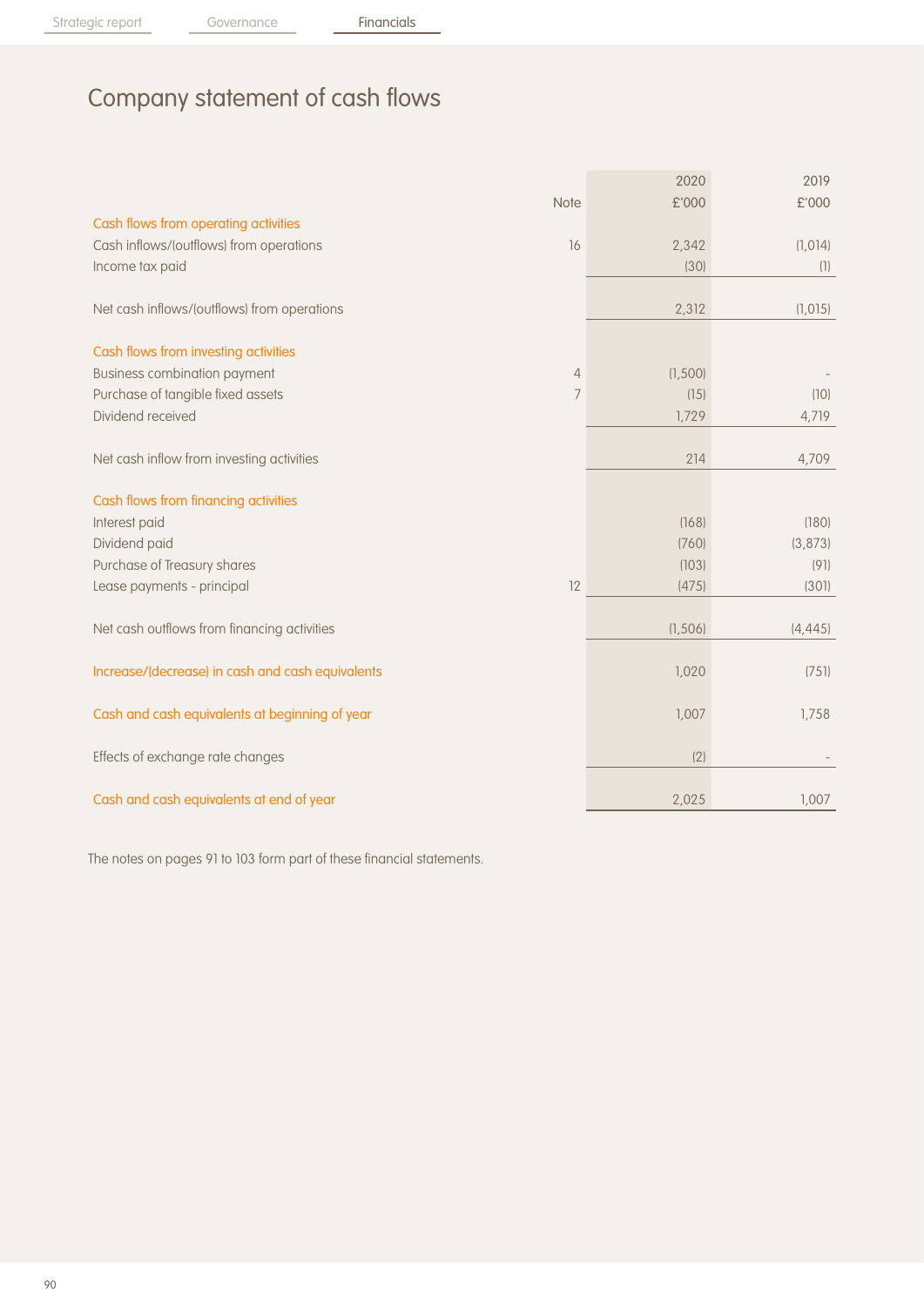# Company statement of cash flows

|                                                  |                | 2020     | 2019     |
|--------------------------------------------------|----------------|----------|----------|
|                                                  | <b>Note</b>    | £'000    | £'000    |
| Cash flows from operating activities             |                |          |          |
| Cash inflows/(outflows) from operations          | 16             | 2,342    | (1,014)  |
| Income tax paid                                  |                | (30)     | (1)      |
|                                                  |                |          |          |
| Net cash inflows/(outflows) from operations      |                | 2,312    | (1, 015) |
|                                                  |                |          |          |
| Cash flows from investing activities             |                |          |          |
| <b>Business combination payment</b>              | $\overline{4}$ | (1,500)  |          |
| Purchase of tangible fixed assets                | 7              | (15)     | (10)     |
| Dividend received                                |                | 1,729    | 4,719    |
|                                                  |                |          |          |
| Net cash inflow from investing activities        |                | 214      | 4,709    |
|                                                  |                |          |          |
| Cash flows from financing activities             |                |          |          |
| Interest paid                                    |                | (168)    | (180)    |
| Dividend paid                                    |                | (760)    | (3, 873) |
| Purchase of Treasury shares                      |                | (103)    | (91)     |
| Lease payments - principal                       | 12             | (475)    | (301)    |
| Net cash outflows from financing activities      |                | (1, 506) | (4, 445) |
|                                                  |                |          |          |
| Increase/(decrease) in cash and cash equivalents |                | 1,020    | (751)    |
|                                                  |                |          |          |
| Cash and cash equivalents at beginning of year   |                | 1,007    | 1,758    |
|                                                  |                |          |          |
| Effects of exchange rate changes                 |                | (2)      |          |
|                                                  |                |          |          |
| Cash and cash equivalents at end of year         |                | 2,025    | 1,007    |

The notes on pages 91 to 103 form part of these financial statements.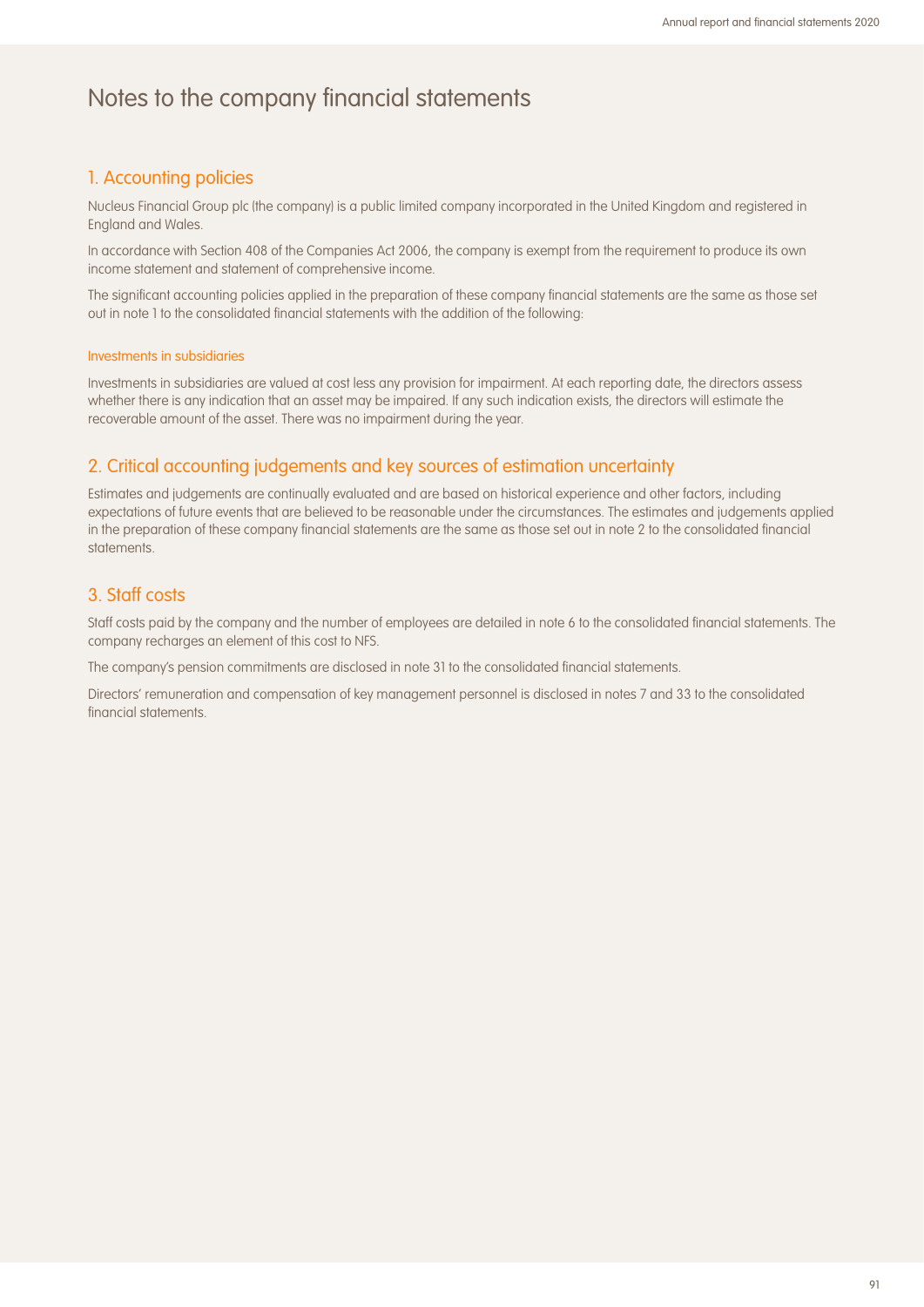### 1. Accounting policies

Nucleus Financial Group plc (the company) is a public limited company incorporated in the United Kingdom and registered in England and Wales.

In accordance with Section 408 of the Companies Act 2006, the company is exempt from the requirement to produce its own income statement and statement of comprehensive income.

The significant accounting policies applied in the preparation of these company financial statements are the same as those set out in note 1 to the consolidated financial statements with the addition of the following:

#### Investments in subsidiaries

Investments in subsidiaries are valued at cost less any provision for impairment. At each reporting date, the directors assess whether there is any indication that an asset may be impaired. If any such indication exists, the directors will estimate the recoverable amount of the asset. There was no impairment during the year.

#### 2. Critical accounting judgements and key sources of estimation uncertainty

Estimates and judgements are continually evaluated and are based on historical experience and other factors, including expectations of future events that are believed to be reasonable under the circumstances. The estimates and judgements applied in the preparation of these company financial statements are the same as those set out in note 2 to the consolidated financial statements.

#### 3. Staff costs

Staff costs paid by the company and the number of employees are detailed in note 6 to the consolidated financial statements. The company recharges an element of this cost to NFS.

The company's pension commitments are disclosed in note 31 to the consolidated financial statements.

Directors' remuneration and compensation of key management personnel is disclosed in notes 7 and 33 to the consolidated financial statements.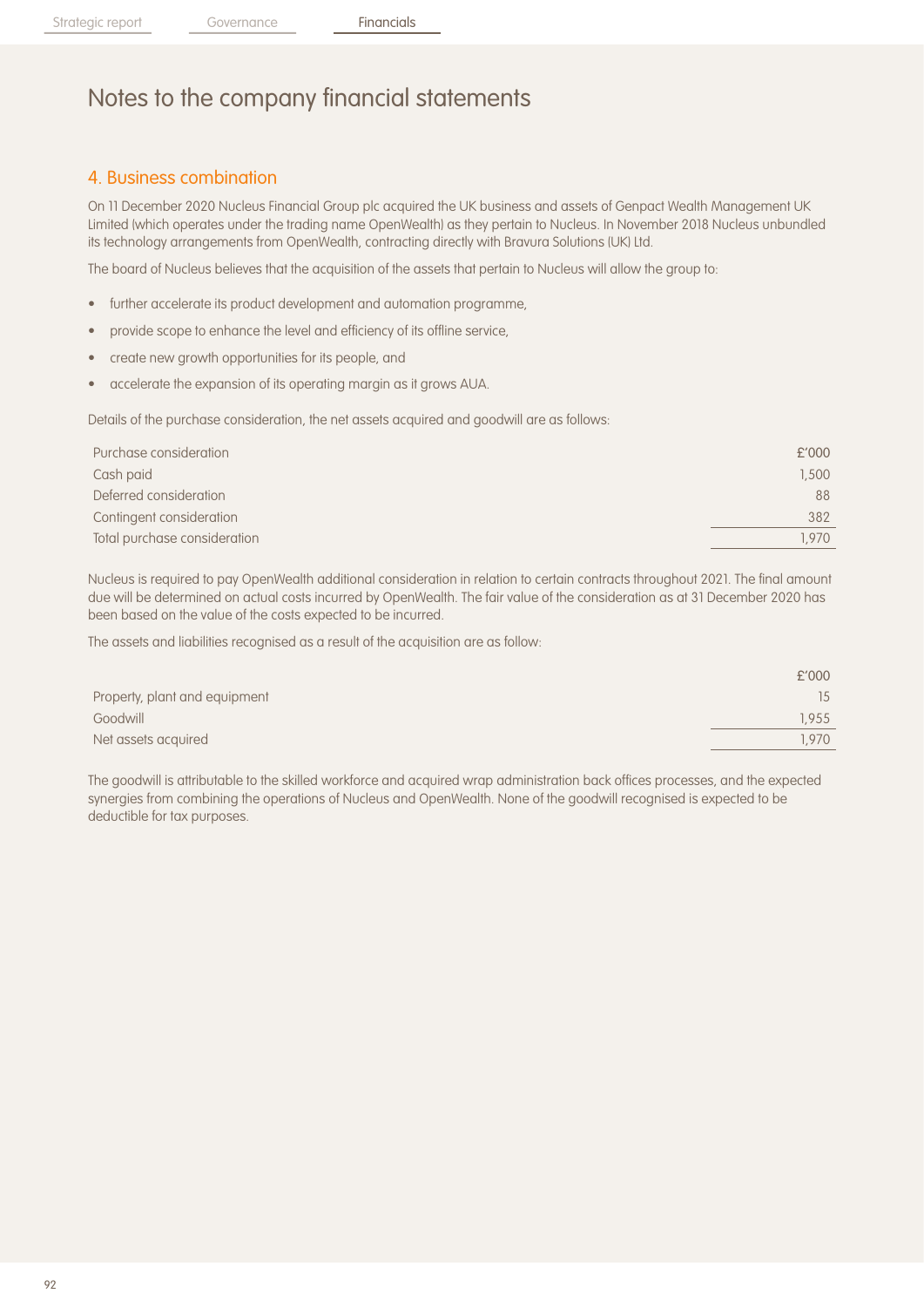### 4. Business combination

On 11 December 2020 Nucleus Financial Group plc acquired the UK business and assets of Genpact Wealth Management UK Limited (which operates under the trading name OpenWealth) as they pertain to Nucleus. In November 2018 Nucleus unbundled its technology arrangements from OpenWealth, contracting directly with Bravura Solutions (UK) Ltd.

The board of Nucleus believes that the acquisition of the assets that pertain to Nucleus will allow the group to:

- further accelerate its product development and automation programme,
- provide scope to enhance the level and efficiency of its offline service,
- create new growth opportunities for its people, and
- accelerate the expansion of its operating margin as it grows AUA.

Details of the purchase consideration, the net assets acquired and goodwill are as follows:

| £'000 |
|-------|
| 1,500 |
| 88    |
| 382   |
| 1.970 |
|       |

Nucleus is required to pay OpenWealth additional consideration in relation to certain contracts throughout 2021. The final amount due will be determined on actual costs incurred by OpenWealth. The fair value of the consideration as at 31 December 2020 has been based on the value of the costs expected to be incurred.

The assets and liabilities recognised as a result of the acquisition are as follow:

|                               | £'000 |
|-------------------------------|-------|
| Property, plant and equipment | 15    |
| Goodwill                      | 1.955 |
| Net assets acquired           | .970  |
|                               |       |

The goodwill is attributable to the skilled workforce and acquired wrap administration back offices processes, and the expected synergies from combining the operations of Nucleus and OpenWealth. None of the goodwill recognised is expected to be deductible for tax purposes.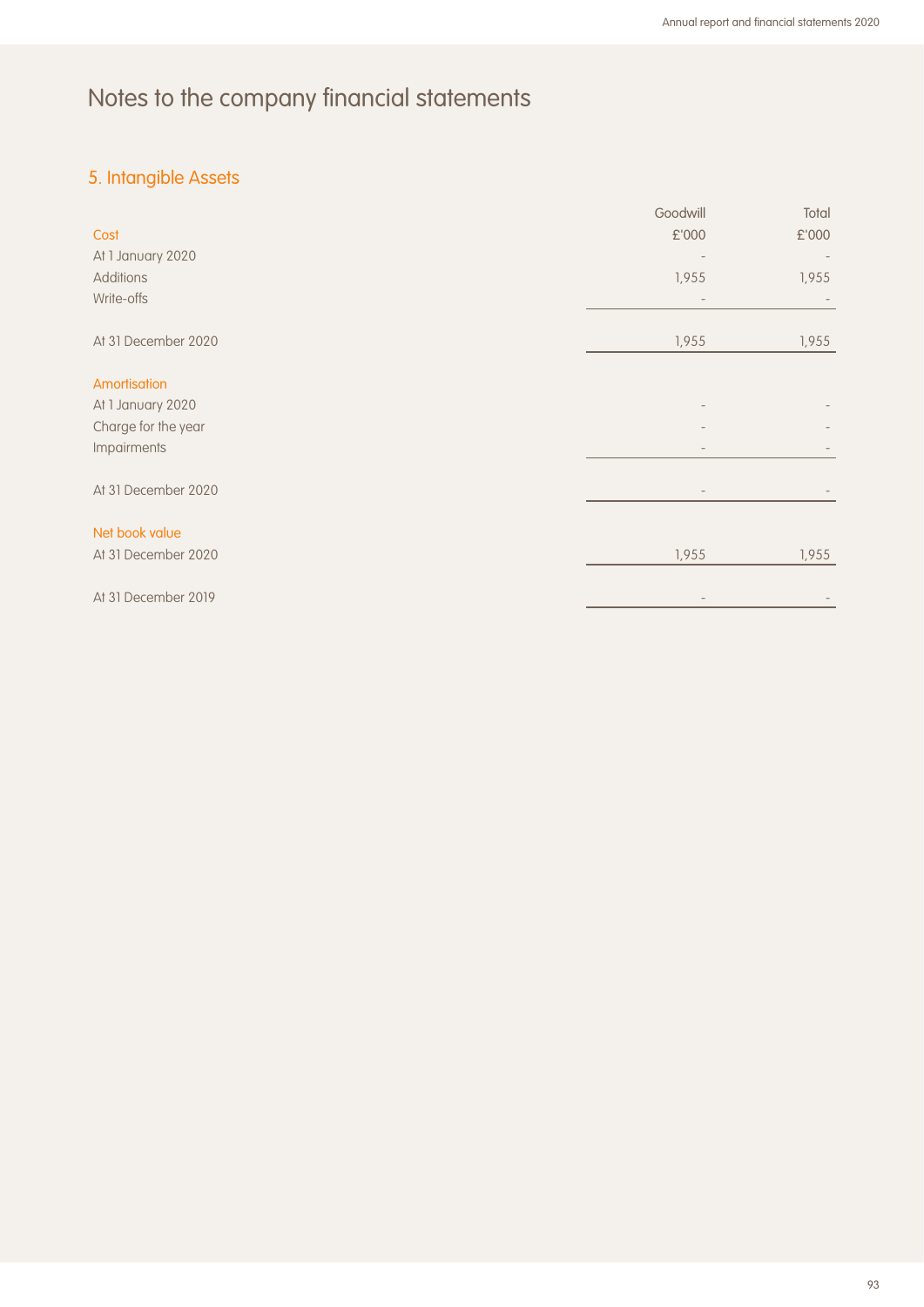## 5. Intangible Assets

|                     | Goodwill | Total |
|---------------------|----------|-------|
| Cost                | £'000    | £'000 |
| At 1 January 2020   |          |       |
| <b>Additions</b>    | 1,955    | 1,955 |
| Write-offs          |          |       |
| At 31 December 2020 | 1,955    | 1,955 |
| Amortisation        |          |       |
| At 1 January 2020   |          |       |
| Charge for the year |          |       |
| Impairments         |          |       |
| At 31 December 2020 |          |       |
| Net book value      |          |       |
| At 31 December 2020 | 1,955    | 1,955 |
| At 31 December 2019 |          |       |
|                     |          |       |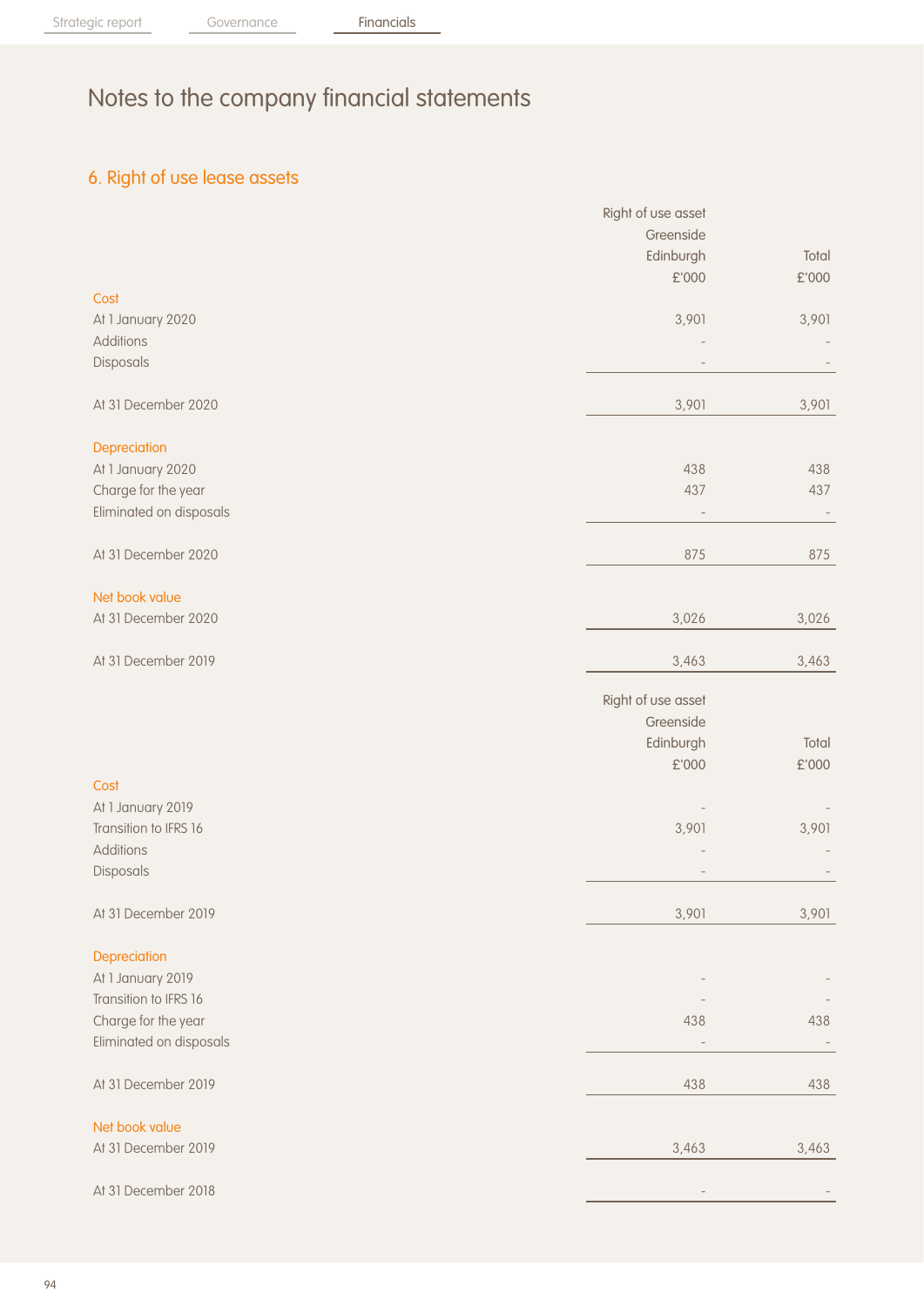## 6. Right of use lease assets

|                         | Right of use asset |               |
|-------------------------|--------------------|---------------|
|                         | Greenside          |               |
|                         | Edinburgh          | Total         |
|                         | £'000              | £'000         |
| Cost                    |                    |               |
| At 1 January 2020       | 3,901              | 3,901         |
| <b>Additions</b>        |                    |               |
| Disposals               |                    |               |
|                         |                    |               |
| At 31 December 2020     | 3,901              | 3,901         |
|                         |                    |               |
| Depreciation            |                    |               |
| At 1 January 2020       | 438                | 438           |
| Charge for the year     | 437                | 437           |
| Eliminated on disposals |                    |               |
|                         |                    |               |
| At 31 December 2020     | 875                | 875           |
|                         |                    |               |
| Net book value          |                    |               |
| At 31 December 2020     | 3,026              | 3,026         |
|                         |                    |               |
| At 31 December 2019     | 3,463              | 3,463         |
|                         |                    |               |
|                         | Right of use asset |               |
|                         | Greenside          |               |
|                         | Edinburgh          | Total         |
|                         | £'000              | $\pounds$ 000 |
| Cost                    |                    |               |
| At 1 January 2019       |                    |               |
| Transition to IFRS 16   | 3,901              | 3,901         |
| <b>Additions</b>        |                    |               |
|                         |                    |               |
| Disposals               |                    |               |
| At 31 December 2019     | 3,901              | 3,901         |
|                         |                    |               |
| Depreciation            |                    |               |
| At 1 January 2019       |                    |               |
| Transition to IFRS 16   |                    |               |
| Charge for the year     | 438                | 438           |
| Eliminated on disposals |                    |               |
|                         |                    |               |
| At 31 December 2019     | 438                | 438           |
|                         |                    |               |
| Net book value          |                    |               |
| At 31 December 2019     | 3,463              | 3,463         |
|                         |                    |               |
| At 31 December 2018     |                    |               |
|                         |                    |               |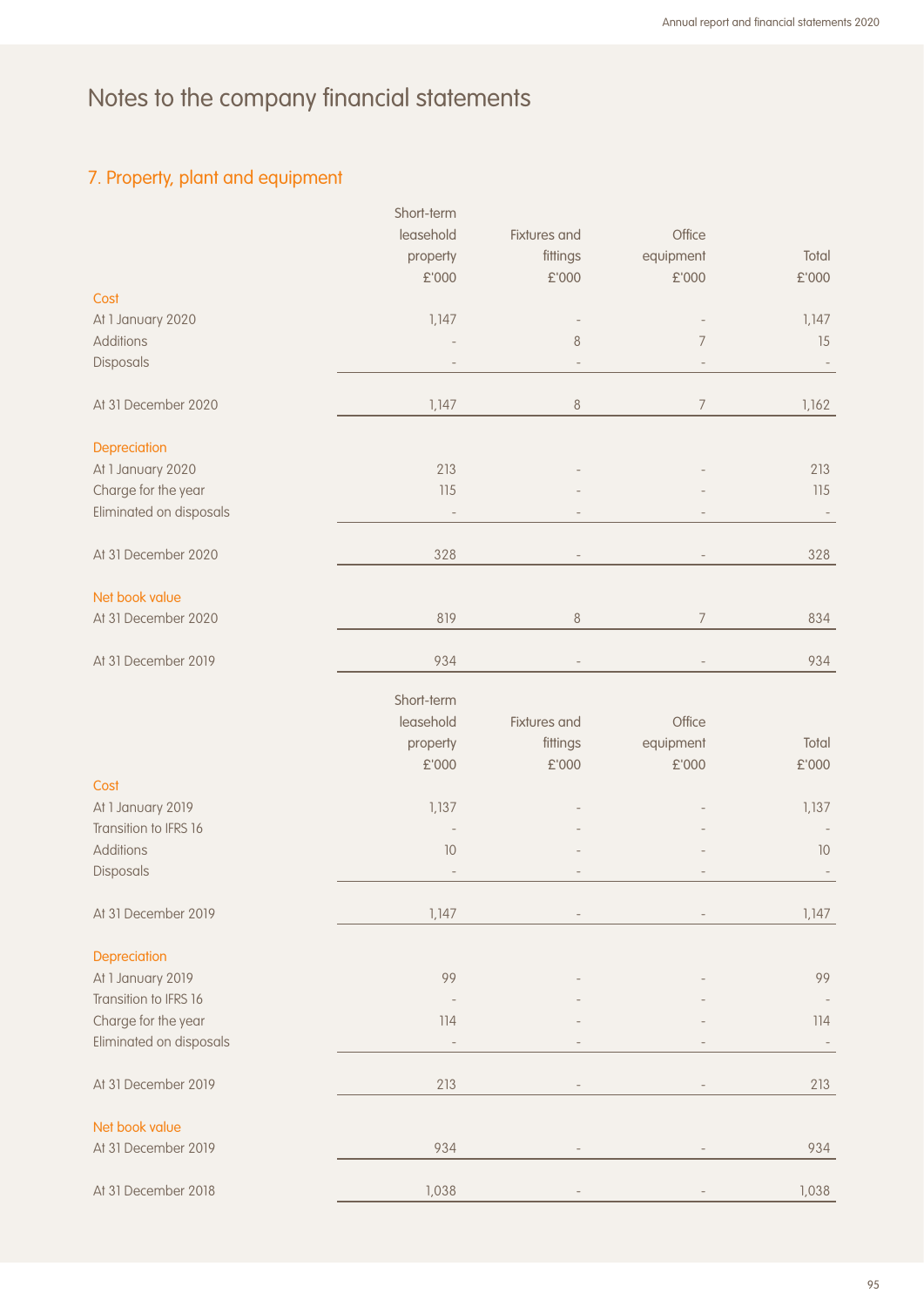## 7. Property, plant and equipment

|                         | Short-term |              |                |       |
|-------------------------|------------|--------------|----------------|-------|
|                         | leasehold  | Fixtures and | Office         |       |
|                         | property   | fittings     | equipment      | Total |
|                         | £'000      | £'000        | £'000          | £'000 |
| Cost                    |            |              |                |       |
| At 1 January 2020       | 1,147      |              |                | 1,147 |
|                         |            |              |                |       |
| <b>Additions</b>        |            | $\,8\,$      | $\overline{7}$ | 15    |
| Disposals               |            |              |                |       |
| At 31 December 2020     | 1,147      | $8\,$        | $\overline{7}$ | 1,162 |
| Depreciation            |            |              |                |       |
| At 1 January 2020       | 213        |              |                | 213   |
| Charge for the year     | 115        |              |                | 115   |
|                         |            |              |                |       |
| Eliminated on disposals |            |              |                |       |
| At 31 December 2020     | 328        |              |                | 328   |
| Net book value          |            |              |                |       |
| At 31 December 2020     | 819        | $\,8\,$      | $\overline{7}$ | 834   |
|                         |            |              |                |       |
| At 31 December 2019     | 934        |              |                | 934   |
|                         | Short-term |              |                |       |
|                         | leasehold  | Fixtures and | Office         |       |
|                         |            |              |                |       |
|                         | property   | fittings     | equipment      | Total |
|                         | £'000      | £'000        | £'000          | £'000 |
| Cost                    |            |              |                |       |
| At 1 January 2019       | 1,137      |              |                | 1,137 |
| Transition to IFRS 16   |            |              |                |       |
| <b>Additions</b>        | 10         |              |                | 10    |
| Disposals               |            |              |                |       |
| At 31 December 2019     | 1,147      |              |                | 1,147 |
|                         |            |              |                |       |
| Depreciation            |            |              |                |       |
| At 1 January 2019       | 99         |              |                | 99    |
| Transition to IFRS 16   |            |              |                |       |
| Charge for the year     | 114        |              |                | 114   |
| Eliminated on disposals |            |              |                |       |
|                         |            |              |                |       |
| At 31 December 2019     | 213        |              |                | 213   |
| Net book value          |            |              |                |       |
| At 31 December 2019     | 934        |              |                | 934   |
|                         |            |              |                |       |
| At 31 December 2018     | 1,038      |              |                | 1,038 |
|                         |            |              |                |       |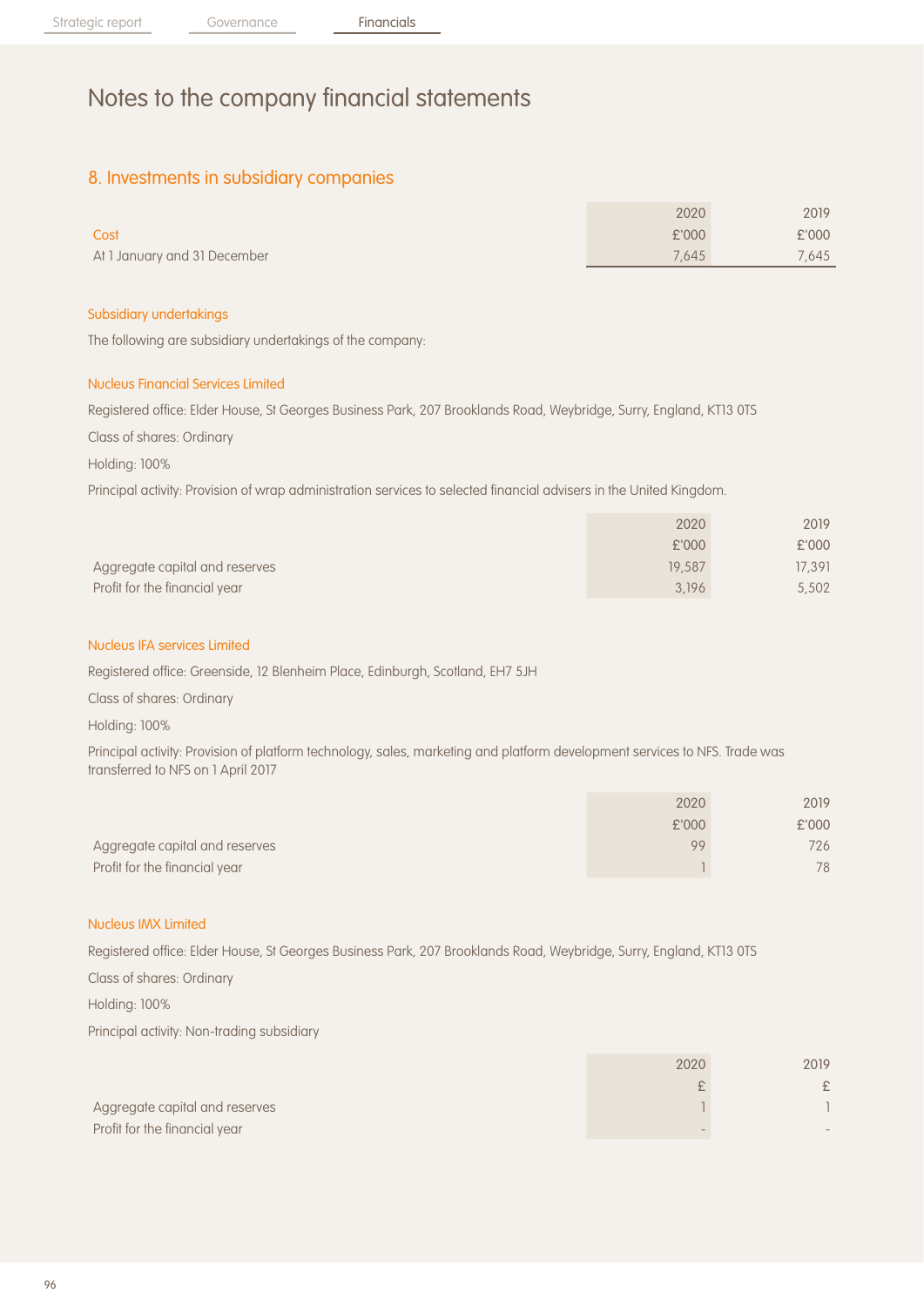## 8. Investments in subsidiary companies

|                              | 2020  | 2019  |
|------------------------------|-------|-------|
| Cost                         | £'000 | £'000 |
| At 1 January and 31 December | 7.645 | 7.645 |

#### Subsidiary undertakings

The following are subsidiary undertakings of the company:

#### Nucleus Financial Services Limited

Registered office: Elder House, St Georges Business Park, 207 Brooklands Road, Weybridge, Surry, England, KT13 0TS

Class of shares: Ordinary

Holding: 100%

Principal activity: Provision of wrap administration services to selected financial advisers in the United Kingdom.

|                                | 2020   | 2019   |
|--------------------------------|--------|--------|
|                                | £'000  | £'000  |
| Aggregate capital and reserves | 19,587 | 17,391 |
| Profit for the financial year  | 3.196  | 5,502  |

#### Nucleus IFA services Limited

Registered office: Greenside, 12 Blenheim Place, Edinburgh, Scotland, EH7 5JH

Class of shares: Ordinary

Holding: 100%

Principal activity: Provision of platform technology, sales, marketing and platform development services to NFS. Trade was transferred to NFS on 1 April 2017

|                                | 2020  | 2019  |
|--------------------------------|-------|-------|
|                                | £'000 | £'000 |
| Aggregate capital and reserves | 99    | 726   |
| Profit for the financial year  |       | 78    |

#### Nucleus IMX Limited

Registered office: Elder House, St Georges Business Park, 207 Brooklands Road, Weybridge, Surry, England, KT13 0TS

Class of shares: Ordinary

Holding: 100%

Principal activity: Non-trading subsidiary

|                                | 2020 | 2019 |
|--------------------------------|------|------|
|                                |      |      |
| Aggregate capital and reserves |      |      |
| Profit for the financial year  |      |      |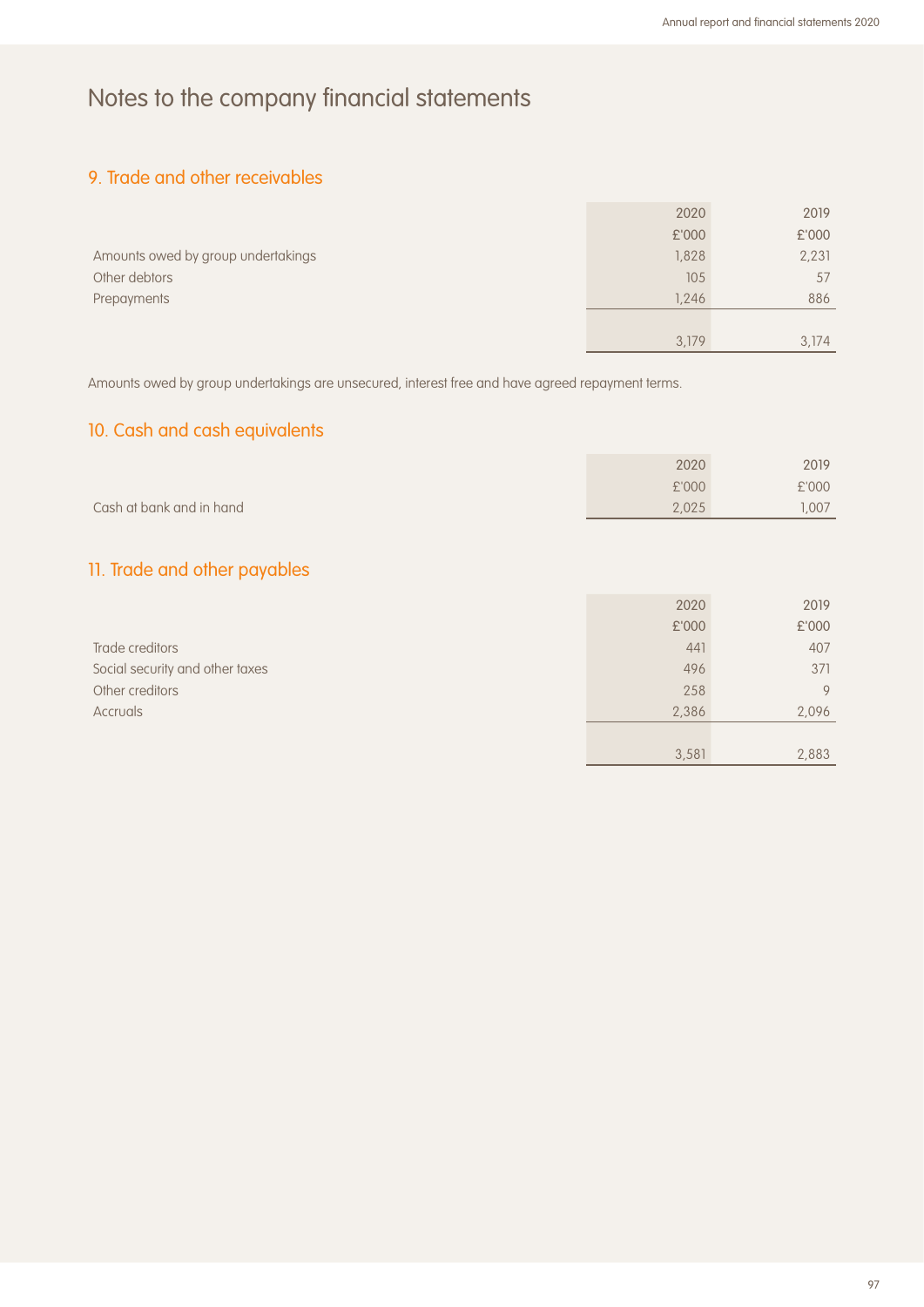## 9. Trade and other receivables

|                                    | 2020  | 2019  |
|------------------------------------|-------|-------|
|                                    | £'000 | £'000 |
| Amounts owed by group undertakings | 1,828 | 2,231 |
| Other debtors                      | 105   | 57    |
| Prepayments                        | 1.246 | 886   |
|                                    |       |       |
|                                    | 3.179 | 3,174 |

Amounts owed by group undertakings are unsecured, interest free and have agreed repayment terms.

## 10. Cash and cash equivalents

|                          | 2020  | 2019  |
|--------------------------|-------|-------|
|                          | £'000 | £'000 |
| Cash at bank and in hand | 2.025 | .007  |

## 11. Trade and other payables

|                                 | 2020  | 2019  |
|---------------------------------|-------|-------|
|                                 | £'000 | £'000 |
| Trade creditors                 | 441   | 407   |
| Social security and other taxes | 496   | 371   |
| Other creditors                 | 258   | 9     |
| <b>Accruals</b>                 | 2,386 | 2,096 |
|                                 |       |       |
|                                 | 3,581 | 2,883 |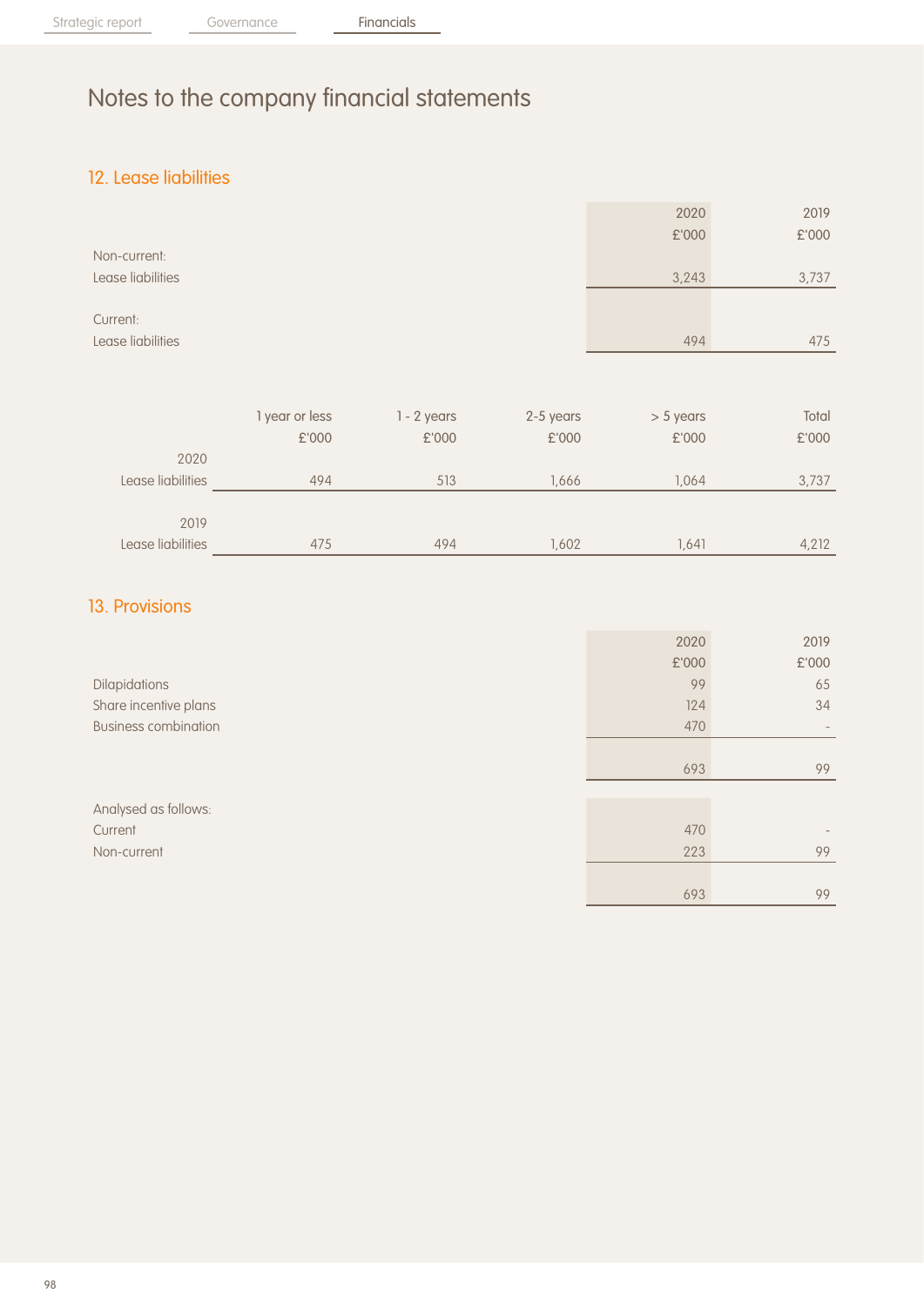## 12. Lease liabilities

|                   |                |               |           | 2020        | 2019  |
|-------------------|----------------|---------------|-----------|-------------|-------|
|                   |                |               |           | £'000       | £'000 |
| Non-current:      |                |               |           |             |       |
| Lease liabilities |                |               |           | 3,243       | 3,737 |
|                   |                |               |           |             |       |
| Current:          |                |               |           |             |       |
| Lease liabilities |                |               |           | 494         | 475   |
|                   |                |               |           |             |       |
|                   |                |               |           |             |       |
|                   | 1 year or less | $1 - 2$ years | 2-5 years | $> 5$ years | Total |
|                   | £'000          | £'000         | £'000     | £'000       | £'000 |
| 2020              |                |               |           |             |       |
| Lease liabilities | 494            | 513           | 1,666     | 1,064       | 3,737 |
|                   |                |               |           |             |       |
| 2019              |                |               |           |             |       |
| Lease liabilities | 475            | 494           | 1,602     | 1,641       | 4,212 |

## 13. Provisions

|                             | 2020  | 2019                     |
|-----------------------------|-------|--------------------------|
|                             | £'000 | £'000                    |
| Dilapidations               | 99    | 65                       |
| Share incentive plans       | 124   | 34                       |
| <b>Business combination</b> | 470   | $\overline{\phantom{a}}$ |
|                             |       |                          |
|                             | 693   | 99                       |
|                             |       |                          |
| Analysed as follows:        |       |                          |
| Current                     | 470   |                          |
| Non-current                 | 223   | 99                       |
|                             |       |                          |
|                             | 693   | 99                       |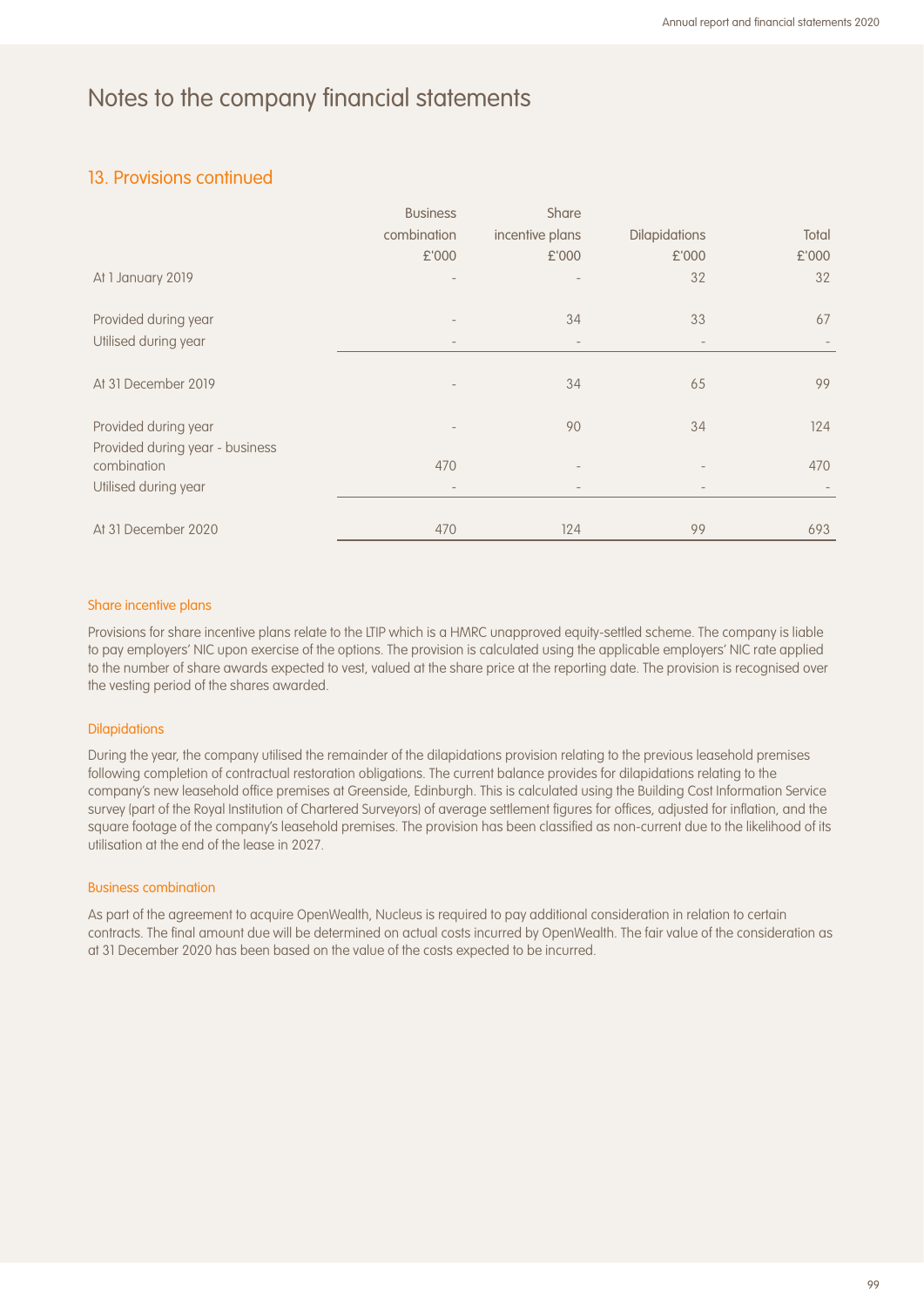#### 13. Provisions continued

|                                                | <b>Business</b>   | Share                    |                          |       |
|------------------------------------------------|-------------------|--------------------------|--------------------------|-------|
|                                                | combination       | incentive plans          | <b>Dilapidations</b>     | Total |
|                                                | £'000             | £'000                    | £'000                    | £'000 |
| At 1 January 2019                              |                   |                          | 32                       | 32    |
| Provided during year                           |                   | 34                       | 33                       | 67    |
| Utilised during year                           | $\qquad \qquad -$ | $\overline{\phantom{a}}$ | $\overline{\phantom{a}}$ |       |
| At 31 December 2019                            |                   | 34                       | 65                       | 99    |
| Provided during year                           |                   | 90                       | 34                       | 124   |
| Provided during year - business<br>combination | 470               |                          |                          | 470   |
| Utilised during year                           |                   |                          |                          |       |
| At 31 December 2020                            | 470               | 124                      | 99                       | 693   |

#### Share incentive plans

Provisions for share incentive plans relate to the LTIP which is a HMRC unapproved equity-settled scheme. The company is liable to pay employers' NIC upon exercise of the options. The provision is calculated using the applicable employers' NIC rate applied to the number of share awards expected to vest, valued at the share price at the reporting date. The provision is recognised over the vesting period of the shares awarded.

#### **Dilapidations**

During the year, the company utilised the remainder of the dilapidations provision relating to the previous leasehold premises following completion of contractual restoration obligations. The current balance provides for dilapidations relating to the company's new leasehold office premises at Greenside, Edinburgh. This is calculated using the Building Cost Information Service survey (part of the Royal Institution of Chartered Surveyors) of average settlement figures for offices, adjusted for inflation, and the square footage of the company's leasehold premises. The provision has been classified as non-current due to the likelihood of its utilisation at the end of the lease in 2027.

#### Business combination

As part of the agreement to acquire OpenWealth, Nucleus is required to pay additional consideration in relation to certain contracts. The final amount due will be determined on actual costs incurred by OpenWealth. The fair value of the consideration as at 31 December 2020 has been based on the value of the costs expected to be incurred.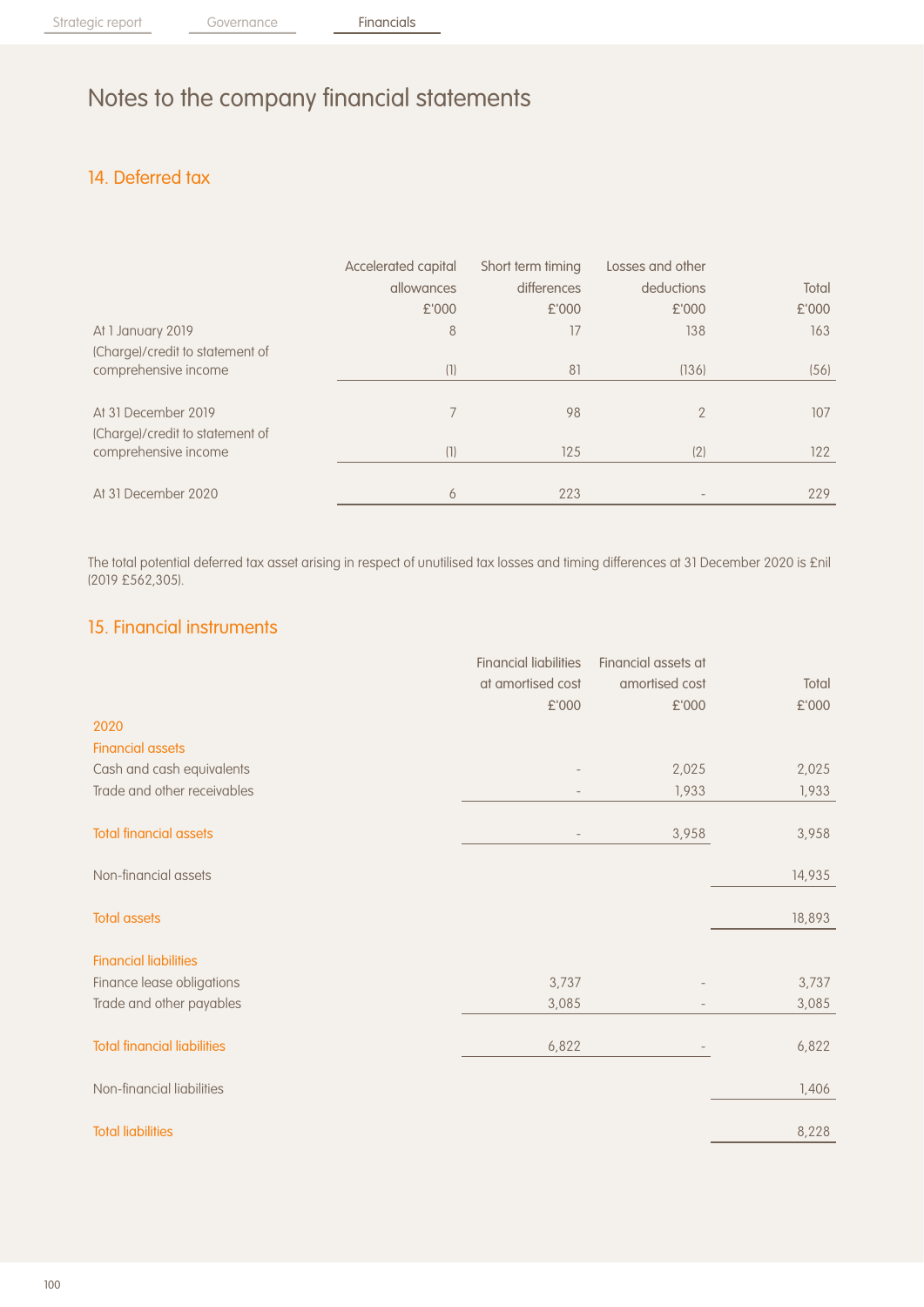## 14. Deferred tax

|                                 | Accelerated capital<br>allowances | Short term timing<br>differences | Losses and other<br>deductions | Total |
|---------------------------------|-----------------------------------|----------------------------------|--------------------------------|-------|
|                                 | £'000                             | £'000                            | £'000                          | £'000 |
| At 1 January 2019               | 8                                 | 17                               | 138                            | 163   |
| (Charge)/credit to statement of |                                   |                                  |                                |       |
| comprehensive income            | (1)                               | 81                               | (136)                          | (56)  |
|                                 |                                   |                                  |                                |       |
| At 31 December 2019             | 7                                 | 98                               | $\mathcal{P}$                  | 107   |
| (Charge)/credit to statement of |                                   |                                  |                                |       |
| comprehensive income            | (1)                               | 125                              | (2)                            | 122   |
|                                 |                                   |                                  |                                |       |
| At 31 December 2020             | 6                                 | 223                              |                                | 229   |

The total potential deferred tax asset arising in respect of unutilised tax losses and timing differences at 31 December 2020 is £nil (2019 £562,305).

### 15. Financial instruments

|                                    | <b>Financial liabilities</b> | Financial assets at |        |
|------------------------------------|------------------------------|---------------------|--------|
|                                    | at amortised cost            | amortised cost      | Total  |
|                                    | £'000                        | £'000               | £'000  |
| 2020                               |                              |                     |        |
| <b>Financial assets</b>            |                              |                     |        |
| Cash and cash equivalents          |                              | 2,025               | 2,025  |
| Trade and other receivables        |                              | 1,933               | 1,933  |
|                                    |                              |                     |        |
| <b>Total financial assets</b>      |                              | 3,958               | 3,958  |
| Non-financial assets               |                              |                     | 14,935 |
| <b>Total assets</b>                |                              |                     | 18,893 |
|                                    |                              |                     |        |
| <b>Financial liabilities</b>       |                              |                     |        |
| Finance lease obligations          | 3,737                        |                     | 3,737  |
| Trade and other payables           | 3,085                        |                     | 3,085  |
| <b>Total financial liabilities</b> | 6,822                        |                     | 6,822  |
|                                    |                              |                     |        |
| Non-financial liabilities          |                              |                     | 1,406  |
| <b>Total liabilities</b>           |                              |                     | 8,228  |
|                                    |                              |                     |        |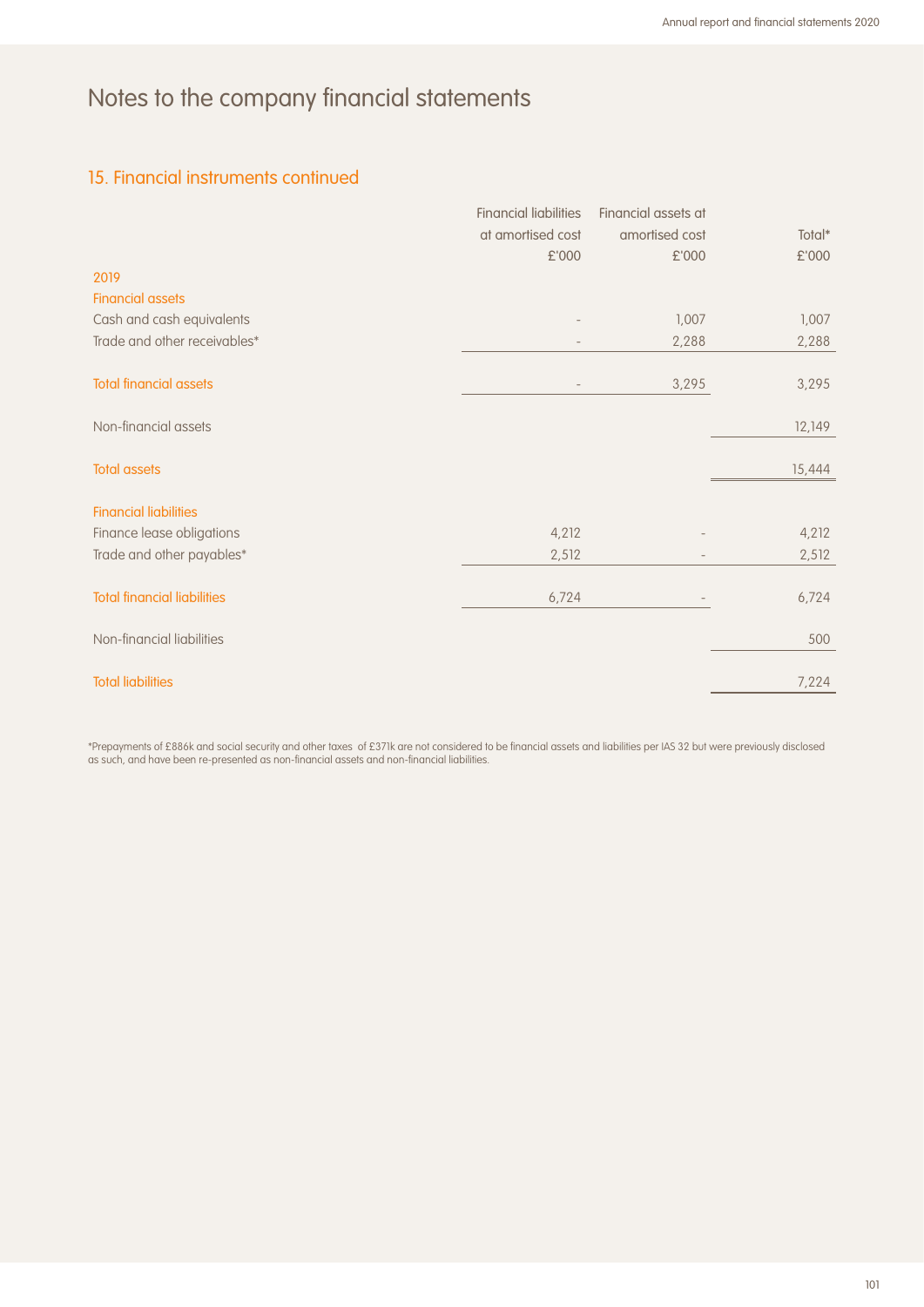## 15. Financial instruments continued

|                                    | <b>Financial liabilities</b> | Financial assets at |        |
|------------------------------------|------------------------------|---------------------|--------|
|                                    | at amortised cost            | amortised cost      | Total* |
|                                    | £'000                        | £'000               | £'000  |
| 2019                               |                              |                     |        |
| <b>Financial assets</b>            |                              |                     |        |
| Cash and cash equivalents          |                              | 1,007               | 1,007  |
| Trade and other receivables*       |                              | 2,288               | 2,288  |
| <b>Total financial assets</b>      |                              | 3,295               | 3,295  |
| Non-financial assets               |                              |                     | 12,149 |
| <b>Total assets</b>                |                              |                     | 15,444 |
| <b>Financial liabilities</b>       |                              |                     |        |
| Finance lease obligations          | 4,212                        |                     | 4,212  |
| Trade and other payables*          | 2,512                        |                     | 2,512  |
| <b>Total financial liabilities</b> | 6,724                        |                     | 6,724  |
| Non-financial liabilities          |                              |                     | 500    |
| <b>Total liabilities</b>           |                              |                     | 7,224  |

\*Prepayments of £886k and social security and other taxes of £371k are not considered to be financial assets and liabilities per IAS 32 but were previously disclosed as such, and have been re-presented as non-financial assets and non-financial liabilities.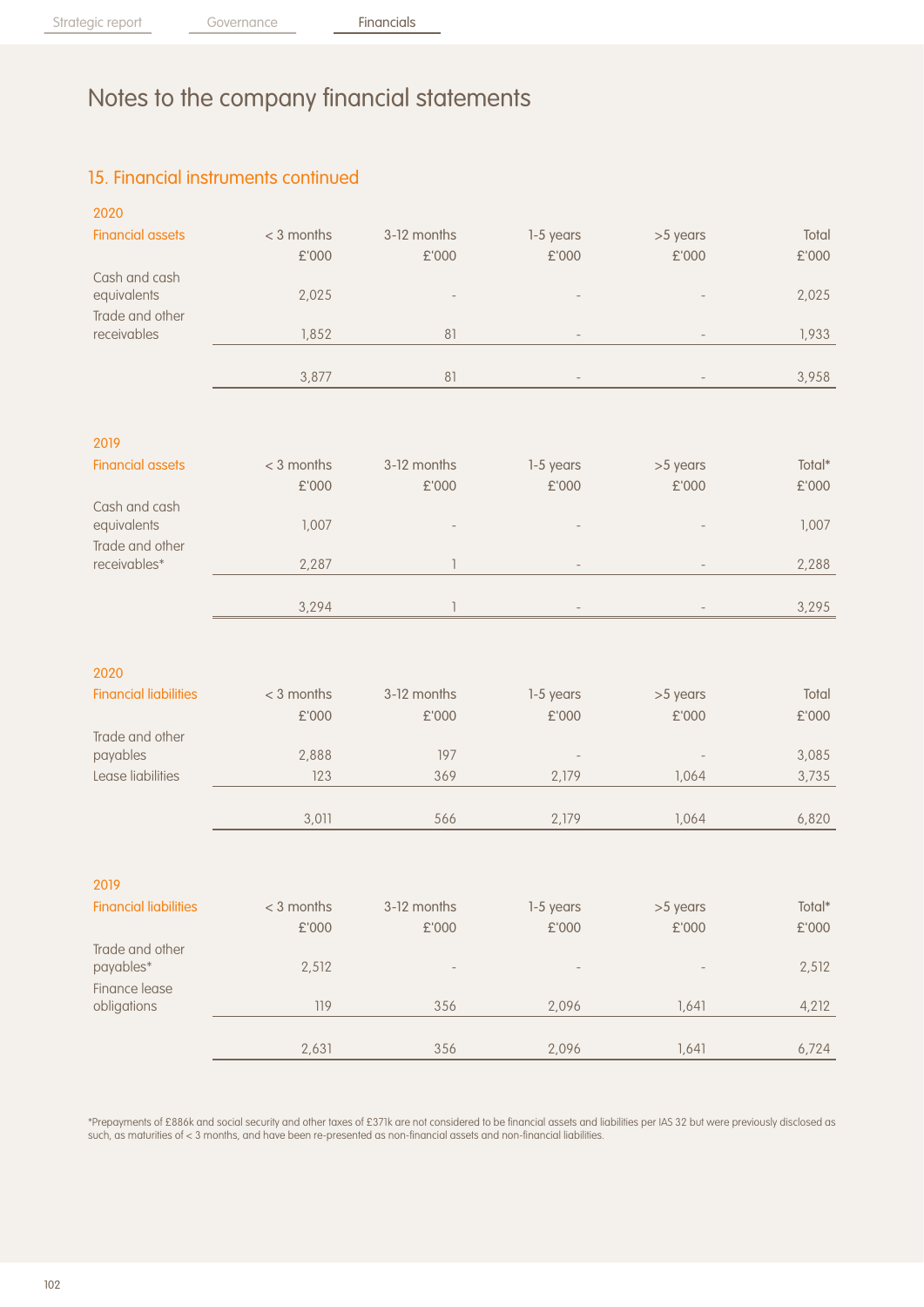## 15. Financial instruments continued

| 2020                           |               |               |                          |          |                    |
|--------------------------------|---------------|---------------|--------------------------|----------|--------------------|
| <b>Financial assets</b>        | $<$ 3 months  | 3-12 months   | 1-5 years                | >5 years | Total              |
|                                | £'000         | £'000         | £'000                    | £'000    | £'000              |
| Cash and cash                  |               |               |                          |          |                    |
| equivalents                    | 2,025         |               |                          |          | 2,025              |
| Trade and other<br>receivables | 1,852         | 81            |                          |          |                    |
|                                |               |               |                          |          | 1,933              |
|                                | 3,877         | 81            |                          |          | 3,958              |
|                                |               |               |                          |          |                    |
| 2019                           |               |               |                          |          |                    |
| <b>Financial assets</b>        | $<$ 3 months  | 3-12 months   | 1-5 years                | >5 years | Total*             |
|                                | $\pounds$ 000 | £'000         | £'000                    | £'000    | £'000              |
| Cash and cash                  |               |               |                          |          |                    |
| equivalents                    | 1,007         |               |                          |          | 1,007              |
| Trade and other                |               |               |                          |          |                    |
| receivables*                   | 2,287         | 1             |                          |          | 2,288              |
|                                | 3,294         | 1             |                          |          | 3,295              |
|                                |               |               |                          |          |                    |
| 2020                           |               |               |                          |          |                    |
| <b>Financial liabilities</b>   | $<$ 3 months  | 3-12 months   | 1-5 years                | >5 years | Total              |
|                                | $\pounds$ 000 | $\pounds$ 000 | £'000                    | £'000    | £'000              |
| Trade and other                |               |               |                          |          |                    |
| payables                       | 2,888         | 197           | $\overline{\phantom{a}}$ |          | 3,085              |
| Lease liabilities              | 123           | 369           | 2,179                    | 1,064    | 3,735              |
|                                |               |               |                          |          |                    |
|                                | 3,011         | 566           | 2,179                    | 1,064    | 6,820              |
| 2019                           |               |               |                          |          |                    |
| <b>Financial liabilities</b>   | $< 3$ months  | 3-12 months   | 1-5 years                | >5 years | $\textsf{Total}^*$ |
|                                | £'000         | £'000         | £'000                    | £'000    | $\pounds$ 000      |
| Trade and other                |               |               |                          |          |                    |
| payables*                      | 2,512         |               |                          |          | 2,512              |
| Finance lease                  |               |               |                          |          |                    |
| obligations                    | 119           | 356           | 2,096                    | 1,641    | 4,212              |
|                                |               |               |                          |          |                    |
|                                | 2,631         | 356           | 2,096                    | 1,641    | 6,724              |

\*Prepayments of £886k and social security and other taxes of £371k are not considered to be financial assets and liabilities per IAS 32 but were previously disclosed as such, as maturities of < 3 months, and have been re-presented as non-financial assets and non-financial liabilities.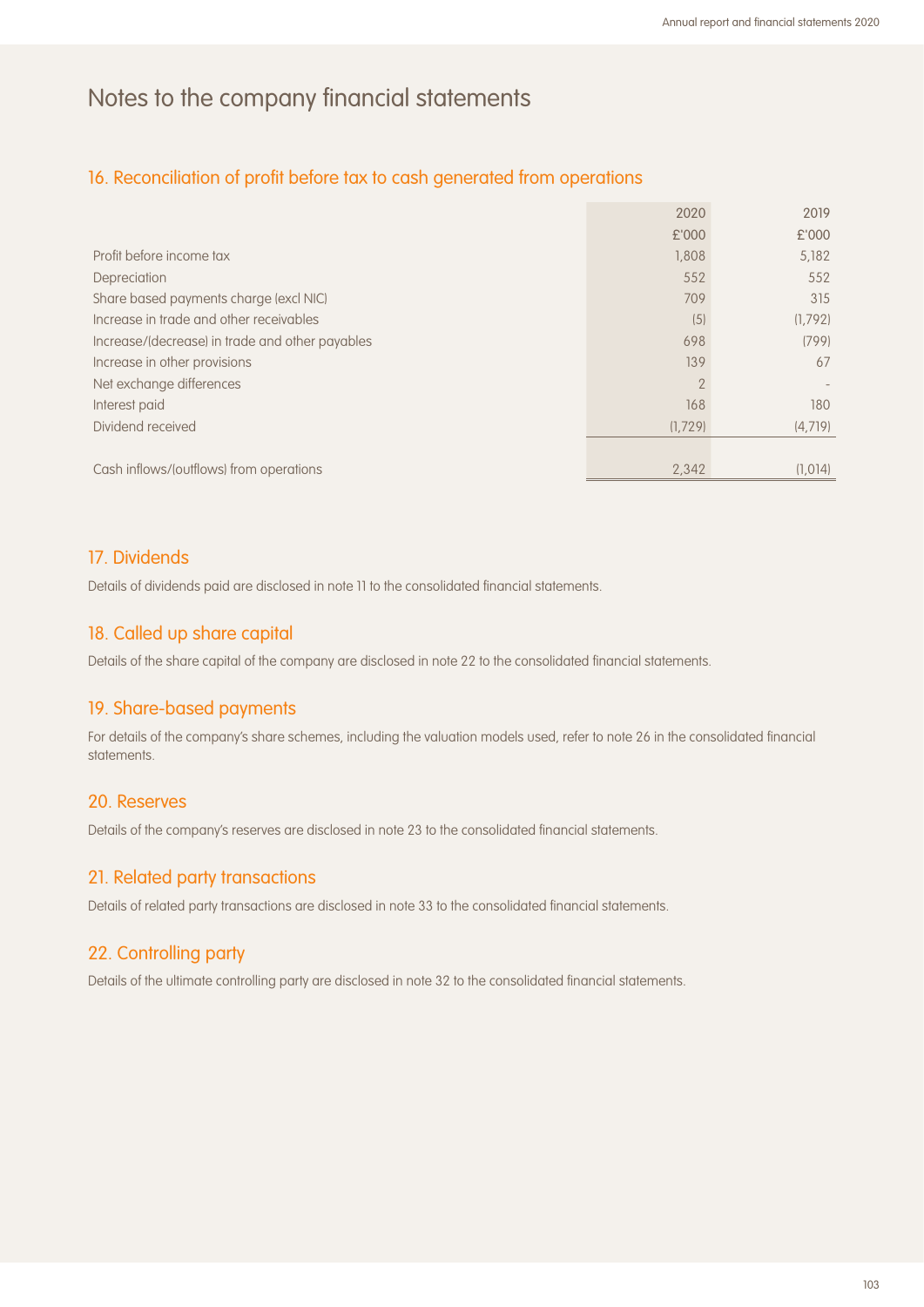### 16. Reconciliation of profit before tax to cash generated from operations

|                                                 | 2020           | 2019    |
|-------------------------------------------------|----------------|---------|
|                                                 | £'000          | £'000   |
| Profit before income tax                        | 1,808          | 5,182   |
| Depreciation                                    | 552            | 552     |
| Share based payments charge (excl NIC)          | 709            | 315     |
| Increase in trade and other receivables         | (5)            | (1,792) |
| Increase/(decrease) in trade and other payables | 698            | (799)   |
| Increase in other provisions                    | 139            | 67      |
| Net exchange differences                        | $\overline{2}$ |         |
| Interest paid                                   | 168            | 180     |
| Dividend received                               | (1,729)        | (4,719) |
|                                                 |                |         |
| Cash inflows/(outflows) from operations         | 2.342          | (1.014) |

#### 17. Dividends

Details of dividends paid are disclosed in note 11 to the consolidated financial statements.

#### 18. Called up share capital

Details of the share capital of the company are disclosed in note 22 to the consolidated financial statements.

#### 19. Share-based payments

For details of the company's share schemes, including the valuation models used, refer to note 26 in the consolidated financial statements.

#### 20. Reserves

Details of the company's reserves are disclosed in note 23 to the consolidated financial statements.

#### 21. Related party transactions

Details of related party transactions are disclosed in note 33 to the consolidated financial statements.

#### 22. Controlling party

Details of the ultimate controlling party are disclosed in note 32 to the consolidated financial statements.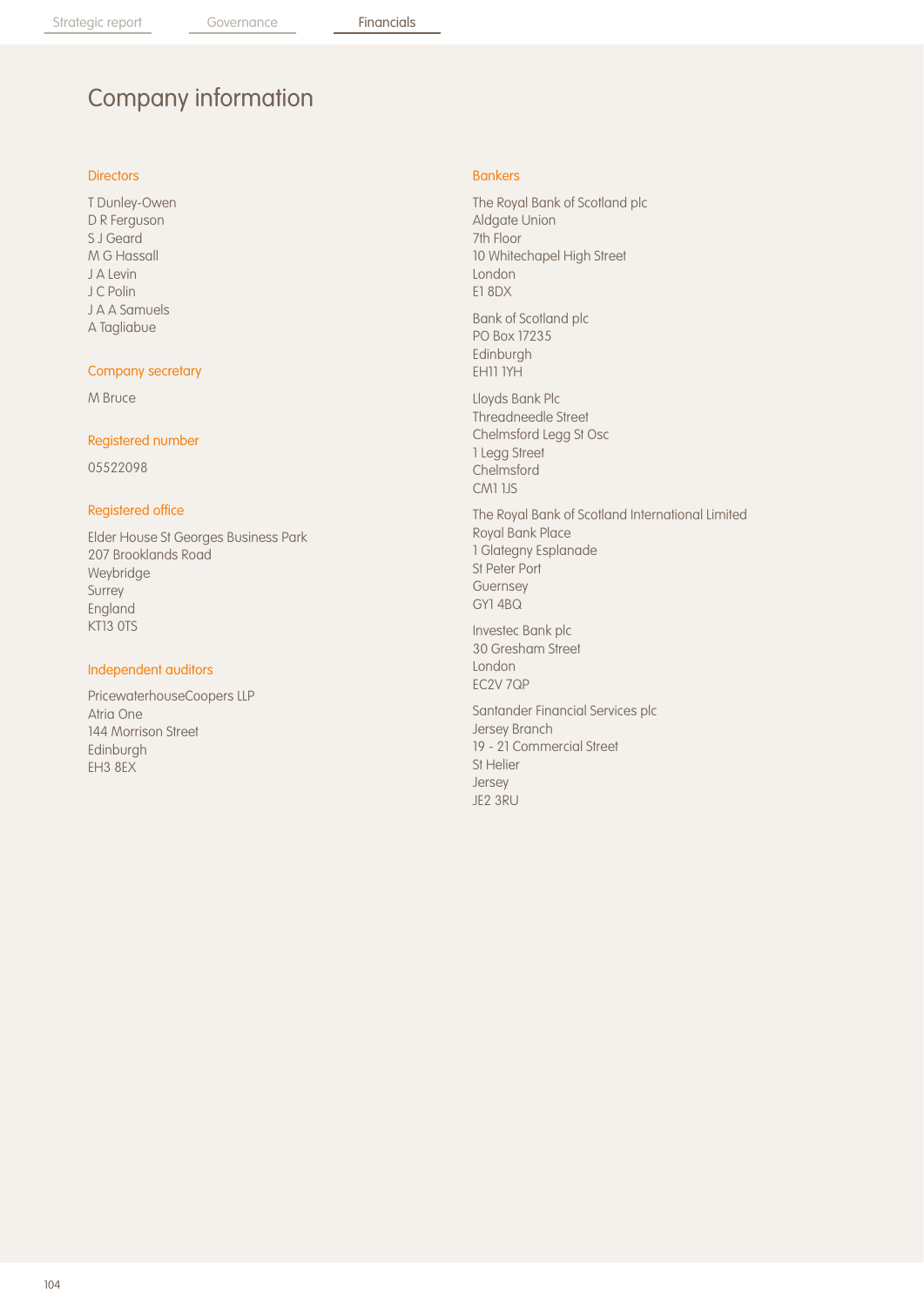# Company information

#### **Directors**

T Dunley-Owen D R Ferguson S J Geard M G Hassall J A Levin J C Polin J A A Samuels A Tagliabue

#### Company secretary

M Bruce

#### Registered number

05522098

#### Registered office

Elder House St Georges Business Park 207 Brooklands Road Weybridge Surrey England KT13 0TS

#### Independent auditors

PricewaterhouseCoopers LLP Atria One 144 Morrison Street Edinburgh EH3 8EX

#### Bankers

The Royal Bank of Scotland plc Aldgate Union 7th Floor 10 Whitechapel High Street London E1 8DX

Bank of Scotland plc PO Box 17235 Edinburgh EH11 1YH

Lloyds Bank Plc Threadneedle Street Chelmsford Legg St Osc 1 Legg Street Chelmsford CM1 1JS

The Royal Bank of Scotland International Limited Royal Bank Place 1 Glategny Esplanade St Peter Port Guernsey GY1 4BQ

Investec Bank plc 30 Gresham Street London EC2V 7QP

Santander Financial Services plc Jersey Branch 19 - 21 Commercial Street St Helier Jersey JE2 3RU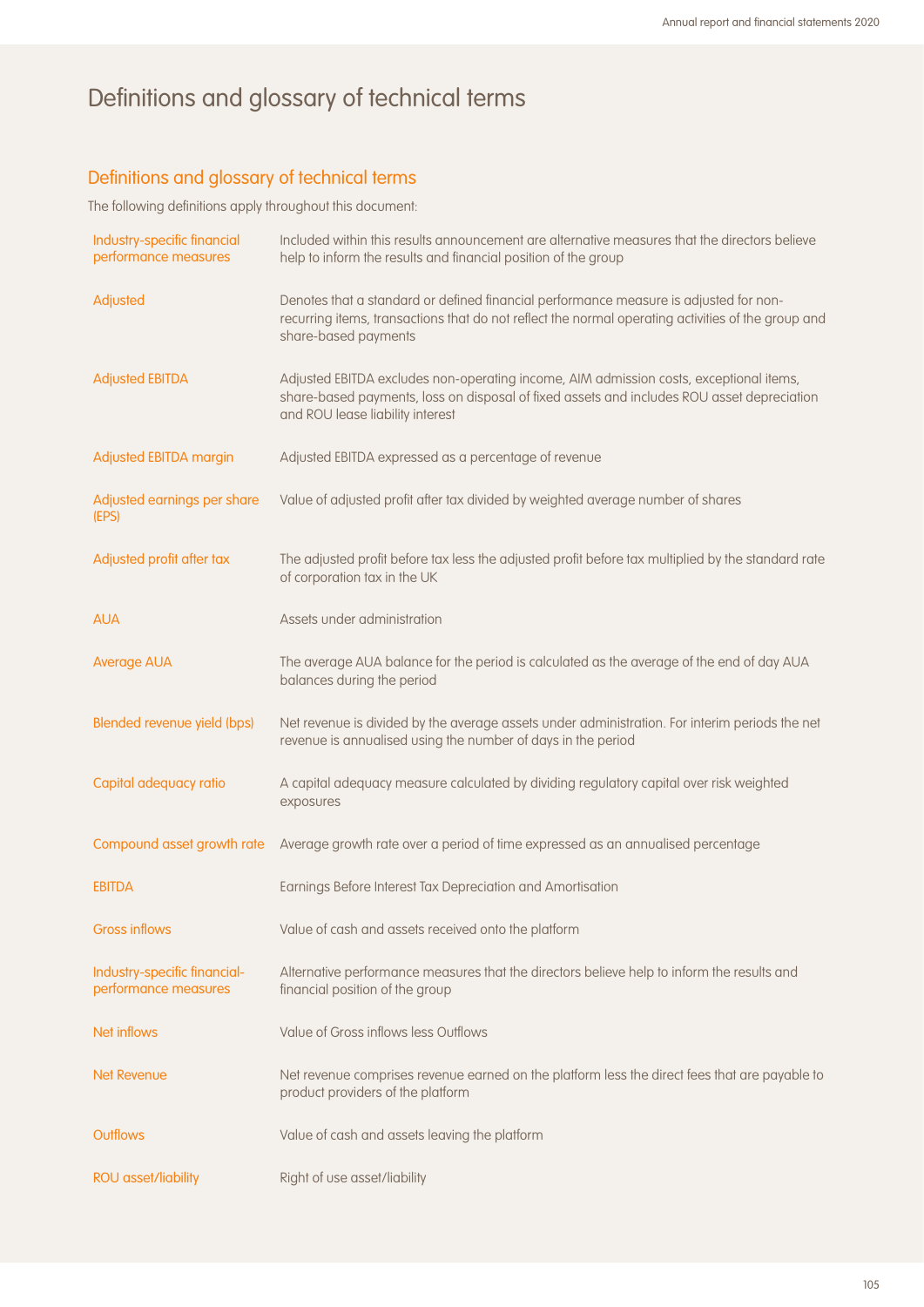# Definitions and glossary of technical terms

## Definitions and glossary of technical terms

The following definitions apply throughout this document:

| Industry-specific financial<br>performance measures  | Included within this results announcement are alternative measures that the directors believe<br>help to inform the results and financial position of the group                                                          |
|------------------------------------------------------|--------------------------------------------------------------------------------------------------------------------------------------------------------------------------------------------------------------------------|
| Adjusted                                             | Denotes that a standard or defined financial performance measure is adjusted for non-<br>recurring items, transactions that do not reflect the normal operating activities of the group and<br>share-based payments      |
| <b>Adjusted EBITDA</b>                               | Adjusted EBITDA excludes non-operating income, AIM admission costs, exceptional items,<br>share-based payments, loss on disposal of fixed assets and includes ROU asset depreciation<br>and ROU lease liability interest |
| Adjusted EBITDA margin                               | Adjusted EBITDA expressed as a percentage of revenue                                                                                                                                                                     |
| Adjusted earnings per share<br>(EPS)                 | Value of adjusted profit after tax divided by weighted average number of shares                                                                                                                                          |
| Adjusted profit after tax                            | The adjusted profit before tax less the adjusted profit before tax multiplied by the standard rate<br>of corporation tax in the UK                                                                                       |
| <b>AUA</b>                                           | Assets under administration                                                                                                                                                                                              |
| <b>Average AUA</b>                                   | The average AUA balance for the period is calculated as the average of the end of day AUA<br>balances during the period                                                                                                  |
| Blended revenue yield (bps)                          | Net revenue is divided by the average assets under administration. For interim periods the net<br>revenue is annualised using the number of days in the period                                                           |
| Capital adequacy ratio                               | A capital adequacy measure calculated by dividing regulatory capital over risk weighted<br>exposures                                                                                                                     |
| Compound asset growth rate                           | Average growth rate over a period of time expressed as an annualised percentage                                                                                                                                          |
| <b>EBITDA</b>                                        | Earnings Before Interest Tax Depreciation and Amortisation                                                                                                                                                               |
| <b>Gross inflows</b>                                 | Value of cash and assets received onto the platform                                                                                                                                                                      |
| Industry-specific financial-<br>performance measures | Alternative performance measures that the directors believe help to inform the results and<br>financial position of the group                                                                                            |
| <b>Net inflows</b>                                   | Value of Gross inflows less Outflows                                                                                                                                                                                     |
| <b>Net Revenue</b>                                   | Net revenue comprises revenue earned on the platform less the direct fees that are payable to<br>product providers of the platform                                                                                       |
| <b>Outflows</b>                                      | Value of cash and assets leaving the platform                                                                                                                                                                            |
| <b>ROU</b> asset/liability                           | Right of use asset/liability                                                                                                                                                                                             |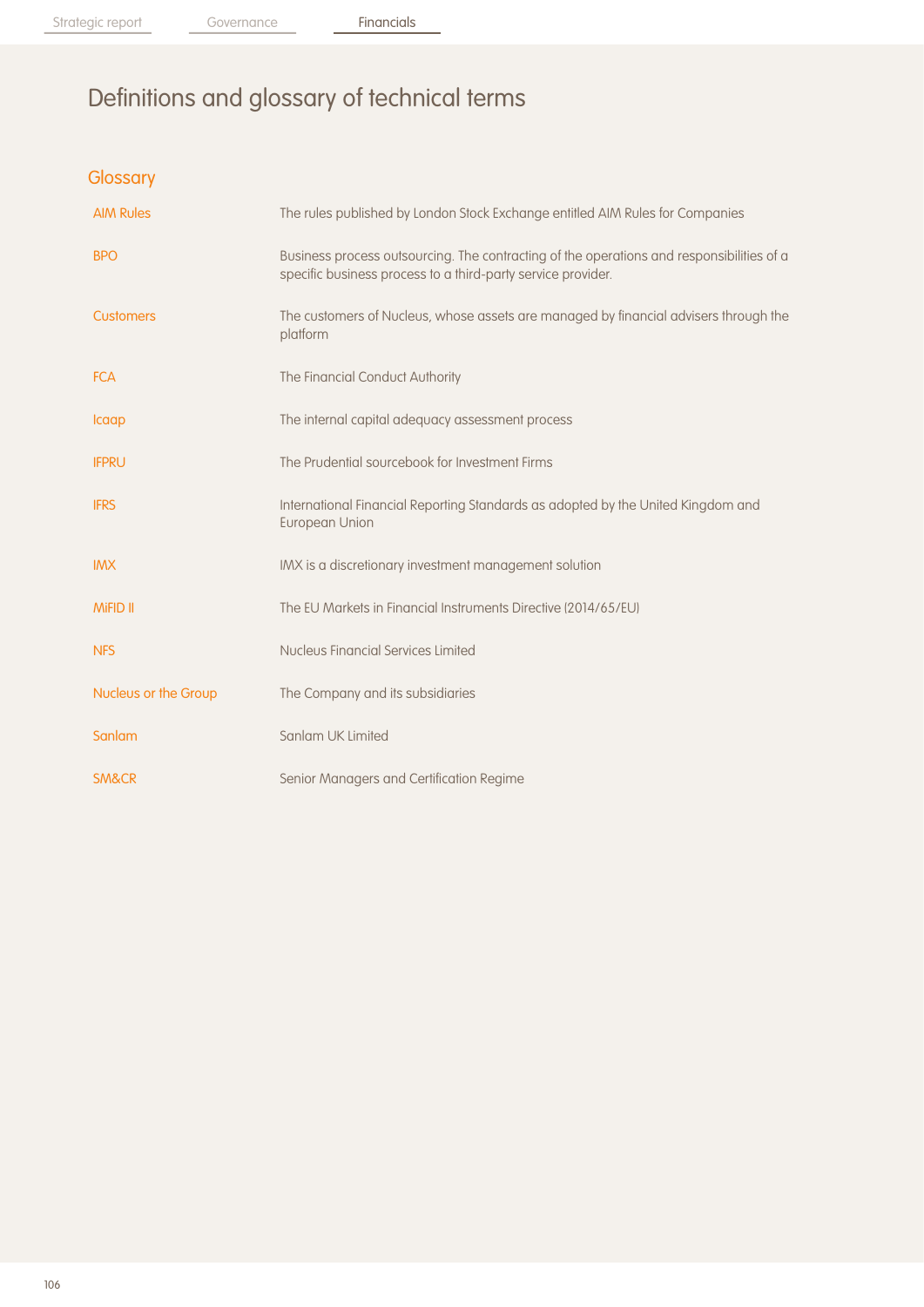Strategic report Governance Financials

# Definitions and glossary of technical terms

**Glossary** 

| <b>AIM Rules</b>     | The rules published by London Stock Exchange entitled AIM Rules for Companies                                                                             |
|----------------------|-----------------------------------------------------------------------------------------------------------------------------------------------------------|
| <b>BPO</b>           | Business process outsourcing. The contracting of the operations and responsibilities of a<br>specific business process to a third-party service provider. |
| <b>Customers</b>     | The customers of Nucleus, whose assets are managed by financial advisers through the<br>platform                                                          |
| <b>FCA</b>           | The Financial Conduct Authority                                                                                                                           |
| Icaap                | The internal capital adequacy assessment process                                                                                                          |
| <b>IFPRU</b>         | The Prudential sourcebook for Investment Firms                                                                                                            |
| <b>IFRS</b>          | International Financial Reporting Standards as adopted by the United Kingdom and<br><b>European Union</b>                                                 |
| <b>IMX</b>           | IMX is a discretionary investment management solution                                                                                                     |
| <b>MiFID II</b>      | The EU Markets in Financial Instruments Directive (2014/65/EU)                                                                                            |
| <b>NFS</b>           | Nucleus Financial Services Limited                                                                                                                        |
| Nucleus or the Group | The Company and its subsidiaries                                                                                                                          |
| Sanlam               | Sanlam UK Limited                                                                                                                                         |
| <b>SM&amp;CR</b>     | Senior Managers and Certification Regime                                                                                                                  |